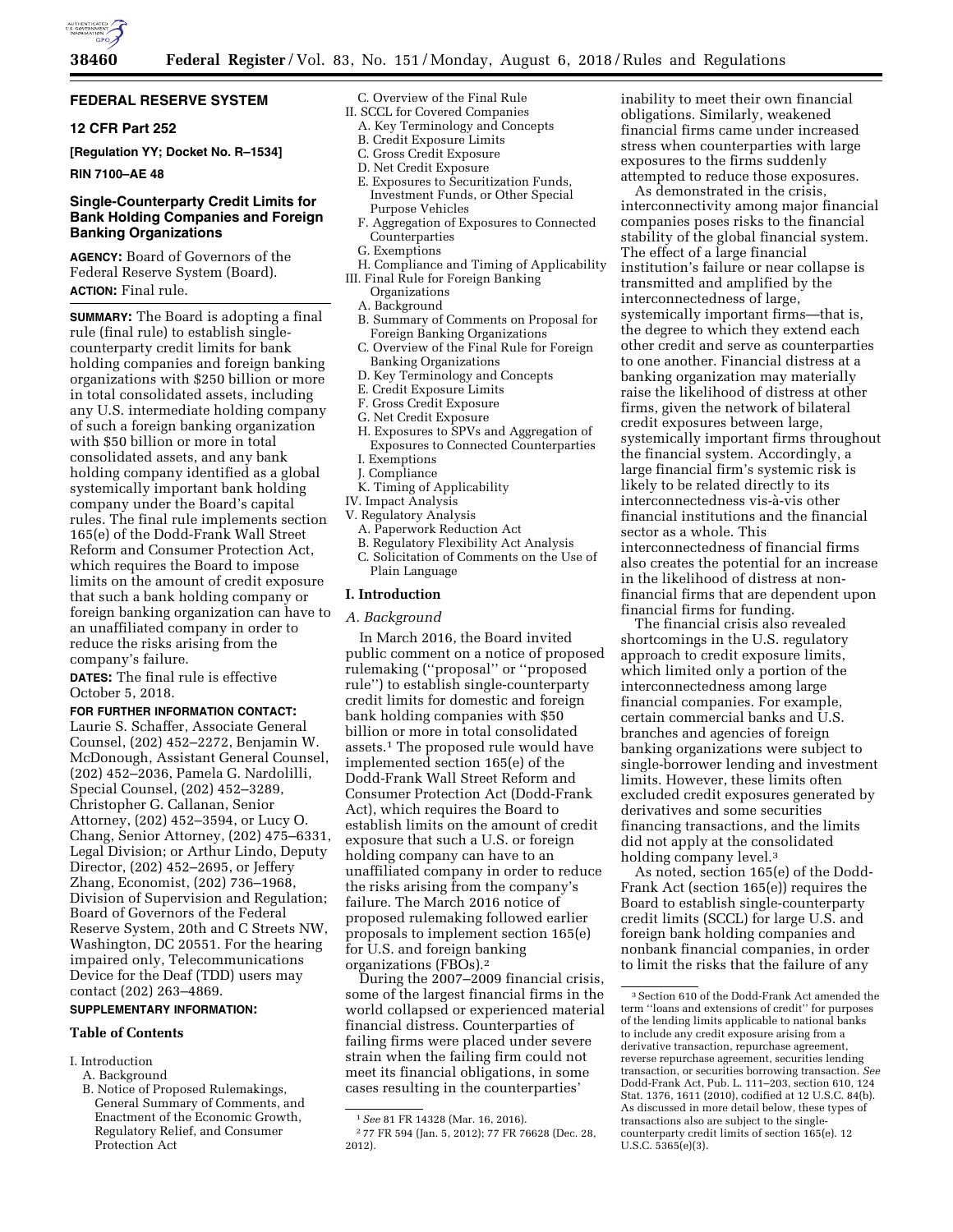

# **FEDERAL RESERVE SYSTEM**

# **12 CFR Part 252**

**[Regulation YY; Docket No. R–1534]** 

#### **RIN 7100–AE 48**

# **Single-Counterparty Credit Limits for Bank Holding Companies and Foreign Banking Organizations**

**AGENCY:** Board of Governors of the Federal Reserve System (Board). **ACTION:** Final rule.

**SUMMARY:** The Board is adopting a final rule (final rule) to establish singlecounterparty credit limits for bank holding companies and foreign banking organizations with \$250 billion or more in total consolidated assets, including any U.S. intermediate holding company of such a foreign banking organization with \$50 billion or more in total consolidated assets, and any bank holding company identified as a global systemically important bank holding company under the Board's capital rules. The final rule implements section 165(e) of the Dodd-Frank Wall Street Reform and Consumer Protection Act, which requires the Board to impose limits on the amount of credit exposure that such a bank holding company or foreign banking organization can have to an unaffiliated company in order to reduce the risks arising from the company's failure.

**DATES:** The final rule is effective October 5, 2018.

# **FOR FURTHER INFORMATION CONTACT:**

Laurie S. Schaffer, Associate General Counsel, (202) 452–2272, Benjamin W. McDonough, Assistant General Counsel, (202) 452–2036, Pamela G. Nardolilli, Special Counsel, (202) 452–3289, Christopher G. Callanan, Senior Attorney, (202) 452–3594, or Lucy O. Chang, Senior Attorney, (202) 475–6331, Legal Division; or Arthur Lindo, Deputy Director, (202) 452–2695, or Jeffery Zhang, Economist, (202) 736–1968, Division of Supervision and Regulation; Board of Governors of the Federal Reserve System, 20th and C Streets NW, Washington, DC 20551. For the hearing impaired only, Telecommunications Device for the Deaf (TDD) users may contact (202) 263–4869.

# **SUPPLEMENTARY INFORMATION:**

# **Table of Contents**

I. Introduction

B. Notice of Proposed Rulemakings, General Summary of Comments, and Enactment of the Economic Growth, Regulatory Relief, and Consumer Protection Act

- C. Overview of the Final Rule
- II. SCCL for Covered Companies A. Key Terminology and Concepts
	- B. Credit Exposure Limits
	- C. Gross Credit Exposure
	- D. Net Credit Exposure
	- E. Exposures to Securitization Funds,
	- Investment Funds, or Other Special Purpose Vehicles
	- F. Aggregation of Exposures to Connected Counterparties
	- G. Exemptions
- H. Compliance and Timing of Applicability III. Final Rule for Foreign Banking Organizations
	- A. Background
	- B. Summary of Comments on Proposal for Foreign Banking Organizations
	- C. Overview of the Final Rule for Foreign
	- Banking Organizations
	- D. Key Terminology and Concepts
	- E. Credit Exposure Limits
	- F. Gross Credit Exposure
	- G. Net Credit Exposure
	- H. Exposures to SPVs and Aggregation of Exposures to Connected Counterparties I. Exemptions
	- J. Compliance
- K. Timing of Applicability
- IV. Impact Analysis
- V. Regulatory Analysis
	- A. Paperwork Reduction Act
	- B. Regulatory Flexibility Act Analysis C. Solicitation of Comments on the Use of Plain Language

# **I. Introduction**

## *A. Background*

In March 2016, the Board invited public comment on a notice of proposed rulemaking (''proposal'' or ''proposed rule'') to establish single-counterparty credit limits for domestic and foreign bank holding companies with \$50 billion or more in total consolidated assets.1 The proposed rule would have implemented section 165(e) of the Dodd-Frank Wall Street Reform and Consumer Protection Act (Dodd-Frank Act), which requires the Board to establish limits on the amount of credit exposure that such a U.S. or foreign holding company can have to an unaffiliated company in order to reduce the risks arising from the company's failure. The March 2016 notice of proposed rulemaking followed earlier proposals to implement section 165(e) for U.S. and foreign banking organizations (FBOs).2

During the 2007–2009 financial crisis, some of the largest financial firms in the world collapsed or experienced material financial distress. Counterparties of failing firms were placed under severe strain when the failing firm could not meet its financial obligations, in some cases resulting in the counterparties'

inability to meet their own financial obligations. Similarly, weakened financial firms came under increased stress when counterparties with large exposures to the firms suddenly attempted to reduce those exposures.

As demonstrated in the crisis, interconnectivity among major financial companies poses risks to the financial stability of the global financial system. The effect of a large financial institution's failure or near collapse is transmitted and amplified by the interconnectedness of large, systemically important firms—that is, the degree to which they extend each other credit and serve as counterparties to one another. Financial distress at a banking organization may materially raise the likelihood of distress at other firms, given the network of bilateral credit exposures between large, systemically important firms throughout the financial system. Accordingly, a large financial firm's systemic risk is likely to be related directly to its interconnectedness vis-a`-vis other financial institutions and the financial sector as a whole. This interconnectedness of financial firms also creates the potential for an increase in the likelihood of distress at nonfinancial firms that are dependent upon financial firms for funding.

The financial crisis also revealed shortcomings in the U.S. regulatory approach to credit exposure limits, which limited only a portion of the interconnectedness among large financial companies. For example, certain commercial banks and U.S. branches and agencies of foreign banking organizations were subject to single-borrower lending and investment limits. However, these limits often excluded credit exposures generated by derivatives and some securities financing transactions, and the limits did not apply at the consolidated holding company level.<sup>3</sup>

As noted, section 165(e) of the Dodd-Frank Act (section 165(e)) requires the Board to establish single-counterparty credit limits (SCCL) for large U.S. and foreign bank holding companies and nonbank financial companies, in order to limit the risks that the failure of any

A. Background

<sup>1</sup>*See* 81 FR 14328 (Mar. 16, 2016).

<sup>2</sup> 77 FR 594 (Jan. 5, 2012); 77 FR 76628 (Dec. 28, 2012).

<sup>3</sup>Section 610 of the Dodd-Frank Act amended the term ''loans and extensions of credit'' for purposes of the lending limits applicable to national banks to include any credit exposure arising from a derivative transaction, repurchase agreement, reverse repurchase agreement, securities lending transaction, or securities borrowing transaction. *See*  Dodd-Frank Act, Pub. L. 111–203, section 610, 124 Stat. 1376, 1611 (2010), codified at 12 U.S.C. 84(b). As discussed in more detail below, these types of transactions also are subject to the singlecounterparty credit limits of section 165(e). 12 U.S.C. 5365(e)(3).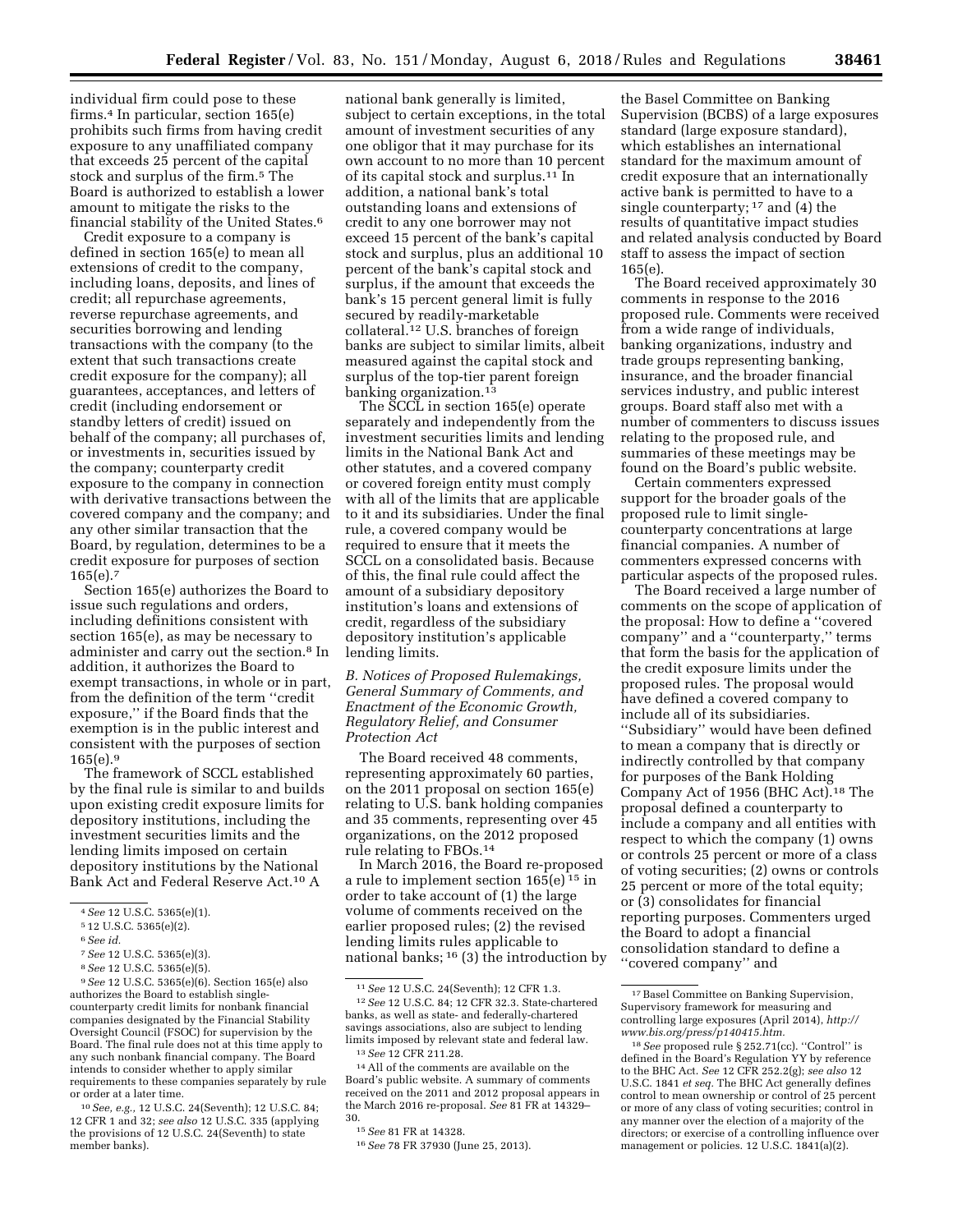individual firm could pose to these firms.4 In particular, section 165(e) prohibits such firms from having credit exposure to any unaffiliated company that exceeds 25 percent of the capital stock and surplus of the firm.<sup>5</sup> The Board is authorized to establish a lower amount to mitigate the risks to the financial stability of the United States.6

Credit exposure to a company is defined in section 165(e) to mean all extensions of credit to the company, including loans, deposits, and lines of credit; all repurchase agreements, reverse repurchase agreements, and securities borrowing and lending transactions with the company (to the extent that such transactions create credit exposure for the company); all guarantees, acceptances, and letters of credit (including endorsement or standby letters of credit) issued on behalf of the company; all purchases of, or investments in, securities issued by the company; counterparty credit exposure to the company in connection with derivative transactions between the covered company and the company; and any other similar transaction that the Board, by regulation, determines to be a credit exposure for purposes of section  $165(e).7$ 

Section 165(e) authorizes the Board to issue such regulations and orders, including definitions consistent with section 165(e), as may be necessary to administer and carry out the section.8 In addition, it authorizes the Board to exempt transactions, in whole or in part, from the definition of the term ''credit exposure,'' if the Board finds that the exemption is in the public interest and consistent with the purposes of section  $165(e).9$ 

The framework of SCCL established by the final rule is similar to and builds upon existing credit exposure limits for depository institutions, including the investment securities limits and the lending limits imposed on certain depository institutions by the National Bank Act and Federal Reserve Act.10 A

national bank generally is limited, subject to certain exceptions, in the total amount of investment securities of any one obligor that it may purchase for its own account to no more than 10 percent of its capital stock and surplus.11 In addition, a national bank's total outstanding loans and extensions of credit to any one borrower may not exceed 15 percent of the bank's capital stock and surplus, plus an additional 10 percent of the bank's capital stock and surplus, if the amount that exceeds the bank's 15 percent general limit is fully secured by readily-marketable collateral.12 U.S. branches of foreign banks are subject to similar limits, albeit measured against the capital stock and surplus of the top-tier parent foreign banking organization.<sup>13</sup>

The SCCL in section 165(e) operate separately and independently from the investment securities limits and lending limits in the National Bank Act and other statutes, and a covered company or covered foreign entity must comply with all of the limits that are applicable to it and its subsidiaries. Under the final rule, a covered company would be required to ensure that it meets the SCCL on a consolidated basis. Because of this, the final rule could affect the amount of a subsidiary depository institution's loans and extensions of credit, regardless of the subsidiary depository institution's applicable lending limits.

# *B. Notices of Proposed Rulemakings, General Summary of Comments, and Enactment of the Economic Growth, Regulatory Relief, and Consumer Protection Act*

The Board received 48 comments, representing approximately 60 parties, on the 2011 proposal on section 165(e) relating to U.S. bank holding companies and 35 comments, representing over 45 organizations, on the 2012 proposed rule relating to FBOs.14

In March 2016, the Board re-proposed a rule to implement section 165(e) 15 in order to take account of (1) the large volume of comments received on the earlier proposed rules; (2) the revised lending limits rules applicable to national banks; 16 (3) the introduction by

the Basel Committee on Banking Supervision (BCBS) of a large exposures standard (large exposure standard), which establishes an international standard for the maximum amount of credit exposure that an internationally active bank is permitted to have to a single counterparty; 17 and (4) the results of quantitative impact studies and related analysis conducted by Board staff to assess the impact of section 165(e).

The Board received approximately 30 comments in response to the 2016 proposed rule. Comments were received from a wide range of individuals, banking organizations, industry and trade groups representing banking, insurance, and the broader financial services industry, and public interest groups. Board staff also met with a number of commenters to discuss issues relating to the proposed rule, and summaries of these meetings may be found on the Board's public website.

Certain commenters expressed support for the broader goals of the proposed rule to limit singlecounterparty concentrations at large financial companies. A number of commenters expressed concerns with particular aspects of the proposed rules.

The Board received a large number of comments on the scope of application of the proposal: How to define a ''covered company'' and a ''counterparty,'' terms that form the basis for the application of the credit exposure limits under the proposed rules. The proposal would have defined a covered company to include all of its subsidiaries. ''Subsidiary'' would have been defined to mean a company that is directly or indirectly controlled by that company for purposes of the Bank Holding Company Act of 1956 (BHC Act).18 The proposal defined a counterparty to include a company and all entities with respect to which the company (1) owns or controls 25 percent or more of a class of voting securities; (2) owns or controls 25 percent or more of the total equity; or (3) consolidates for financial reporting purposes. Commenters urged the Board to adopt a financial consolidation standard to define a ''covered company'' and

<sup>4</sup>*See* 12 U.S.C. 5365(e)(1).

<sup>5</sup> 12 U.S.C. 5365(e)(2).

<sup>6</sup>*See id.* 

<sup>7</sup>*See* 12 U.S.C. 5365(e)(3).

<sup>8</sup>*See* 12 U.S.C. 5365(e)(5).

<sup>9</sup>*See* 12 U.S.C. 5365(e)(6). Section 165(e) also authorizes the Board to establish singlecounterparty credit limits for nonbank financial companies designated by the Financial Stability Oversight Council (FSOC) for supervision by the Board. The final rule does not at this time apply to any such nonbank financial company. The Board intends to consider whether to apply similar requirements to these companies separately by rule or order at a later time.

<sup>10</sup>*See, e.g.,* 12 U.S.C. 24(Seventh); 12 U.S.C. 84; 12 CFR 1 and 32; *see also* 12 U.S.C. 335 (applying the provisions of 12 U.S.C. 24(Seventh) to state member banks).

<sup>11</sup>*See* 12 U.S.C. 24(Seventh); 12 CFR 1.3.

<sup>12</sup>*See* 12 U.S.C. 84; 12 CFR 32.3. State-chartered banks, as well as state- and federally-chartered savings associations, also are subject to lending limits imposed by relevant state and federal law. 13*See* 12 CFR 211.28.

<sup>14</sup>All of the comments are available on the Board's public website. A summary of comments received on the 2011 and 2012 proposal appears in the March 2016 re-proposal. *See* 81 FR at 14329– 30.

<sup>15</sup>*See* 81 FR at 14328.

<sup>16</sup>*See* 78 FR 37930 (June 25, 2013).

<sup>&</sup>lt;sup>17</sup> Basel Committee on Banking Supervision, Supervisory framework for measuring and controlling large exposures (April 2014), *[http://](http://www.bis.org/press/p140415.htm) [www.bis.org/press/p140415.htm.](http://www.bis.org/press/p140415.htm)* 

<sup>&</sup>lt;sup>18</sup> See proposed rule § 252.71(cc). "Control" is defined in the Board's Regulation YY by reference to the BHC Act. *See* 12 CFR 252.2(g); *see also* 12 U.S.C. 1841 *et seq.* The BHC Act generally defines control to mean ownership or control of 25 percent or more of any class of voting securities; control in any manner over the election of a majority of the directors; or exercise of a controlling influence over management or policies. 12 U.S.C. 1841(a)(2).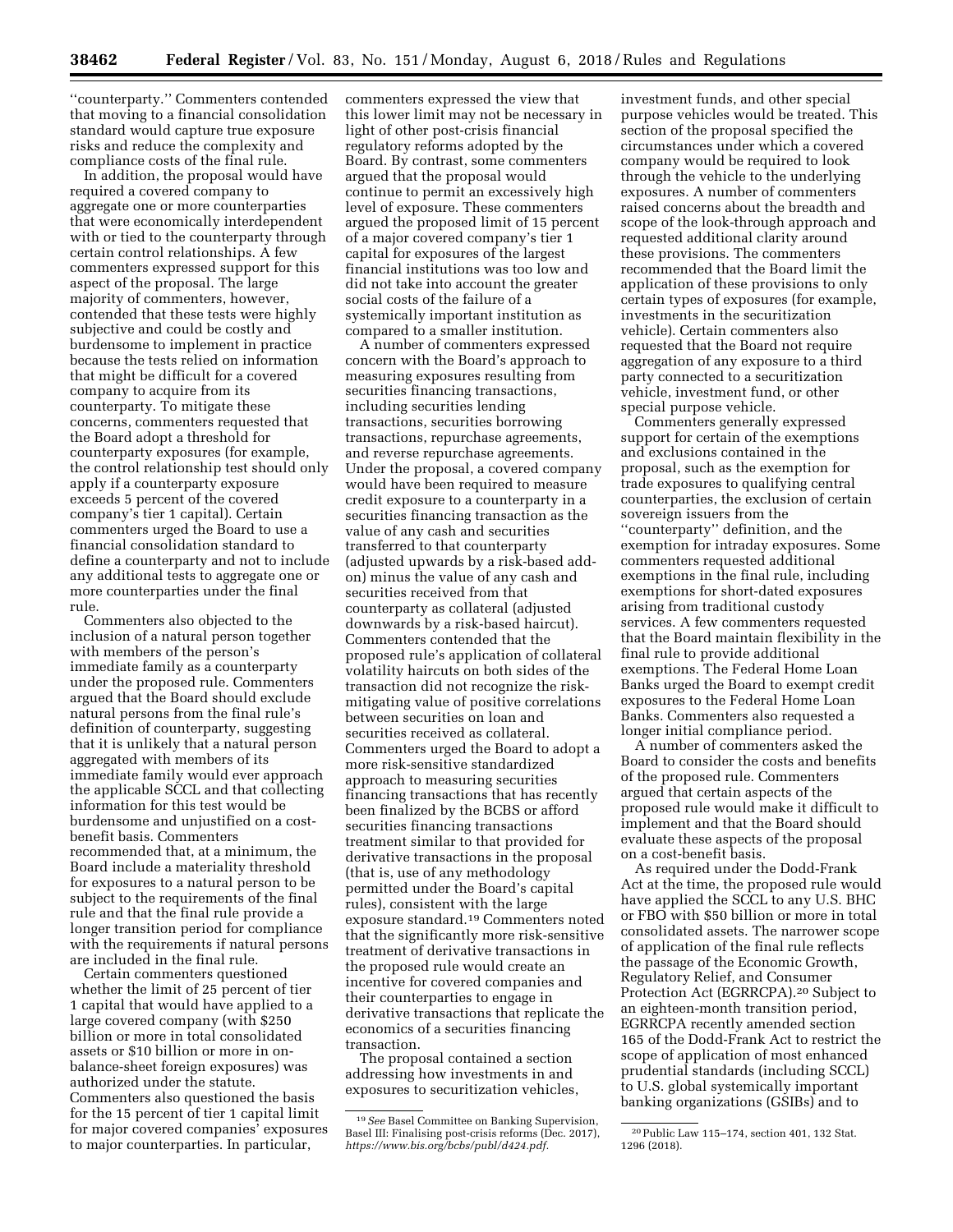''counterparty.'' Commenters contended that moving to a financial consolidation standard would capture true exposure risks and reduce the complexity and compliance costs of the final rule.

In addition, the proposal would have required a covered company to aggregate one or more counterparties that were economically interdependent with or tied to the counterparty through certain control relationships. A few commenters expressed support for this aspect of the proposal. The large majority of commenters, however, contended that these tests were highly subjective and could be costly and burdensome to implement in practice because the tests relied on information that might be difficult for a covered company to acquire from its counterparty. To mitigate these concerns, commenters requested that the Board adopt a threshold for counterparty exposures (for example, the control relationship test should only apply if a counterparty exposure exceeds 5 percent of the covered company's tier 1 capital). Certain commenters urged the Board to use a financial consolidation standard to define a counterparty and not to include any additional tests to aggregate one or more counterparties under the final rule.

Commenters also objected to the inclusion of a natural person together with members of the person's immediate family as a counterparty under the proposed rule. Commenters argued that the Board should exclude natural persons from the final rule's definition of counterparty, suggesting that it is unlikely that a natural person aggregated with members of its immediate family would ever approach the applicable SCCL and that collecting information for this test would be burdensome and unjustified on a costbenefit basis. Commenters recommended that, at a minimum, the Board include a materiality threshold for exposures to a natural person to be subject to the requirements of the final rule and that the final rule provide a longer transition period for compliance with the requirements if natural persons are included in the final rule.

Certain commenters questioned whether the limit of 25 percent of tier 1 capital that would have applied to a large covered company (with \$250 billion or more in total consolidated assets or \$10 billion or more in onbalance-sheet foreign exposures) was authorized under the statute. Commenters also questioned the basis for the 15 percent of tier 1 capital limit for major covered companies' exposures to major counterparties. In particular,

commenters expressed the view that this lower limit may not be necessary in light of other post-crisis financial regulatory reforms adopted by the Board. By contrast, some commenters argued that the proposal would continue to permit an excessively high level of exposure. These commenters argued the proposed limit of 15 percent of a major covered company's tier 1 capital for exposures of the largest financial institutions was too low and did not take into account the greater social costs of the failure of a systemically important institution as compared to a smaller institution.

A number of commenters expressed concern with the Board's approach to measuring exposures resulting from securities financing transactions, including securities lending transactions, securities borrowing transactions, repurchase agreements, and reverse repurchase agreements. Under the proposal, a covered company would have been required to measure credit exposure to a counterparty in a securities financing transaction as the value of any cash and securities transferred to that counterparty (adjusted upwards by a risk-based addon) minus the value of any cash and securities received from that counterparty as collateral (adjusted downwards by a risk-based haircut). Commenters contended that the proposed rule's application of collateral volatility haircuts on both sides of the transaction did not recognize the riskmitigating value of positive correlations between securities on loan and securities received as collateral. Commenters urged the Board to adopt a more risk-sensitive standardized approach to measuring securities financing transactions that has recently been finalized by the BCBS or afford securities financing transactions treatment similar to that provided for derivative transactions in the proposal (that is, use of any methodology permitted under the Board's capital rules), consistent with the large exposure standard.19 Commenters noted that the significantly more risk-sensitive treatment of derivative transactions in the proposed rule would create an incentive for covered companies and their counterparties to engage in derivative transactions that replicate the economics of a securities financing transaction.

The proposal contained a section addressing how investments in and exposures to securitization vehicles, investment funds, and other special purpose vehicles would be treated. This section of the proposal specified the circumstances under which a covered company would be required to look through the vehicle to the underlying exposures. A number of commenters raised concerns about the breadth and scope of the look-through approach and requested additional clarity around these provisions. The commenters recommended that the Board limit the application of these provisions to only certain types of exposures (for example, investments in the securitization vehicle). Certain commenters also requested that the Board not require aggregation of any exposure to a third party connected to a securitization vehicle, investment fund, or other special purpose vehicle.

Commenters generally expressed support for certain of the exemptions and exclusions contained in the proposal, such as the exemption for trade exposures to qualifying central counterparties, the exclusion of certain sovereign issuers from the ''counterparty'' definition, and the exemption for intraday exposures. Some commenters requested additional exemptions in the final rule, including exemptions for short-dated exposures arising from traditional custody services. A few commenters requested that the Board maintain flexibility in the final rule to provide additional exemptions. The Federal Home Loan Banks urged the Board to exempt credit exposures to the Federal Home Loan Banks. Commenters also requested a longer initial compliance period.

A number of commenters asked the Board to consider the costs and benefits of the proposed rule. Commenters argued that certain aspects of the proposed rule would make it difficult to implement and that the Board should evaluate these aspects of the proposal on a cost-benefit basis.

As required under the Dodd-Frank Act at the time, the proposed rule would have applied the SCCL to any U.S. BHC or FBO with \$50 billion or more in total consolidated assets. The narrower scope of application of the final rule reflects the passage of the Economic Growth, Regulatory Relief, and Consumer Protection Act (EGRRCPA).20 Subject to an eighteen-month transition period, EGRRCPA recently amended section 165 of the Dodd-Frank Act to restrict the scope of application of most enhanced prudential standards (including SCCL) to U.S. global systemically important banking organizations (GSIBs) and to

<sup>19</sup>*See* Basel Committee on Banking Supervision, Basel III: Finalising post-crisis reforms (Dec. 2017), *[https://www.bis.org/bcbs/publ/d424.pdf.](https://www.bis.org/bcbs/publ/d424.pdf)* 

<sup>20</sup>Public Law 115–174, section 401, 132 Stat. 1296 (2018).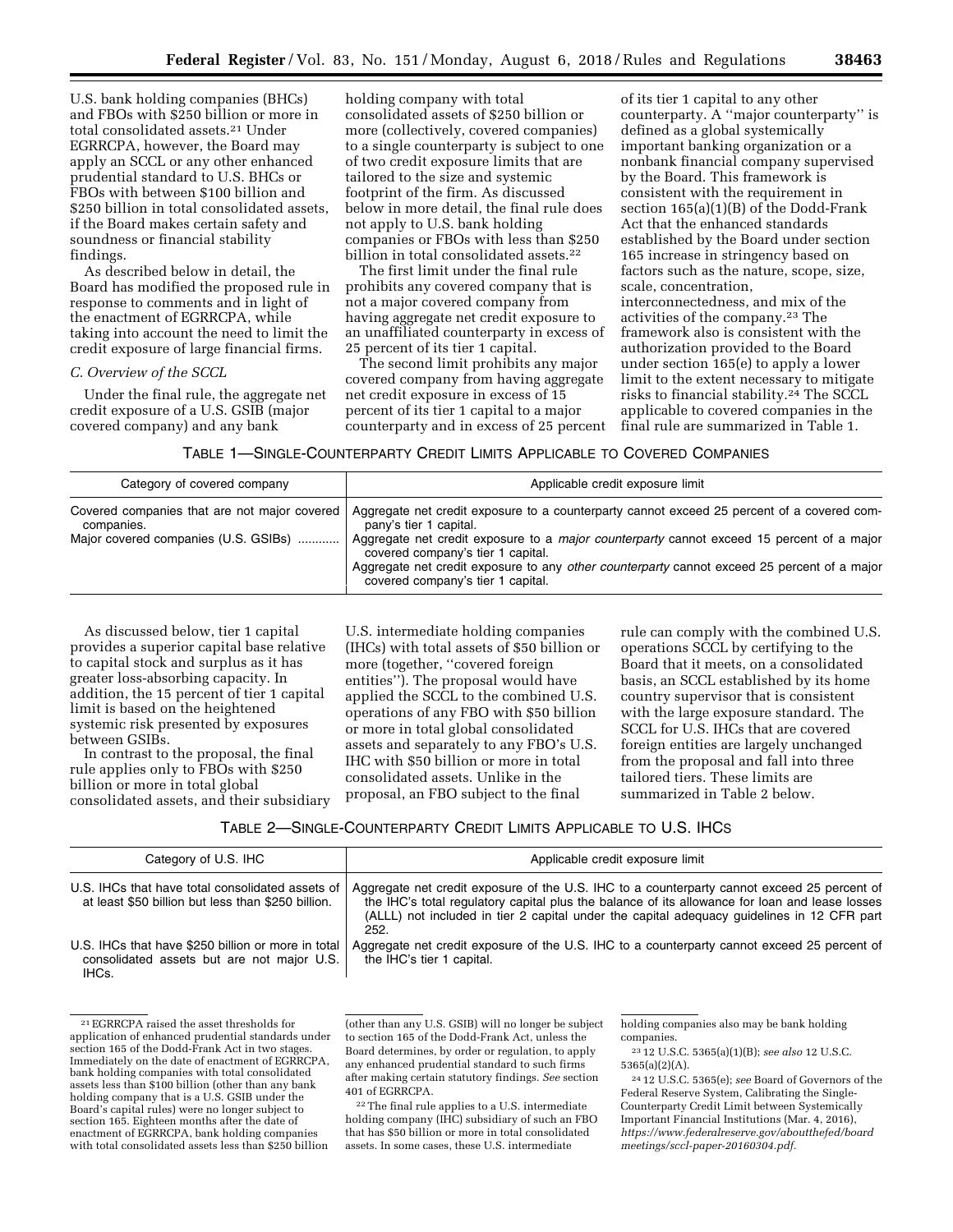U.S. bank holding companies (BHCs) and FBOs with \$250 billion or more in total consolidated assets.21 Under EGRRCPA, however, the Board may apply an SCCL or any other enhanced prudential standard to U.S. BHCs or FBOs with between \$100 billion and \$250 billion in total consolidated assets, if the Board makes certain safety and soundness or financial stability findings.

As described below in detail, the Board has modified the proposed rule in response to comments and in light of the enactment of EGRRCPA, while taking into account the need to limit the credit exposure of large financial firms.

#### *C. Overview of the SCCL*

Under the final rule, the aggregate net credit exposure of a U.S. GSIB (major covered company) and any bank

holding company with total consolidated assets of \$250 billion or more (collectively, covered companies) to a single counterparty is subject to one of two credit exposure limits that are tailored to the size and systemic footprint of the firm. As discussed below in more detail, the final rule does not apply to U.S. bank holding companies or FBOs with less than \$250 billion in total consolidated assets.<sup>22</sup>

The first limit under the final rule prohibits any covered company that is not a major covered company from having aggregate net credit exposure to an unaffiliated counterparty in excess of 25 percent of its tier 1 capital.

The second limit prohibits any major covered company from having aggregate net credit exposure in excess of 15 percent of its tier 1 capital to a major counterparty and in excess of 25 percent

of its tier 1 capital to any other counterparty. A ''major counterparty'' is defined as a global systemically important banking organization or a nonbank financial company supervised by the Board. This framework is consistent with the requirement in section 165(a)(1)(B) of the Dodd-Frank Act that the enhanced standards established by the Board under section 165 increase in stringency based on factors such as the nature, scope, size, scale, concentration, interconnectedness, and mix of the activities of the company.23 The framework also is consistent with the authorization provided to the Board under section 165(e) to apply a lower limit to the extent necessary to mitigate risks to financial stability.24 The SCCL applicable to covered companies in the

final rule are summarized in Table 1.

# TABLE 1—SINGLE-COUNTERPARTY CREDIT LIMITS APPLICABLE TO COVERED COMPANIES

| Category of covered company                                                                        | Applicable credit exposure limit                                                                                                                                                                                                                                                                                                                                                                  |
|----------------------------------------------------------------------------------------------------|---------------------------------------------------------------------------------------------------------------------------------------------------------------------------------------------------------------------------------------------------------------------------------------------------------------------------------------------------------------------------------------------------|
| Covered companies that are not major covered<br>companies.<br>Major covered companies (U.S. GSIBs) | Aggregate net credit exposure to a counterparty cannot exceed 25 percent of a covered com-<br>pany's tier 1 capital.<br>Aggregate net credit exposure to a <i>major counterparty</i> cannot exceed 15 percent of a major<br>covered company's tier 1 capital.<br>Aggregate net credit exposure to any other counterparty cannot exceed 25 percent of a major<br>covered company's tier 1 capital. |

As discussed below, tier 1 capital provides a superior capital base relative to capital stock and surplus as it has greater loss-absorbing capacity. In addition, the 15 percent of tier 1 capital limit is based on the heightened systemic risk presented by exposures between GSIBs.

In contrast to the proposal, the final rule applies only to FBOs with \$250 billion or more in total global consolidated assets, and their subsidiary

U.S. intermediate holding companies (IHCs) with total assets of \$50 billion or more (together, ''covered foreign entities''). The proposal would have applied the SCCL to the combined U.S. operations of any FBO with \$50 billion or more in total global consolidated assets and separately to any FBO's U.S. IHC with \$50 billion or more in total consolidated assets. Unlike in the proposal, an FBO subject to the final

rule can comply with the combined U.S. operations SCCL by certifying to the Board that it meets, on a consolidated basis, an SCCL established by its home country supervisor that is consistent with the large exposure standard. The SCCL for U.S. IHCs that are covered foreign entities are largely unchanged from the proposal and fall into three tailored tiers. These limits are summarized in Table 2 below.

# TABLE 2—SINGLE-COUNTERPARTY CREDIT LIMITS APPLICABLE TO U.S. IHCS

| Category of U.S. IHC                                                                                      | Applicable credit exposure limit                                                                                                                                                                                                                                                                    |
|-----------------------------------------------------------------------------------------------------------|-----------------------------------------------------------------------------------------------------------------------------------------------------------------------------------------------------------------------------------------------------------------------------------------------------|
| U.S. IHCs that have total consolidated assets of<br>at least \$50 billion but less than \$250 billion.    | Aggregate net credit exposure of the U.S. IHC to a counterparty cannot exceed 25 percent of<br>the IHC's total regulatory capital plus the balance of its allowance for loan and lease losses<br>(ALLL) not included in tier 2 capital under the capital adequacy quidelines in 12 CFR part<br>252. |
| U.S. IHCs that have \$250 billion or more in total<br>consolidated assets but are not major U.S.<br>IHCs. | Aggregate net credit exposure of the U.S. IHC to a counterparty cannot exceed 25 percent of<br>the IHC's tier 1 capital.                                                                                                                                                                            |

<sup>21</sup>EGRRCPA raised the asset thresholds for application of enhanced prudential standards under section 165 of the Dodd-Frank Act in two stages. Immediately on the date of enactment of EGRRCPA, bank holding companies with total consolidated assets less than \$100 billion (other than any bank holding company that is a U.S. GSIB under the Board's capital rules) were no longer subject to section 165. Eighteen months after the date of enactment of EGRRCPA, bank holding companies with total consolidated assets less than \$250 billion

(other than any U.S. GSIB) will no longer be subject to section 165 of the Dodd-Frank Act, unless the Board determines, by order or regulation, to apply any enhanced prudential standard to such firms after making certain statutory findings. *See* section 401 of EGRRCPA.

22The final rule applies to a U.S. intermediate holding company (IHC) subsidiary of such an FBO that has \$50 billion or more in total consolidated assets. In some cases, these U.S. intermediate

holding companies also may be bank holding companies.

23 12 U.S.C. 5365(a)(1)(B); *see also* 12 U.S.C. 5365(a)(2)(A).

24 12 U.S.C. 5365(e); *see* Board of Governors of the Federal Reserve System, Calibrating the Single-Counterparty Credit Limit between Systemically Important Financial Institutions (Mar. 4, 2016), *[https://www.federalreserve.gov/aboutthefed/board](https://www.federalreserve.gov/aboutthefed/boardmeetings/sccl-paper-20160304.pdf) [meetings/sccl-paper-20160304.pdf.](https://www.federalreserve.gov/aboutthefed/boardmeetings/sccl-paper-20160304.pdf)*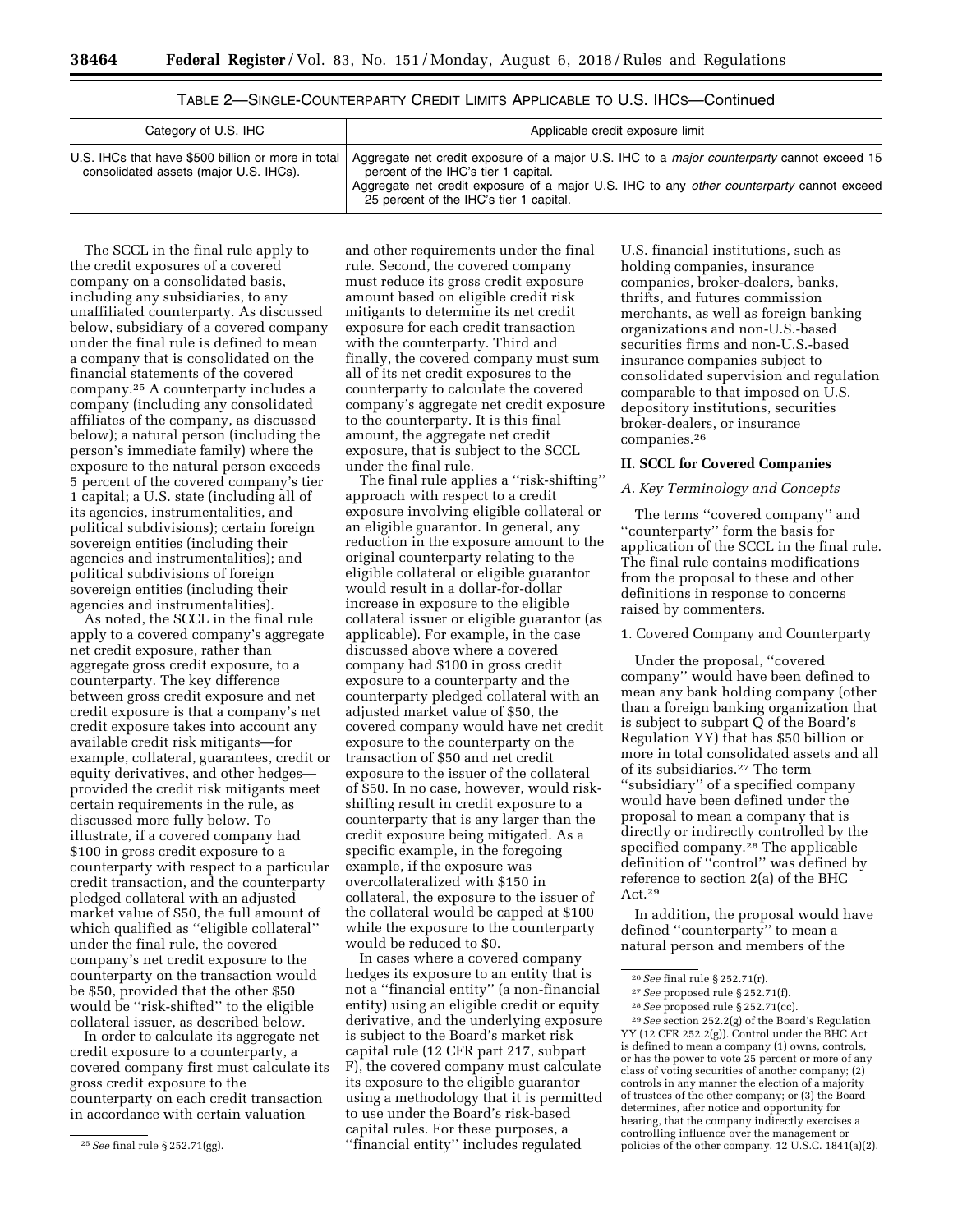| Category of U.S. IHC                                                                         | Applicable credit exposure limit                                                                                                                                                                                                                                                  |
|----------------------------------------------------------------------------------------------|-----------------------------------------------------------------------------------------------------------------------------------------------------------------------------------------------------------------------------------------------------------------------------------|
| U.S. IHCs that have \$500 billion or more in total<br>consolidated assets (major U.S. IHCs). | Aggregate net credit exposure of a major U.S. IHC to a <i>major counterparty</i> cannot exceed 15<br>percent of the IHC's tier 1 capital.<br>Aggregate net credit exposure of a major U.S. IHC to any other counterparty cannot exceed<br>25 percent of the IHC's tier 1 capital. |

The SCCL in the final rule apply to the credit exposures of a covered company on a consolidated basis, including any subsidiaries, to any unaffiliated counterparty. As discussed below, subsidiary of a covered company under the final rule is defined to mean a company that is consolidated on the financial statements of the covered company.25 A counterparty includes a company (including any consolidated affiliates of the company, as discussed below); a natural person (including the person's immediate family) where the exposure to the natural person exceeds 5 percent of the covered company's tier 1 capital; a U.S. state (including all of its agencies, instrumentalities, and political subdivisions); certain foreign sovereign entities (including their agencies and instrumentalities); and political subdivisions of foreign sovereign entities (including their agencies and instrumentalities).

As noted, the SCCL in the final rule apply to a covered company's aggregate net credit exposure, rather than aggregate gross credit exposure, to a counterparty. The key difference between gross credit exposure and net credit exposure is that a company's net credit exposure takes into account any available credit risk mitigants—for example, collateral, guarantees, credit or equity derivatives, and other hedges provided the credit risk mitigants meet certain requirements in the rule, as discussed more fully below. To illustrate, if a covered company had \$100 in gross credit exposure to a counterparty with respect to a particular credit transaction, and the counterparty pledged collateral with an adjusted market value of \$50, the full amount of which qualified as ''eligible collateral'' under the final rule, the covered company's net credit exposure to the counterparty on the transaction would be \$50, provided that the other \$50 would be ''risk-shifted'' to the eligible collateral issuer, as described below.

In order to calculate its aggregate net credit exposure to a counterparty, a covered company first must calculate its gross credit exposure to the counterparty on each credit transaction in accordance with certain valuation

and other requirements under the final rule. Second, the covered company must reduce its gross credit exposure amount based on eligible credit risk mitigants to determine its net credit exposure for each credit transaction with the counterparty. Third and finally, the covered company must sum all of its net credit exposures to the counterparty to calculate the covered company's aggregate net credit exposure to the counterparty. It is this final amount, the aggregate net credit exposure, that is subject to the SCCL under the final rule.

The final rule applies a ''risk-shifting'' approach with respect to a credit exposure involving eligible collateral or an eligible guarantor. In general, any reduction in the exposure amount to the original counterparty relating to the eligible collateral or eligible guarantor would result in a dollar-for-dollar increase in exposure to the eligible collateral issuer or eligible guarantor (as applicable). For example, in the case discussed above where a covered company had \$100 in gross credit exposure to a counterparty and the counterparty pledged collateral with an adjusted market value of \$50, the covered company would have net credit exposure to the counterparty on the transaction of \$50 and net credit exposure to the issuer of the collateral of \$50. In no case, however, would riskshifting result in credit exposure to a counterparty that is any larger than the credit exposure being mitigated. As a specific example, in the foregoing example, if the exposure was overcollateralized with \$150 in collateral, the exposure to the issuer of the collateral would be capped at \$100 while the exposure to the counterparty would be reduced to \$0.

In cases where a covered company hedges its exposure to an entity that is not a ''financial entity'' (a non-financial entity) using an eligible credit or equity derivative, and the underlying exposure is subject to the Board's market risk capital rule (12 CFR part 217, subpart F), the covered company must calculate its exposure to the eligible guarantor using a methodology that it is permitted to use under the Board's risk-based capital rules. For these purposes, a ''financial entity'' includes regulated

U.S. financial institutions, such as holding companies, insurance companies, broker-dealers, banks, thrifts, and futures commission merchants, as well as foreign banking organizations and non-U.S.-based securities firms and non-U.S.-based insurance companies subject to consolidated supervision and regulation comparable to that imposed on U.S. depository institutions, securities broker-dealers, or insurance companies.26

## **II. SCCL for Covered Companies**

# *A. Key Terminology and Concepts*

The terms ''covered company'' and ''counterparty'' form the basis for application of the SCCL in the final rule. The final rule contains modifications from the proposal to these and other definitions in response to concerns raised by commenters.

1. Covered Company and Counterparty

Under the proposal, ''covered company'' would have been defined to mean any bank holding company (other than a foreign banking organization that is subject to subpart Q of the Board's Regulation YY) that has \$50 billion or more in total consolidated assets and all of its subsidiaries.27 The term ''subsidiary'' of a specified company would have been defined under the proposal to mean a company that is directly or indirectly controlled by the specified company.<sup>28</sup> The applicable definition of ''control'' was defined by reference to section 2(a) of the BHC Act.29

In addition, the proposal would have defined ''counterparty'' to mean a natural person and members of the

29*See* section 252.2(g) of the Board's Regulation YY (12 CFR 252.2(g)). Control under the BHC Act is defined to mean a company (1) owns, controls, or has the power to vote 25 percent or more of any class of voting securities of another company; (2) controls in any manner the election of a majority of trustees of the other company; or (3) the Board determines, after notice and opportunity for hearing, that the company indirectly exercises a controlling influence over the management or policies of the other company. 12 U.S.C. 1841(a)(2).

<sup>25</sup>*See* final rule § 252.71(gg).

<sup>26</sup>*See* final rule § 252.71(r).

<sup>27</sup>*See* proposed rule § 252.71(f).

<sup>28</sup>*See* proposed rule § 252.71(cc).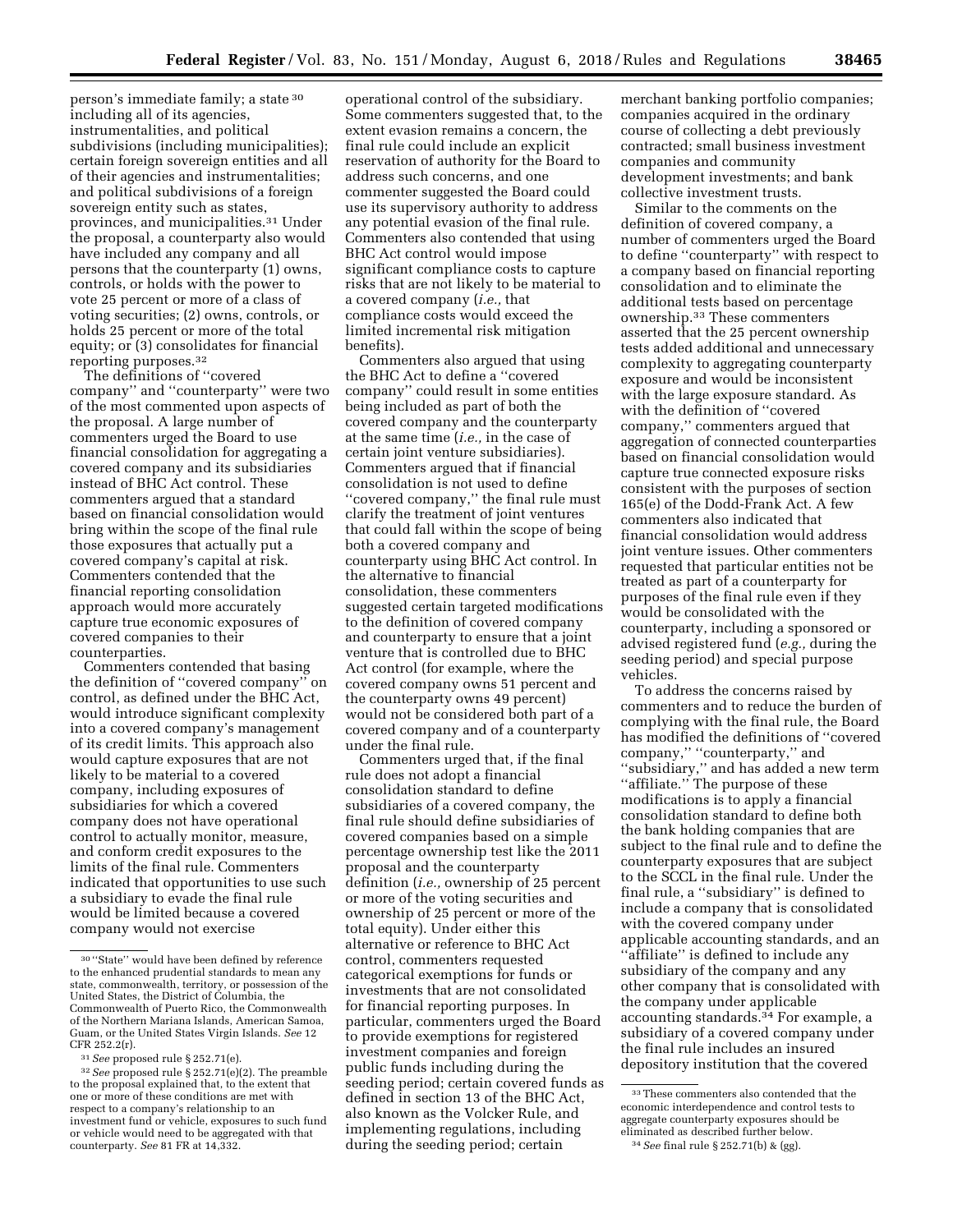person's immediate family; a state 30 including all of its agencies, instrumentalities, and political subdivisions (including municipalities); certain foreign sovereign entities and all of their agencies and instrumentalities; and political subdivisions of a foreign sovereign entity such as states, provinces, and municipalities.31 Under the proposal, a counterparty also would have included any company and all persons that the counterparty (1) owns, controls, or holds with the power to vote 25 percent or more of a class of voting securities; (2) owns, controls, or holds 25 percent or more of the total equity; or (3) consolidates for financial reporting purposes.32

The definitions of ''covered company'' and ''counterparty'' were two of the most commented upon aspects of the proposal. A large number of commenters urged the Board to use financial consolidation for aggregating a covered company and its subsidiaries instead of BHC Act control. These commenters argued that a standard based on financial consolidation would bring within the scope of the final rule those exposures that actually put a covered company's capital at risk. Commenters contended that the financial reporting consolidation approach would more accurately capture true economic exposures of covered companies to their counterparties.

Commenters contended that basing the definition of ''covered company'' on control, as defined under the BHC Act, would introduce significant complexity into a covered company's management of its credit limits. This approach also would capture exposures that are not likely to be material to a covered company, including exposures of subsidiaries for which a covered company does not have operational control to actually monitor, measure, and conform credit exposures to the limits of the final rule. Commenters indicated that opportunities to use such a subsidiary to evade the final rule would be limited because a covered company would not exercise

operational control of the subsidiary. Some commenters suggested that, to the extent evasion remains a concern, the final rule could include an explicit reservation of authority for the Board to address such concerns, and one commenter suggested the Board could use its supervisory authority to address any potential evasion of the final rule. Commenters also contended that using BHC Act control would impose significant compliance costs to capture risks that are not likely to be material to a covered company (*i.e.,* that compliance costs would exceed the limited incremental risk mitigation benefits).

Commenters also argued that using the BHC Act to define a ''covered company'' could result in some entities being included as part of both the covered company and the counterparty at the same time (*i.e.,* in the case of certain joint venture subsidiaries). Commenters argued that if financial consolidation is not used to define ''covered company,'' the final rule must clarify the treatment of joint ventures that could fall within the scope of being both a covered company and counterparty using BHC Act control. In the alternative to financial consolidation, these commenters suggested certain targeted modifications to the definition of covered company and counterparty to ensure that a joint venture that is controlled due to BHC Act control (for example, where the covered company owns 51 percent and the counterparty owns 49 percent) would not be considered both part of a covered company and of a counterparty under the final rule.

Commenters urged that, if the final rule does not adopt a financial consolidation standard to define subsidiaries of a covered company, the final rule should define subsidiaries of covered companies based on a simple percentage ownership test like the 2011 proposal and the counterparty definition (*i.e.,* ownership of 25 percent or more of the voting securities and ownership of 25 percent or more of the total equity). Under either this alternative or reference to BHC Act control, commenters requested categorical exemptions for funds or investments that are not consolidated for financial reporting purposes. In particular, commenters urged the Board to provide exemptions for registered investment companies and foreign public funds including during the seeding period; certain covered funds as defined in section 13 of the BHC Act, also known as the Volcker Rule, and implementing regulations, including during the seeding period; certain

merchant banking portfolio companies; companies acquired in the ordinary course of collecting a debt previously contracted; small business investment companies and community development investments; and bank collective investment trusts.

Similar to the comments on the definition of covered company, a number of commenters urged the Board to define ''counterparty'' with respect to a company based on financial reporting consolidation and to eliminate the additional tests based on percentage ownership.33 These commenters asserted that the 25 percent ownership tests added additional and unnecessary complexity to aggregating counterparty exposure and would be inconsistent with the large exposure standard. As with the definition of ''covered company,'' commenters argued that aggregation of connected counterparties based on financial consolidation would capture true connected exposure risks consistent with the purposes of section 165(e) of the Dodd-Frank Act. A few commenters also indicated that financial consolidation would address joint venture issues. Other commenters requested that particular entities not be treated as part of a counterparty for purposes of the final rule even if they would be consolidated with the counterparty, including a sponsored or advised registered fund (*e.g.,* during the seeding period) and special purpose vehicles.

To address the concerns raised by commenters and to reduce the burden of complying with the final rule, the Board has modified the definitions of ''covered company,'' ''counterparty,'' and ''subsidiary,'' and has added a new term ''affiliate.'' The purpose of these modifications is to apply a financial consolidation standard to define both the bank holding companies that are subject to the final rule and to define the counterparty exposures that are subject to the SCCL in the final rule. Under the final rule, a ''subsidiary'' is defined to include a company that is consolidated with the covered company under applicable accounting standards, and an ''affiliate'' is defined to include any subsidiary of the company and any other company that is consolidated with the company under applicable accounting standards.34 For example, a subsidiary of a covered company under the final rule includes an insured depository institution that the covered

<sup>30</sup> ''State'' would have been defined by reference to the enhanced prudential standards to mean any state, commonwealth, territory, or possession of the United States, the District of Columbia, the Commonwealth of Puerto Rico, the Commonwealth of the Northern Mariana Islands, American Samoa, Guam, or the United States Virgin Islands. *See* 12 CFR 252.2(r).<br><sup>31</sup> *See* proposed rule § 252.71(e).<br><sup>32</sup> *See* proposed rule § 252.71(e)(2). The preamble

to the proposal explained that, to the extent that one or more of these conditions are met with respect to a company's relationship to an investment fund or vehicle, exposures to such fund or vehicle would need to be aggregated with that counterparty. *See* 81 FR at 14,332.

<sup>33</sup>These commenters also contended that the economic interdependence and control tests to aggregate counterparty exposures should be eliminated as described further below. 34*See* final rule § 252.71(b) & (gg).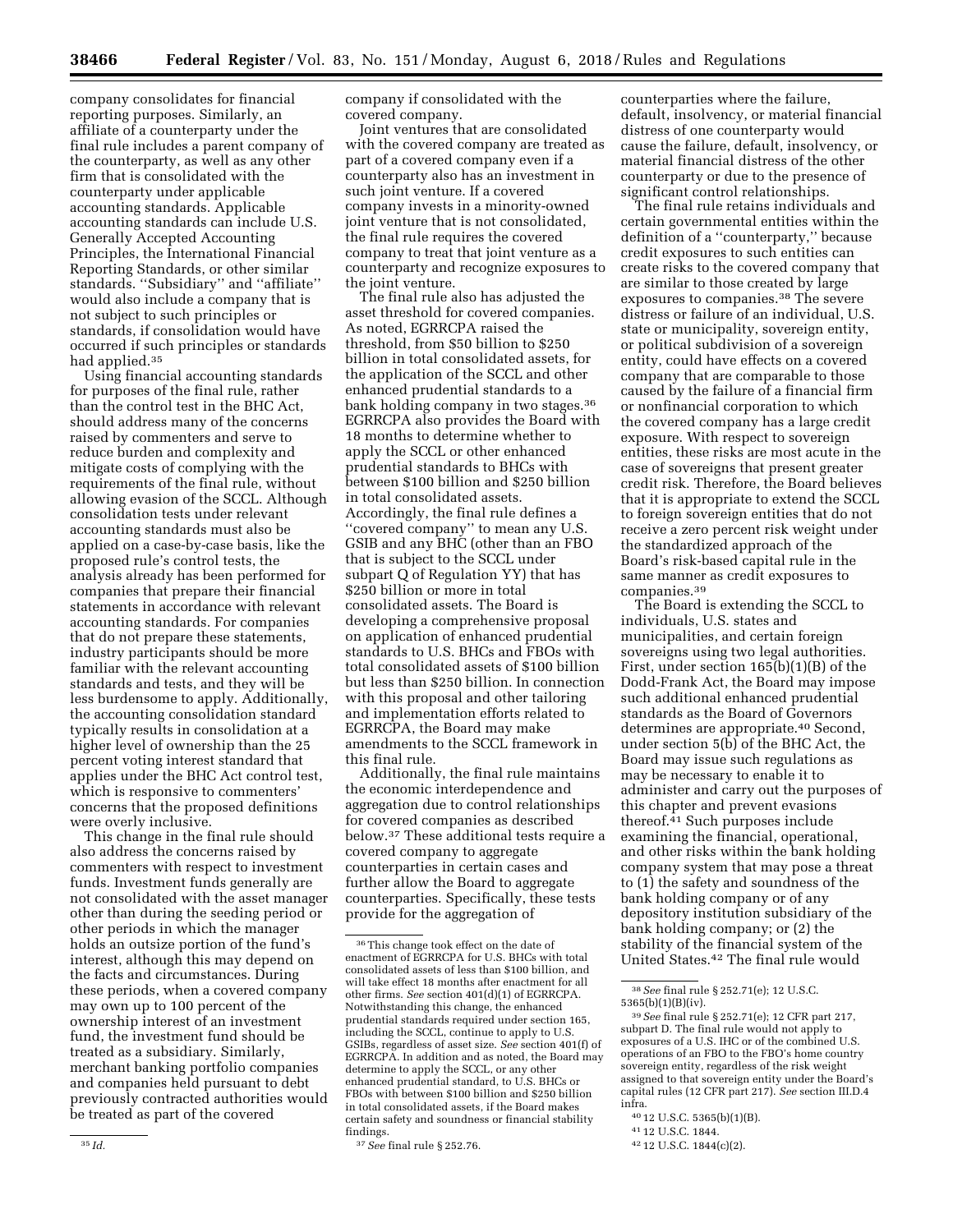company consolidates for financial reporting purposes. Similarly, an affiliate of a counterparty under the final rule includes a parent company of the counterparty, as well as any other firm that is consolidated with the counterparty under applicable accounting standards. Applicable accounting standards can include U.S. Generally Accepted Accounting Principles, the International Financial Reporting Standards, or other similar standards. ''Subsidiary'' and ''affiliate'' would also include a company that is not subject to such principles or standards, if consolidation would have occurred if such principles or standards had applied.35

Using financial accounting standards for purposes of the final rule, rather than the control test in the BHC Act, should address many of the concerns raised by commenters and serve to reduce burden and complexity and mitigate costs of complying with the requirements of the final rule, without allowing evasion of the SCCL. Although consolidation tests under relevant accounting standards must also be applied on a case-by-case basis, like the proposed rule's control tests, the analysis already has been performed for companies that prepare their financial statements in accordance with relevant accounting standards. For companies that do not prepare these statements, industry participants should be more familiar with the relevant accounting standards and tests, and they will be less burdensome to apply. Additionally, the accounting consolidation standard typically results in consolidation at a higher level of ownership than the 25 percent voting interest standard that applies under the BHC Act control test, which is responsive to commenters' concerns that the proposed definitions were overly inclusive.

This change in the final rule should also address the concerns raised by commenters with respect to investment funds. Investment funds generally are not consolidated with the asset manager other than during the seeding period or other periods in which the manager holds an outsize portion of the fund's interest, although this may depend on the facts and circumstances. During these periods, when a covered company may own up to 100 percent of the ownership interest of an investment fund, the investment fund should be treated as a subsidiary. Similarly, merchant banking portfolio companies and companies held pursuant to debt previously contracted authorities would be treated as part of the covered

company if consolidated with the covered company.

Joint ventures that are consolidated with the covered company are treated as part of a covered company even if a counterparty also has an investment in such joint venture. If a covered company invests in a minority-owned joint venture that is not consolidated, the final rule requires the covered company to treat that joint venture as a counterparty and recognize exposures to the joint venture.

The final rule also has adjusted the asset threshold for covered companies. As noted, EGRRCPA raised the threshold, from \$50 billion to \$250 billion in total consolidated assets, for the application of the SCCL and other enhanced prudential standards to a bank holding company in two stages.36 EGRRCPA also provides the Board with 18 months to determine whether to apply the SCCL or other enhanced prudential standards to BHCs with between \$100 billion and \$250 billion in total consolidated assets. Accordingly, the final rule defines a "covered company" to mean any U.S. GSIB and any BHC (other than an FBO that is subject to the SCCL under subpart Q of Regulation YY) that has \$250 billion or more in total consolidated assets. The Board is developing a comprehensive proposal on application of enhanced prudential standards to U.S. BHCs and FBOs with total consolidated assets of \$100 billion but less than \$250 billion. In connection with this proposal and other tailoring and implementation efforts related to EGRRCPA, the Board may make amendments to the SCCL framework in this final rule.

Additionally, the final rule maintains the economic interdependence and aggregation due to control relationships for covered companies as described below.37 These additional tests require a covered company to aggregate counterparties in certain cases and further allow the Board to aggregate counterparties. Specifically, these tests provide for the aggregation of

37*See* final rule § 252.76.

counterparties where the failure, default, insolvency, or material financial distress of one counterparty would cause the failure, default, insolvency, or material financial distress of the other counterparty or due to the presence of significant control relationships.

The final rule retains individuals and certain governmental entities within the definition of a ''counterparty,'' because credit exposures to such entities can create risks to the covered company that are similar to those created by large exposures to companies.38 The severe distress or failure of an individual, U.S. state or municipality, sovereign entity, or political subdivision of a sovereign entity, could have effects on a covered company that are comparable to those caused by the failure of a financial firm or nonfinancial corporation to which the covered company has a large credit exposure. With respect to sovereign entities, these risks are most acute in the case of sovereigns that present greater credit risk. Therefore, the Board believes that it is appropriate to extend the SCCL to foreign sovereign entities that do not receive a zero percent risk weight under the standardized approach of the Board's risk-based capital rule in the same manner as credit exposures to companies.39

The Board is extending the SCCL to individuals, U.S. states and municipalities, and certain foreign sovereigns using two legal authorities. First, under section 165(b)(1)(B) of the Dodd-Frank Act, the Board may impose such additional enhanced prudential standards as the Board of Governors determines are appropriate.40 Second, under section 5(b) of the BHC Act, the Board may issue such regulations as may be necessary to enable it to administer and carry out the purposes of this chapter and prevent evasions thereof.41 Such purposes include examining the financial, operational, and other risks within the bank holding company system that may pose a threat to (1) the safety and soundness of the bank holding company or of any depository institution subsidiary of the bank holding company; or (2) the stability of the financial system of the United States.42 The final rule would

- 40 12 U.S.C. 5365(b)(1)(B).
- 41 12 U.S.C. 1844.
- 42 12 U.S.C. 1844(c)(2).

<sup>36</sup>This change took effect on the date of enactment of EGRRCPA for U.S. BHCs with total consolidated assets of less than \$100 billion, and will take effect 18 months after enactment for all other firms. *See* section 401(d)(1) of EGRRCPA. Notwithstanding this change, the enhanced prudential standards required under section 165, including the SCCL, continue to apply to U.S. GSIBs, regardless of asset size. *See* section 401(f) of EGRRCPA. In addition and as noted, the Board may determine to apply the SCCL, or any other enhanced prudential standard, to U.S. BHCs or FBOs with between \$100 billion and \$250 billion in total consolidated assets, if the Board makes certain safety and soundness or financial stability findings.

<sup>38</sup>*See* final rule § 252.71(e); 12 U.S.C. 5365(b)(1)(B)(iv).

<sup>39</sup>*See* final rule § 252.71(e); 12 CFR part 217, subpart D. The final rule would not apply to exposures of a U.S. IHC or of the combined U.S. operations of an FBO to the FBO's home country sovereign entity, regardless of the risk weight assigned to that sovereign entity under the Board's capital rules (12 CFR part 217). *See* section III.D.4 infra.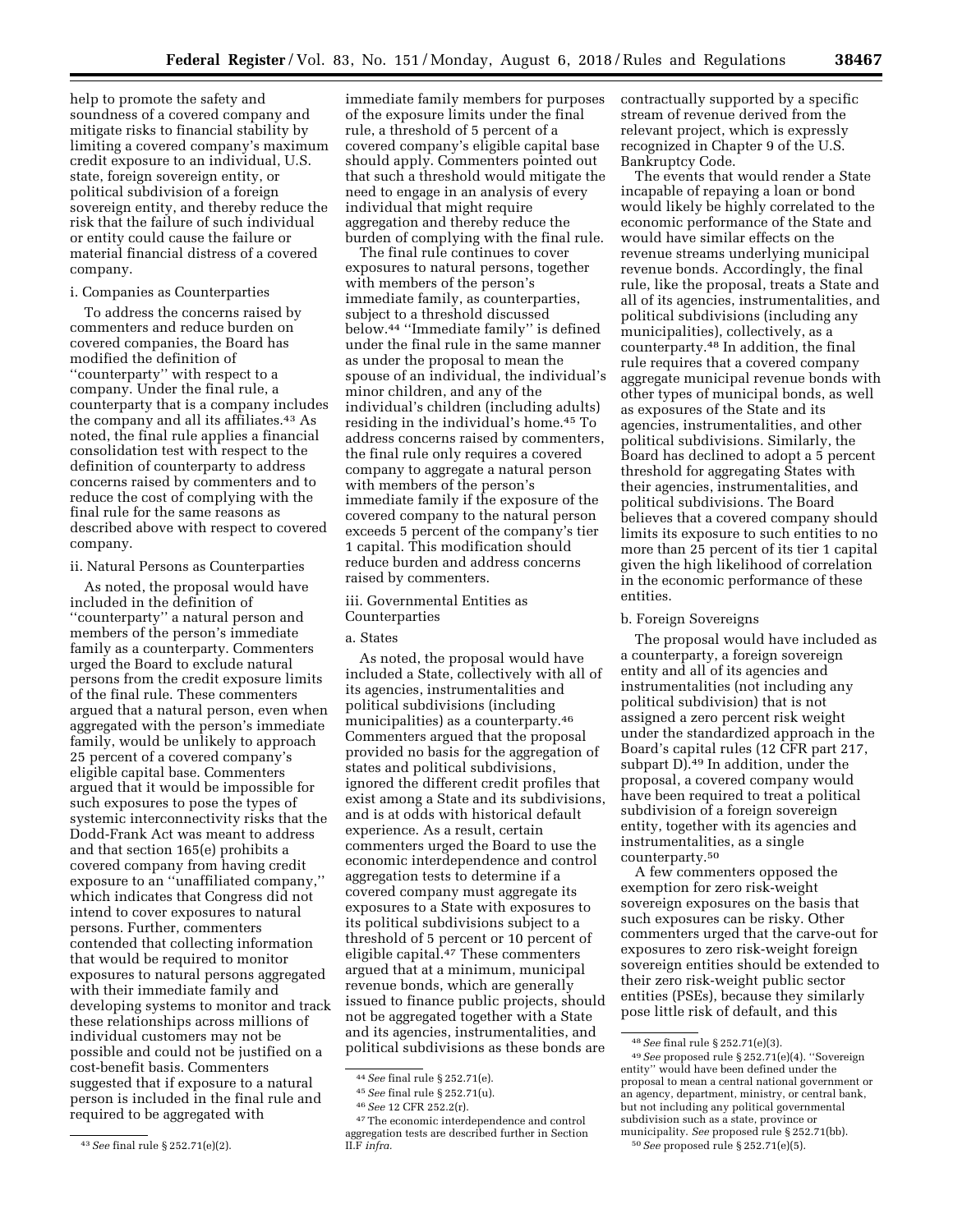help to promote the safety and soundness of a covered company and mitigate risks to financial stability by limiting a covered company's maximum credit exposure to an individual, U.S. state, foreign sovereign entity, or political subdivision of a foreign sovereign entity, and thereby reduce the risk that the failure of such individual or entity could cause the failure or material financial distress of a covered company.

# i. Companies as Counterparties

To address the concerns raised by commenters and reduce burden on covered companies, the Board has modified the definition of ''counterparty'' with respect to a company. Under the final rule, a counterparty that is a company includes the company and all its affiliates.<sup>43</sup> As noted, the final rule applies a financial consolidation test with respect to the definition of counterparty to address concerns raised by commenters and to reduce the cost of complying with the final rule for the same reasons as described above with respect to covered company.

# ii. Natural Persons as Counterparties

As noted, the proposal would have included in the definition of ''counterparty'' a natural person and members of the person's immediate family as a counterparty. Commenters urged the Board to exclude natural persons from the credit exposure limits of the final rule. These commenters argued that a natural person, even when aggregated with the person's immediate family, would be unlikely to approach 25 percent of a covered company's eligible capital base. Commenters argued that it would be impossible for such exposures to pose the types of systemic interconnectivity risks that the Dodd-Frank Act was meant to address and that section 165(e) prohibits a covered company from having credit exposure to an ''unaffiliated company,'' which indicates that Congress did not intend to cover exposures to natural persons. Further, commenters contended that collecting information that would be required to monitor exposures to natural persons aggregated with their immediate family and developing systems to monitor and track these relationships across millions of individual customers may not be possible and could not be justified on a cost-benefit basis. Commenters suggested that if exposure to a natural person is included in the final rule and required to be aggregated with

immediate family members for purposes of the exposure limits under the final rule, a threshold of 5 percent of a covered company's eligible capital base should apply. Commenters pointed out that such a threshold would mitigate the need to engage in an analysis of every individual that might require aggregation and thereby reduce the burden of complying with the final rule.

The final rule continues to cover exposures to natural persons, together with members of the person's immediate family, as counterparties, subject to a threshold discussed below.44 ''Immediate family'' is defined under the final rule in the same manner as under the proposal to mean the spouse of an individual, the individual's minor children, and any of the individual's children (including adults) residing in the individual's home.45 To address concerns raised by commenters, the final rule only requires a covered company to aggregate a natural person with members of the person's immediate family if the exposure of the covered company to the natural person exceeds 5 percent of the company's tier 1 capital. This modification should reduce burden and address concerns raised by commenters.

iii. Governmental Entities as Counterparties

# a. States

As noted, the proposal would have included a State, collectively with all of its agencies, instrumentalities and political subdivisions (including municipalities) as a counterparty.46 Commenters argued that the proposal provided no basis for the aggregation of states and political subdivisions, ignored the different credit profiles that exist among a State and its subdivisions, and is at odds with historical default experience. As a result, certain commenters urged the Board to use the economic interdependence and control aggregation tests to determine if a covered company must aggregate its exposures to a State with exposures to its political subdivisions subject to a threshold of 5 percent or 10 percent of eligible capital.<sup>47</sup> These commenters argued that at a minimum, municipal revenue bonds, which are generally issued to finance public projects, should not be aggregated together with a State and its agencies, instrumentalities, and political subdivisions as these bonds are contractually supported by a specific stream of revenue derived from the relevant project, which is expressly recognized in Chapter 9 of the U.S. Bankruptcy Code.

The events that would render a State incapable of repaying a loan or bond would likely be highly correlated to the economic performance of the State and would have similar effects on the revenue streams underlying municipal revenue bonds. Accordingly, the final rule, like the proposal, treats a State and all of its agencies, instrumentalities, and political subdivisions (including any municipalities), collectively, as a counterparty.48 In addition, the final rule requires that a covered company aggregate municipal revenue bonds with other types of municipal bonds, as well as exposures of the State and its agencies, instrumentalities, and other political subdivisions. Similarly, the Board has declined to adopt a 5 percent threshold for aggregating States with their agencies, instrumentalities, and political subdivisions. The Board believes that a covered company should limits its exposure to such entities to no more than 25 percent of its tier 1 capital given the high likelihood of correlation in the economic performance of these entities.

# b. Foreign Sovereigns

The proposal would have included as a counterparty, a foreign sovereign entity and all of its agencies and instrumentalities (not including any political subdivision) that is not assigned a zero percent risk weight under the standardized approach in the Board's capital rules (12 CFR part 217, subpart D).49 In addition, under the proposal, a covered company would have been required to treat a political subdivision of a foreign sovereign entity, together with its agencies and instrumentalities, as a single counterparty.50

A few commenters opposed the exemption for zero risk-weight sovereign exposures on the basis that such exposures can be risky. Other commenters urged that the carve-out for exposures to zero risk-weight foreign sovereign entities should be extended to their zero risk-weight public sector entities (PSEs), because they similarly pose little risk of default, and this

<sup>43</sup>*See* final rule § 252.71(e)(2).

<sup>44</sup>*See* final rule § 252.71(e).

<sup>45</sup>*See* final rule § 252.71(u).

<sup>46</sup>*See* 12 CFR 252.2(r).

<sup>47</sup>The economic interdependence and control aggregation tests are described further in Section II.F *infra.* 

<sup>48</sup>*See* final rule § 252.71(e)(3).

<sup>49</sup>*See* proposed rule § 252.71(e)(4). ''Sovereign entity'' would have been defined under the proposal to mean a central national government or an agency, department, ministry, or central bank, but not including any political governmental subdivision such as a state, province or municipality. *See* proposed rule § 252.71(bb). 50*See* proposed rule § 252.71(e)(5).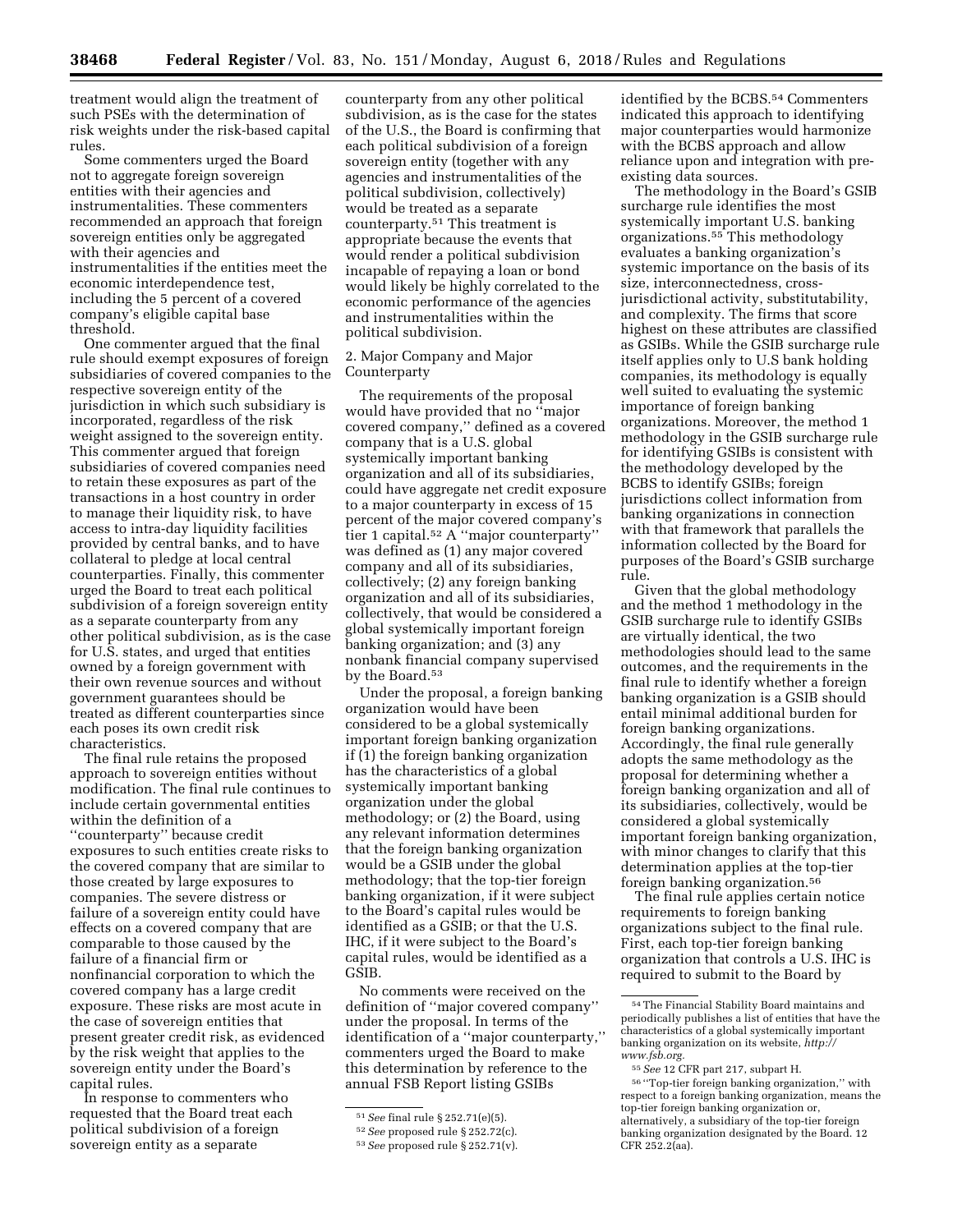treatment would align the treatment of such PSEs with the determination of risk weights under the risk-based capital rules.

Some commenters urged the Board not to aggregate foreign sovereign entities with their agencies and instrumentalities. These commenters recommended an approach that foreign sovereign entities only be aggregated with their agencies and instrumentalities if the entities meet the economic interdependence test, including the 5 percent of a covered company's eligible capital base threshold.

One commenter argued that the final rule should exempt exposures of foreign subsidiaries of covered companies to the respective sovereign entity of the jurisdiction in which such subsidiary is incorporated, regardless of the risk weight assigned to the sovereign entity. This commenter argued that foreign subsidiaries of covered companies need to retain these exposures as part of the transactions in a host country in order to manage their liquidity risk, to have access to intra-day liquidity facilities provided by central banks, and to have collateral to pledge at local central counterparties. Finally, this commenter urged the Board to treat each political subdivision of a foreign sovereign entity as a separate counterparty from any other political subdivision, as is the case for U.S. states, and urged that entities owned by a foreign government with their own revenue sources and without government guarantees should be treated as different counterparties since each poses its own credit risk characteristics.

The final rule retains the proposed approach to sovereign entities without modification. The final rule continues to include certain governmental entities within the definition of a ''counterparty'' because credit exposures to such entities create risks to the covered company that are similar to those created by large exposures to companies. The severe distress or failure of a sovereign entity could have effects on a covered company that are comparable to those caused by the failure of a financial firm or nonfinancial corporation to which the covered company has a large credit exposure. These risks are most acute in the case of sovereign entities that present greater credit risk, as evidenced by the risk weight that applies to the sovereign entity under the Board's capital rules.

In response to commenters who requested that the Board treat each political subdivision of a foreign sovereign entity as a separate

counterparty from any other political subdivision, as is the case for the states of the U.S., the Board is confirming that each political subdivision of a foreign sovereign entity (together with any agencies and instrumentalities of the political subdivision, collectively) would be treated as a separate counterparty.51 This treatment is appropriate because the events that would render a political subdivision incapable of repaying a loan or bond would likely be highly correlated to the economic performance of the agencies and instrumentalities within the political subdivision.

# 2. Major Company and Major Counterparty

The requirements of the proposal would have provided that no ''major covered company,'' defined as a covered company that is a U.S. global systemically important banking organization and all of its subsidiaries, could have aggregate net credit exposure to a major counterparty in excess of 15 percent of the major covered company's tier 1 capital.52 A ''major counterparty'' was defined as (1) any major covered company and all of its subsidiaries, collectively; (2) any foreign banking organization and all of its subsidiaries, collectively, that would be considered a global systemically important foreign banking organization; and (3) any nonbank financial company supervised by the Board.53

Under the proposal, a foreign banking organization would have been considered to be a global systemically important foreign banking organization if (1) the foreign banking organization has the characteristics of a global systemically important banking organization under the global methodology; or (2) the Board, using any relevant information determines that the foreign banking organization would be a GSIB under the global methodology; that the top-tier foreign banking organization, if it were subject to the Board's capital rules would be identified as a GSIB; or that the U.S. IHC, if it were subject to the Board's capital rules, would be identified as a GSIB.

No comments were received on the definition of ''major covered company'' under the proposal. In terms of the identification of a ''major counterparty,'' commenters urged the Board to make this determination by reference to the annual FSB Report listing GSIBs

identified by the BCBS.<sup>54</sup> Commenters indicated this approach to identifying major counterparties would harmonize with the BCBS approach and allow reliance upon and integration with preexisting data sources.

The methodology in the Board's GSIB surcharge rule identifies the most systemically important U.S. banking organizations.55 This methodology evaluates a banking organization's systemic importance on the basis of its size, interconnectedness, crossjurisdictional activity, substitutability, and complexity. The firms that score highest on these attributes are classified as GSIBs. While the GSIB surcharge rule itself applies only to U.S bank holding companies, its methodology is equally well suited to evaluating the systemic importance of foreign banking organizations. Moreover, the method 1 methodology in the GSIB surcharge rule for identifying GSIBs is consistent with the methodology developed by the BCBS to identify GSIBs; foreign jurisdictions collect information from banking organizations in connection with that framework that parallels the information collected by the Board for purposes of the Board's GSIB surcharge rule.

Given that the global methodology and the method 1 methodology in the GSIB surcharge rule to identify GSIBs are virtually identical, the two methodologies should lead to the same outcomes, and the requirements in the final rule to identify whether a foreign banking organization is a GSIB should entail minimal additional burden for foreign banking organizations. Accordingly, the final rule generally adopts the same methodology as the proposal for determining whether a foreign banking organization and all of its subsidiaries, collectively, would be considered a global systemically important foreign banking organization, with minor changes to clarify that this determination applies at the top-tier foreign banking organization.56

The final rule applies certain notice requirements to foreign banking organizations subject to the final rule. First, each top-tier foreign banking organization that controls a U.S. IHC is required to submit to the Board by

<sup>51</sup>*See* final rule § 252.71(e)(5).

<sup>52</sup>*See* proposed rule § 252.72(c).

<sup>53</sup>*See* proposed rule § 252.71(v).

<sup>54</sup>The Financial Stability Board maintains and periodically publishes a list of entities that have the characteristics of a global systemically important banking organization on its website, *[http://](http://www.fsb.org) [www.fsb.org.](http://www.fsb.org)* 

<sup>55</sup>*See* 12 CFR part 217, subpart H.

<sup>56</sup> ''Top-tier foreign banking organization,'' with respect to a foreign banking organization, means the top-tier foreign banking organization or, alternatively, a subsidiary of the top-tier foreign banking organization designated by the Board. 12 CFR 252.2(aa).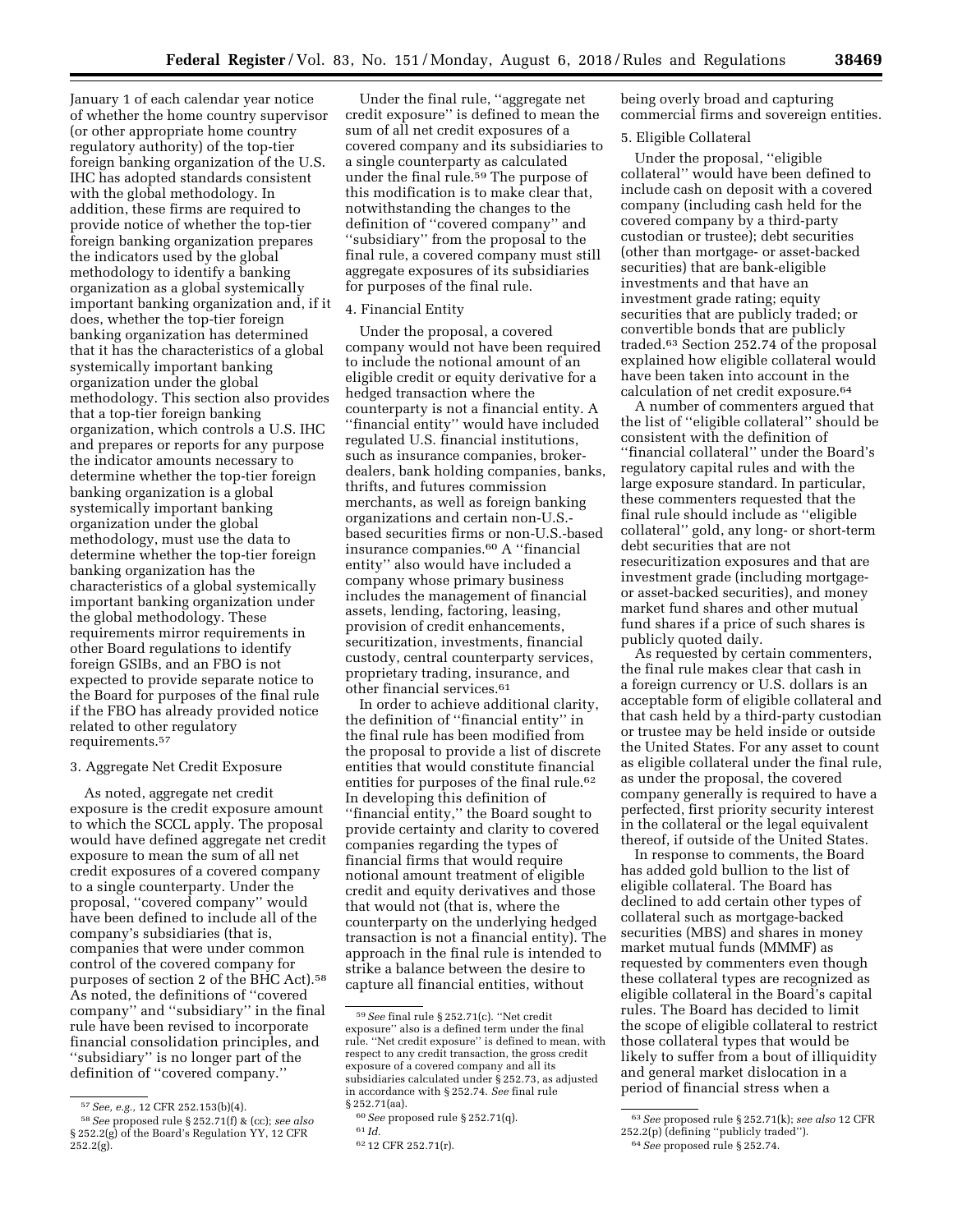January 1 of each calendar year notice of whether the home country supervisor (or other appropriate home country regulatory authority) of the top-tier foreign banking organization of the U.S. IHC has adopted standards consistent with the global methodology. In addition, these firms are required to provide notice of whether the top-tier foreign banking organization prepares the indicators used by the global methodology to identify a banking organization as a global systemically important banking organization and, if it does, whether the top-tier foreign banking organization has determined that it has the characteristics of a global systemically important banking organization under the global methodology. This section also provides that a top-tier foreign banking organization, which controls a U.S. IHC and prepares or reports for any purpose the indicator amounts necessary to determine whether the top-tier foreign banking organization is a global systemically important banking organization under the global methodology, must use the data to determine whether the top-tier foreign banking organization has the characteristics of a global systemically important banking organization under the global methodology. These requirements mirror requirements in other Board regulations to identify foreign GSIBs, and an FBO is not expected to provide separate notice to the Board for purposes of the final rule if the FBO has already provided notice related to other regulatory requirements.57

# 3. Aggregate Net Credit Exposure

As noted, aggregate net credit exposure is the credit exposure amount to which the SCCL apply. The proposal would have defined aggregate net credit exposure to mean the sum of all net credit exposures of a covered company to a single counterparty. Under the proposal, ''covered company'' would have been defined to include all of the company's subsidiaries (that is, companies that were under common control of the covered company for purposes of section 2 of the BHC Act).58 As noted, the definitions of ''covered company'' and ''subsidiary'' in the final rule have been revised to incorporate financial consolidation principles, and ''subsidiary'' is no longer part of the definition of ''covered company.''

Under the final rule, ''aggregate net credit exposure'' is defined to mean the sum of all net credit exposures of a covered company and its subsidiaries to a single counterparty as calculated under the final rule.<sup>59</sup> The purpose of this modification is to make clear that, notwithstanding the changes to the definition of ''covered company'' and ''subsidiary'' from the proposal to the final rule, a covered company must still aggregate exposures of its subsidiaries for purposes of the final rule.

# 4. Financial Entity

Under the proposal, a covered company would not have been required to include the notional amount of an eligible credit or equity derivative for a hedged transaction where the counterparty is not a financial entity. A ''financial entity'' would have included regulated U.S. financial institutions, such as insurance companies, brokerdealers, bank holding companies, banks, thrifts, and futures commission merchants, as well as foreign banking organizations and certain non-U.S. based securities firms or non-U.S.-based insurance companies.60 A ''financial entity'' also would have included a company whose primary business includes the management of financial assets, lending, factoring, leasing, provision of credit enhancements, securitization, investments, financial custody, central counterparty services, proprietary trading, insurance, and other financial services.61

In order to achieve additional clarity, the definition of ''financial entity'' in the final rule has been modified from the proposal to provide a list of discrete entities that would constitute financial entities for purposes of the final rule.<sup>62</sup> In developing this definition of ''financial entity,'' the Board sought to provide certainty and clarity to covered companies regarding the types of financial firms that would require notional amount treatment of eligible credit and equity derivatives and those that would not (that is, where the counterparty on the underlying hedged transaction is not a financial entity). The approach in the final rule is intended to strike a balance between the desire to capture all financial entities, without

being overly broad and capturing commercial firms and sovereign entities.

# 5. Eligible Collateral

Under the proposal, ''eligible collateral'' would have been defined to include cash on deposit with a covered company (including cash held for the covered company by a third-party custodian or trustee); debt securities (other than mortgage- or asset-backed securities) that are bank-eligible investments and that have an investment grade rating; equity securities that are publicly traded; or convertible bonds that are publicly traded.63 Section 252.74 of the proposal explained how eligible collateral would have been taken into account in the calculation of net credit exposure.64

A number of commenters argued that the list of ''eligible collateral'' should be consistent with the definition of ''financial collateral'' under the Board's regulatory capital rules and with the large exposure standard. In particular, these commenters requested that the final rule should include as ''eligible collateral'' gold, any long- or short-term debt securities that are not resecuritization exposures and that are investment grade (including mortgageor asset-backed securities), and money market fund shares and other mutual fund shares if a price of such shares is publicly quoted daily.

As requested by certain commenters, the final rule makes clear that cash in a foreign currency or U.S. dollars is an acceptable form of eligible collateral and that cash held by a third-party custodian or trustee may be held inside or outside the United States. For any asset to count as eligible collateral under the final rule, as under the proposal, the covered company generally is required to have a perfected, first priority security interest in the collateral or the legal equivalent thereof, if outside of the United States.

In response to comments, the Board has added gold bullion to the list of eligible collateral. The Board has declined to add certain other types of collateral such as mortgage-backed securities (MBS) and shares in money market mutual funds (MMMF) as requested by commenters even though these collateral types are recognized as eligible collateral in the Board's capital rules. The Board has decided to limit the scope of eligible collateral to restrict those collateral types that would be likely to suffer from a bout of illiquidity and general market dislocation in a period of financial stress when a

<sup>57</sup>*See, e.g.,* 12 CFR 252.153(b)(4).

<sup>58</sup>*See* proposed rule § 252.71(f) & (cc); *see also*  § 252.2(g) of the Board's Regulation YY, 12 CFR  $252.2(g)$ .

<sup>59</sup>*See* final rule § 252.71(c). ''Net credit exposure'' also is a defined term under the final rule. ''Net credit exposure'' is defined to mean, with respect to any credit transaction, the gross credit exposure of a covered company and all its subsidiaries calculated under § 252.73, as adjusted in accordance with § 252.74. *See* final rule § 252.71(aa).

<sup>60</sup>*See* proposed rule § 252.71(q).

<sup>61</sup> *Id.* 

<sup>62</sup> 12 CFR 252.71(r).

<sup>63</sup>*See* proposed rule § 252.71(k); *see also* 12 CFR 252.2(p) (defining ''publicly traded'').

<sup>64</sup>*See* proposed rule § 252.74.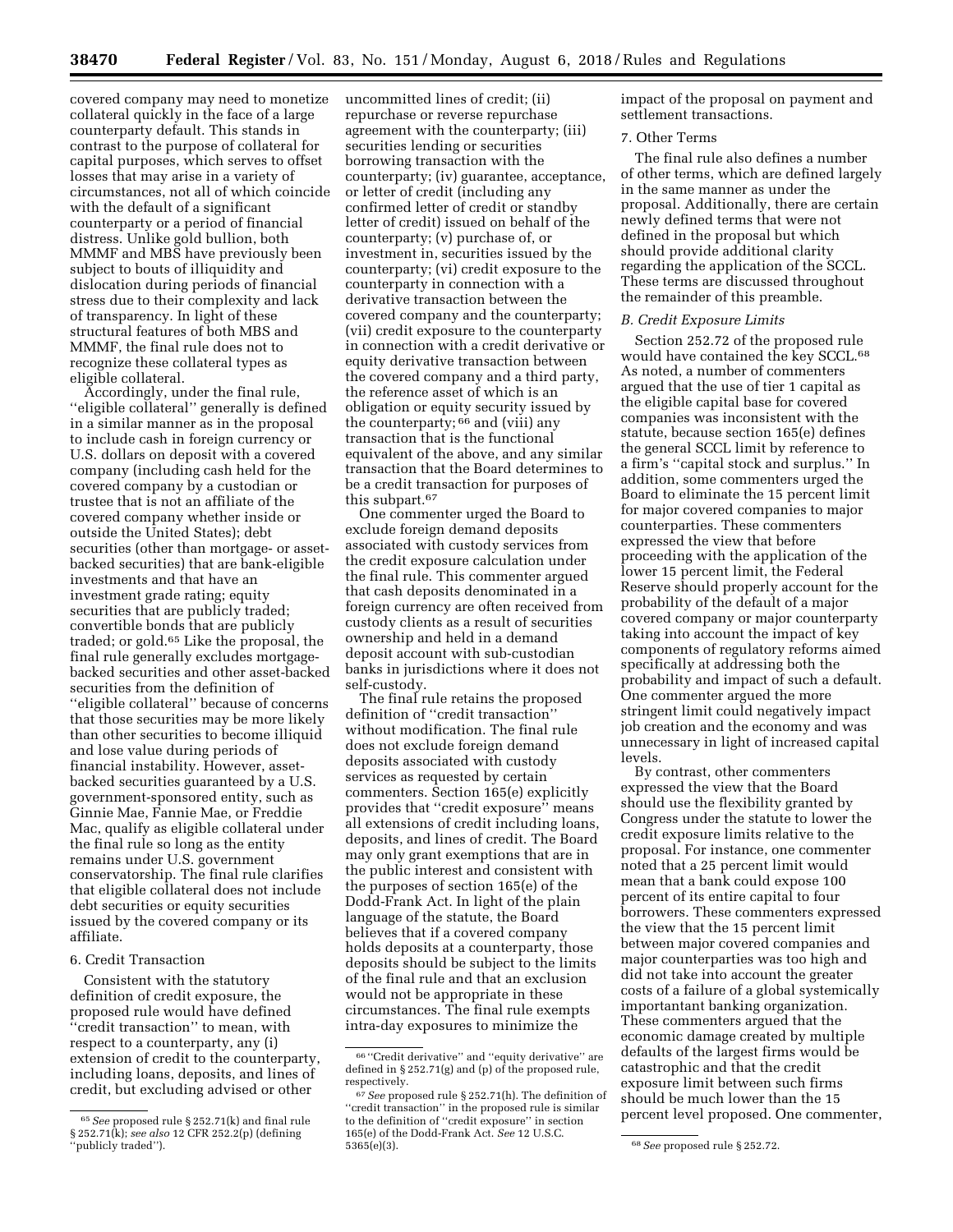covered company may need to monetize collateral quickly in the face of a large counterparty default. This stands in contrast to the purpose of collateral for capital purposes, which serves to offset losses that may arise in a variety of circumstances, not all of which coincide with the default of a significant counterparty or a period of financial distress. Unlike gold bullion, both MMMF and MBS have previously been subject to bouts of illiquidity and dislocation during periods of financial stress due to their complexity and lack of transparency. In light of these structural features of both MBS and MMMF, the final rule does not to recognize these collateral types as eligible collateral.

Accordingly, under the final rule, ''eligible collateral'' generally is defined in a similar manner as in the proposal to include cash in foreign currency or U.S. dollars on deposit with a covered company (including cash held for the covered company by a custodian or trustee that is not an affiliate of the covered company whether inside or outside the United States); debt securities (other than mortgage- or assetbacked securities) that are bank-eligible investments and that have an investment grade rating; equity securities that are publicly traded; convertible bonds that are publicly traded; or gold.65 Like the proposal, the final rule generally excludes mortgagebacked securities and other asset-backed securities from the definition of ''eligible collateral'' because of concerns that those securities may be more likely than other securities to become illiquid and lose value during periods of financial instability. However, assetbacked securities guaranteed by a U.S. government-sponsored entity, such as Ginnie Mae, Fannie Mae, or Freddie Mac, qualify as eligible collateral under the final rule so long as the entity remains under U.S. government conservatorship. The final rule clarifies that eligible collateral does not include debt securities or equity securities issued by the covered company or its affiliate.

# 6. Credit Transaction

Consistent with the statutory definition of credit exposure, the proposed rule would have defined ''credit transaction'' to mean, with respect to a counterparty, any (i) extension of credit to the counterparty, including loans, deposits, and lines of credit, but excluding advised or other

uncommitted lines of credit; (ii) repurchase or reverse repurchase agreement with the counterparty; (iii) securities lending or securities borrowing transaction with the counterparty; (iv) guarantee, acceptance, or letter of credit (including any confirmed letter of credit or standby letter of credit) issued on behalf of the counterparty; (v) purchase of, or investment in, securities issued by the counterparty; (vi) credit exposure to the counterparty in connection with a derivative transaction between the covered company and the counterparty; (vii) credit exposure to the counterparty in connection with a credit derivative or equity derivative transaction between the covered company and a third party, the reference asset of which is an obligation or equity security issued by the counterparty; 66 and (viii) any transaction that is the functional equivalent of the above, and any similar transaction that the Board determines to be a credit transaction for purposes of this subpart.67

One commenter urged the Board to exclude foreign demand deposits associated with custody services from the credit exposure calculation under the final rule. This commenter argued that cash deposits denominated in a foreign currency are often received from custody clients as a result of securities ownership and held in a demand deposit account with sub-custodian banks in jurisdictions where it does not self-custody.

The final rule retains the proposed definition of ''credit transaction'' without modification. The final rule does not exclude foreign demand deposits associated with custody services as requested by certain commenters. Section 165(e) explicitly provides that ''credit exposure'' means all extensions of credit including loans, deposits, and lines of credit. The Board may only grant exemptions that are in the public interest and consistent with the purposes of section 165(e) of the Dodd-Frank Act. In light of the plain language of the statute, the Board believes that if a covered company holds deposits at a counterparty, those deposits should be subject to the limits of the final rule and that an exclusion would not be appropriate in these circumstances. The final rule exempts intra-day exposures to minimize the

impact of the proposal on payment and settlement transactions.

# 7. Other Terms

The final rule also defines a number of other terms, which are defined largely in the same manner as under the proposal. Additionally, there are certain newly defined terms that were not defined in the proposal but which should provide additional clarity regarding the application of the SCCL. These terms are discussed throughout the remainder of this preamble.

## *B. Credit Exposure Limits*

Section 252.72 of the proposed rule would have contained the key SCCL.<sup>68</sup> As noted, a number of commenters argued that the use of tier 1 capital as the eligible capital base for covered companies was inconsistent with the statute, because section 165(e) defines the general SCCL limit by reference to a firm's ''capital stock and surplus.'' In addition, some commenters urged the Board to eliminate the 15 percent limit for major covered companies to major counterparties. These commenters expressed the view that before proceeding with the application of the lower 15 percent limit, the Federal Reserve should properly account for the probability of the default of a major covered company or major counterparty taking into account the impact of key components of regulatory reforms aimed specifically at addressing both the probability and impact of such a default. One commenter argued the more stringent limit could negatively impact job creation and the economy and was unnecessary in light of increased capital levels.

By contrast, other commenters expressed the view that the Board should use the flexibility granted by Congress under the statute to lower the credit exposure limits relative to the proposal. For instance, one commenter noted that a 25 percent limit would mean that a bank could expose 100 percent of its entire capital to four borrowers. These commenters expressed the view that the 15 percent limit between major covered companies and major counterparties was too high and did not take into account the greater costs of a failure of a global systemically importantant banking organization. These commenters argued that the economic damage created by multiple defaults of the largest firms would be catastrophic and that the credit exposure limit between such firms should be much lower than the 15 percent level proposed. One commenter,

<sup>65</sup>*See* proposed rule § 252.71(k) and final rule § 252.71(k); *see also* 12 CFR 252.2(p) (defining 'publicly traded").

<sup>66</sup> ''Credit derivative'' and ''equity derivative'' are defined in § 252.71(g) and (p) of the proposed rule, respectively.

<sup>67</sup>*See* proposed rule § 252.71(h). The definition of "credit transaction" in the proposed rule is similar to the definition of ''credit exposure'' in section 165(e) of the Dodd-Frank Act. *See* 12 U.S.C.

<sup>5365(</sup>e)(3). 68*See* proposed rule § 252.72.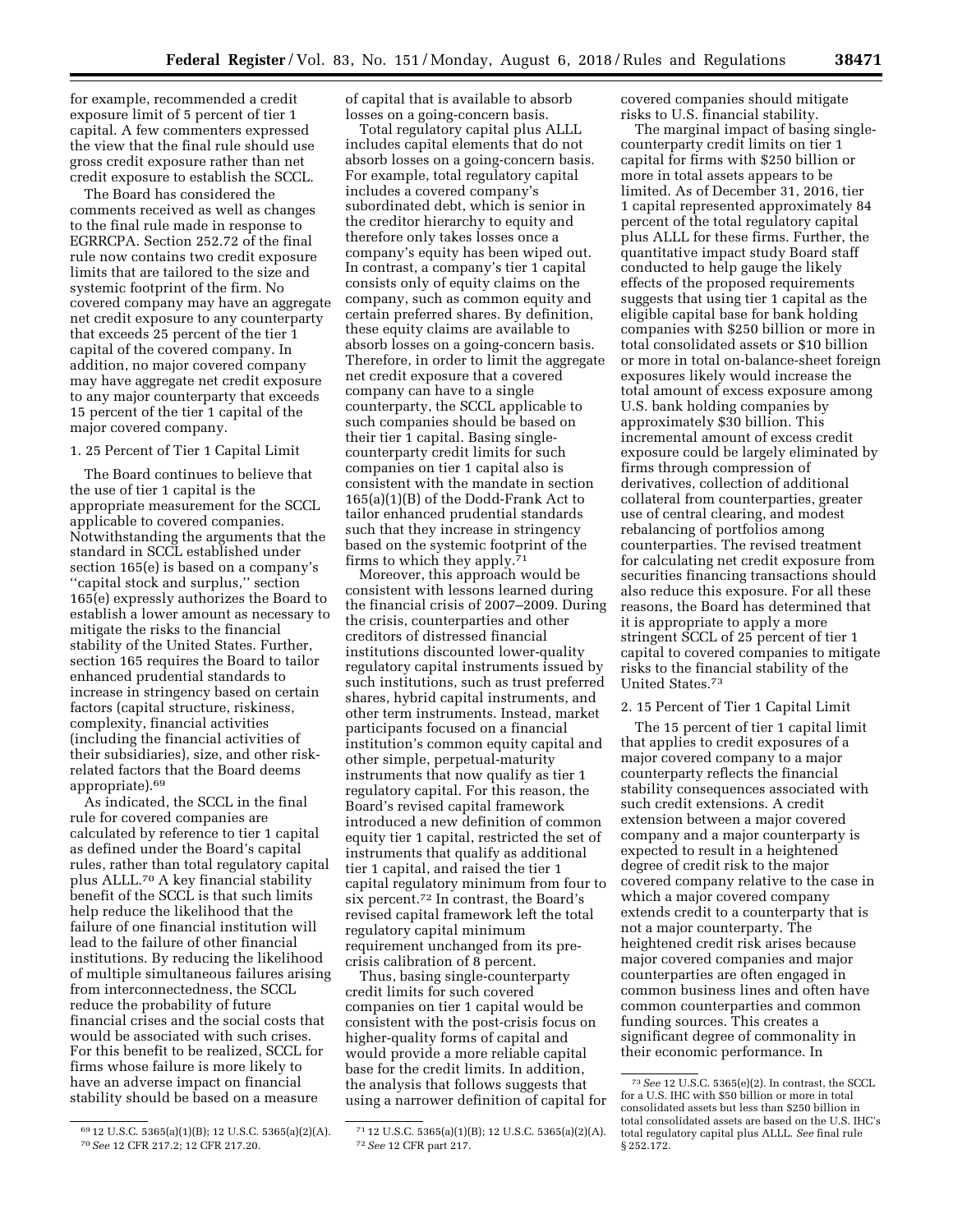for example, recommended a credit exposure limit of 5 percent of tier 1 capital. A few commenters expressed the view that the final rule should use gross credit exposure rather than net credit exposure to establish the SCCL.

The Board has considered the comments received as well as changes to the final rule made in response to EGRRCPA. Section 252.72 of the final rule now contains two credit exposure limits that are tailored to the size and systemic footprint of the firm. No covered company may have an aggregate net credit exposure to any counterparty that exceeds 25 percent of the tier 1 capital of the covered company. In addition, no major covered company may have aggregate net credit exposure to any major counterparty that exceeds 15 percent of the tier 1 capital of the major covered company.

# 1. 25 Percent of Tier 1 Capital Limit

The Board continues to believe that the use of tier 1 capital is the appropriate measurement for the SCCL applicable to covered companies. Notwithstanding the arguments that the standard in SCCL established under section 165(e) is based on a company's ''capital stock and surplus,'' section 165(e) expressly authorizes the Board to establish a lower amount as necessary to mitigate the risks to the financial stability of the United States. Further, section 165 requires the Board to tailor enhanced prudential standards to increase in stringency based on certain factors (capital structure, riskiness, complexity, financial activities (including the financial activities of their subsidiaries), size, and other riskrelated factors that the Board deems appropriate).69

As indicated, the SCCL in the final rule for covered companies are calculated by reference to tier 1 capital as defined under the Board's capital rules, rather than total regulatory capital plus ALLL.70 A key financial stability benefit of the SCCL is that such limits help reduce the likelihood that the failure of one financial institution will lead to the failure of other financial institutions. By reducing the likelihood of multiple simultaneous failures arising from interconnectedness, the SCCL reduce the probability of future financial crises and the social costs that would be associated with such crises. For this benefit to be realized, SCCL for firms whose failure is more likely to have an adverse impact on financial stability should be based on a measure

69 12 U.S.C. 5365(a)(1)(B); 12 U.S.C. 5365(a)(2)(A). 70*See* 12 CFR 217.2; 12 CFR 217.20.

Total regulatory capital plus ALLL includes capital elements that do not absorb losses on a going-concern basis. For example, total regulatory capital includes a covered company's subordinated debt, which is senior in the creditor hierarchy to equity and therefore only takes losses once a company's equity has been wiped out. In contrast, a company's tier 1 capital consists only of equity claims on the company, such as common equity and certain preferred shares. By definition, these equity claims are available to absorb losses on a going-concern basis. Therefore, in order to limit the aggregate net credit exposure that a covered company can have to a single counterparty, the SCCL applicable to such companies should be based on their tier 1 capital. Basing singlecounterparty credit limits for such companies on tier 1 capital also is consistent with the mandate in section 165(a)(1)(B) of the Dodd-Frank Act to tailor enhanced prudential standards such that they increase in stringency based on the systemic footprint of the firms to which they apply.71

Moreover, this approach would be consistent with lessons learned during the financial crisis of 2007–2009. During the crisis, counterparties and other creditors of distressed financial institutions discounted lower-quality regulatory capital instruments issued by such institutions, such as trust preferred shares, hybrid capital instruments, and other term instruments. Instead, market participants focused on a financial institution's common equity capital and other simple, perpetual-maturity instruments that now qualify as tier 1 regulatory capital. For this reason, the Board's revised capital framework introduced a new definition of common equity tier 1 capital, restricted the set of instruments that qualify as additional tier 1 capital, and raised the tier 1 capital regulatory minimum from four to six percent.72 In contrast, the Board's revised capital framework left the total regulatory capital minimum requirement unchanged from its precrisis calibration of 8 percent.

Thus, basing single-counterparty credit limits for such covered companies on tier 1 capital would be consistent with the post-crisis focus on higher-quality forms of capital and would provide a more reliable capital base for the credit limits. In addition, the analysis that follows suggests that using a narrower definition of capital for covered companies should mitigate risks to U.S. financial stability.

The marginal impact of basing singlecounterparty credit limits on tier 1 capital for firms with \$250 billion or more in total assets appears to be limited. As of December 31, 2016, tier 1 capital represented approximately 84 percent of the total regulatory capital plus ALLL for these firms. Further, the quantitative impact study Board staff conducted to help gauge the likely effects of the proposed requirements suggests that using tier 1 capital as the eligible capital base for bank holding companies with \$250 billion or more in total consolidated assets or \$10 billion or more in total on-balance-sheet foreign exposures likely would increase the total amount of excess exposure among U.S. bank holding companies by approximately \$30 billion. This incremental amount of excess credit exposure could be largely eliminated by firms through compression of derivatives, collection of additional collateral from counterparties, greater use of central clearing, and modest rebalancing of portfolios among counterparties. The revised treatment for calculating net credit exposure from securities financing transactions should also reduce this exposure. For all these reasons, the Board has determined that it is appropriate to apply a more stringent SCCL of 25 percent of tier 1 capital to covered companies to mitigate risks to the financial stability of the United States.73

### 2. 15 Percent of Tier 1 Capital Limit

The 15 percent of tier 1 capital limit that applies to credit exposures of a major covered company to a major counterparty reflects the financial stability consequences associated with such credit extensions. A credit extension between a major covered company and a major counterparty is expected to result in a heightened degree of credit risk to the major covered company relative to the case in which a major covered company extends credit to a counterparty that is not a major counterparty. The heightened credit risk arises because major covered companies and major counterparties are often engaged in common business lines and often have common counterparties and common funding sources. This creates a significant degree of commonality in their economic performance. In

of capital that is available to absorb losses on a going-concern basis.

<sup>71</sup> 12 U.S.C. 5365(a)(1)(B); 12 U.S.C. 5365(a)(2)(A). 72*See* 12 CFR part 217.

<sup>73</sup>*See* 12 U.S.C. 5365(e)(2). In contrast, the SCCL for a U.S. IHC with \$50 billion or more in total consolidated assets but less than \$250 billion in total consolidated assets are based on the U.S. IHC's total regulatory capital plus ALLL. *See* final rule § 252.172.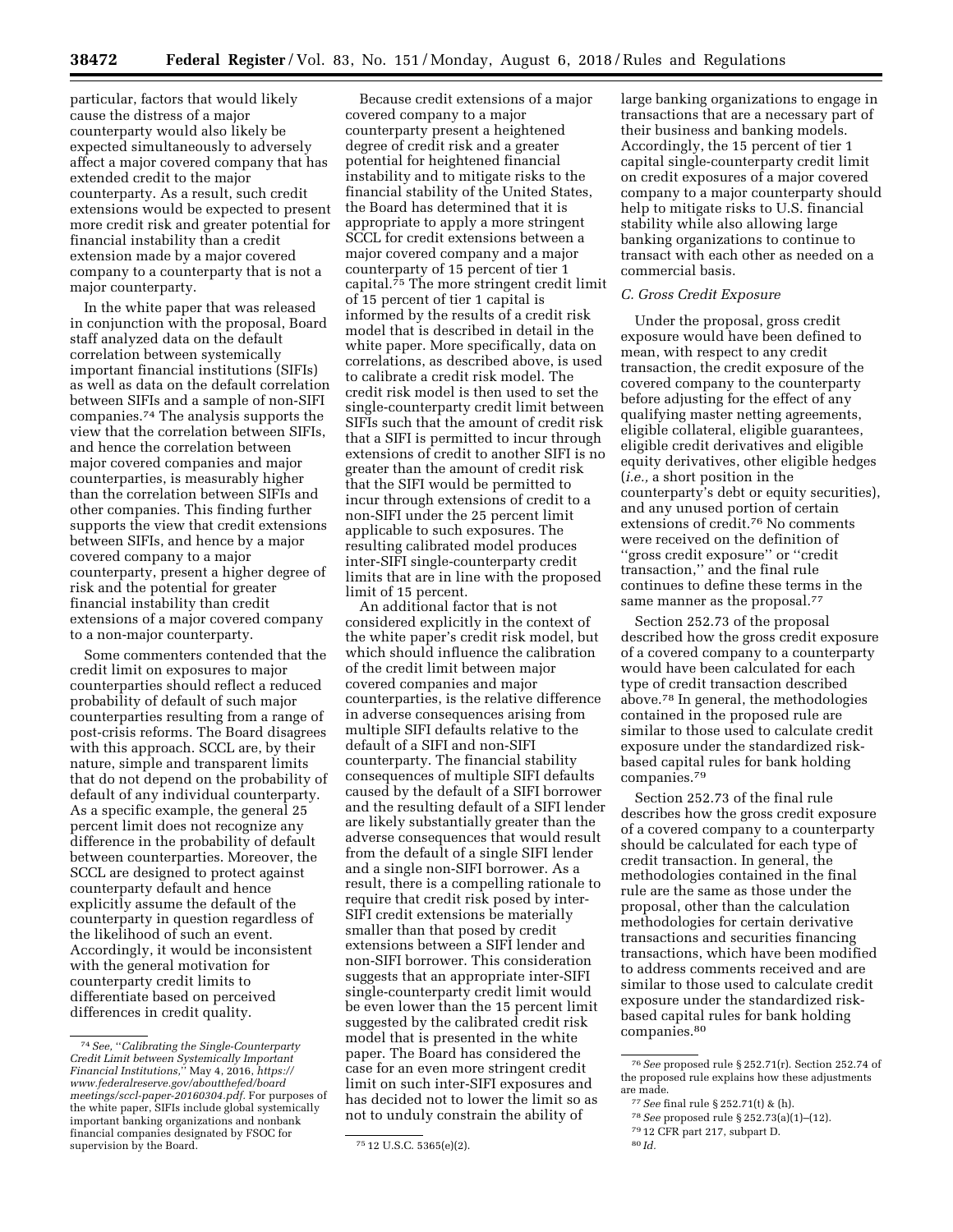particular, factors that would likely cause the distress of a major counterparty would also likely be expected simultaneously to adversely affect a major covered company that has extended credit to the major counterparty. As a result, such credit extensions would be expected to present more credit risk and greater potential for financial instability than a credit extension made by a major covered company to a counterparty that is not a major counterparty.

In the white paper that was released in conjunction with the proposal, Board staff analyzed data on the default correlation between systemically important financial institutions (SIFIs) as well as data on the default correlation between SIFIs and a sample of non-SIFI companies.74 The analysis supports the view that the correlation between SIFIs, and hence the correlation between major covered companies and major counterparties, is measurably higher than the correlation between SIFIs and other companies. This finding further supports the view that credit extensions between SIFIs, and hence by a major covered company to a major counterparty, present a higher degree of risk and the potential for greater financial instability than credit extensions of a major covered company to a non-major counterparty.

Some commenters contended that the credit limit on exposures to major counterparties should reflect a reduced probability of default of such major counterparties resulting from a range of post-crisis reforms. The Board disagrees with this approach. SCCL are, by their nature, simple and transparent limits that do not depend on the probability of default of any individual counterparty. As a specific example, the general 25 percent limit does not recognize any difference in the probability of default between counterparties. Moreover, the SCCL are designed to protect against counterparty default and hence explicitly assume the default of the counterparty in question regardless of the likelihood of such an event. Accordingly, it would be inconsistent with the general motivation for counterparty credit limits to differentiate based on perceived differences in credit quality.

Because credit extensions of a major covered company to a major counterparty present a heightened degree of credit risk and a greater potential for heightened financial instability and to mitigate risks to the financial stability of the United States, the Board has determined that it is appropriate to apply a more stringent SCCL for credit extensions between a major covered company and a major counterparty of 15 percent of tier 1 capital.75 The more stringent credit limit of 15 percent of tier 1 capital is informed by the results of a credit risk model that is described in detail in the white paper. More specifically, data on correlations, as described above, is used to calibrate a credit risk model. The credit risk model is then used to set the single-counterparty credit limit between SIFIs such that the amount of credit risk that a SIFI is permitted to incur through extensions of credit to another SIFI is no greater than the amount of credit risk that the SIFI would be permitted to incur through extensions of credit to a non-SIFI under the 25 percent limit applicable to such exposures. The resulting calibrated model produces inter-SIFI single-counterparty credit limits that are in line with the proposed limit of 15 percent.

An additional factor that is not considered explicitly in the context of the white paper's credit risk model, but which should influence the calibration of the credit limit between major covered companies and major counterparties, is the relative difference in adverse consequences arising from multiple SIFI defaults relative to the default of a SIFI and non-SIFI counterparty. The financial stability consequences of multiple SIFI defaults caused by the default of a SIFI borrower and the resulting default of a SIFI lender are likely substantially greater than the adverse consequences that would result from the default of a single SIFI lender and a single non-SIFI borrower. As a result, there is a compelling rationale to require that credit risk posed by inter-SIFI credit extensions be materially smaller than that posed by credit extensions between a SIFI lender and non-SIFI borrower. This consideration suggests that an appropriate inter-SIFI single-counterparty credit limit would be even lower than the 15 percent limit suggested by the calibrated credit risk model that is presented in the white paper. The Board has considered the case for an even more stringent credit limit on such inter-SIFI exposures and has decided not to lower the limit so as not to unduly constrain the ability of

large banking organizations to engage in transactions that are a necessary part of their business and banking models. Accordingly, the 15 percent of tier 1 capital single-counterparty credit limit on credit exposures of a major covered company to a major counterparty should help to mitigate risks to U.S. financial stability while also allowing large banking organizations to continue to transact with each other as needed on a commercial basis.

# *C. Gross Credit Exposure*

Under the proposal, gross credit exposure would have been defined to mean, with respect to any credit transaction, the credit exposure of the covered company to the counterparty before adjusting for the effect of any qualifying master netting agreements, eligible collateral, eligible guarantees, eligible credit derivatives and eligible equity derivatives, other eligible hedges (*i.e.,* a short position in the counterparty's debt or equity securities), and any unused portion of certain extensions of credit.76 No comments were received on the definition of ''gross credit exposure'' or ''credit transaction,'' and the final rule continues to define these terms in the same manner as the proposal.<sup>77</sup>

Section 252.73 of the proposal described how the gross credit exposure of a covered company to a counterparty would have been calculated for each type of credit transaction described above.78 In general, the methodologies contained in the proposed rule are similar to those used to calculate credit exposure under the standardized riskbased capital rules for bank holding companies.79

Section 252.73 of the final rule describes how the gross credit exposure of a covered company to a counterparty should be calculated for each type of credit transaction. In general, the methodologies contained in the final rule are the same as those under the proposal, other than the calculation methodologies for certain derivative transactions and securities financing transactions, which have been modified to address comments received and are similar to those used to calculate credit exposure under the standardized riskbased capital rules for bank holding companies.80

<sup>74</sup>*See,* ''*Calibrating the Single-Counterparty Credit Limit between Systemically Important Financial Institutions,*'' May 4, 2016, *[https://](https://www.federalreserve.gov/aboutthefed/boardmeetings/sccl-paper-20160304.pdf) [www.federalreserve.gov/aboutthefed/board](https://www.federalreserve.gov/aboutthefed/boardmeetings/sccl-paper-20160304.pdf) [meetings/sccl-paper-20160304.pdf.](https://www.federalreserve.gov/aboutthefed/boardmeetings/sccl-paper-20160304.pdf)* For purposes of the white paper, SIFIs include global systemically important banking organizations and nonbank financial companies designated by FSOC for supervision by the Board.  $75 \times 12$  U.S.C. 5365(e)(2).

<sup>76</sup>*See* proposed rule § 252.71(r). Section 252.74 of the proposed rule explains how these adjustments are made.

<sup>77</sup>*See* final rule § 252.71(t) & (h).

<sup>78</sup>*See* proposed rule § 252.73(a)(1)–(12).

<sup>79</sup> 12 CFR part 217, subpart D.

<sup>80</sup> *Id.*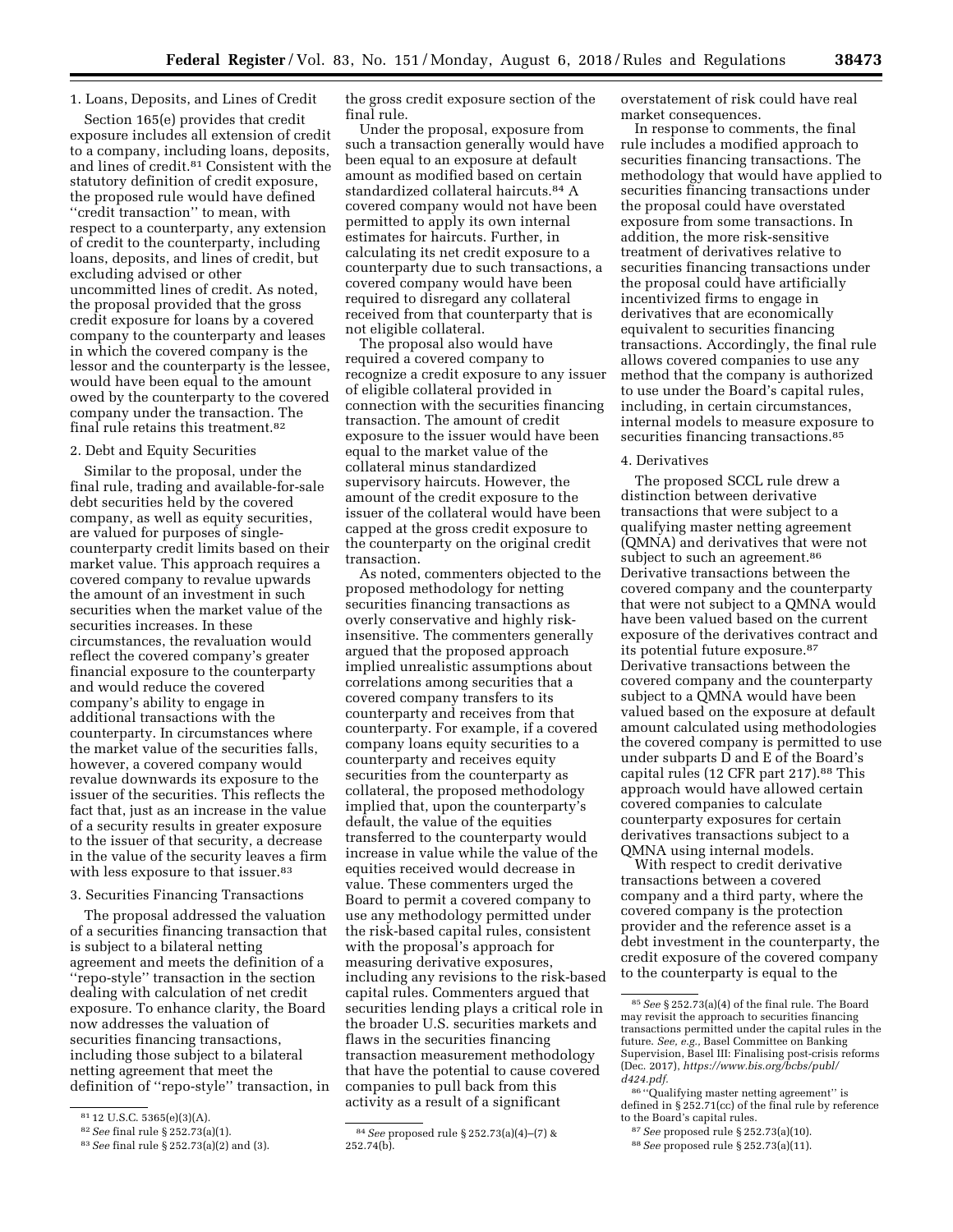# 1. Loans, Deposits, and Lines of Credit

Section 165(e) provides that credit exposure includes all extension of credit to a company, including loans, deposits, and lines of credit.81 Consistent with the statutory definition of credit exposure, the proposed rule would have defined ''credit transaction'' to mean, with respect to a counterparty, any extension of credit to the counterparty, including loans, deposits, and lines of credit, but excluding advised or other uncommitted lines of credit. As noted, the proposal provided that the gross credit exposure for loans by a covered company to the counterparty and leases in which the covered company is the lessor and the counterparty is the lessee, would have been equal to the amount owed by the counterparty to the covered company under the transaction. The final rule retains this treatment.82

# 2. Debt and Equity Securities

Similar to the proposal, under the final rule, trading and available-for-sale debt securities held by the covered company, as well as equity securities, are valued for purposes of singlecounterparty credit limits based on their market value. This approach requires a covered company to revalue upwards the amount of an investment in such securities when the market value of the securities increases. In these circumstances, the revaluation would reflect the covered company's greater financial exposure to the counterparty and would reduce the covered company's ability to engage in additional transactions with the counterparty. In circumstances where the market value of the securities falls, however, a covered company would revalue downwards its exposure to the issuer of the securities. This reflects the fact that, just as an increase in the value of a security results in greater exposure to the issuer of that security, a decrease in the value of the security leaves a firm with less exposure to that issuer.<sup>83</sup>

# 3. Securities Financing Transactions

The proposal addressed the valuation of a securities financing transaction that is subject to a bilateral netting agreement and meets the definition of a ''repo-style'' transaction in the section dealing with calculation of net credit exposure. To enhance clarity, the Board now addresses the valuation of securities financing transactions, including those subject to a bilateral netting agreement that meet the definition of ''repo-style'' transaction, in the gross credit exposure section of the final rule.

Under the proposal, exposure from such a transaction generally would have been equal to an exposure at default amount as modified based on certain standardized collateral haircuts.84 A covered company would not have been permitted to apply its own internal estimates for haircuts. Further, in calculating its net credit exposure to a counterparty due to such transactions, a covered company would have been required to disregard any collateral received from that counterparty that is not eligible collateral.

The proposal also would have required a covered company to recognize a credit exposure to any issuer of eligible collateral provided in connection with the securities financing transaction. The amount of credit exposure to the issuer would have been equal to the market value of the collateral minus standardized supervisory haircuts. However, the amount of the credit exposure to the issuer of the collateral would have been capped at the gross credit exposure to the counterparty on the original credit transaction.

As noted, commenters objected to the proposed methodology for netting securities financing transactions as overly conservative and highly riskinsensitive. The commenters generally argued that the proposed approach implied unrealistic assumptions about correlations among securities that a covered company transfers to its counterparty and receives from that counterparty. For example, if a covered company loans equity securities to a counterparty and receives equity securities from the counterparty as collateral, the proposed methodology implied that, upon the counterparty's default, the value of the equities transferred to the counterparty would increase in value while the value of the equities received would decrease in value. These commenters urged the Board to permit a covered company to use any methodology permitted under the risk-based capital rules, consistent with the proposal's approach for measuring derivative exposures, including any revisions to the risk-based capital rules. Commenters argued that securities lending plays a critical role in the broader U.S. securities markets and flaws in the securities financing transaction measurement methodology that have the potential to cause covered companies to pull back from this activity as a result of a significant

overstatement of risk could have real market consequences.

In response to comments, the final rule includes a modified approach to securities financing transactions. The methodology that would have applied to securities financing transactions under the proposal could have overstated exposure from some transactions. In addition, the more risk-sensitive treatment of derivatives relative to securities financing transactions under the proposal could have artificially incentivized firms to engage in derivatives that are economically equivalent to securities financing transactions. Accordingly, the final rule allows covered companies to use any method that the company is authorized to use under the Board's capital rules, including, in certain circumstances, internal models to measure exposure to securities financing transactions.<sup>85</sup>

# 4. Derivatives

The proposed SCCL rule drew a distinction between derivative transactions that were subject to a qualifying master netting agreement (QMNA) and derivatives that were not subject to such an agreement.<sup>86</sup> Derivative transactions between the covered company and the counterparty that were not subject to a QMNA would have been valued based on the current exposure of the derivatives contract and its potential future exposure.87 Derivative transactions between the covered company and the counterparty subject to a QMNA would have been valued based on the exposure at default amount calculated using methodologies the covered company is permitted to use under subparts D and E of the Board's capital rules (12 CFR part 217).88 This approach would have allowed certain covered companies to calculate counterparty exposures for certain derivatives transactions subject to a QMNA using internal models.

With respect to credit derivative transactions between a covered company and a third party, where the covered company is the protection provider and the reference asset is a debt investment in the counterparty, the credit exposure of the covered company to the counterparty is equal to the

<sup>81</sup> 12 U.S.C. 5365(e)(3)(A).

<sup>82</sup>*See* final rule § 252.73(a)(1).

<sup>83</sup>*See* final rule § 252.73(a)(2) and (3).

<sup>84</sup>*See* proposed rule § 252.73(a)(4)–(7) &  $252.74(b)$ .

<sup>85</sup>*See* § 252.73(a)(4) of the final rule. The Board may revisit the approach to securities financing transactions permitted under the capital rules in the future. *See, e.g.,* Basel Committee on Banking Supervision, Basel III: Finalising post-crisis reforms (Dec. 2017), *[https://www.bis.org/bcbs/publ/](https://www.bis.org/bcbs/publ/d424.pdf) [d424.pdf.](https://www.bis.org/bcbs/publ/d424.pdf)* 

<sup>86</sup> ''Qualifying master netting agreement'' is defined in § 252.71(cc) of the final rule by reference to the Board's capital rules.

<sup>87</sup>*See* proposed rule § 252.73(a)(10).

<sup>88</sup>*See* proposed rule § 252.73(a)(11).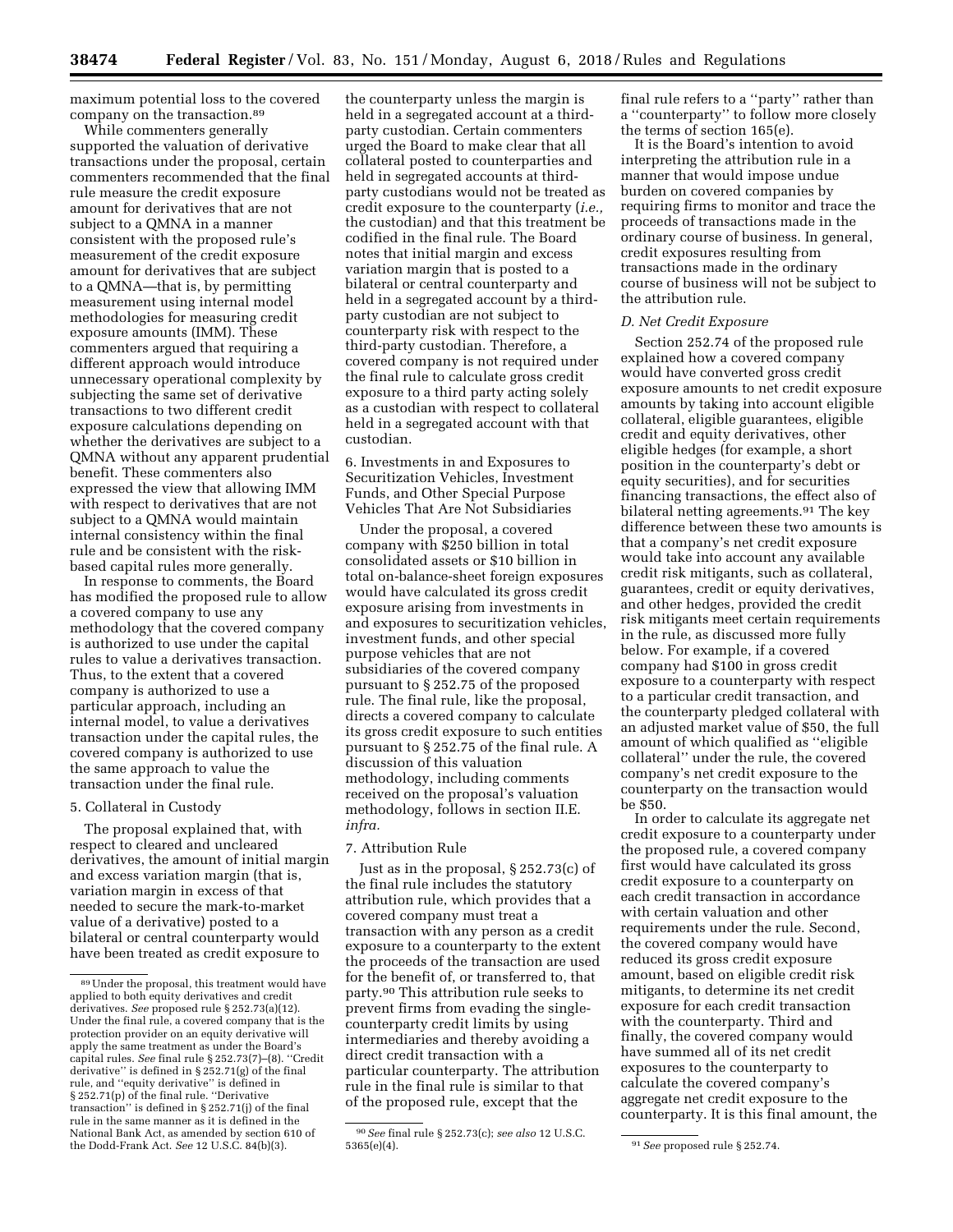maximum potential loss to the covered company on the transaction.89

While commenters generally supported the valuation of derivative transactions under the proposal, certain commenters recommended that the final rule measure the credit exposure amount for derivatives that are not subject to a QMNA in a manner consistent with the proposed rule's measurement of the credit exposure amount for derivatives that are subject to a QMNA—that is, by permitting measurement using internal model methodologies for measuring credit exposure amounts (IMM). These commenters argued that requiring a different approach would introduce unnecessary operational complexity by subjecting the same set of derivative transactions to two different credit exposure calculations depending on whether the derivatives are subject to a QMNA without any apparent prudential benefit. These commenters also expressed the view that allowing IMM with respect to derivatives that are not subject to a QMNA would maintain internal consistency within the final rule and be consistent with the riskbased capital rules more generally.

In response to comments, the Board has modified the proposed rule to allow a covered company to use any methodology that the covered company is authorized to use under the capital rules to value a derivatives transaction. Thus, to the extent that a covered company is authorized to use a particular approach, including an internal model, to value a derivatives transaction under the capital rules, the covered company is authorized to use the same approach to value the transaction under the final rule.

#### 5. Collateral in Custody

The proposal explained that, with respect to cleared and uncleared derivatives, the amount of initial margin and excess variation margin (that is, variation margin in excess of that needed to secure the mark-to-market value of a derivative) posted to a bilateral or central counterparty would have been treated as credit exposure to

the counterparty unless the margin is held in a segregated account at a thirdparty custodian. Certain commenters urged the Board to make clear that all collateral posted to counterparties and held in segregated accounts at thirdparty custodians would not be treated as credit exposure to the counterparty (*i.e.,*  the custodian) and that this treatment be codified in the final rule. The Board notes that initial margin and excess variation margin that is posted to a bilateral or central counterparty and held in a segregated account by a thirdparty custodian are not subject to counterparty risk with respect to the third-party custodian. Therefore, a covered company is not required under the final rule to calculate gross credit exposure to a third party acting solely as a custodian with respect to collateral held in a segregated account with that custodian.

6. Investments in and Exposures to Securitization Vehicles, Investment Funds, and Other Special Purpose Vehicles That Are Not Subsidiaries

Under the proposal, a covered company with \$250 billion in total consolidated assets or \$10 billion in total on-balance-sheet foreign exposures would have calculated its gross credit exposure arising from investments in and exposures to securitization vehicles, investment funds, and other special purpose vehicles that are not subsidiaries of the covered company pursuant to § 252.75 of the proposed rule. The final rule, like the proposal, directs a covered company to calculate its gross credit exposure to such entities pursuant to § 252.75 of the final rule. A discussion of this valuation methodology, including comments received on the proposal's valuation methodology, follows in section II.E. *infra.* 

# 7. Attribution Rule

Just as in the proposal, § 252.73(c) of the final rule includes the statutory attribution rule, which provides that a covered company must treat a transaction with any person as a credit exposure to a counterparty to the extent the proceeds of the transaction are used for the benefit of, or transferred to, that party.90 This attribution rule seeks to prevent firms from evading the singlecounterparty credit limits by using intermediaries and thereby avoiding a direct credit transaction with a particular counterparty. The attribution rule in the final rule is similar to that of the proposed rule, except that the

final rule refers to a ''party'' rather than a ''counterparty'' to follow more closely the terms of section 165(e).

It is the Board's intention to avoid interpreting the attribution rule in a manner that would impose undue burden on covered companies by requiring firms to monitor and trace the proceeds of transactions made in the ordinary course of business. In general, credit exposures resulting from transactions made in the ordinary course of business will not be subject to the attribution rule.

# *D. Net Credit Exposure*

Section 252.74 of the proposed rule explained how a covered company would have converted gross credit exposure amounts to net credit exposure amounts by taking into account eligible collateral, eligible guarantees, eligible credit and equity derivatives, other eligible hedges (for example, a short position in the counterparty's debt or equity securities), and for securities financing transactions, the effect also of bilateral netting agreements.91 The key difference between these two amounts is that a company's net credit exposure would take into account any available credit risk mitigants, such as collateral, guarantees, credit or equity derivatives, and other hedges, provided the credit risk mitigants meet certain requirements in the rule, as discussed more fully below. For example, if a covered company had \$100 in gross credit exposure to a counterparty with respect to a particular credit transaction, and the counterparty pledged collateral with an adjusted market value of \$50, the full amount of which qualified as ''eligible collateral'' under the rule, the covered company's net credit exposure to the counterparty on the transaction would be \$50.

In order to calculate its aggregate net credit exposure to a counterparty under the proposed rule, a covered company first would have calculated its gross credit exposure to a counterparty on each credit transaction in accordance with certain valuation and other requirements under the rule. Second, the covered company would have reduced its gross credit exposure amount, based on eligible credit risk mitigants, to determine its net credit exposure for each credit transaction with the counterparty. Third and finally, the covered company would have summed all of its net credit exposures to the counterparty to calculate the covered company's aggregate net credit exposure to the counterparty. It is this final amount, the

<sup>89</sup>Under the proposal, this treatment would have applied to both equity derivatives and credit derivatives. *See* proposed rule § 252.73(a)(12). Under the final rule, a covered company that is the protection provider on an equity derivative will apply the same treatment as under the Board's capital rules. *See* final rule § 252.73(7)–(8). ''Credit derivative'' is defined in § 252.71(g) of the final rule, and ''equity derivative'' is defined in § 252.71(p) of the final rule. "Derivative transaction'' is defined in § 252.71(j) of the final rule in the same manner as it is defined in the National Bank Act, as amended by section 610 of the Dodd-Frank Act. *See* 12 U.S.C. 84(b)(3).

<sup>90</sup>*See* final rule § 252.73(c); *see also* 12 U.S.C.

<sup>5365(</sup>e)(4). 91*See* proposed rule § 252.74.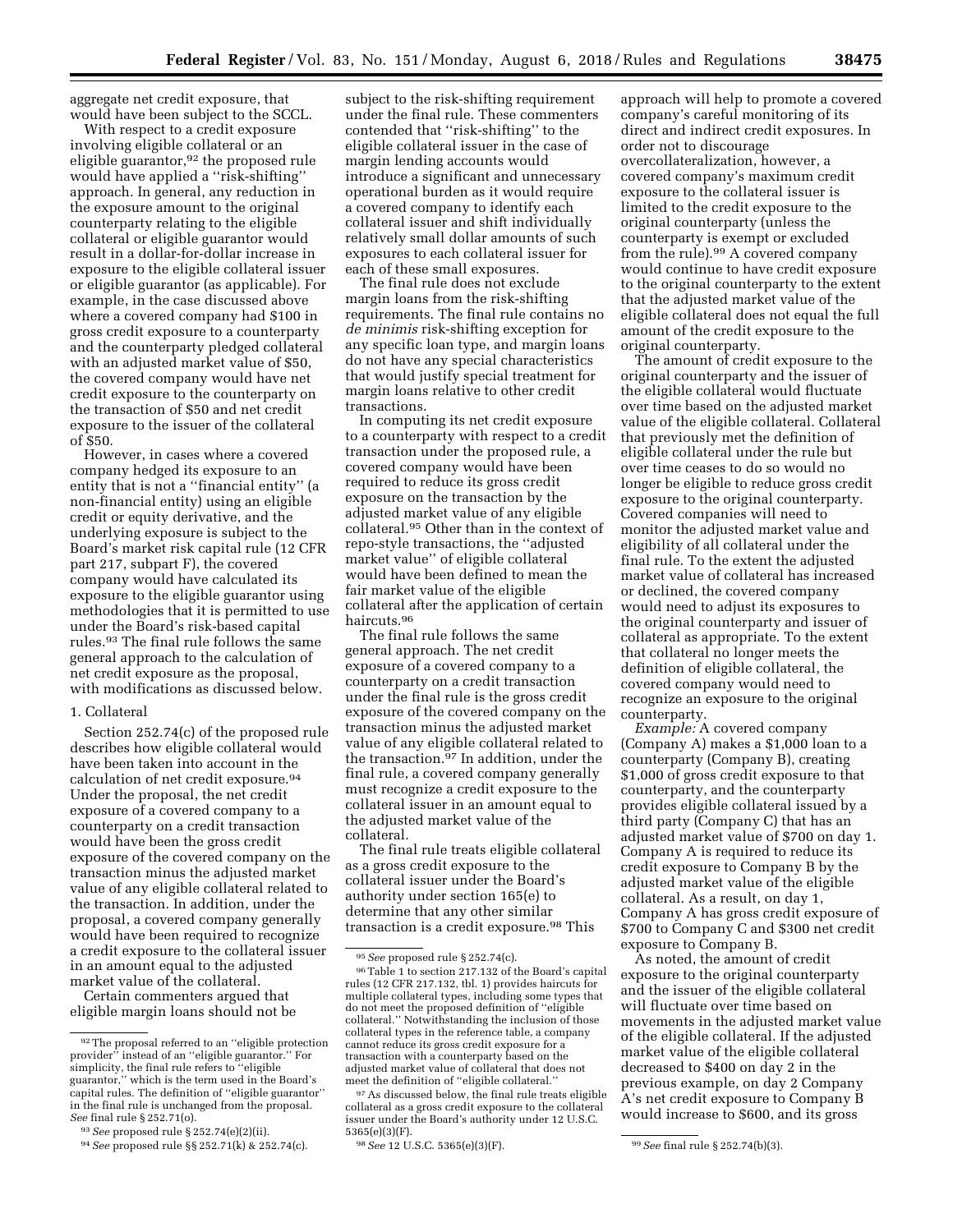aggregate net credit exposure, that would have been subject to the SCCL.

With respect to a credit exposure involving eligible collateral or an eligible guarantor,<sup>92</sup> the proposed rule would have applied a ''risk-shifting'' approach. In general, any reduction in the exposure amount to the original counterparty relating to the eligible collateral or eligible guarantor would result in a dollar-for-dollar increase in exposure to the eligible collateral issuer or eligible guarantor (as applicable). For example, in the case discussed above where a covered company had \$100 in gross credit exposure to a counterparty and the counterparty pledged collateral with an adjusted market value of \$50, the covered company would have net credit exposure to the counterparty on the transaction of \$50 and net credit exposure to the issuer of the collateral of \$50.

However, in cases where a covered company hedged its exposure to an entity that is not a ''financial entity'' (a non-financial entity) using an eligible credit or equity derivative, and the underlying exposure is subject to the Board's market risk capital rule (12 CFR part 217, subpart F), the covered company would have calculated its exposure to the eligible guarantor using methodologies that it is permitted to use under the Board's risk-based capital rules.93 The final rule follows the same general approach to the calculation of net credit exposure as the proposal, with modifications as discussed below.

#### 1. Collateral

Section 252.74(c) of the proposed rule describes how eligible collateral would have been taken into account in the calculation of net credit exposure.94 Under the proposal, the net credit exposure of a covered company to a counterparty on a credit transaction would have been the gross credit exposure of the covered company on the transaction minus the adjusted market value of any eligible collateral related to the transaction. In addition, under the proposal, a covered company generally would have been required to recognize a credit exposure to the collateral issuer in an amount equal to the adjusted market value of the collateral.

Certain commenters argued that eligible margin loans should not be

subject to the risk-shifting requirement under the final rule. These commenters contended that ''risk-shifting'' to the eligible collateral issuer in the case of margin lending accounts would introduce a significant and unnecessary operational burden as it would require a covered company to identify each collateral issuer and shift individually relatively small dollar amounts of such exposures to each collateral issuer for each of these small exposures.

The final rule does not exclude margin loans from the risk-shifting requirements. The final rule contains no *de minimis* risk-shifting exception for any specific loan type, and margin loans do not have any special characteristics that would justify special treatment for margin loans relative to other credit transactions.

In computing its net credit exposure to a counterparty with respect to a credit transaction under the proposed rule, a covered company would have been required to reduce its gross credit exposure on the transaction by the adjusted market value of any eligible collateral.95 Other than in the context of repo-style transactions, the ''adjusted market value'' of eligible collateral would have been defined to mean the fair market value of the eligible collateral after the application of certain haircuts.96

The final rule follows the same general approach. The net credit exposure of a covered company to a counterparty on a credit transaction under the final rule is the gross credit exposure of the covered company on the transaction minus the adjusted market value of any eligible collateral related to the transaction.97 In addition, under the final rule, a covered company generally must recognize a credit exposure to the collateral issuer in an amount equal to the adjusted market value of the collateral.

The final rule treats eligible collateral as a gross credit exposure to the collateral issuer under the Board's authority under section 165(e) to determine that any other similar transaction is a credit exposure.<sup>98</sup> This

approach will help to promote a covered company's careful monitoring of its direct and indirect credit exposures. In order not to discourage overcollateralization, however, a covered company's maximum credit exposure to the collateral issuer is limited to the credit exposure to the original counterparty (unless the counterparty is exempt or excluded from the rule).99 A covered company would continue to have credit exposure to the original counterparty to the extent that the adjusted market value of the eligible collateral does not equal the full amount of the credit exposure to the original counterparty.

The amount of credit exposure to the original counterparty and the issuer of the eligible collateral would fluctuate over time based on the adjusted market value of the eligible collateral. Collateral that previously met the definition of eligible collateral under the rule but over time ceases to do so would no longer be eligible to reduce gross credit exposure to the original counterparty. Covered companies will need to monitor the adjusted market value and eligibility of all collateral under the final rule. To the extent the adjusted market value of collateral has increased or declined, the covered company would need to adjust its exposures to the original counterparty and issuer of collateral as appropriate. To the extent that collateral no longer meets the definition of eligible collateral, the covered company would need to recognize an exposure to the original counterparty.

*Example:* A covered company (Company A) makes a \$1,000 loan to a counterparty (Company B), creating \$1,000 of gross credit exposure to that counterparty, and the counterparty provides eligible collateral issued by a third party (Company C) that has an adjusted market value of \$700 on day 1. Company A is required to reduce its credit exposure to Company B by the adjusted market value of the eligible collateral. As a result, on day 1, Company A has gross credit exposure of \$700 to Company C and \$300 net credit exposure to Company B.

As noted, the amount of credit exposure to the original counterparty and the issuer of the eligible collateral will fluctuate over time based on movements in the adjusted market value of the eligible collateral. If the adjusted market value of the eligible collateral decreased to \$400 on day 2 in the previous example, on day 2 Company A's net credit exposure to Company B would increase to \$600, and its gross

<sup>92</sup>The proposal referred to an ''eligible protection provider'' instead of an ''eligible guarantor.'' For simplicity, the final rule refers to "eligible guarantor,'' which is the term used in the Board's capital rules. The definition of ''eligible guarantor'' in the final rule is unchanged from the proposal. *See* final rule § 252.71(o).

<sup>93</sup>*See* proposed rule § 252.74(e)(2)(ii).

<sup>94</sup>*See* proposed rule §§ 252.71(k) & 252.74(c).

<sup>&</sup>lt;sup>95</sup> See proposed rule § 252.74(c).<br><sup>96</sup> Table 1 to section 217.132 of the Board's capital rules (12 CFR 217.132, tbl. 1) provides haircuts for multiple collateral types, including some types that do not meet the proposed definition of ''eligible collateral.'' Notwithstanding the inclusion of those collateral types in the reference table, a company cannot reduce its gross credit exposure for a transaction with a counterparty based on the adjusted market value of collateral that does not meet the definition of ''eligible collateral.''

<sup>97</sup>As discussed below, the final rule treats eligible collateral as a gross credit exposure to the collateral issuer under the Board's authority under 12 U.S.C. 5365(e)(3)(F).

<sup>98</sup>*See* 12 U.S.C. 5365(e)(3)(F). 99*See* final rule § 252.74(b)(3).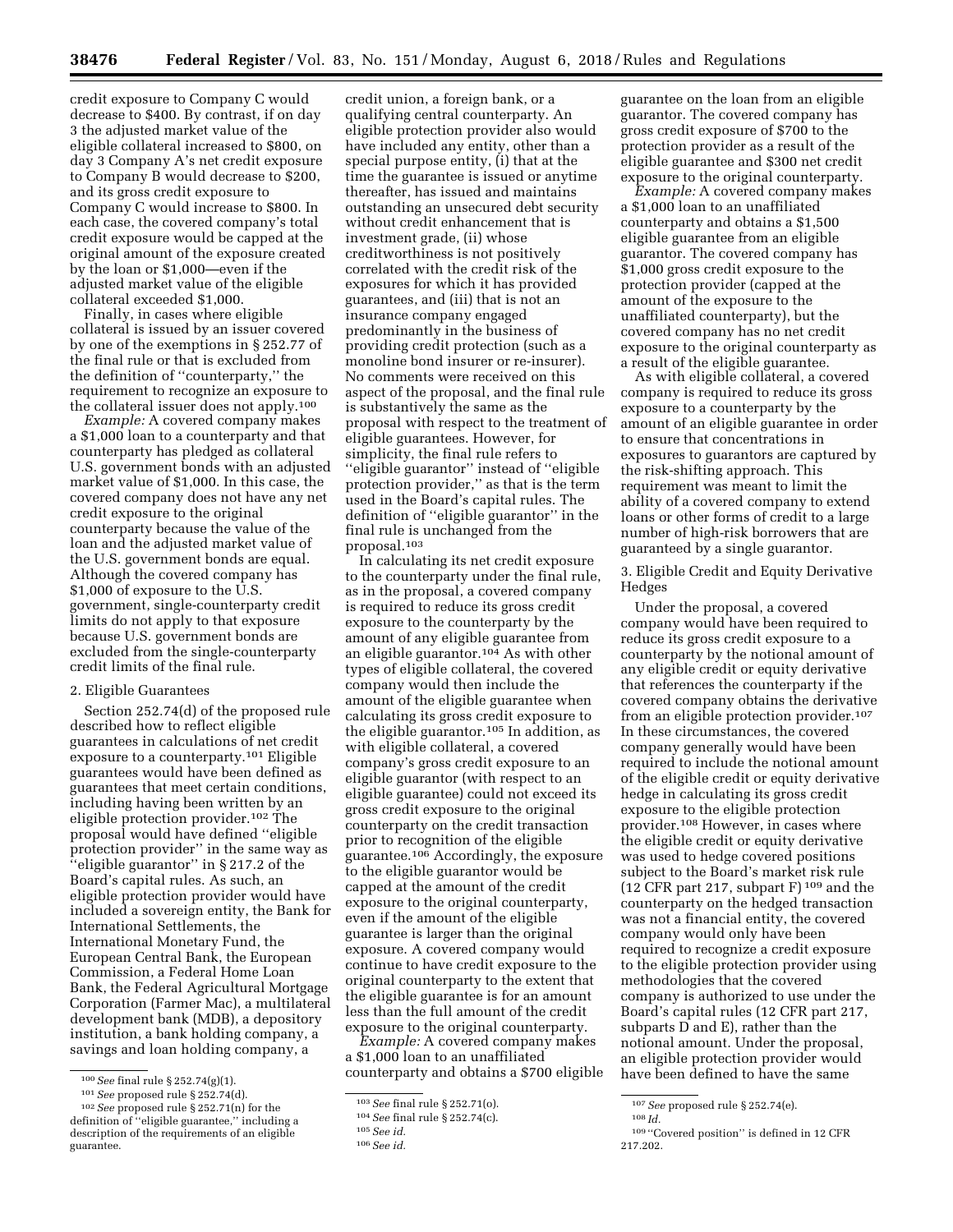credit exposure to Company C would decrease to \$400. By contrast, if on day 3 the adjusted market value of the eligible collateral increased to \$800, on day 3 Company A's net credit exposure to Company B would decrease to \$200, and its gross credit exposure to Company C would increase to \$800. In each case, the covered company's total credit exposure would be capped at the original amount of the exposure created by the loan or \$1,000—even if the adjusted market value of the eligible collateral exceeded \$1,000.

Finally, in cases where eligible collateral is issued by an issuer covered by one of the exemptions in § 252.77 of the final rule or that is excluded from the definition of ''counterparty,'' the requirement to recognize an exposure to the collateral issuer does not apply.100

*Example:* A covered company makes a \$1,000 loan to a counterparty and that counterparty has pledged as collateral U.S. government bonds with an adjusted market value of \$1,000. In this case, the covered company does not have any net credit exposure to the original counterparty because the value of the loan and the adjusted market value of the U.S. government bonds are equal. Although the covered company has \$1,000 of exposure to the U.S. government, single-counterparty credit limits do not apply to that exposure because U.S. government bonds are excluded from the single-counterparty credit limits of the final rule.

# 2. Eligible Guarantees

Section 252.74(d) of the proposed rule described how to reflect eligible guarantees in calculations of net credit exposure to a counterparty.101 Eligible guarantees would have been defined as guarantees that meet certain conditions, including having been written by an eligible protection provider.102 The proposal would have defined ''eligible protection provider'' in the same way as ''eligible guarantor'' in § 217.2 of the Board's capital rules. As such, an eligible protection provider would have included a sovereign entity, the Bank for International Settlements, the International Monetary Fund, the European Central Bank, the European Commission, a Federal Home Loan Bank, the Federal Agricultural Mortgage Corporation (Farmer Mac), a multilateral development bank (MDB), a depository institution, a bank holding company, a savings and loan holding company, a

credit union, a foreign bank, or a qualifying central counterparty. An eligible protection provider also would have included any entity, other than a special purpose entity, (i) that at the time the guarantee is issued or anytime thereafter, has issued and maintains outstanding an unsecured debt security without credit enhancement that is investment grade, (ii) whose creditworthiness is not positively correlated with the credit risk of the exposures for which it has provided guarantees, and (iii) that is not an insurance company engaged predominantly in the business of providing credit protection (such as a monoline bond insurer or re-insurer). No comments were received on this aspect of the proposal, and the final rule is substantively the same as the proposal with respect to the treatment of eligible guarantees. However, for simplicity, the final rule refers to ''eligible guarantor'' instead of ''eligible protection provider,'' as that is the term used in the Board's capital rules. The definition of ''eligible guarantor'' in the final rule is unchanged from the proposal.103

In calculating its net credit exposure to the counterparty under the final rule, as in the proposal, a covered company is required to reduce its gross credit exposure to the counterparty by the amount of any eligible guarantee from an eligible guarantor.104 As with other types of eligible collateral, the covered company would then include the amount of the eligible guarantee when calculating its gross credit exposure to the eligible guarantor.105 In addition, as with eligible collateral, a covered company's gross credit exposure to an eligible guarantor (with respect to an eligible guarantee) could not exceed its gross credit exposure to the original counterparty on the credit transaction prior to recognition of the eligible guarantee.106 Accordingly, the exposure to the eligible guarantor would be capped at the amount of the credit exposure to the original counterparty, even if the amount of the eligible guarantee is larger than the original exposure. A covered company would continue to have credit exposure to the original counterparty to the extent that the eligible guarantee is for an amount less than the full amount of the credit exposure to the original counterparty.

*Example:* A covered company makes a \$1,000 loan to an unaffiliated counterparty and obtains a \$700 eligible guarantee on the loan from an eligible guarantor. The covered company has gross credit exposure of \$700 to the protection provider as a result of the eligible guarantee and \$300 net credit exposure to the original counterparty.

*Example:* A covered company makes a \$1,000 loan to an unaffiliated counterparty and obtains a \$1,500 eligible guarantee from an eligible guarantor. The covered company has \$1,000 gross credit exposure to the protection provider (capped at the amount of the exposure to the unaffiliated counterparty), but the covered company has no net credit exposure to the original counterparty as a result of the eligible guarantee.

As with eligible collateral, a covered company is required to reduce its gross exposure to a counterparty by the amount of an eligible guarantee in order to ensure that concentrations in exposures to guarantors are captured by the risk-shifting approach. This requirement was meant to limit the ability of a covered company to extend loans or other forms of credit to a large number of high-risk borrowers that are guaranteed by a single guarantor.

3. Eligible Credit and Equity Derivative Hedges

Under the proposal, a covered company would have been required to reduce its gross credit exposure to a counterparty by the notional amount of any eligible credit or equity derivative that references the counterparty if the covered company obtains the derivative from an eligible protection provider.107 In these circumstances, the covered company generally would have been required to include the notional amount of the eligible credit or equity derivative hedge in calculating its gross credit exposure to the eligible protection provider.108 However, in cases where the eligible credit or equity derivative was used to hedge covered positions subject to the Board's market risk rule (12 CFR part 217, subpart F) 109 and the counterparty on the hedged transaction was not a financial entity, the covered company would only have been required to recognize a credit exposure to the eligible protection provider using methodologies that the covered company is authorized to use under the Board's capital rules (12 CFR part 217, subparts D and E), rather than the notional amount. Under the proposal, an eligible protection provider would have been defined to have the same

<sup>100</sup>*See* final rule § 252.74(g)(1).

<sup>101</sup>*See* proposed rule § 252.74(d).

<sup>102</sup>*See* proposed rule § 252.71(n) for the definition of ''eligible guarantee,'' including a description of the requirements of an eligible guarantee.

<sup>103</sup>*See* final rule § 252.71(o).

<sup>104</sup>*See* final rule § 252.74(c).

<sup>105</sup>*See id.* 

<sup>106</sup>*See id.* 

<sup>107</sup>*See* proposed rule § 252.74(e).

<sup>108</sup> *Id.* 

<sup>109</sup> ''Covered position'' is defined in 12 CFR 217.202.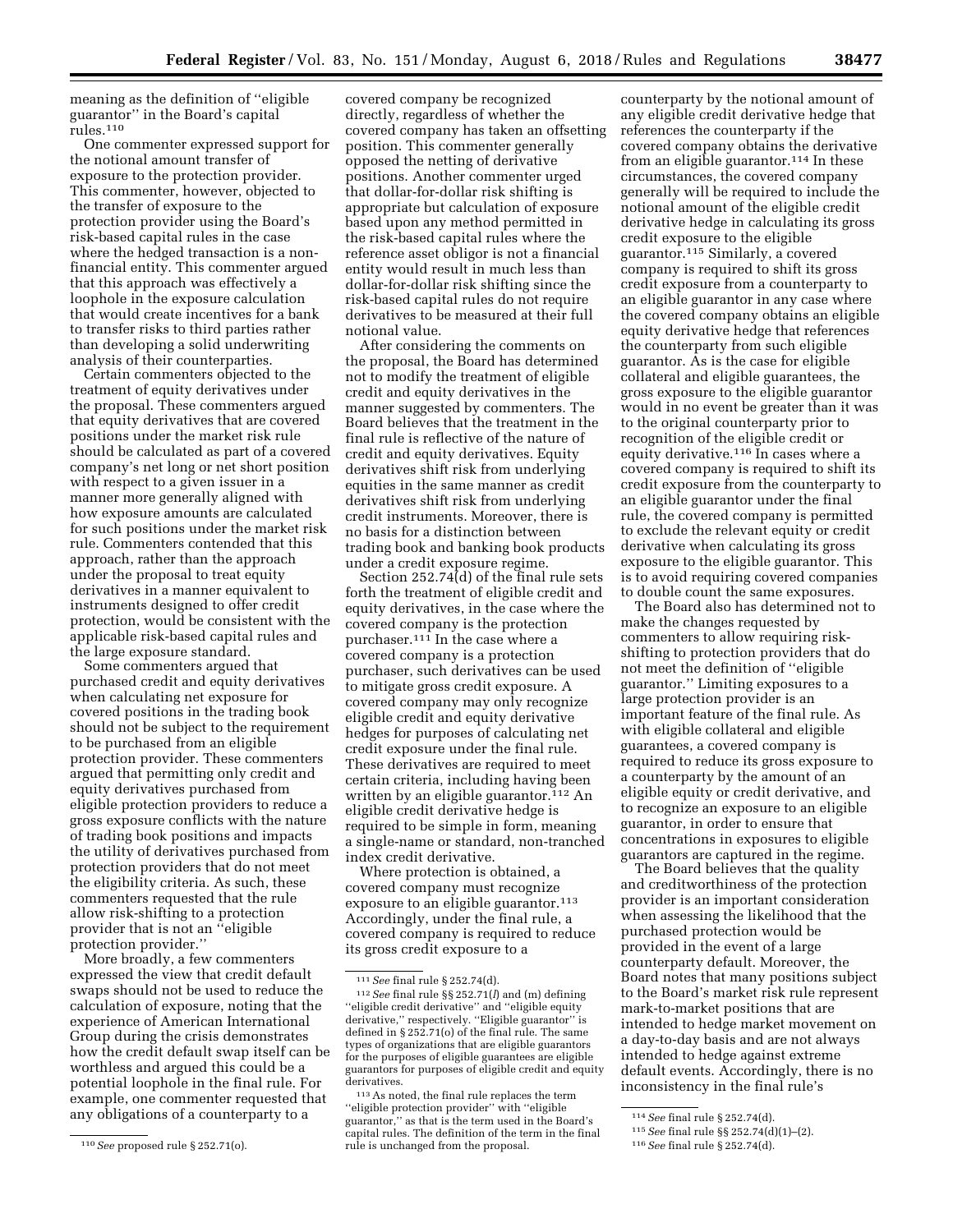meaning as the definition of ''eligible guarantor'' in the Board's capital rules.110

One commenter expressed support for the notional amount transfer of exposure to the protection provider. This commenter, however, objected to the transfer of exposure to the protection provider using the Board's risk-based capital rules in the case where the hedged transaction is a nonfinancial entity. This commenter argued that this approach was effectively a loophole in the exposure calculation that would create incentives for a bank to transfer risks to third parties rather than developing a solid underwriting analysis of their counterparties.

Certain commenters objected to the treatment of equity derivatives under the proposal. These commenters argued that equity derivatives that are covered positions under the market risk rule should be calculated as part of a covered company's net long or net short position with respect to a given issuer in a manner more generally aligned with how exposure amounts are calculated for such positions under the market risk rule. Commenters contended that this approach, rather than the approach under the proposal to treat equity derivatives in a manner equivalent to instruments designed to offer credit protection, would be consistent with the applicable risk-based capital rules and the large exposure standard.

Some commenters argued that purchased credit and equity derivatives when calculating net exposure for covered positions in the trading book should not be subject to the requirement to be purchased from an eligible protection provider. These commenters argued that permitting only credit and equity derivatives purchased from eligible protection providers to reduce a gross exposure conflicts with the nature of trading book positions and impacts the utility of derivatives purchased from protection providers that do not meet the eligibility criteria. As such, these commenters requested that the rule allow risk-shifting to a protection provider that is not an ''eligible protection provider.''

More broadly, a few commenters expressed the view that credit default swaps should not be used to reduce the calculation of exposure, noting that the experience of American International Group during the crisis demonstrates how the credit default swap itself can be worthless and argued this could be a potential loophole in the final rule. For example, one commenter requested that any obligations of a counterparty to a

covered company be recognized directly, regardless of whether the covered company has taken an offsetting position. This commenter generally opposed the netting of derivative positions. Another commenter urged that dollar-for-dollar risk shifting is appropriate but calculation of exposure based upon any method permitted in the risk-based capital rules where the reference asset obligor is not a financial entity would result in much less than dollar-for-dollar risk shifting since the risk-based capital rules do not require derivatives to be measured at their full notional value.

After considering the comments on the proposal, the Board has determined not to modify the treatment of eligible credit and equity derivatives in the manner suggested by commenters. The Board believes that the treatment in the final rule is reflective of the nature of credit and equity derivatives. Equity derivatives shift risk from underlying equities in the same manner as credit derivatives shift risk from underlying credit instruments. Moreover, there is no basis for a distinction between trading book and banking book products under a credit exposure regime.

Section 252.74(d) of the final rule sets forth the treatment of eligible credit and equity derivatives, in the case where the covered company is the protection purchaser.111 In the case where a covered company is a protection purchaser, such derivatives can be used to mitigate gross credit exposure. A covered company may only recognize eligible credit and equity derivative hedges for purposes of calculating net credit exposure under the final rule. These derivatives are required to meet certain criteria, including having been written by an eligible guarantor.<sup>112</sup> An eligible credit derivative hedge is required to be simple in form, meaning a single-name or standard, non-tranched index credit derivative.

Where protection is obtained, a covered company must recognize exposure to an eligible guarantor.<sup>113</sup> Accordingly, under the final rule, a covered company is required to reduce its gross credit exposure to a

counterparty by the notional amount of any eligible credit derivative hedge that references the counterparty if the covered company obtains the derivative from an eligible guarantor.<sup>114</sup> In these circumstances, the covered company generally will be required to include the notional amount of the eligible credit derivative hedge in calculating its gross credit exposure to the eligible guarantor.115 Similarly, a covered company is required to shift its gross credit exposure from a counterparty to an eligible guarantor in any case where the covered company obtains an eligible equity derivative hedge that references the counterparty from such eligible guarantor. As is the case for eligible collateral and eligible guarantees, the gross exposure to the eligible guarantor would in no event be greater than it was to the original counterparty prior to recognition of the eligible credit or equity derivative.116 In cases where a covered company is required to shift its credit exposure from the counterparty to an eligible guarantor under the final rule, the covered company is permitted to exclude the relevant equity or credit derivative when calculating its gross exposure to the eligible guarantor. This is to avoid requiring covered companies to double count the same exposures.

The Board also has determined not to make the changes requested by commenters to allow requiring riskshifting to protection providers that do not meet the definition of ''eligible guarantor.'' Limiting exposures to a large protection provider is an important feature of the final rule. As with eligible collateral and eligible guarantees, a covered company is required to reduce its gross exposure to a counterparty by the amount of an eligible equity or credit derivative, and to recognize an exposure to an eligible guarantor, in order to ensure that concentrations in exposures to eligible guarantors are captured in the regime.

The Board believes that the quality and creditworthiness of the protection provider is an important consideration when assessing the likelihood that the purchased protection would be provided in the event of a large counterparty default. Moreover, the Board notes that many positions subject to the Board's market risk rule represent mark-to-market positions that are intended to hedge market movement on a day-to-day basis and are not always intended to hedge against extreme default events. Accordingly, there is no inconsistency in the final rule's

<sup>110</sup>*See* proposed rule § 252.71(o).

<sup>111</sup>*See* final rule § 252.74(d).

<sup>112</sup>*See* final rule §§ 252.71(*l*) and (m) defining ''eligible credit derivative'' and ''eligible equity derivative,'' respectively. ''Eligible guarantor'' is defined in § 252.71(o) of the final rule. The same types of organizations that are eligible guarantors for the purposes of eligible guarantees are eligible guarantors for purposes of eligible credit and equity derivatives.

<sup>113</sup>As noted, the final rule replaces the term ''eligible protection provider'' with ''eligible guarantor,'' as that is the term used in the Board's capital rules. The definition of the term in the final rule is unchanged from the proposal.

<sup>114</sup>*See* final rule § 252.74(d).

<sup>115</sup>*See* final rule §§ 252.74(d)(1)–(2).

<sup>116</sup>*See* final rule § 252.74(d).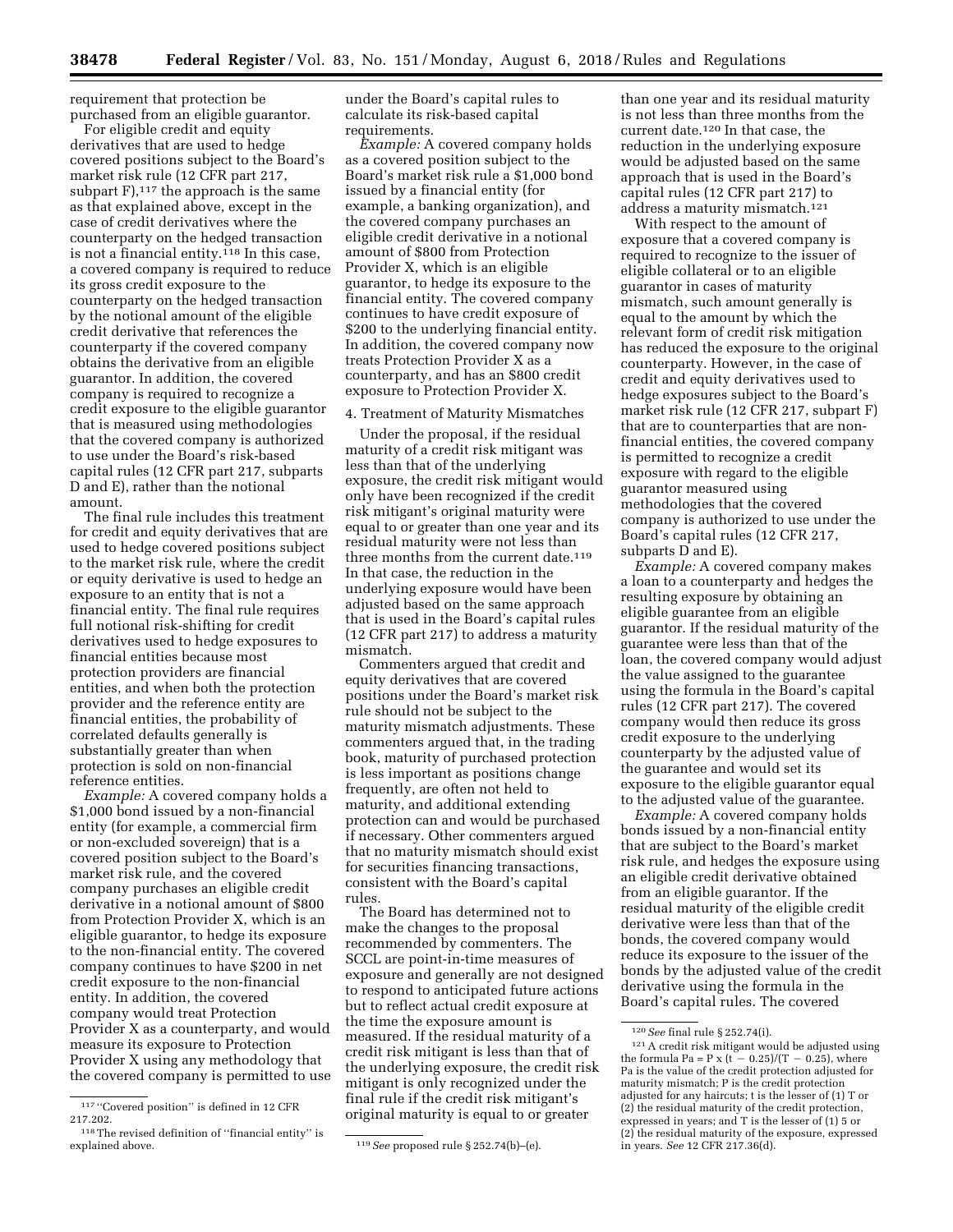requirement that protection be purchased from an eligible guarantor.

For eligible credit and equity derivatives that are used to hedge covered positions subject to the Board's market risk rule (12 CFR part 217, subpart  $F$ ),<sup>117</sup> the approach is the same as that explained above, except in the case of credit derivatives where the counterparty on the hedged transaction is not a financial entity.118 In this case, a covered company is required to reduce its gross credit exposure to the counterparty on the hedged transaction by the notional amount of the eligible credit derivative that references the counterparty if the covered company obtains the derivative from an eligible guarantor. In addition, the covered company is required to recognize a credit exposure to the eligible guarantor that is measured using methodologies that the covered company is authorized to use under the Board's risk-based capital rules (12 CFR part 217, subparts D and E), rather than the notional amount.

The final rule includes this treatment for credit and equity derivatives that are used to hedge covered positions subject to the market risk rule, where the credit or equity derivative is used to hedge an exposure to an entity that is not a financial entity. The final rule requires full notional risk-shifting for credit derivatives used to hedge exposures to financial entities because most protection providers are financial entities, and when both the protection provider and the reference entity are financial entities, the probability of correlated defaults generally is substantially greater than when protection is sold on non-financial reference entities.

*Example:* A covered company holds a \$1,000 bond issued by a non-financial entity (for example, a commercial firm or non-excluded sovereign) that is a covered position subject to the Board's market risk rule, and the covered company purchases an eligible credit derivative in a notional amount of \$800 from Protection Provider X, which is an eligible guarantor, to hedge its exposure to the non-financial entity. The covered company continues to have \$200 in net credit exposure to the non-financial entity. In addition, the covered company would treat Protection Provider X as a counterparty, and would measure its exposure to Protection Provider X using any methodology that the covered company is permitted to use under the Board's capital rules to calculate its risk-based capital requirements.

*Example:* A covered company holds as a covered position subject to the Board's market risk rule a \$1,000 bond issued by a financial entity (for example, a banking organization), and the covered company purchases an eligible credit derivative in a notional amount of \$800 from Protection Provider X, which is an eligible guarantor, to hedge its exposure to the financial entity. The covered company continues to have credit exposure of \$200 to the underlying financial entity. In addition, the covered company now treats Protection Provider X as a counterparty, and has an \$800 credit exposure to Protection Provider X.

# 4. Treatment of Maturity Mismatches

Under the proposal, if the residual maturity of a credit risk mitigant was less than that of the underlying exposure, the credit risk mitigant would only have been recognized if the credit risk mitigant's original maturity were equal to or greater than one year and its residual maturity were not less than three months from the current date.<sup>119</sup> In that case, the reduction in the underlying exposure would have been adjusted based on the same approach that is used in the Board's capital rules (12 CFR part 217) to address a maturity mismatch.

Commenters argued that credit and equity derivatives that are covered positions under the Board's market risk rule should not be subject to the maturity mismatch adjustments. These commenters argued that, in the trading book, maturity of purchased protection is less important as positions change frequently, are often not held to maturity, and additional extending protection can and would be purchased if necessary. Other commenters argued that no maturity mismatch should exist for securities financing transactions, consistent with the Board's capital rules.

The Board has determined not to make the changes to the proposal recommended by commenters. The SCCL are point-in-time measures of exposure and generally are not designed to respond to anticipated future actions but to reflect actual credit exposure at the time the exposure amount is measured. If the residual maturity of a credit risk mitigant is less than that of the underlying exposure, the credit risk mitigant is only recognized under the final rule if the credit risk mitigant's original maturity is equal to or greater

than one year and its residual maturity is not less than three months from the current date.120 In that case, the reduction in the underlying exposure would be adjusted based on the same approach that is used in the Board's capital rules (12 CFR part 217) to address a maturity mismatch.121

With respect to the amount of exposure that a covered company is required to recognize to the issuer of eligible collateral or to an eligible guarantor in cases of maturity mismatch, such amount generally is equal to the amount by which the relevant form of credit risk mitigation has reduced the exposure to the original counterparty. However, in the case of credit and equity derivatives used to hedge exposures subject to the Board's market risk rule (12 CFR 217, subpart F) that are to counterparties that are nonfinancial entities, the covered company is permitted to recognize a credit exposure with regard to the eligible guarantor measured using methodologies that the covered company is authorized to use under the Board's capital rules (12 CFR 217, subparts D and E).

*Example:* A covered company makes a loan to a counterparty and hedges the resulting exposure by obtaining an eligible guarantee from an eligible guarantor. If the residual maturity of the guarantee were less than that of the loan, the covered company would adjust the value assigned to the guarantee using the formula in the Board's capital rules (12 CFR part 217). The covered company would then reduce its gross credit exposure to the underlying counterparty by the adjusted value of the guarantee and would set its exposure to the eligible guarantor equal to the adjusted value of the guarantee.

*Example:* A covered company holds bonds issued by a non-financial entity that are subject to the Board's market risk rule, and hedges the exposure using an eligible credit derivative obtained from an eligible guarantor. If the residual maturity of the eligible credit derivative were less than that of the bonds, the covered company would reduce its exposure to the issuer of the bonds by the adjusted value of the credit derivative using the formula in the Board's capital rules. The covered

 $^{\rm 117\, \prime\prime}$  Covered position'' is defined in 12 CFR 217.202.

 $118$  The revised definition of "financial entity" is explained above.

<sup>119</sup> See proposed rule § 252.74(b)–(e).

<sup>120</sup>*See* final rule § 252.74(i).

<sup>121</sup>A credit risk mitigant would be adjusted using the formula Pa = P x (t  $-$  0.25)/(T  $-$  0.25), where Pa is the value of the credit protection adjusted for maturity mismatch; P is the credit protection adjusted for any haircuts; t is the lesser of (1) T or (2) the residual maturity of the credit protection, expressed in years; and T is the lesser of (1) 5 or (2) the residual maturity of the exposure, expressed in years. *See* 12 CFR 217.36(d).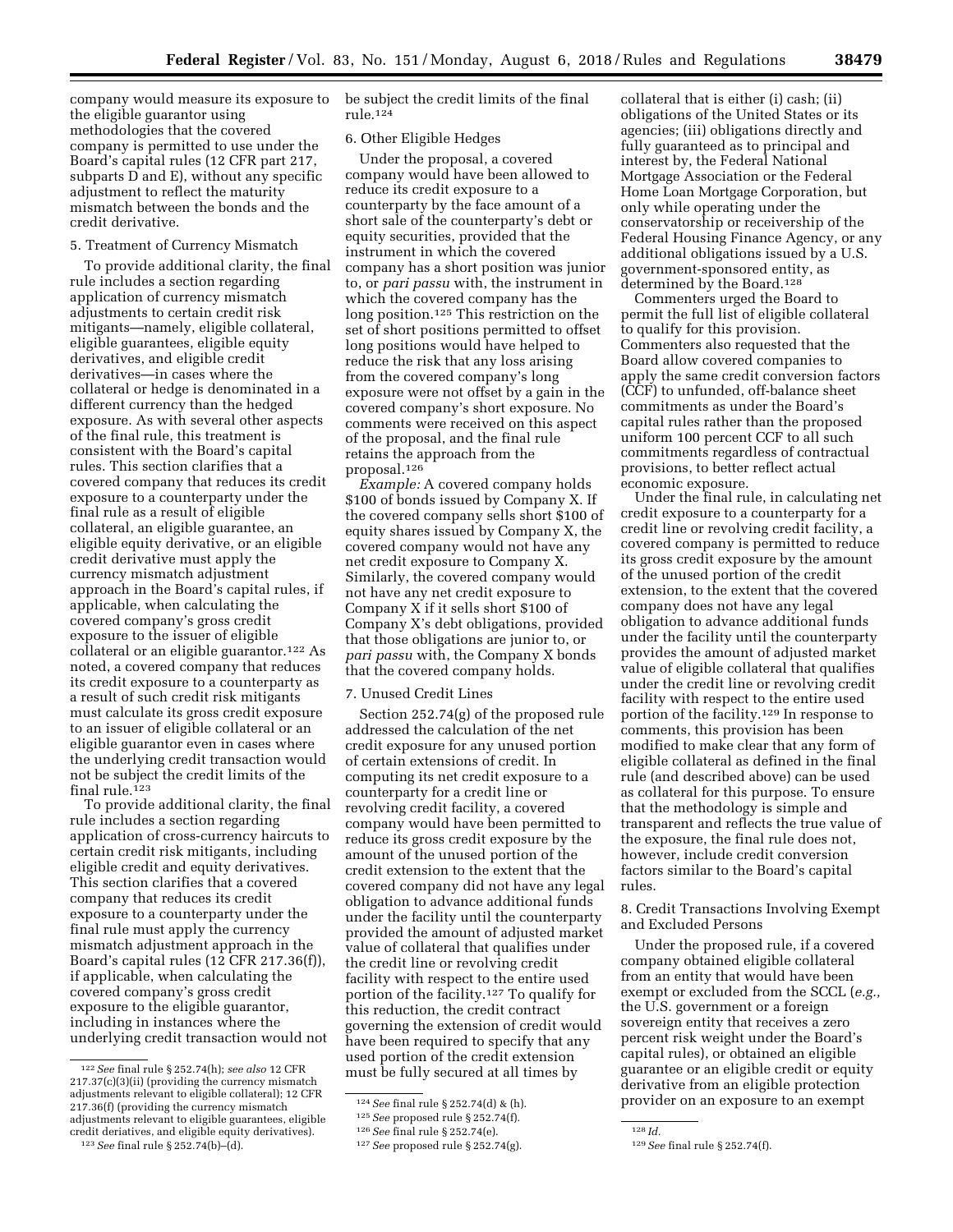company would measure its exposure to the eligible guarantor using methodologies that the covered company is permitted to use under the Board's capital rules (12 CFR part 217, subparts D and E), without any specific adjustment to reflect the maturity mismatch between the bonds and the credit derivative.

# 5. Treatment of Currency Mismatch

To provide additional clarity, the final rule includes a section regarding application of currency mismatch adjustments to certain credit risk mitigants—namely, eligible collateral, eligible guarantees, eligible equity derivatives, and eligible credit derivatives—in cases where the collateral or hedge is denominated in a different currency than the hedged exposure. As with several other aspects of the final rule, this treatment is consistent with the Board's capital rules. This section clarifies that a covered company that reduces its credit exposure to a counterparty under the final rule as a result of eligible collateral, an eligible guarantee, an eligible equity derivative, or an eligible credit derivative must apply the currency mismatch adjustment approach in the Board's capital rules, if applicable, when calculating the covered company's gross credit exposure to the issuer of eligible collateral or an eligible guarantor.122 As noted, a covered company that reduces its credit exposure to a counterparty as a result of such credit risk mitigants must calculate its gross credit exposure to an issuer of eligible collateral or an eligible guarantor even in cases where the underlying credit transaction would not be subject the credit limits of the final rule.123

To provide additional clarity, the final rule includes a section regarding application of cross-currency haircuts to certain credit risk mitigants, including eligible credit and equity derivatives. This section clarifies that a covered company that reduces its credit exposure to a counterparty under the final rule must apply the currency mismatch adjustment approach in the Board's capital rules (12 CFR 217.36(f)), if applicable, when calculating the covered company's gross credit exposure to the eligible guarantor, including in instances where the underlying credit transaction would not

be subject the credit limits of the final rule.124

## 6. Other Eligible Hedges

Under the proposal, a covered company would have been allowed to reduce its credit exposure to a counterparty by the face amount of a short sale of the counterparty's debt or equity securities, provided that the instrument in which the covered company has a short position was junior to, or *pari passu* with, the instrument in which the covered company has the long position.125 This restriction on the set of short positions permitted to offset long positions would have helped to reduce the risk that any loss arising from the covered company's long exposure were not offset by a gain in the covered company's short exposure. No comments were received on this aspect of the proposal, and the final rule retains the approach from the proposal.126

*Example:* A covered company holds \$100 of bonds issued by Company X. If the covered company sells short \$100 of equity shares issued by Company X, the covered company would not have any net credit exposure to Company X. Similarly, the covered company would not have any net credit exposure to Company X if it sells short \$100 of Company X's debt obligations, provided that those obligations are junior to, or *pari passu* with, the Company X bonds that the covered company holds.

## 7. Unused Credit Lines

Section 252.74(g) of the proposed rule addressed the calculation of the net credit exposure for any unused portion of certain extensions of credit. In computing its net credit exposure to a counterparty for a credit line or revolving credit facility, a covered company would have been permitted to reduce its gross credit exposure by the amount of the unused portion of the credit extension to the extent that the covered company did not have any legal obligation to advance additional funds under the facility until the counterparty provided the amount of adjusted market value of collateral that qualifies under the credit line or revolving credit facility with respect to the entire used portion of the facility.127 To qualify for this reduction, the credit contract governing the extension of credit would have been required to specify that any used portion of the credit extension must be fully secured at all times by

collateral that is either (i) cash; (ii) obligations of the United States or its agencies; (iii) obligations directly and fully guaranteed as to principal and interest by, the Federal National Mortgage Association or the Federal Home Loan Mortgage Corporation, but only while operating under the conservatorship or receivership of the Federal Housing Finance Agency, or any additional obligations issued by a U.S. government-sponsored entity, as determined by the Board.<sup>128</sup>

Commenters urged the Board to permit the full list of eligible collateral to qualify for this provision. Commenters also requested that the Board allow covered companies to apply the same credit conversion factors (CCF) to unfunded, off-balance sheet commitments as under the Board's capital rules rather than the proposed uniform 100 percent CCF to all such commitments regardless of contractual provisions, to better reflect actual economic exposure.

Under the final rule, in calculating net credit exposure to a counterparty for a credit line or revolving credit facility, a covered company is permitted to reduce its gross credit exposure by the amount of the unused portion of the credit extension, to the extent that the covered company does not have any legal obligation to advance additional funds under the facility until the counterparty provides the amount of adjusted market value of eligible collateral that qualifies under the credit line or revolving credit facility with respect to the entire used portion of the facility.129 In response to comments, this provision has been modified to make clear that any form of eligible collateral as defined in the final rule (and described above) can be used as collateral for this purpose. To ensure that the methodology is simple and transparent and reflects the true value of the exposure, the final rule does not, however, include credit conversion factors similar to the Board's capital rules.

8. Credit Transactions Involving Exempt and Excluded Persons

Under the proposed rule, if a covered company obtained eligible collateral from an entity that would have been exempt or excluded from the SCCL (*e.g.,*  the U.S. government or a foreign sovereign entity that receives a zero percent risk weight under the Board's capital rules), or obtained an eligible guarantee or an eligible credit or equity derivative from an eligible protection provider on an exposure to an exempt

<sup>122</sup>*See* final rule § 252.74(h); *see also* 12 CFR 217.37(c)(3)(ii) (providing the currency mismatch adjustments relevant to eligible collateral); 12 CFR 217.36(f) (providing the currency mismatch adjustments relevant to eligible guarantees, eligible credit deriatives, and eligible equity derivatives).

<sup>123</sup>*See* final rule § 252.74(b)–(d).

<sup>124</sup>*See* final rule § 252.74(d) & (h).

<sup>125</sup>*See* proposed rule § 252.74(f).

<sup>126</sup>*See* final rule § 252.74(e).

<sup>127</sup>*See* proposed rule § 252.74(g).

<sup>128</sup> *Id.* 

<sup>129</sup>*See* final rule § 252.74(f).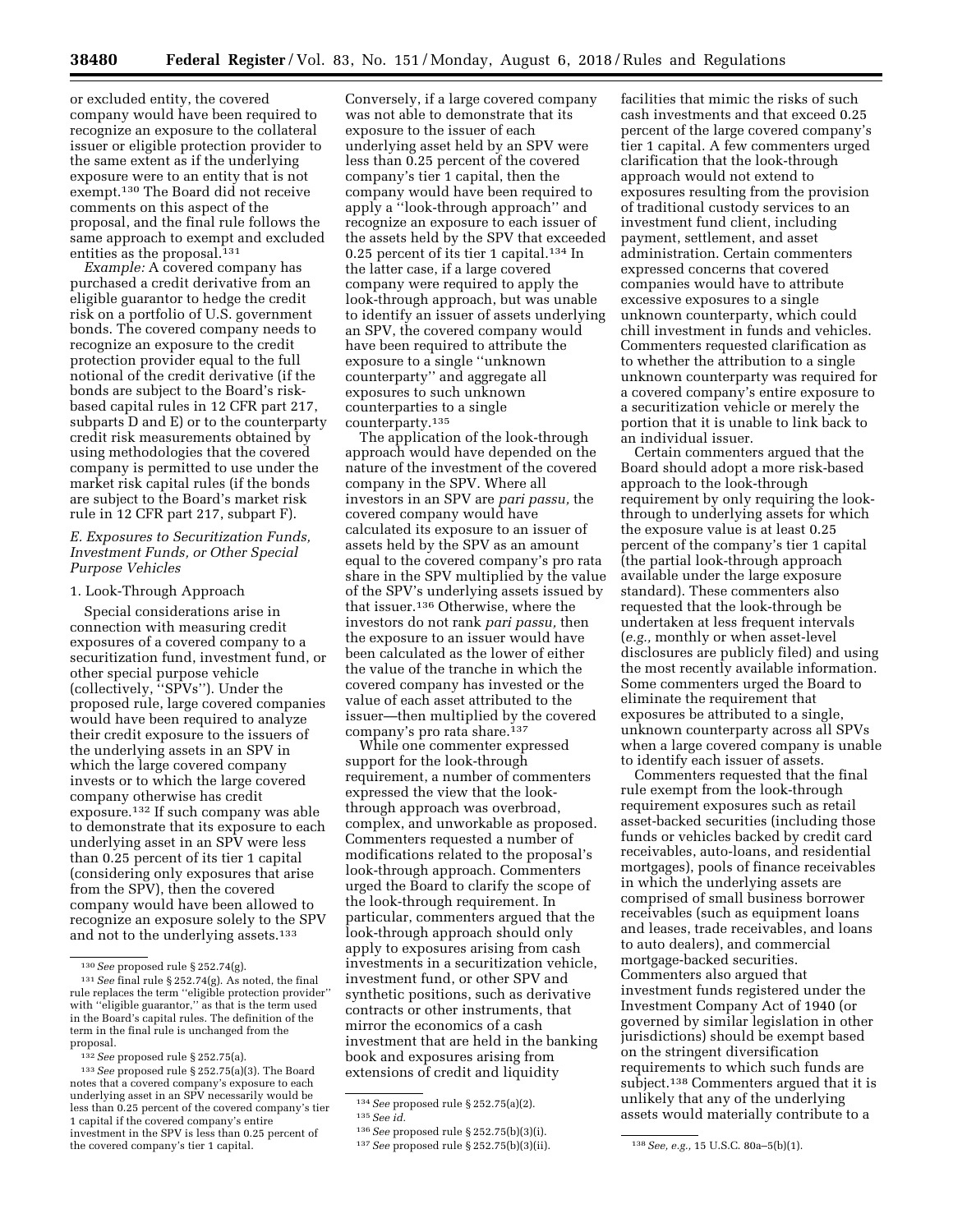or excluded entity, the covered company would have been required to recognize an exposure to the collateral issuer or eligible protection provider to the same extent as if the underlying exposure were to an entity that is not exempt.130 The Board did not receive comments on this aspect of the proposal, and the final rule follows the same approach to exempt and excluded entities as the proposal.<sup>131</sup>

*Example:* A covered company has purchased a credit derivative from an eligible guarantor to hedge the credit risk on a portfolio of U.S. government bonds. The covered company needs to recognize an exposure to the credit protection provider equal to the full notional of the credit derivative (if the bonds are subject to the Board's riskbased capital rules in 12 CFR part 217, subparts D and E) or to the counterparty credit risk measurements obtained by using methodologies that the covered company is permitted to use under the market risk capital rules (if the bonds are subject to the Board's market risk rule in 12 CFR part 217, subpart F).

# *E. Exposures to Securitization Funds, Investment Funds, or Other Special Purpose Vehicles*

## 1. Look-Through Approach

Special considerations arise in connection with measuring credit exposures of a covered company to a securitization fund, investment fund, or other special purpose vehicle (collectively, ''SPVs''). Under the proposed rule, large covered companies would have been required to analyze their credit exposure to the issuers of the underlying assets in an SPV in which the large covered company invests or to which the large covered company otherwise has credit exposure.132 If such company was able to demonstrate that its exposure to each underlying asset in an SPV were less than 0.25 percent of its tier 1 capital (considering only exposures that arise from the SPV), then the covered company would have been allowed to recognize an exposure solely to the SPV and not to the underlying assets.133

Conversely, if a large covered company was not able to demonstrate that its exposure to the issuer of each underlying asset held by an SPV were less than 0.25 percent of the covered company's tier 1 capital, then the company would have been required to apply a ''look-through approach'' and recognize an exposure to each issuer of the assets held by the SPV that exceeded 0.25 percent of its tier 1 capital.<sup>134</sup> In the latter case, if a large covered company were required to apply the look-through approach, but was unable to identify an issuer of assets underlying an SPV, the covered company would have been required to attribute the exposure to a single ''unknown counterparty'' and aggregate all exposures to such unknown counterparties to a single counterparty.135

The application of the look-through approach would have depended on the nature of the investment of the covered company in the SPV. Where all investors in an SPV are *pari passu,* the covered company would have calculated its exposure to an issuer of assets held by the SPV as an amount equal to the covered company's pro rata share in the SPV multiplied by the value of the SPV's underlying assets issued by that issuer.136 Otherwise, where the investors do not rank *pari passu,* then the exposure to an issuer would have been calculated as the lower of either the value of the tranche in which the covered company has invested or the value of each asset attributed to the issuer—then multiplied by the covered company's pro rata share.<sup>137</sup>

While one commenter expressed support for the look-through requirement, a number of commenters expressed the view that the lookthrough approach was overbroad, complex, and unworkable as proposed. Commenters requested a number of modifications related to the proposal's look-through approach. Commenters urged the Board to clarify the scope of the look-through requirement. In particular, commenters argued that the look-through approach should only apply to exposures arising from cash investments in a securitization vehicle, investment fund, or other SPV and synthetic positions, such as derivative contracts or other instruments, that mirror the economics of a cash investment that are held in the banking book and exposures arising from extensions of credit and liquidity

facilities that mimic the risks of such cash investments and that exceed 0.25 percent of the large covered company's tier 1 capital. A few commenters urged clarification that the look-through approach would not extend to exposures resulting from the provision of traditional custody services to an investment fund client, including payment, settlement, and asset administration. Certain commenters expressed concerns that covered companies would have to attribute excessive exposures to a single unknown counterparty, which could chill investment in funds and vehicles. Commenters requested clarification as to whether the attribution to a single unknown counterparty was required for a covered company's entire exposure to a securitization vehicle or merely the portion that it is unable to link back to an individual issuer.

Certain commenters argued that the Board should adopt a more risk-based approach to the look-through requirement by only requiring the lookthrough to underlying assets for which the exposure value is at least 0.25 percent of the company's tier 1 capital (the partial look-through approach available under the large exposure standard). These commenters also requested that the look-through be undertaken at less frequent intervals (*e.g.,* monthly or when asset-level disclosures are publicly filed) and using the most recently available information. Some commenters urged the Board to eliminate the requirement that exposures be attributed to a single, unknown counterparty across all SPVs when a large covered company is unable to identify each issuer of assets.

Commenters requested that the final rule exempt from the look-through requirement exposures such as retail asset-backed securities (including those funds or vehicles backed by credit card receivables, auto-loans, and residential mortgages), pools of finance receivables in which the underlying assets are comprised of small business borrower receivables (such as equipment loans and leases, trade receivables, and loans to auto dealers), and commercial mortgage-backed securities. Commenters also argued that investment funds registered under the Investment Company Act of 1940 (or governed by similar legislation in other jurisdictions) should be exempt based on the stringent diversification requirements to which such funds are subject.138 Commenters argued that it is unlikely that any of the underlying assets would materially contribute to a

<sup>130</sup>*See* proposed rule § 252.74(g).

<sup>131</sup>*See* final rule § 252.74(g). As noted, the final rule replaces the term ''eligible protection provider'' with ''eligible guarantor,'' as that is the term used in the Board's capital rules. The definition of the term in the final rule is unchanged from the proposal.

<sup>132</sup>*See* proposed rule § 252.75(a).

<sup>133</sup>*See* proposed rule § 252.75(a)(3). The Board notes that a covered company's exposure to each underlying asset in an SPV necessarily would be less than 0.25 percent of the covered company's tier 1 capital if the covered company's entire investment in the SPV is less than 0.25 percent of the covered company's tier 1 capital.

<sup>134</sup>*See* proposed rule § 252.75(a)(2).

<sup>135</sup>*See id.* 

<sup>136</sup>*See* proposed rule § 252.75(b)(3)(i).

<sup>137</sup>*See* proposed rule § 252.75(b)(3)(ii). 138*See, e.g.,* 15 U.S.C. 80a–5(b)(1).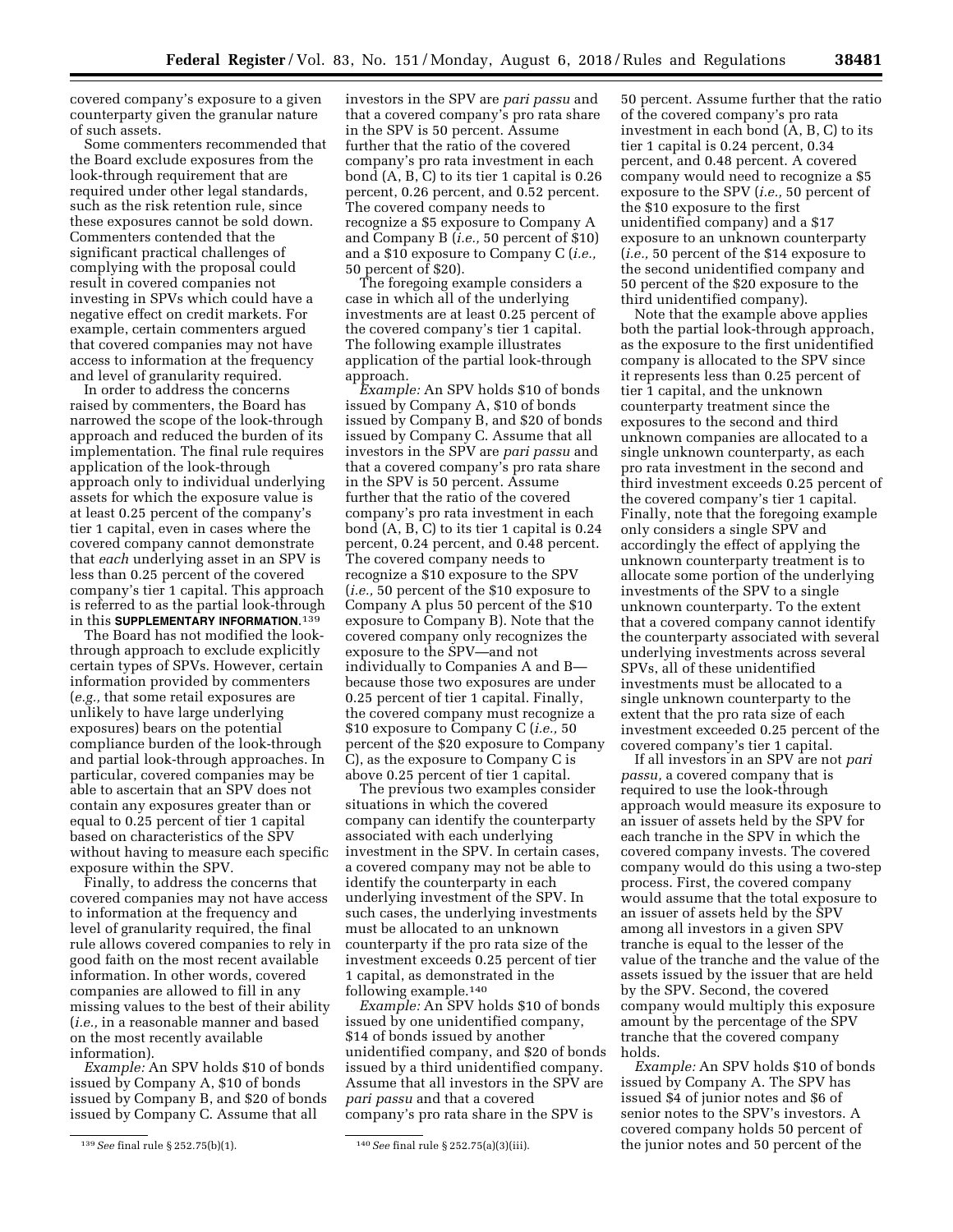covered company's exposure to a given counterparty given the granular nature of such assets.

Some commenters recommended that the Board exclude exposures from the look-through requirement that are required under other legal standards, such as the risk retention rule, since these exposures cannot be sold down. Commenters contended that the significant practical challenges of complying with the proposal could result in covered companies not investing in SPVs which could have a negative effect on credit markets. For example, certain commenters argued that covered companies may not have access to information at the frequency and level of granularity required.

In order to address the concerns raised by commenters, the Board has narrowed the scope of the look-through approach and reduced the burden of its implementation. The final rule requires application of the look-through approach only to individual underlying assets for which the exposure value is at least 0.25 percent of the company's tier 1 capital, even in cases where the covered company cannot demonstrate that *each* underlying asset in an SPV is less than 0.25 percent of the covered company's tier 1 capital. This approach is referred to as the partial look-through in this **SUPPLEMENTARY INFORMATION**.<sup>139</sup>

The Board has not modified the lookthrough approach to exclude explicitly certain types of SPVs. However, certain information provided by commenters (*e.g.,* that some retail exposures are unlikely to have large underlying exposures) bears on the potential compliance burden of the look-through and partial look-through approaches. In particular, covered companies may be able to ascertain that an SPV does not contain any exposures greater than or equal to 0.25 percent of tier 1 capital based on characteristics of the SPV without having to measure each specific exposure within the SPV.

Finally, to address the concerns that covered companies may not have access to information at the frequency and level of granularity required, the final rule allows covered companies to rely in good faith on the most recent available information. In other words, covered companies are allowed to fill in any missing values to the best of their ability (*i.e.,* in a reasonable manner and based on the most recently available information).

*Example:* An SPV holds \$10 of bonds issued by Company A, \$10 of bonds issued by Company B, and \$20 of bonds issued by Company C. Assume that all

investors in the SPV are *pari passu* and that a covered company's pro rata share in the SPV is 50 percent. Assume further that the ratio of the covered company's pro rata investment in each bond (A, B, C) to its tier 1 capital is 0.26 percent, 0.26 percent, and 0.52 percent. The covered company needs to recognize a \$5 exposure to Company A and Company B (*i.e.,* 50 percent of \$10) and a \$10 exposure to Company C (*i.e.,*  50 percent of \$20).

The foregoing example considers a case in which all of the underlying investments are at least 0.25 percent of the covered company's tier 1 capital. The following example illustrates application of the partial look-through approach.

*Example:* An SPV holds \$10 of bonds issued by Company A, \$10 of bonds issued by Company B, and \$20 of bonds issued by Company C. Assume that all investors in the SPV are *pari passu* and that a covered company's pro rata share in the SPV is 50 percent. Assume further that the ratio of the covered company's pro rata investment in each bond (A, B, C) to its tier 1 capital is 0.24 percent, 0.24 percent, and 0.48 percent. The covered company needs to recognize a \$10 exposure to the SPV (*i.e.,* 50 percent of the \$10 exposure to Company A plus 50 percent of the \$10 exposure to Company B). Note that the covered company only recognizes the exposure to the SPV—and not individually to Companies A and B because those two exposures are under 0.25 percent of tier 1 capital. Finally, the covered company must recognize a \$10 exposure to Company C (*i.e.,* 50 percent of the \$20 exposure to Company C), as the exposure to Company C is above 0.25 percent of tier 1 capital.

The previous two examples consider situations in which the covered company can identify the counterparty associated with each underlying investment in the SPV. In certain cases, a covered company may not be able to identify the counterparty in each underlying investment of the SPV. In such cases, the underlying investments must be allocated to an unknown counterparty if the pro rata size of the investment exceeds 0.25 percent of tier 1 capital, as demonstrated in the following example.140

*Example:* An SPV holds \$10 of bonds issued by one unidentified company, \$14 of bonds issued by another unidentified company, and \$20 of bonds issued by a third unidentified company. Assume that all investors in the SPV are *pari passu* and that a covered company's pro rata share in the SPV is

50 percent. Assume further that the ratio of the covered company's pro rata investment in each bond (A, B, C) to its tier 1 capital is 0.24 percent, 0.34 percent, and 0.48 percent. A covered company would need to recognize a \$5 exposure to the SPV (*i.e.,* 50 percent of the \$10 exposure to the first unidentified company) and a \$17 exposure to an unknown counterparty (*i.e.,* 50 percent of the \$14 exposure to the second unidentified company and 50 percent of the \$20 exposure to the third unidentified company).

Note that the example above applies both the partial look-through approach, as the exposure to the first unidentified company is allocated to the SPV since it represents less than 0.25 percent of tier 1 capital, and the unknown counterparty treatment since the exposures to the second and third unknown companies are allocated to a single unknown counterparty, as each pro rata investment in the second and third investment exceeds 0.25 percent of the covered company's tier 1 capital. Finally, note that the foregoing example only considers a single SPV and accordingly the effect of applying the unknown counterparty treatment is to allocate some portion of the underlying investments of the SPV to a single unknown counterparty. To the extent that a covered company cannot identify the counterparty associated with several underlying investments across several SPVs, all of these unidentified investments must be allocated to a single unknown counterparty to the extent that the pro rata size of each investment exceeded 0.25 percent of the covered company's tier 1 capital.

If all investors in an SPV are not *pari passu,* a covered company that is required to use the look-through approach would measure its exposure to an issuer of assets held by the SPV for each tranche in the SPV in which the covered company invests. The covered company would do this using a two-step process. First, the covered company would assume that the total exposure to an issuer of assets held by the SPV among all investors in a given SPV tranche is equal to the lesser of the value of the tranche and the value of the assets issued by the issuer that are held by the SPV. Second, the covered company would multiply this exposure amount by the percentage of the SPV tranche that the covered company holds.

*Example:* An SPV holds \$10 of bonds issued by Company A. The SPV has issued \$4 of junior notes and \$6 of senior notes to the SPV's investors. A covered company holds 50 percent of the junior notes and 50 percent of the

<sup>139</sup>*See* final rule § 252.75(b)(1). 140*See* final rule § 252.75(a)(3)(iii).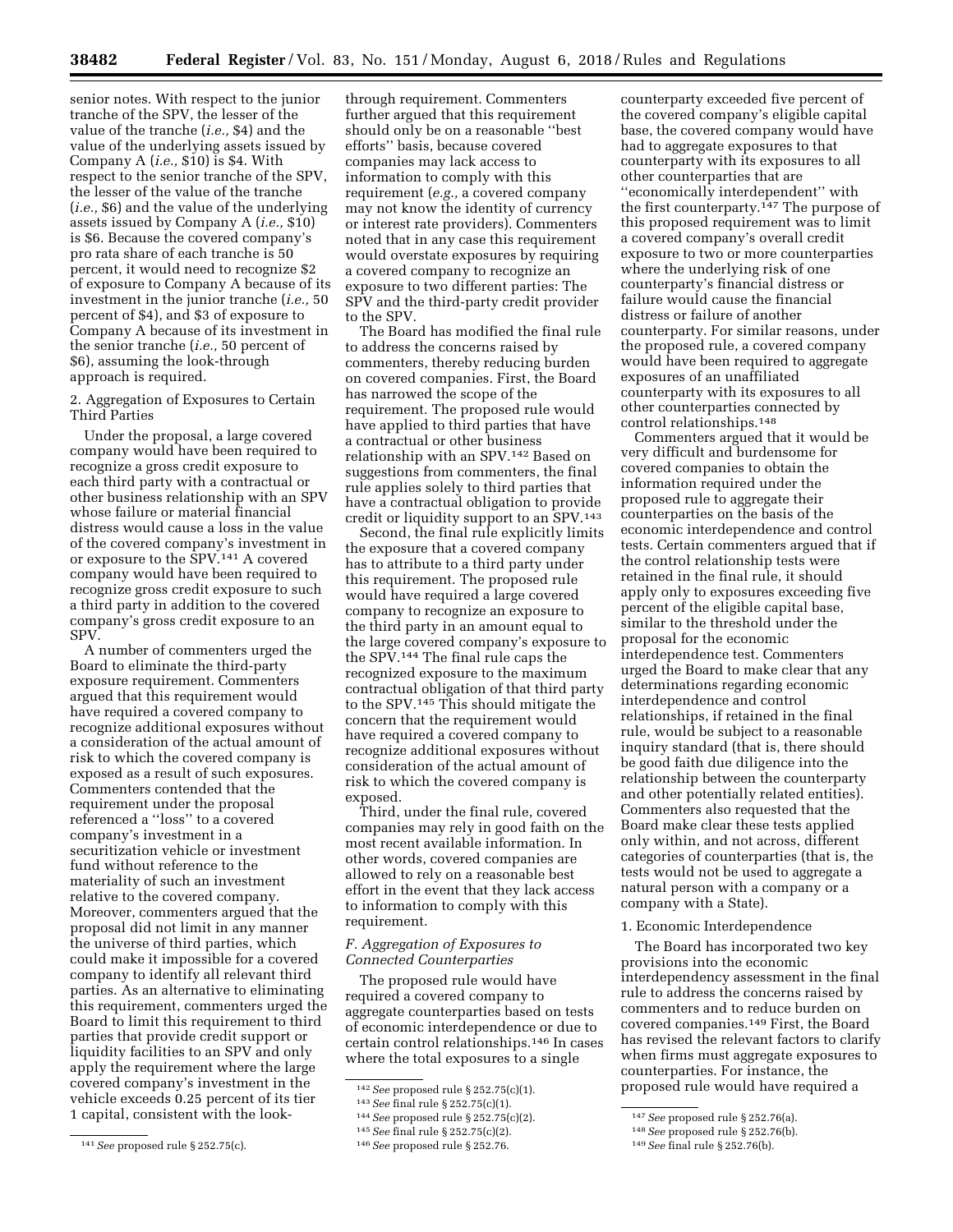senior notes. With respect to the junior tranche of the SPV, the lesser of the value of the tranche (*i.e.,* \$4) and the value of the underlying assets issued by Company A (*i.e.,* \$10) is \$4. With respect to the senior tranche of the SPV, the lesser of the value of the tranche (*i.e.,* \$6) and the value of the underlying assets issued by Company A (*i.e.,* \$10) is \$6. Because the covered company's pro rata share of each tranche is 50 percent, it would need to recognize \$2 of exposure to Company A because of its investment in the junior tranche (*i.e.,* 50 percent of \$4), and \$3 of exposure to Company A because of its investment in the senior tranche (*i.e.,* 50 percent of \$6), assuming the look-through approach is required.

2. Aggregation of Exposures to Certain Third Parties

Under the proposal, a large covered company would have been required to recognize a gross credit exposure to each third party with a contractual or other business relationship with an SPV whose failure or material financial distress would cause a loss in the value of the covered company's investment in or exposure to the SPV.141 A covered company would have been required to recognize gross credit exposure to such a third party in addition to the covered company's gross credit exposure to an SPV.

A number of commenters urged the Board to eliminate the third-party exposure requirement. Commenters argued that this requirement would have required a covered company to recognize additional exposures without a consideration of the actual amount of risk to which the covered company is exposed as a result of such exposures. Commenters contended that the requirement under the proposal referenced a ''loss'' to a covered company's investment in a securitization vehicle or investment fund without reference to the materiality of such an investment relative to the covered company. Moreover, commenters argued that the proposal did not limit in any manner the universe of third parties, which could make it impossible for a covered company to identify all relevant third parties. As an alternative to eliminating this requirement, commenters urged the Board to limit this requirement to third parties that provide credit support or liquidity facilities to an SPV and only apply the requirement where the large covered company's investment in the vehicle exceeds 0.25 percent of its tier 1 capital, consistent with the look-

through requirement. Commenters further argued that this requirement should only be on a reasonable ''best efforts'' basis, because covered companies may lack access to information to comply with this requirement (*e.g.,* a covered company may not know the identity of currency or interest rate providers). Commenters noted that in any case this requirement would overstate exposures by requiring a covered company to recognize an exposure to two different parties: The SPV and the third-party credit provider to the SPV.

The Board has modified the final rule to address the concerns raised by commenters, thereby reducing burden on covered companies. First, the Board has narrowed the scope of the requirement. The proposed rule would have applied to third parties that have a contractual or other business relationship with an SPV.142 Based on suggestions from commenters, the final rule applies solely to third parties that have a contractual obligation to provide credit or liquidity support to an SPV.143

Second, the final rule explicitly limits the exposure that a covered company has to attribute to a third party under this requirement. The proposed rule would have required a large covered company to recognize an exposure to the third party in an amount equal to the large covered company's exposure to the SPV.144 The final rule caps the recognized exposure to the maximum contractual obligation of that third party to the SPV.145 This should mitigate the concern that the requirement would have required a covered company to recognize additional exposures without consideration of the actual amount of risk to which the covered company is exposed.

Third, under the final rule, covered companies may rely in good faith on the most recent available information. In other words, covered companies are allowed to rely on a reasonable best effort in the event that they lack access to information to comply with this requirement.

# *F. Aggregation of Exposures to Connected Counterparties*

The proposed rule would have required a covered company to aggregate counterparties based on tests of economic interdependence or due to certain control relationships.146 In cases where the total exposures to a single

counterparty exceeded five percent of the covered company's eligible capital base, the covered company would have had to aggregate exposures to that counterparty with its exposures to all other counterparties that are ''economically interdependent'' with the first counterparty.147 The purpose of this proposed requirement was to limit a covered company's overall credit exposure to two or more counterparties where the underlying risk of one counterparty's financial distress or failure would cause the financial distress or failure of another counterparty. For similar reasons, under the proposed rule, a covered company would have been required to aggregate exposures of an unaffiliated counterparty with its exposures to all other counterparties connected by control relationships.148

Commenters argued that it would be very difficult and burdensome for covered companies to obtain the information required under the proposed rule to aggregate their counterparties on the basis of the economic interdependence and control tests. Certain commenters argued that if the control relationship tests were retained in the final rule, it should apply only to exposures exceeding five percent of the eligible capital base, similar to the threshold under the proposal for the economic interdependence test. Commenters urged the Board to make clear that any determinations regarding economic interdependence and control relationships, if retained in the final rule, would be subject to a reasonable inquiry standard (that is, there should be good faith due diligence into the relationship between the counterparty and other potentially related entities). Commenters also requested that the Board make clear these tests applied only within, and not across, different categories of counterparties (that is, the tests would not be used to aggregate a natural person with a company or a company with a State).

#### 1. Economic Interdependence

The Board has incorporated two key provisions into the economic interdependency assessment in the final rule to address the concerns raised by commenters and to reduce burden on covered companies.149 First, the Board has revised the relevant factors to clarify when firms must aggregate exposures to counterparties. For instance, the proposed rule would have required a

<sup>141</sup>*See* proposed rule § 252.75(c).

<sup>142</sup>*See* proposed rule § 252.75(c)(1).

<sup>143</sup>*See* final rule § 252.75(c)(1).

<sup>144</sup>*See* proposed rule § 252.75(c)(2).

<sup>145</sup>*See* final rule § 252.75(c)(2).

<sup>146</sup>*See* proposed rule § 252.76.

<sup>147</sup>*See* proposed rule § 252.76(a).

<sup>148</sup>*See* proposed rule § 252.76(b).

<sup>149</sup>*See* final rule § 252.76(b).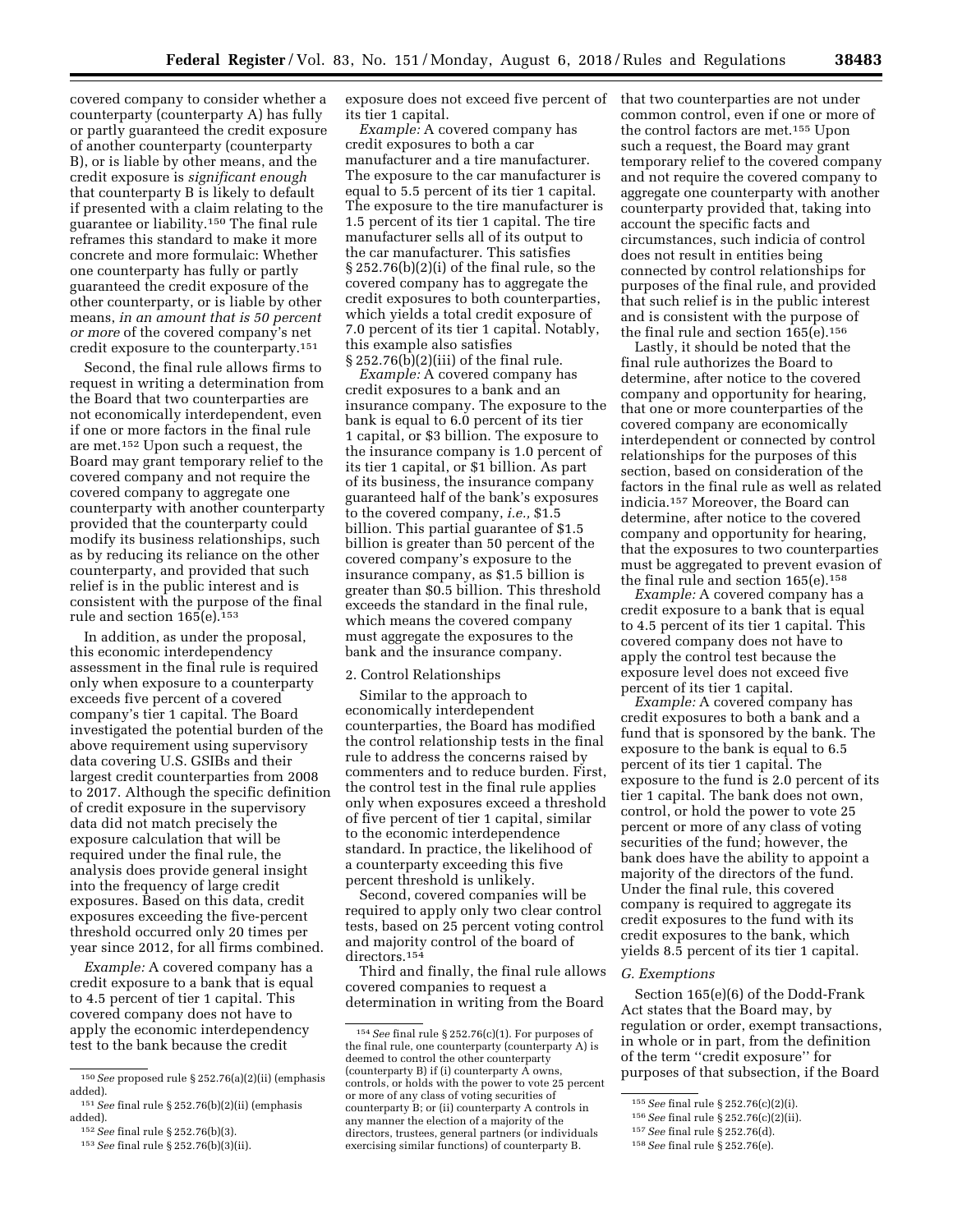covered company to consider whether a counterparty (counterparty A) has fully or partly guaranteed the credit exposure of another counterparty (counterparty B), or is liable by other means, and the credit exposure is *significant enough*  that counterparty B is likely to default if presented with a claim relating to the guarantee or liability.150 The final rule reframes this standard to make it more concrete and more formulaic: Whether one counterparty has fully or partly guaranteed the credit exposure of the other counterparty, or is liable by other means, *in an amount that is 50 percent or more* of the covered company's net credit exposure to the counterparty.151

Second, the final rule allows firms to request in writing a determination from the Board that two counterparties are not economically interdependent, even if one or more factors in the final rule are met.152 Upon such a request, the Board may grant temporary relief to the covered company and not require the covered company to aggregate one counterparty with another counterparty provided that the counterparty could modify its business relationships, such as by reducing its reliance on the other counterparty, and provided that such relief is in the public interest and is consistent with the purpose of the final rule and section 165(e).153

In addition, as under the proposal, this economic interdependency assessment in the final rule is required only when exposure to a counterparty exceeds five percent of a covered company's tier 1 capital. The Board investigated the potential burden of the above requirement using supervisory data covering U.S. GSIBs and their largest credit counterparties from 2008 to 2017. Although the specific definition of credit exposure in the supervisory data did not match precisely the exposure calculation that will be required under the final rule, the analysis does provide general insight into the frequency of large credit exposures. Based on this data, credit exposures exceeding the five-percent threshold occurred only 20 times per year since 2012, for all firms combined.

*Example:* A covered company has a credit exposure to a bank that is equal to 4.5 percent of tier 1 capital. This covered company does not have to apply the economic interdependency test to the bank because the credit

153*See* final rule § 252.76(b)(3)(ii).

exposure does not exceed five percent of that two counterparties are not under its tier 1 capital.

*Example:* A covered company has credit exposures to both a car manufacturer and a tire manufacturer. The exposure to the car manufacturer is equal to 5.5 percent of its tier 1 capital. The exposure to the tire manufacturer is 1.5 percent of its tier 1 capital. The tire manufacturer sells all of its output to the car manufacturer. This satisfies § 252.76(b)(2)(i) of the final rule, so the covered company has to aggregate the credit exposures to both counterparties, which yields a total credit exposure of 7.0 percent of its tier 1 capital. Notably, this example also satisfies § 252.76(b)(2)(iii) of the final rule.

*Example:* A covered company has credit exposures to a bank and an insurance company. The exposure to the bank is equal to 6.0 percent of its tier 1 capital, or \$3 billion. The exposure to the insurance company is 1.0 percent of its tier 1 capital, or \$1 billion. As part of its business, the insurance company guaranteed half of the bank's exposures to the covered company, *i.e.,* \$1.5 billion. This partial guarantee of \$1.5 billion is greater than 50 percent of the covered company's exposure to the insurance company, as \$1.5 billion is greater than \$0.5 billion. This threshold exceeds the standard in the final rule, which means the covered company must aggregate the exposures to the bank and the insurance company.

#### 2. Control Relationships

Similar to the approach to economically interdependent counterparties, the Board has modified the control relationship tests in the final rule to address the concerns raised by commenters and to reduce burden. First, the control test in the final rule applies only when exposures exceed a threshold of five percent of tier 1 capital, similar to the economic interdependence standard. In practice, the likelihood of a counterparty exceeding this five percent threshold is unlikely.

Second, covered companies will be required to apply only two clear control tests, based on 25 percent voting control and majority control of the board of directors.154

Third and finally, the final rule allows covered companies to request a determination in writing from the Board

common control, even if one or more of the control factors are met.155 Upon such a request, the Board may grant temporary relief to the covered company and not require the covered company to aggregate one counterparty with another counterparty provided that, taking into account the specific facts and circumstances, such indicia of control does not result in entities being connected by control relationships for purposes of the final rule, and provided that such relief is in the public interest and is consistent with the purpose of the final rule and section 165(e).156

Lastly, it should be noted that the final rule authorizes the Board to determine, after notice to the covered company and opportunity for hearing, that one or more counterparties of the covered company are economically interdependent or connected by control relationships for the purposes of this section, based on consideration of the factors in the final rule as well as related indicia.157 Moreover, the Board can determine, after notice to the covered company and opportunity for hearing, that the exposures to two counterparties must be aggregated to prevent evasion of the final rule and section  $165(e).$ <sup>158</sup>

*Example:* A covered company has a credit exposure to a bank that is equal to 4.5 percent of its tier 1 capital. This covered company does not have to apply the control test because the exposure level does not exceed five percent of its tier 1 capital.

*Example:* A covered company has credit exposures to both a bank and a fund that is sponsored by the bank. The exposure to the bank is equal to 6.5 percent of its tier 1 capital. The exposure to the fund is 2.0 percent of its tier 1 capital. The bank does not own, control, or hold the power to vote 25 percent or more of any class of voting securities of the fund; however, the bank does have the ability to appoint a majority of the directors of the fund. Under the final rule, this covered company is required to aggregate its credit exposures to the fund with its credit exposures to the bank, which yields 8.5 percent of its tier 1 capital.

# *G. Exemptions*

Section 165(e)(6) of the Dodd-Frank Act states that the Board may, by regulation or order, exempt transactions, in whole or in part, from the definition of the term ''credit exposure'' for purposes of that subsection, if the Board

<sup>150</sup>*See* proposed rule § 252.76(a)(2)(ii) (emphasis added).

<sup>151</sup>*See* final rule § 252.76(b)(2)(ii) (emphasis added).

<sup>152</sup>*See* final rule § 252.76(b)(3).

<sup>154</sup>*See* final rule § 252.76(c)(1). For purposes of the final rule, one counterparty (counterparty A) is deemed to control the other counterparty (counterparty B) if (i) counterparty  $\tilde{A}$  owns, controls, or holds with the power to vote 25 percent or more of any class of voting securities of counterparty B; or (ii) counterparty A controls in any manner the election of a majority of the directors, trustees, general partners (or individuals exercising similar functions) of counterparty B.

<sup>155</sup>*See* final rule § 252.76(c)(2)(i).

<sup>156</sup>*See* final rule § 252.76(c)(2)(ii).

<sup>157</sup>*See* final rule § 252.76(d).

<sup>158</sup>*See* final rule § 252.76(e).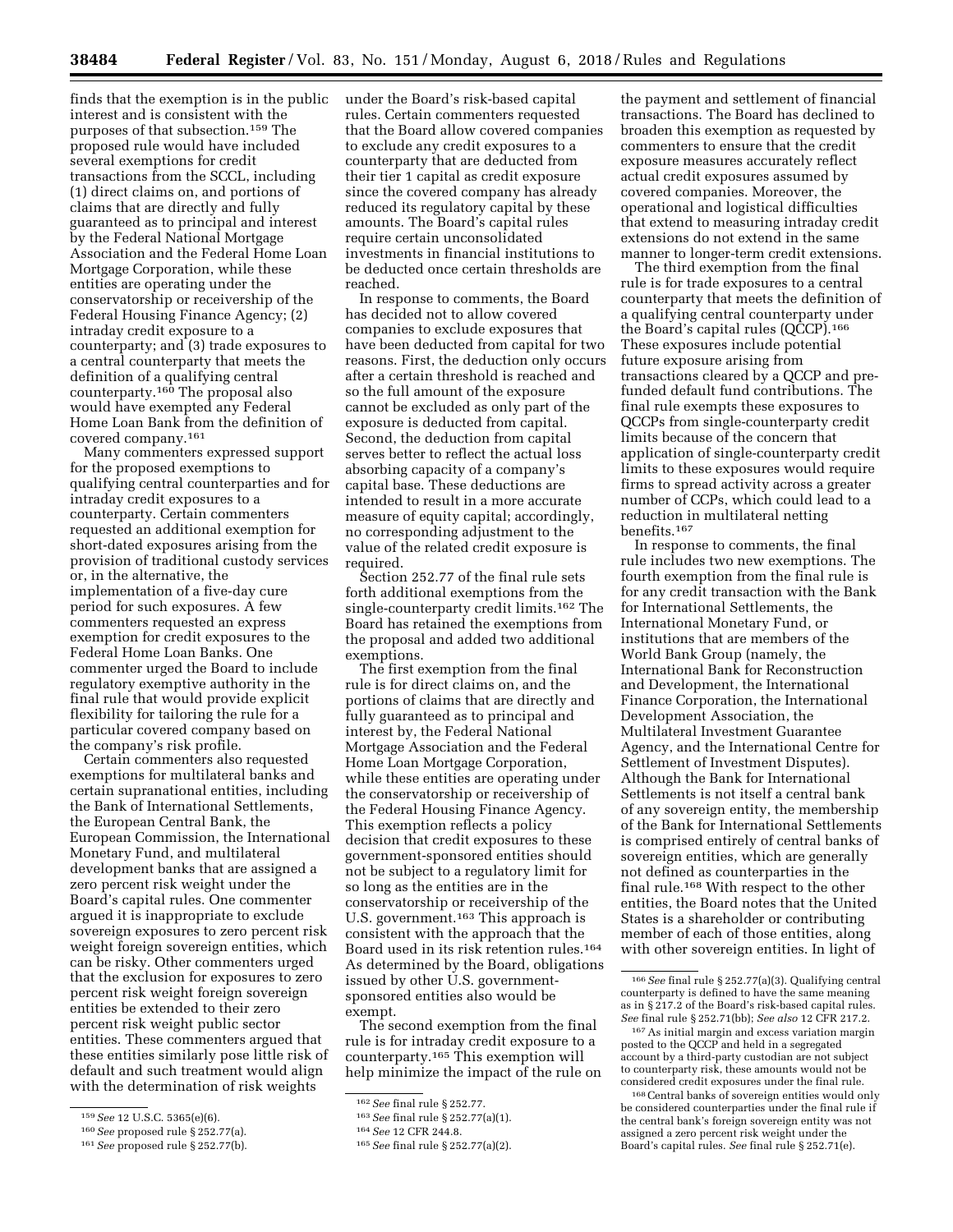finds that the exemption is in the public interest and is consistent with the purposes of that subsection.159 The proposed rule would have included several exemptions for credit transactions from the SCCL, including (1) direct claims on, and portions of claims that are directly and fully guaranteed as to principal and interest by the Federal National Mortgage Association and the Federal Home Loan Mortgage Corporation, while these entities are operating under the conservatorship or receivership of the Federal Housing Finance Agency; (2) intraday credit exposure to a counterparty; and (3) trade exposures to a central counterparty that meets the definition of a qualifying central counterparty.160 The proposal also would have exempted any Federal Home Loan Bank from the definition of covered company.161

Many commenters expressed support for the proposed exemptions to qualifying central counterparties and for intraday credit exposures to a counterparty. Certain commenters requested an additional exemption for short-dated exposures arising from the provision of traditional custody services or, in the alternative, the implementation of a five-day cure period for such exposures. A few commenters requested an express exemption for credit exposures to the Federal Home Loan Banks. One commenter urged the Board to include regulatory exemptive authority in the final rule that would provide explicit flexibility for tailoring the rule for a particular covered company based on the company's risk profile.

Certain commenters also requested exemptions for multilateral banks and certain supranational entities, including the Bank of International Settlements, the European Central Bank, the European Commission, the International Monetary Fund, and multilateral development banks that are assigned a zero percent risk weight under the Board's capital rules. One commenter argued it is inappropriate to exclude sovereign exposures to zero percent risk weight foreign sovereign entities, which can be risky. Other commenters urged that the exclusion for exposures to zero percent risk weight foreign sovereign entities be extended to their zero percent risk weight public sector entities. These commenters argued that these entities similarly pose little risk of default and such treatment would align with the determination of risk weights

under the Board's risk-based capital rules. Certain commenters requested that the Board allow covered companies to exclude any credit exposures to a counterparty that are deducted from their tier 1 capital as credit exposure since the covered company has already reduced its regulatory capital by these amounts. The Board's capital rules require certain unconsolidated investments in financial institutions to be deducted once certain thresholds are reached.

In response to comments, the Board has decided not to allow covered companies to exclude exposures that have been deducted from capital for two reasons. First, the deduction only occurs after a certain threshold is reached and so the full amount of the exposure cannot be excluded as only part of the exposure is deducted from capital. Second, the deduction from capital serves better to reflect the actual loss absorbing capacity of a company's capital base. These deductions are intended to result in a more accurate measure of equity capital; accordingly, no corresponding adjustment to the value of the related credit exposure is required.

Section 252.77 of the final rule sets forth additional exemptions from the single-counterparty credit limits.162 The Board has retained the exemptions from the proposal and added two additional exemptions.

The first exemption from the final rule is for direct claims on, and the portions of claims that are directly and fully guaranteed as to principal and interest by, the Federal National Mortgage Association and the Federal Home Loan Mortgage Corporation, while these entities are operating under the conservatorship or receivership of the Federal Housing Finance Agency. This exemption reflects a policy decision that credit exposures to these government-sponsored entities should not be subject to a regulatory limit for so long as the entities are in the conservatorship or receivership of the U.S. government.<sup>163</sup> This approach is consistent with the approach that the Board used in its risk retention rules.164 As determined by the Board, obligations issued by other U.S. governmentsponsored entities also would be exempt.

The second exemption from the final rule is for intraday credit exposure to a counterparty.165 This exemption will help minimize the impact of the rule on

the payment and settlement of financial transactions. The Board has declined to broaden this exemption as requested by commenters to ensure that the credit exposure measures accurately reflect actual credit exposures assumed by covered companies. Moreover, the operational and logistical difficulties that extend to measuring intraday credit extensions do not extend in the same manner to longer-term credit extensions.

The third exemption from the final rule is for trade exposures to a central counterparty that meets the definition of a qualifying central counterparty under the Board's capital rules (QCCP).166 These exposures include potential future exposure arising from transactions cleared by a QCCP and prefunded default fund contributions. The final rule exempts these exposures to QCCPs from single-counterparty credit limits because of the concern that application of single-counterparty credit limits to these exposures would require firms to spread activity across a greater number of CCPs, which could lead to a reduction in multilateral netting benefits.167

In response to comments, the final rule includes two new exemptions. The fourth exemption from the final rule is for any credit transaction with the Bank for International Settlements, the International Monetary Fund, or institutions that are members of the World Bank Group (namely, the International Bank for Reconstruction and Development, the International Finance Corporation, the International Development Association, the Multilateral Investment Guarantee Agency, and the International Centre for Settlement of Investment Disputes). Although the Bank for International Settlements is not itself a central bank of any sovereign entity, the membership of the Bank for International Settlements is comprised entirely of central banks of sovereign entities, which are generally not defined as counterparties in the final rule.168 With respect to the other entities, the Board notes that the United States is a shareholder or contributing member of each of those entities, along with other sovereign entities. In light of

<sup>159</sup>*See* 12 U.S.C. 5365(e)(6).

<sup>160</sup>*See* proposed rule § 252.77(a).

<sup>161</sup>*See* proposed rule § 252.77(b).

<sup>162</sup>*See* final rule § 252.77.

<sup>163</sup>*See* final rule § 252.77(a)(1).

<sup>164</sup>*See* 12 CFR 244.8.

<sup>165</sup>*See* final rule § 252.77(a)(2).

<sup>166</sup>*See* final rule § 252.77(a)(3). Qualifying central counterparty is defined to have the same meaning as in § 217.2 of the Board's risk-based capital rules. *See* final rule § 252.71(bb); *See also* 12 CFR 217.2.

<sup>167</sup>As initial margin and excess variation margin posted to the QCCP and held in a segregated account by a third-party custodian are not subject to counterparty risk, these amounts would not be considered credit exposures under the final rule.

<sup>168</sup>Central banks of sovereign entities would only be considered counterparties under the final rule if the central bank's foreign sovereign entity was not assigned a zero percent risk weight under the Board's capital rules. *See* final rule § 252.71(e).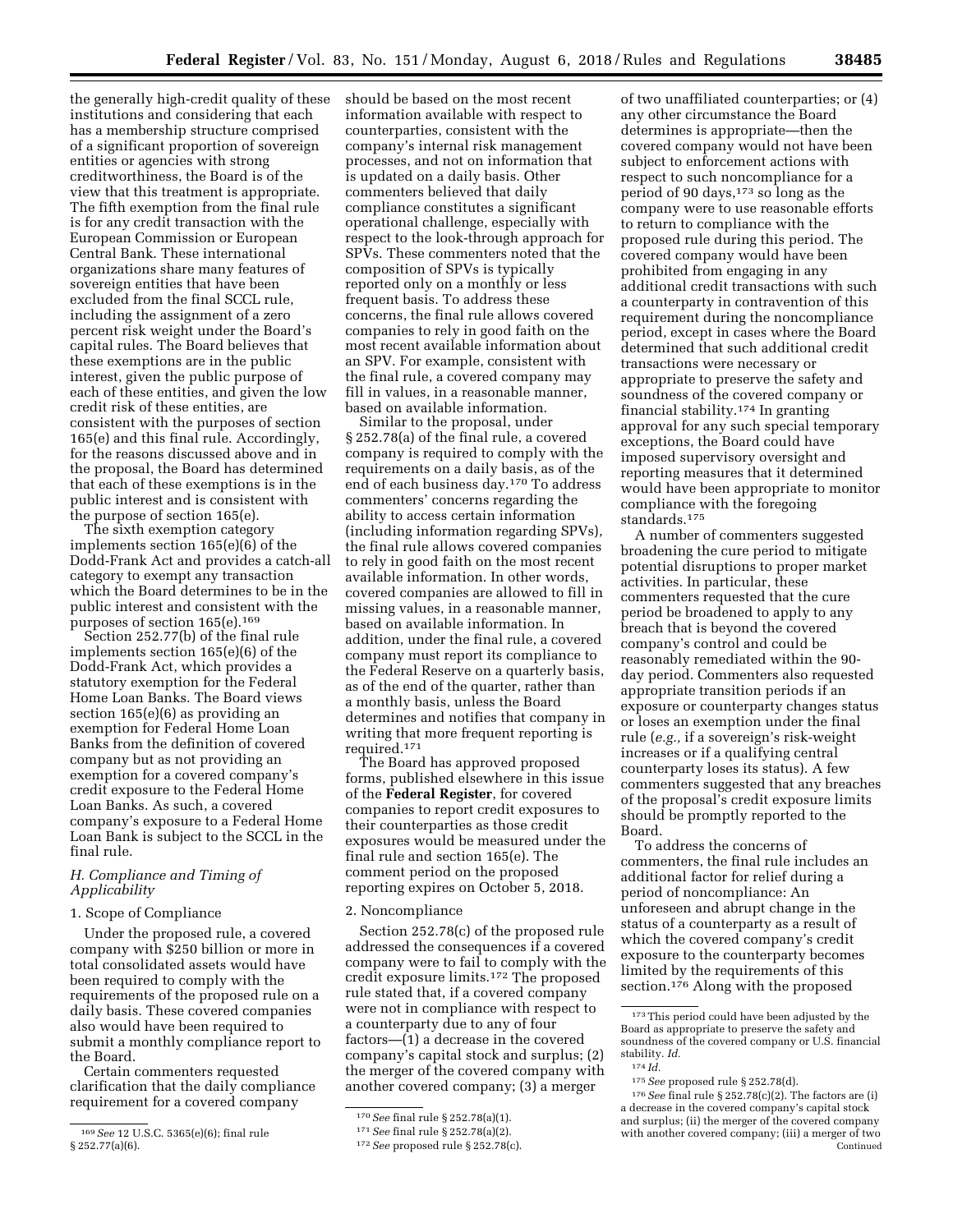the generally high-credit quality of these institutions and considering that each has a membership structure comprised of a significant proportion of sovereign entities or agencies with strong creditworthiness, the Board is of the view that this treatment is appropriate. The fifth exemption from the final rule is for any credit transaction with the European Commission or European Central Bank. These international organizations share many features of sovereign entities that have been excluded from the final SCCL rule, including the assignment of a zero percent risk weight under the Board's capital rules. The Board believes that these exemptions are in the public interest, given the public purpose of each of these entities, and given the low credit risk of these entities, are consistent with the purposes of section 165(e) and this final rule. Accordingly, for the reasons discussed above and in the proposal, the Board has determined that each of these exemptions is in the public interest and is consistent with the purpose of section 165(e).

The sixth exemption category implements section 165(e)(6) of the Dodd-Frank Act and provides a catch-all category to exempt any transaction which the Board determines to be in the public interest and consistent with the purposes of section 165(e).<sup>169</sup>

Section 252.77(b) of the final rule implements section 165(e)(6) of the Dodd-Frank Act, which provides a statutory exemption for the Federal Home Loan Banks. The Board views section 165(e)(6) as providing an exemption for Federal Home Loan Banks from the definition of covered company but as not providing an exemption for a covered company's credit exposure to the Federal Home Loan Banks. As such, a covered company's exposure to a Federal Home Loan Bank is subject to the SCCL in the final rule.

# *H. Compliance and Timing of Applicability*

# 1. Scope of Compliance

Under the proposed rule, a covered company with \$250 billion or more in total consolidated assets would have been required to comply with the requirements of the proposed rule on a daily basis. These covered companies also would have been required to submit a monthly compliance report to the Board.

Certain commenters requested clarification that the daily compliance requirement for a covered company

should be based on the most recent information available with respect to counterparties, consistent with the company's internal risk management processes, and not on information that is updated on a daily basis. Other commenters believed that daily compliance constitutes a significant operational challenge, especially with respect to the look-through approach for SPVs. These commenters noted that the composition of SPVs is typically reported only on a monthly or less frequent basis. To address these concerns, the final rule allows covered companies to rely in good faith on the most recent available information about an SPV. For example, consistent with the final rule, a covered company may fill in values, in a reasonable manner, based on available information.

Similar to the proposal, under § 252.78(a) of the final rule, a covered company is required to comply with the requirements on a daily basis, as of the end of each business day.170 To address commenters' concerns regarding the ability to access certain information (including information regarding SPVs), the final rule allows covered companies to rely in good faith on the most recent available information. In other words, covered companies are allowed to fill in missing values, in a reasonable manner, based on available information. In addition, under the final rule, a covered company must report its compliance to the Federal Reserve on a quarterly basis, as of the end of the quarter, rather than a monthly basis, unless the Board determines and notifies that company in writing that more frequent reporting is required.171

The Board has approved proposed forms, published elsewhere in this issue of the **Federal Register**, for covered companies to report credit exposures to their counterparties as those credit exposures would be measured under the final rule and section 165(e). The comment period on the proposed reporting expires on October 5, 2018.

# 2. Noncompliance

Section 252.78(c) of the proposed rule addressed the consequences if a covered company were to fail to comply with the credit exposure limits.172 The proposed rule stated that, if a covered company were not in compliance with respect to a counterparty due to any of four factors—(1) a decrease in the covered company's capital stock and surplus; (2) the merger of the covered company with another covered company; (3) a merger

of two unaffiliated counterparties; or (4) any other circumstance the Board determines is appropriate—then the covered company would not have been subject to enforcement actions with respect to such noncompliance for a period of 90 days,  $173$  so long as the company were to use reasonable efforts to return to compliance with the proposed rule during this period. The covered company would have been prohibited from engaging in any additional credit transactions with such a counterparty in contravention of this requirement during the noncompliance period, except in cases where the Board determined that such additional credit transactions were necessary or appropriate to preserve the safety and soundness of the covered company or financial stability.174 In granting approval for any such special temporary exceptions, the Board could have imposed supervisory oversight and reporting measures that it determined would have been appropriate to monitor compliance with the foregoing standards.175

A number of commenters suggested broadening the cure period to mitigate potential disruptions to proper market activities. In particular, these commenters requested that the cure period be broadened to apply to any breach that is beyond the covered company's control and could be reasonably remediated within the 90 day period. Commenters also requested appropriate transition periods if an exposure or counterparty changes status or loses an exemption under the final rule (*e.g.,* if a sovereign's risk-weight increases or if a qualifying central counterparty loses its status). A few commenters suggested that any breaches of the proposal's credit exposure limits should be promptly reported to the Board.

To address the concerns of commenters, the final rule includes an additional factor for relief during a period of noncompliance: An unforeseen and abrupt change in the status of a counterparty as a result of which the covered company's credit exposure to the counterparty becomes limited by the requirements of this section.176 Along with the proposed

<sup>169</sup>*See* 12 U.S.C. 5365(e)(6); final rule § 252.77(a)(6).

<sup>170</sup>*See* final rule § 252.78(a)(1).

<sup>171</sup>*See* final rule § 252.78(a)(2).

<sup>172</sup>*See* proposed rule § 252.78(c).

<sup>173</sup>This period could have been adjusted by the Board as appropriate to preserve the safety and soundness of the covered company or U.S. financial stability. *Id.*  174 *Id.* 

<sup>175</sup>*See* proposed rule § 252.78(d).

<sup>176</sup>*See* final rule § 252.78(c)(2). The factors are (i) a decrease in the covered company's capital stock and surplus; (ii) the merger of the covered company with another covered company; (iii) a merger of two Continued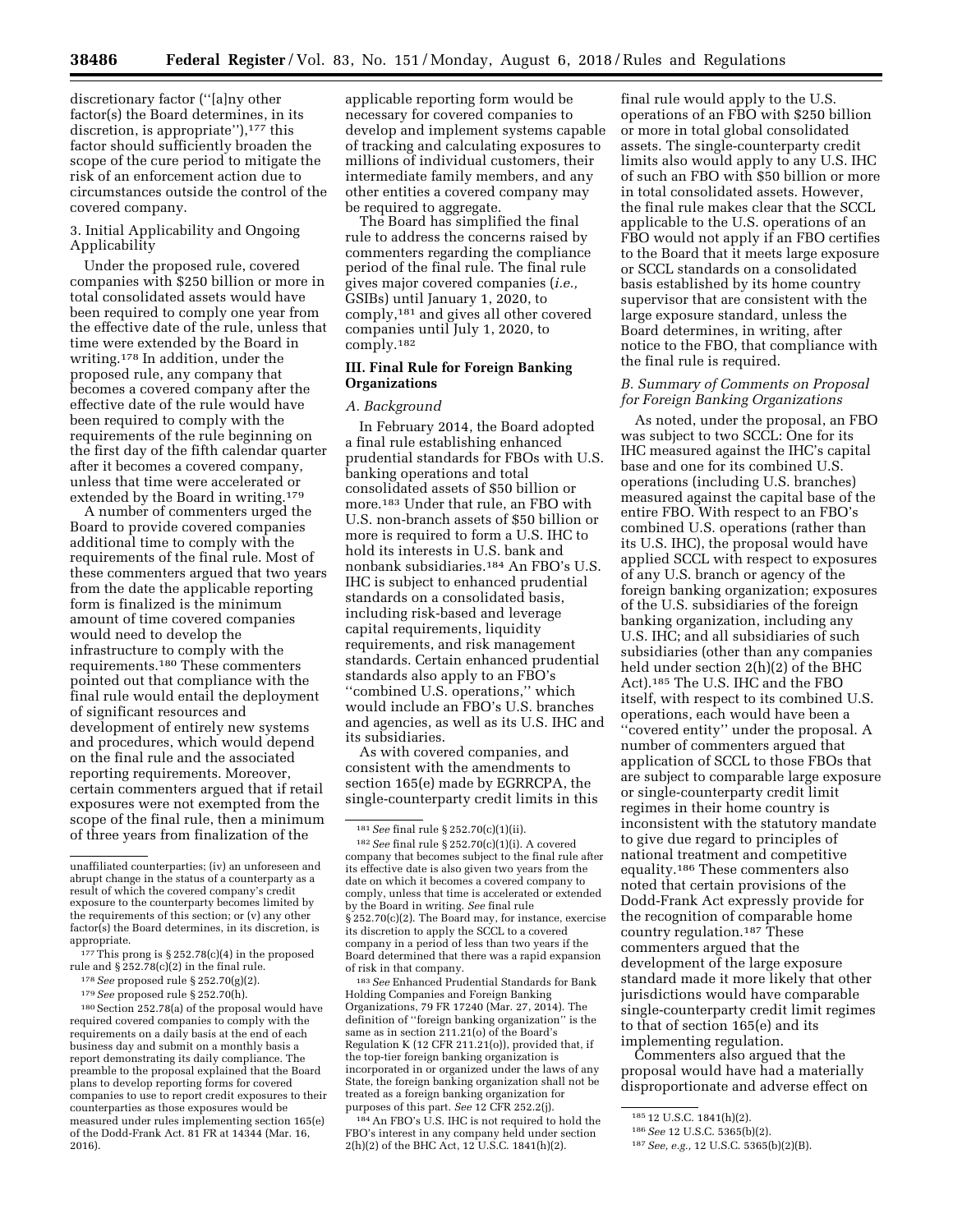discretionary factor (''[a]ny other factor(s) the Board determines, in its discretion, is appropriate"),<sup>177</sup> this factor should sufficiently broaden the scope of the cure period to mitigate the risk of an enforcement action due to circumstances outside the control of the covered company.

# 3. Initial Applicability and Ongoing Applicability

Under the proposed rule, covered companies with \$250 billion or more in total consolidated assets would have been required to comply one year from the effective date of the rule, unless that time were extended by the Board in writing.178 In addition, under the proposed rule, any company that becomes a covered company after the effective date of the rule would have been required to comply with the requirements of the rule beginning on the first day of the fifth calendar quarter after it becomes a covered company, unless that time were accelerated or extended by the Board in writing.<sup>179</sup>

A number of commenters urged the Board to provide covered companies additional time to comply with the requirements of the final rule. Most of these commenters argued that two years from the date the applicable reporting form is finalized is the minimum amount of time covered companies would need to develop the infrastructure to comply with the requirements.180 These commenters pointed out that compliance with the final rule would entail the deployment of significant resources and development of entirely new systems and procedures, which would depend on the final rule and the associated reporting requirements. Moreover, certain commenters argued that if retail exposures were not exempted from the scope of the final rule, then a minimum of three years from finalization of the

180Section 252.78(a) of the proposal would have required covered companies to comply with the requirements on a daily basis at the end of each business day and submit on a monthly basis a report demonstrating its daily compliance. The preamble to the proposal explained that the Board plans to develop reporting forms for covered companies to use to report credit exposures to their counterparties as those exposures would be measured under rules implementing section 165(e) of the Dodd-Frank Act. 81 FR at 14344 (Mar. 16, 2016).

applicable reporting form would be necessary for covered companies to develop and implement systems capable of tracking and calculating exposures to millions of individual customers, their intermediate family members, and any other entities a covered company may be required to aggregate.

The Board has simplified the final rule to address the concerns raised by commenters regarding the compliance period of the final rule. The final rule gives major covered companies (*i.e.,*  GSIBs) until January 1, 2020, to comply,181 and gives all other covered companies until July 1, 2020, to comply.182

# **III. Final Rule for Foreign Banking Organizations**

#### *A. Background*

In February 2014, the Board adopted a final rule establishing enhanced prudential standards for FBOs with U.S. banking operations and total consolidated assets of \$50 billion or more.183 Under that rule, an FBO with U.S. non-branch assets of \$50 billion or more is required to form a U.S. IHC to hold its interests in U.S. bank and nonbank subsidiaries.184 An FBO's U.S. IHC is subject to enhanced prudential standards on a consolidated basis, including risk-based and leverage capital requirements, liquidity requirements, and risk management standards. Certain enhanced prudential standards also apply to an FBO's "combined U.S. operations," which would include an FBO's U.S. branches and agencies, as well as its U.S. IHC and its subsidiaries.

As with covered companies, and consistent with the amendments to section 165(e) made by EGRRCPA, the single-counterparty credit limits in this

183*See* Enhanced Prudential Standards for Bank Holding Companies and Foreign Banking Organizations, 79 FR 17240 (Mar. 27, 2014). The definition of ''foreign banking organization'' is the same as in section 211.21(o) of the Board's Regulation K (12 CFR 211.21(o)), provided that, if the top-tier foreign banking organization is incorporated in or organized under the laws of any State, the foreign banking organization shall not be treated as a foreign banking organization for purposes of this part. *See* 12 CFR 252.2(j).

<sup>184</sup> An FBO's U.S. IHC is not required to hold the FBO's interest in any company held under section 2(h)(2) of the BHC Act, 12 U.S.C. 1841(h)(2).

final rule would apply to the U.S. operations of an FBO with \$250 billion or more in total global consolidated assets. The single-counterparty credit limits also would apply to any U.S. IHC of such an FBO with \$50 billion or more in total consolidated assets. However, the final rule makes clear that the SCCL applicable to the U.S. operations of an FBO would not apply if an FBO certifies to the Board that it meets large exposure or SCCL standards on a consolidated basis established by its home country supervisor that are consistent with the large exposure standard, unless the Board determines, in writing, after notice to the FBO, that compliance with the final rule is required.

# *B. Summary of Comments on Proposal for Foreign Banking Organizations*

As noted, under the proposal, an FBO was subject to two SCCL: One for its IHC measured against the IHC's capital base and one for its combined U.S. operations (including U.S. branches) measured against the capital base of the entire FBO. With respect to an FBO's combined U.S. operations (rather than its U.S. IHC), the proposal would have applied SCCL with respect to exposures of any U.S. branch or agency of the foreign banking organization; exposures of the U.S. subsidiaries of the foreign banking organization, including any U.S. IHC; and all subsidiaries of such subsidiaries (other than any companies held under section 2(h)(2) of the BHC Act).185 The U.S. IHC and the FBO itself, with respect to its combined U.S. operations, each would have been a ''covered entity'' under the proposal. A number of commenters argued that application of SCCL to those FBOs that are subject to comparable large exposure or single-counterparty credit limit regimes in their home country is inconsistent with the statutory mandate to give due regard to principles of national treatment and competitive equality.186 These commenters also noted that certain provisions of the Dodd-Frank Act expressly provide for the recognition of comparable home country regulation.187 These commenters argued that the development of the large exposure standard made it more likely that other jurisdictions would have comparable single-counterparty credit limit regimes to that of section 165(e) and its implementing regulation.

Commenters also argued that the proposal would have had a materially disproportionate and adverse effect on

unaffiliated counterparties; (iv) an unforeseen and abrupt change in the status of a counterparty as a result of which the covered company's credit exposure to the counterparty becomes limited by the requirements of this section; or (v) any other factor(s) the Board determines, in its discretion, is appropriate.

 $177$  This prong is § 252.78(c)(4) in the proposed rule and § 252.78(c)(2) in the final rule.

<sup>178</sup>*See* proposed rule § 252.70(g)(2).

<sup>179</sup>*See* proposed rule § 252.70(h).

<sup>181</sup>*See* final rule § 252.70(c)(1)(ii).

<sup>182</sup>*See* final rule § 252.70(c)(1)(i). A covered company that becomes subject to the final rule after its effective date is also given two years from the date on which it becomes a covered company to comply, unless that time is accelerated or extended by the Board in writing. *See* final rule § 252.70(c)(2). The Board may, for instance, exercise its discretion to apply the SCCL to a covered company in a period of less than two years if the Board determined that there was a rapid expansion of risk in that company.

<sup>185</sup> 12 U.S.C. 1841(h)(2).

<sup>186</sup>*See* 12 U.S.C. 5365(b)(2).

<sup>187</sup>*See, e.g.,* 12 U.S.C. 5365(b)(2)(B).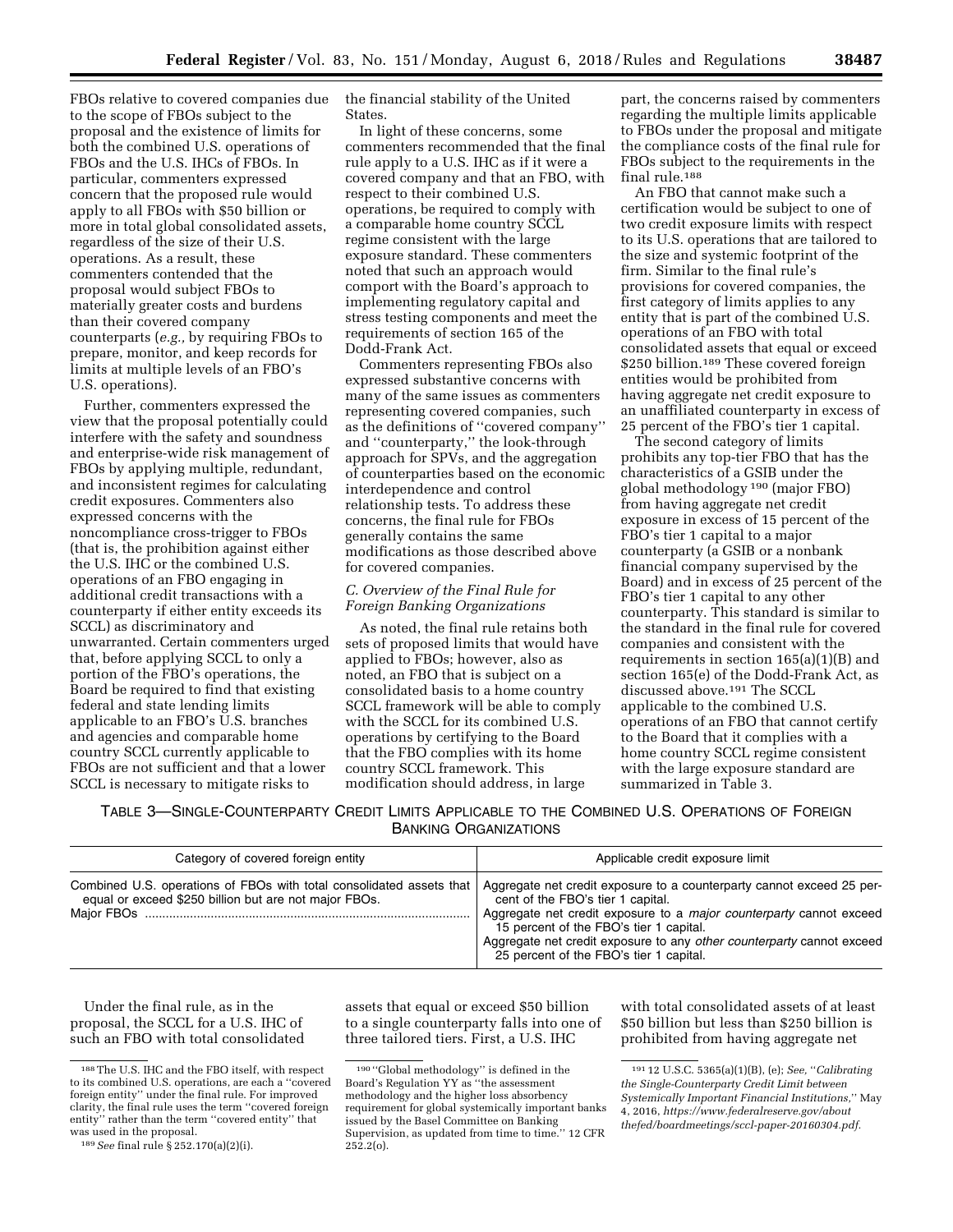FBOs relative to covered companies due to the scope of FBOs subject to the proposal and the existence of limits for both the combined U.S. operations of FBOs and the U.S. IHCs of FBOs. In particular, commenters expressed concern that the proposed rule would apply to all FBOs with \$50 billion or more in total global consolidated assets, regardless of the size of their U.S. operations. As a result, these commenters contended that the proposal would subject FBOs to materially greater costs and burdens than their covered company counterparts (*e.g.,* by requiring FBOs to prepare, monitor, and keep records for limits at multiple levels of an FBO's U.S. operations).

Further, commenters expressed the view that the proposal potentially could interfere with the safety and soundness and enterprise-wide risk management of FBOs by applying multiple, redundant, and inconsistent regimes for calculating credit exposures. Commenters also expressed concerns with the noncompliance cross-trigger to FBOs (that is, the prohibition against either the U.S. IHC or the combined U.S. operations of an FBO engaging in additional credit transactions with a counterparty if either entity exceeds its SCCL) as discriminatory and unwarranted. Certain commenters urged that, before applying SCCL to only a portion of the FBO's operations, the Board be required to find that existing federal and state lending limits applicable to an FBO's U.S. branches and agencies and comparable home country SCCL currently applicable to FBOs are not sufficient and that a lower SCCL is necessary to mitigate risks to

the financial stability of the United States.

In light of these concerns, some commenters recommended that the final rule apply to a U.S. IHC as if it were a covered company and that an FBO, with respect to their combined U.S. operations, be required to comply with a comparable home country SCCL regime consistent with the large exposure standard. These commenters noted that such an approach would comport with the Board's approach to implementing regulatory capital and stress testing components and meet the requirements of section 165 of the Dodd-Frank Act.

Commenters representing FBOs also expressed substantive concerns with many of the same issues as commenters representing covered companies, such as the definitions of ''covered company'' and ''counterparty,'' the look-through approach for SPVs, and the aggregation of counterparties based on the economic interdependence and control relationship tests. To address these concerns, the final rule for FBOs generally contains the same modifications as those described above for covered companies.

# *C. Overview of the Final Rule for Foreign Banking Organizations*

As noted, the final rule retains both sets of proposed limits that would have applied to FBOs; however, also as noted, an FBO that is subject on a consolidated basis to a home country SCCL framework will be able to comply with the SCCL for its combined U.S. operations by certifying to the Board that the FBO complies with its home country SCCL framework. This modification should address, in large

part, the concerns raised by commenters regarding the multiple limits applicable to FBOs under the proposal and mitigate the compliance costs of the final rule for FBOs subject to the requirements in the final rule.188

An FBO that cannot make such a certification would be subject to one of two credit exposure limits with respect to its U.S. operations that are tailored to the size and systemic footprint of the firm. Similar to the final rule's provisions for covered companies, the first category of limits applies to any entity that is part of the combined U.S. operations of an FBO with total consolidated assets that equal or exceed \$250 billion.<sup>189</sup> These covered foreign entities would be prohibited from having aggregate net credit exposure to an unaffiliated counterparty in excess of 25 percent of the FBO's tier 1 capital.

The second category of limits prohibits any top-tier FBO that has the characteristics of a GSIB under the global methodology 190 (major FBO) from having aggregate net credit exposure in excess of 15 percent of the FBO's tier 1 capital to a major counterparty (a GSIB or a nonbank financial company supervised by the Board) and in excess of 25 percent of the FBO's tier 1 capital to any other counterparty. This standard is similar to the standard in the final rule for covered companies and consistent with the requirements in section 165(a)(1)(B) and section 165(e) of the Dodd-Frank Act, as discussed above.191 The SCCL applicable to the combined U.S. operations of an FBO that cannot certify to the Board that it complies with a home country SCCL regime consistent with the large exposure standard are summarized in Table 3.

TABLE 3—SINGLE-COUNTERPARTY CREDIT LIMITS APPLICABLE TO THE COMBINED U.S. OPERATIONS OF FOREIGN BANKING ORGANIZATIONS

| Category of covered foreign entity                                                                                            | Applicable credit exposure limit                                                                                                                                                                                                                                                                                                                        |
|-------------------------------------------------------------------------------------------------------------------------------|---------------------------------------------------------------------------------------------------------------------------------------------------------------------------------------------------------------------------------------------------------------------------------------------------------------------------------------------------------|
| Combined U.S. operations of FBOs with total consolidated assets that<br>equal or exceed \$250 billion but are not major FBOs. | Aggregate net credit exposure to a counterparty cannot exceed 25 per-<br>cent of the FBO's tier 1 capital.<br>Aggregate net credit exposure to a <i>major counterparty</i> cannot exceed<br>15 percent of the FBO's tier 1 capital.<br>Aggregate net credit exposure to any other counterparty cannot exceed<br>25 percent of the FBO's tier 1 capital. |

Under the final rule, as in the proposal, the SCCL for a U.S. IHC of such an FBO with total consolidated

with total consolidated assets of at least \$50 billion but less than \$250 billion is prohibited from having aggregate net

<sup>188</sup>The U.S. IHC and the FBO itself, with respect to its combined U.S. operations, are each a ''covered foreign entity'' under the final rule. For improved clarity, the final rule uses the term ''covered foreign entity'' rather than the term ''covered entity'' that was used in the proposal.

<sup>189</sup>*See* final rule § 252.170(a)(2)(i).

assets that equal or exceed \$50 billion to a single counterparty falls into one of three tailored tiers. First, a U.S. IHC

<sup>190</sup> ''Global methodology'' is defined in the Board's Regulation YY as ''the assessment methodology and the higher loss absorbency requirement for global systemically important banks issued by the Basel Committee on Banking Supervision, as updated from time to time.'' 12 CFR  $252.2(0)$ .

<sup>191</sup> 12 U.S.C. 5365(a)(1)(B), (e); *See,* ''*Calibrating the Single-Counterparty Credit Limit between Systemically Important Financial Institutions,*'' May 4, 2016, *[https://www.federalreserve.gov/about](https://www.federalreserve.gov/aboutthefed/boardmeetings/sccl-paper-20160304.pdf) [thefed/boardmeetings/sccl-paper-20160304.pdf.](https://www.federalreserve.gov/aboutthefed/boardmeetings/sccl-paper-20160304.pdf)*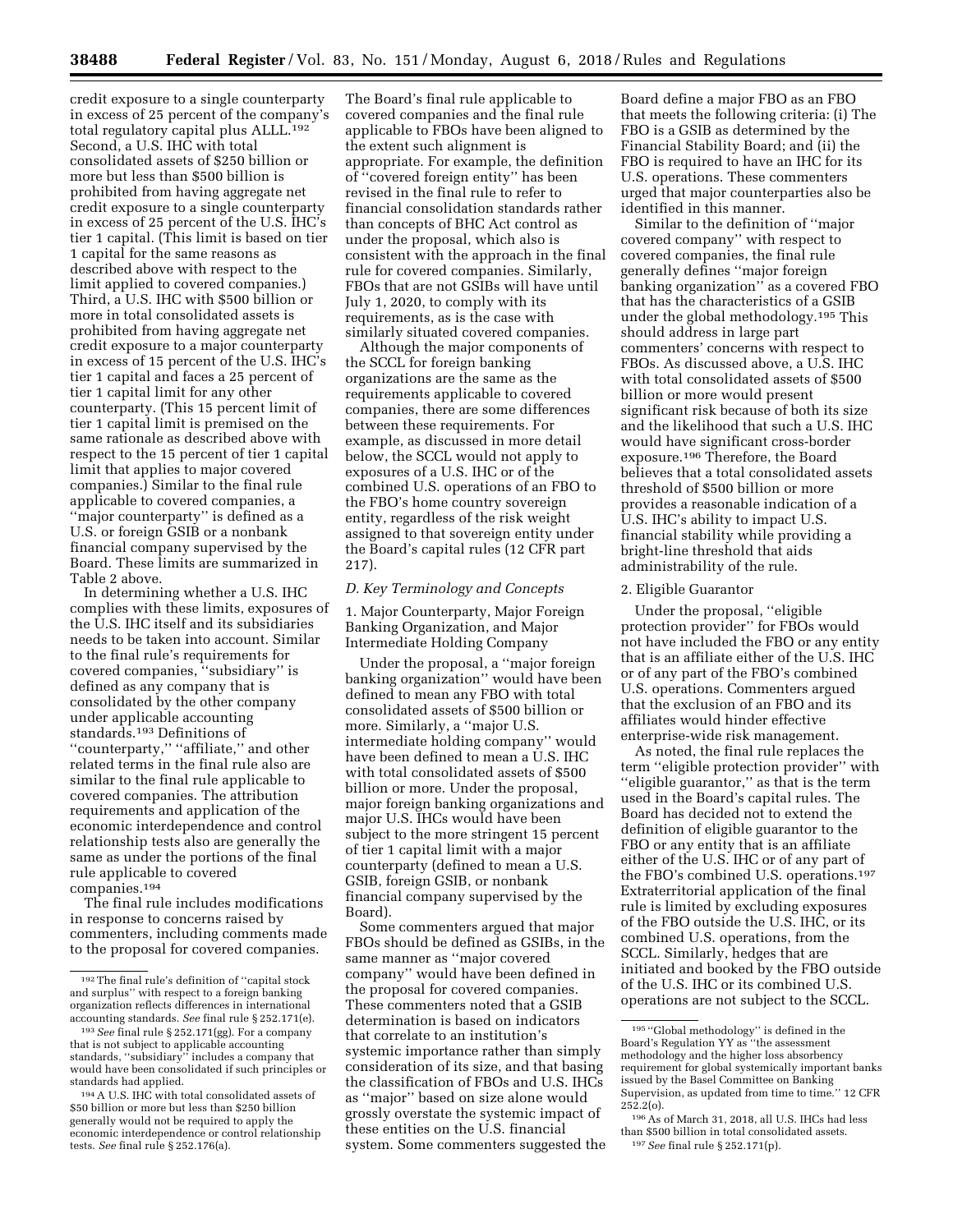credit exposure to a single counterparty in excess of 25 percent of the company's total regulatory capital plus ALLL.192 Second, a U.S. IHC with total consolidated assets of \$250 billion or more but less than \$500 billion is prohibited from having aggregate net credit exposure to a single counterparty in excess of 25 percent of the U.S. IHC's tier 1 capital. (This limit is based on tier 1 capital for the same reasons as described above with respect to the limit applied to covered companies.) Third, a U.S. IHC with \$500 billion or more in total consolidated assets is prohibited from having aggregate net credit exposure to a major counterparty in excess of 15 percent of the U.S. IHC's tier 1 capital and faces a 25 percent of tier 1 capital limit for any other counterparty. (This 15 percent limit of tier 1 capital limit is premised on the same rationale as described above with respect to the 15 percent of tier 1 capital limit that applies to major covered companies.) Similar to the final rule applicable to covered companies, a ''major counterparty'' is defined as a U.S. or foreign GSIB or a nonbank financial company supervised by the Board. These limits are summarized in Table 2 above.

In determining whether a U.S. IHC complies with these limits, exposures of the U.S. IHC itself and its subsidiaries needs to be taken into account. Similar to the final rule's requirements for covered companies, ''subsidiary'' is defined as any company that is consolidated by the other company under applicable accounting standards.193 Definitions of ''counterparty,'' ''affiliate,'' and other related terms in the final rule also are similar to the final rule applicable to covered companies. The attribution requirements and application of the economic interdependence and control relationship tests also are generally the same as under the portions of the final rule applicable to covered companies.194

The final rule includes modifications in response to concerns raised by commenters, including comments made to the proposal for covered companies.

The Board's final rule applicable to covered companies and the final rule applicable to FBOs have been aligned to the extent such alignment is appropriate. For example, the definition of ''covered foreign entity'' has been revised in the final rule to refer to financial consolidation standards rather than concepts of BHC Act control as under the proposal, which also is consistent with the approach in the final rule for covered companies. Similarly, FBOs that are not GSIBs will have until July 1, 2020, to comply with its requirements, as is the case with similarly situated covered companies.

Although the major components of the SCCL for foreign banking organizations are the same as the requirements applicable to covered companies, there are some differences between these requirements. For example, as discussed in more detail below, the SCCL would not apply to exposures of a U.S. IHC or of the combined U.S. operations of an FBO to the FBO's home country sovereign entity, regardless of the risk weight assigned to that sovereign entity under the Board's capital rules (12 CFR part 217).

# *D. Key Terminology and Concepts*

1. Major Counterparty, Major Foreign Banking Organization, and Major Intermediate Holding Company

Under the proposal, a ''major foreign banking organization" would have been defined to mean any FBO with total consolidated assets of \$500 billion or more. Similarly, a "major U.S. intermediate holding company'' would have been defined to mean a U.S. IHC with total consolidated assets of \$500 billion or more. Under the proposal, major foreign banking organizations and major U.S. IHCs would have been subject to the more stringent 15 percent of tier 1 capital limit with a major counterparty (defined to mean a U.S. GSIB, foreign GSIB, or nonbank financial company supervised by the Board).

Some commenters argued that major FBOs should be defined as GSIBs, in the same manner as ''major covered company'' would have been defined in the proposal for covered companies. These commenters noted that a GSIB determination is based on indicators that correlate to an institution's systemic importance rather than simply consideration of its size, and that basing the classification of FBOs and U.S. IHCs as ''major'' based on size alone would grossly overstate the systemic impact of these entities on the U.S. financial system. Some commenters suggested the

Board define a major FBO as an FBO that meets the following criteria: (i) The FBO is a GSIB as determined by the Financial Stability Board; and (ii) the FBO is required to have an IHC for its U.S. operations. These commenters urged that major counterparties also be identified in this manner.

Similar to the definition of ''major covered company'' with respect to covered companies, the final rule generally defines ''major foreign banking organization'' as a covered FBO that has the characteristics of a GSIB under the global methodology.195 This should address in large part commenters' concerns with respect to FBOs. As discussed above, a U.S. IHC with total consolidated assets of \$500 billion or more would present significant risk because of both its size and the likelihood that such a U.S. IHC would have significant cross-border exposure.196 Therefore, the Board believes that a total consolidated assets threshold of \$500 billion or more provides a reasonable indication of a U.S. IHC's ability to impact U.S. financial stability while providing a bright-line threshold that aids administrability of the rule.

# 2. Eligible Guarantor

Under the proposal, ''eligible protection provider'' for FBOs would not have included the FBO or any entity that is an affiliate either of the U.S. IHC or of any part of the FBO's combined U.S. operations. Commenters argued that the exclusion of an FBO and its affiliates would hinder effective enterprise-wide risk management.

As noted, the final rule replaces the term ''eligible protection provider'' with ''eligible guarantor,'' as that is the term used in the Board's capital rules. The Board has decided not to extend the definition of eligible guarantor to the FBO or any entity that is an affiliate either of the U.S. IHC or of any part of the FBO's combined U.S. operations.197 Extraterritorial application of the final rule is limited by excluding exposures of the FBO outside the U.S. IHC, or its combined U.S. operations, from the SCCL. Similarly, hedges that are initiated and booked by the FBO outside of the U.S. IHC or its combined U.S. operations are not subject to the SCCL.

<sup>192</sup>The final rule's definition of ''capital stock and surplus'' with respect to a foreign banking organization reflects differences in international accounting standards. *See* final rule § 252.171(e).

<sup>193</sup>*See* final rule § 252.171(gg). For a company that is not subject to applicable accounting standards, ''subsidiary'' includes a company that would have been consolidated if such principles or standards had applied.

<sup>194</sup>A U.S. IHC with total consolidated assets of \$50 billion or more but less than \$250 billion generally would not be required to apply the economic interdependence or control relationship tests. *See* final rule § 252.176(a).

<sup>195</sup> ''Global methodology'' is defined in the Board's Regulation YY as ''the assessment methodology and the higher loss absorbency requirement for global systemically important banks issued by the Basel Committee on Banking Supervision, as updated from time to time.'' 12 CFR 252.2(o).

<sup>196</sup>As of March 31, 2018, all U.S. IHCs had less than \$500 billion in total consolidated assets. 197*See* final rule § 252.171(p).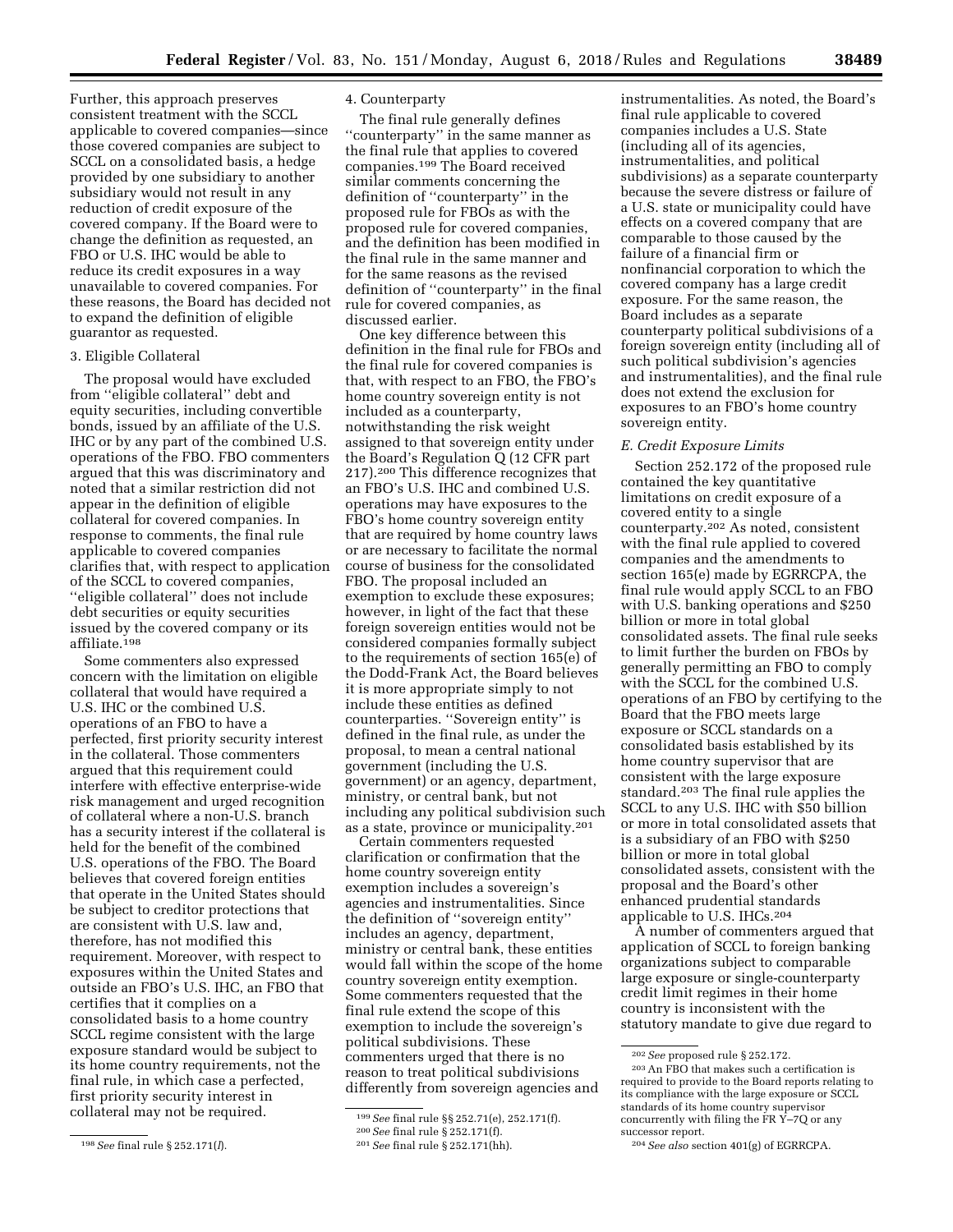Further, this approach preserves consistent treatment with the SCCL applicable to covered companies—since those covered companies are subject to SCCL on a consolidated basis, a hedge provided by one subsidiary to another subsidiary would not result in any reduction of credit exposure of the covered company. If the Board were to change the definition as requested, an FBO or U.S. IHC would be able to reduce its credit exposures in a way unavailable to covered companies. For these reasons, the Board has decided not to expand the definition of eligible guarantor as requested.

# 3. Eligible Collateral

The proposal would have excluded from ''eligible collateral'' debt and equity securities, including convertible bonds, issued by an affiliate of the U.S. IHC or by any part of the combined U.S. operations of the FBO. FBO commenters argued that this was discriminatory and noted that a similar restriction did not appear in the definition of eligible collateral for covered companies. In response to comments, the final rule applicable to covered companies clarifies that, with respect to application of the SCCL to covered companies, ''eligible collateral'' does not include debt securities or equity securities issued by the covered company or its affiliate.198

Some commenters also expressed concern with the limitation on eligible collateral that would have required a U.S. IHC or the combined U.S. operations of an FBO to have a perfected, first priority security interest in the collateral. Those commenters argued that this requirement could interfere with effective enterprise-wide risk management and urged recognition of collateral where a non-U.S. branch has a security interest if the collateral is held for the benefit of the combined U.S. operations of the FBO. The Board believes that covered foreign entities that operate in the United States should be subject to creditor protections that are consistent with U.S. law and, therefore, has not modified this requirement. Moreover, with respect to exposures within the United States and outside an FBO's U.S. IHC, an FBO that certifies that it complies on a consolidated basis to a home country SCCL regime consistent with the large exposure standard would be subject to its home country requirements, not the final rule, in which case a perfected, first priority security interest in collateral may not be required.

# 4. Counterparty

The final rule generally defines ''counterparty'' in the same manner as the final rule that applies to covered companies.199 The Board received similar comments concerning the definition of ''counterparty'' in the proposed rule for FBOs as with the proposed rule for covered companies, and the definition has been modified in the final rule in the same manner and for the same reasons as the revised definition of ''counterparty'' in the final rule for covered companies, as discussed earlier.

One key difference between this definition in the final rule for FBOs and the final rule for covered companies is that, with respect to an FBO, the FBO's home country sovereign entity is not included as a counterparty, notwithstanding the risk weight assigned to that sovereign entity under the Board's Regulation Q (12 CFR part 217).200 This difference recognizes that an FBO's U.S. IHC and combined U.S. operations may have exposures to the FBO's home country sovereign entity that are required by home country laws or are necessary to facilitate the normal course of business for the consolidated FBO. The proposal included an exemption to exclude these exposures; however, in light of the fact that these foreign sovereign entities would not be considered companies formally subject to the requirements of section 165(e) of the Dodd-Frank Act, the Board believes it is more appropriate simply to not include these entities as defined counterparties. ''Sovereign entity'' is defined in the final rule, as under the proposal, to mean a central national government (including the U.S. government) or an agency, department, ministry, or central bank, but not including any political subdivision such as a state, province or municipality.201

Certain commenters requested clarification or confirmation that the home country sovereign entity exemption includes a sovereign's agencies and instrumentalities. Since the definition of ''sovereign entity'' includes an agency, department, ministry or central bank, these entities would fall within the scope of the home country sovereign entity exemption. Some commenters requested that the final rule extend the scope of this exemption to include the sovereign's political subdivisions. These commenters urged that there is no reason to treat political subdivisions differently from sovereign agencies and

instrumentalities. As noted, the Board's final rule applicable to covered companies includes a U.S. State (including all of its agencies, instrumentalities, and political subdivisions) as a separate counterparty because the severe distress or failure of a U.S. state or municipality could have effects on a covered company that are comparable to those caused by the failure of a financial firm or nonfinancial corporation to which the covered company has a large credit exposure. For the same reason, the Board includes as a separate counterparty political subdivisions of a foreign sovereign entity (including all of such political subdivision's agencies and instrumentalities), and the final rule does not extend the exclusion for exposures to an FBO's home country sovereign entity.

## *E. Credit Exposure Limits*

Section 252.172 of the proposed rule contained the key quantitative limitations on credit exposure of a covered entity to a single counterparty.202 As noted, consistent with the final rule applied to covered companies and the amendments to section 165(e) made by EGRRCPA, the final rule would apply SCCL to an FBO with U.S. banking operations and \$250 billion or more in total global consolidated assets. The final rule seeks to limit further the burden on FBOs by generally permitting an FBO to comply with the SCCL for the combined U.S. operations of an FBO by certifying to the Board that the FBO meets large exposure or SCCL standards on a consolidated basis established by its home country supervisor that are consistent with the large exposure standard.203 The final rule applies the SCCL to any U.S. IHC with \$50 billion or more in total consolidated assets that is a subsidiary of an FBO with \$250 billion or more in total global consolidated assets, consistent with the proposal and the Board's other enhanced prudential standards applicable to U.S. IHCs.204

A number of commenters argued that application of SCCL to foreign banking organizations subject to comparable large exposure or single-counterparty credit limit regimes in their home country is inconsistent with the statutory mandate to give due regard to

<sup>198</sup>*See* final rule § 252.171(*l*).

<sup>199</sup>*See* final rule §§ 252.71(e), 252.171(f). 200*See* final rule § 252.171(f). 201*See* final rule § 252.171(hh).

<sup>202</sup>*See* proposed rule § 252.172.

<sup>203</sup>An FBO that makes such a certification is required to provide to the Board reports relating to its compliance with the large exposure or SCCL standards of its home country supervisor concurrently with filing the FR Y–7Q or any successor report.

<sup>204</sup>*See also* section 401(g) of EGRRCPA.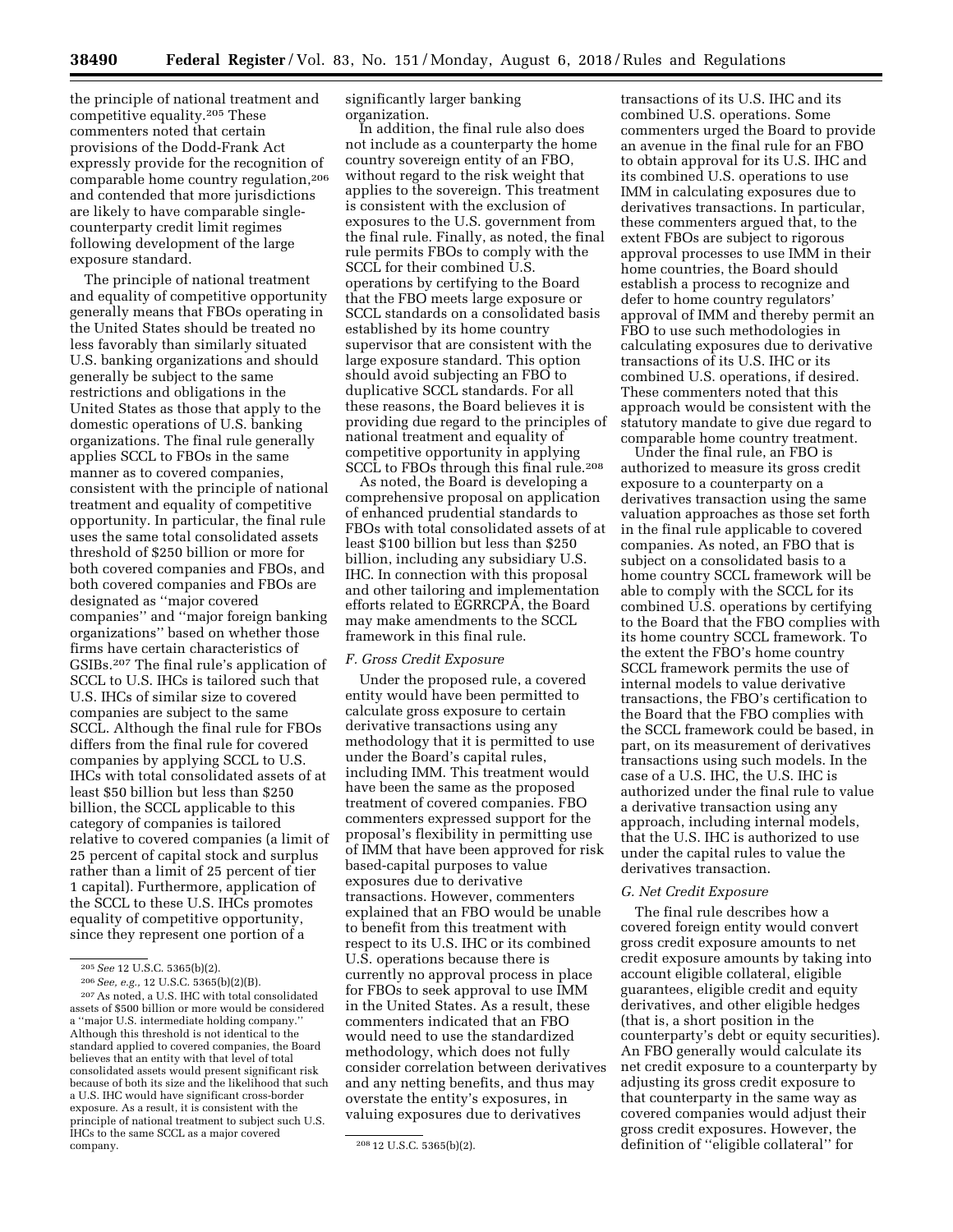the principle of national treatment and competitive equality.205 These commenters noted that certain provisions of the Dodd-Frank Act expressly provide for the recognition of comparable home country regulation,206 and contended that more jurisdictions are likely to have comparable singlecounterparty credit limit regimes following development of the large exposure standard.

The principle of national treatment and equality of competitive opportunity generally means that FBOs operating in the United States should be treated no less favorably than similarly situated U.S. banking organizations and should generally be subject to the same restrictions and obligations in the United States as those that apply to the domestic operations of U.S. banking organizations. The final rule generally applies SCCL to FBOs in the same manner as to covered companies, consistent with the principle of national treatment and equality of competitive opportunity. In particular, the final rule uses the same total consolidated assets threshold of \$250 billion or more for both covered companies and FBOs, and both covered companies and FBOs are designated as ''major covered companies'' and ''major foreign banking organizations'' based on whether those firms have certain characteristics of GSIBs.207 The final rule's application of SCCL to U.S. IHCs is tailored such that U.S. IHCs of similar size to covered companies are subject to the same SCCL. Although the final rule for FBOs differs from the final rule for covered companies by applying SCCL to U.S. IHCs with total consolidated assets of at least \$50 billion but less than \$250 billion, the SCCL applicable to this category of companies is tailored relative to covered companies (a limit of 25 percent of capital stock and surplus rather than a limit of 25 percent of tier 1 capital). Furthermore, application of the SCCL to these U.S. IHCs promotes equality of competitive opportunity, since they represent one portion of a

significantly larger banking organization.

In addition, the final rule also does not include as a counterparty the home country sovereign entity of an FBO, without regard to the risk weight that applies to the sovereign. This treatment is consistent with the exclusion of exposures to the U.S. government from the final rule. Finally, as noted, the final rule permits FBOs to comply with the SCCL for their combined U.S. operations by certifying to the Board that the FBO meets large exposure or SCCL standards on a consolidated basis established by its home country supervisor that are consistent with the large exposure standard. This option should avoid subjecting an FBO to duplicative SCCL standards. For all these reasons, the Board believes it is providing due regard to the principles of national treatment and equality of competitive opportunity in applying SCCL to FBOs through this final rule.208

As noted, the Board is developing a comprehensive proposal on application of enhanced prudential standards to FBOs with total consolidated assets of at least \$100 billion but less than \$250 billion, including any subsidiary U.S. IHC. In connection with this proposal and other tailoring and implementation efforts related to EGRRCPA, the Board may make amendments to the SCCL framework in this final rule.

#### *F. Gross Credit Exposure*

Under the proposed rule, a covered entity would have been permitted to calculate gross exposure to certain derivative transactions using any methodology that it is permitted to use under the Board's capital rules, including IMM. This treatment would have been the same as the proposed treatment of covered companies. FBO commenters expressed support for the proposal's flexibility in permitting use of IMM that have been approved for risk based-capital purposes to value exposures due to derivative transactions. However, commenters explained that an FBO would be unable to benefit from this treatment with respect to its U.S. IHC or its combined U.S. operations because there is currently no approval process in place for FBOs to seek approval to use IMM in the United States. As a result, these commenters indicated that an FBO would need to use the standardized methodology, which does not fully consider correlation between derivatives and any netting benefits, and thus may overstate the entity's exposures, in valuing exposures due to derivatives

transactions of its U.S. IHC and its combined U.S. operations. Some commenters urged the Board to provide an avenue in the final rule for an FBO to obtain approval for its U.S. IHC and its combined U.S. operations to use IMM in calculating exposures due to derivatives transactions. In particular, these commenters argued that, to the extent FBOs are subject to rigorous approval processes to use IMM in their home countries, the Board should establish a process to recognize and defer to home country regulators' approval of IMM and thereby permit an FBO to use such methodologies in calculating exposures due to derivative transactions of its U.S. IHC or its combined U.S. operations, if desired. These commenters noted that this approach would be consistent with the statutory mandate to give due regard to comparable home country treatment.

Under the final rule, an FBO is authorized to measure its gross credit exposure to a counterparty on a derivatives transaction using the same valuation approaches as those set forth in the final rule applicable to covered companies. As noted, an FBO that is subject on a consolidated basis to a home country SCCL framework will be able to comply with the SCCL for its combined U.S. operations by certifying to the Board that the FBO complies with its home country SCCL framework. To the extent the FBO's home country SCCL framework permits the use of internal models to value derivative transactions, the FBO's certification to the Board that the FBO complies with the SCCL framework could be based, in part, on its measurement of derivatives transactions using such models. In the case of a U.S. IHC, the U.S. IHC is authorized under the final rule to value a derivative transaction using any approach, including internal models, that the U.S. IHC is authorized to use under the capital rules to value the derivatives transaction.

### *G. Net Credit Exposure*

The final rule describes how a covered foreign entity would convert gross credit exposure amounts to net credit exposure amounts by taking into account eligible collateral, eligible guarantees, eligible credit and equity derivatives, and other eligible hedges (that is, a short position in the counterparty's debt or equity securities). An FBO generally would calculate its net credit exposure to a counterparty by adjusting its gross credit exposure to that counterparty in the same way as covered companies would adjust their gross credit exposures. However, the definition of ''eligible collateral'' for

<sup>205</sup>*See* 12 U.S.C. 5365(b)(2).

<sup>206</sup>*See, e.g.,* 12 U.S.C. 5365(b)(2)(B).

<sup>207</sup>As noted, a U.S. IHC with total consolidated assets of \$500 billion or more would be considered a ''major U.S. intermediate holding company.'' Although this threshold is not identical to the standard applied to covered companies, the Board believes that an entity with that level of total consolidated assets would present significant risk because of both its size and the likelihood that such a U.S. IHC would have significant cross-border exposure. As a result, it is consistent with the principle of national treatment to subject such U.S. IHCs to the same SCCL as a major covered

<sup>208 12</sup> U.S.C. 5365(b)(2).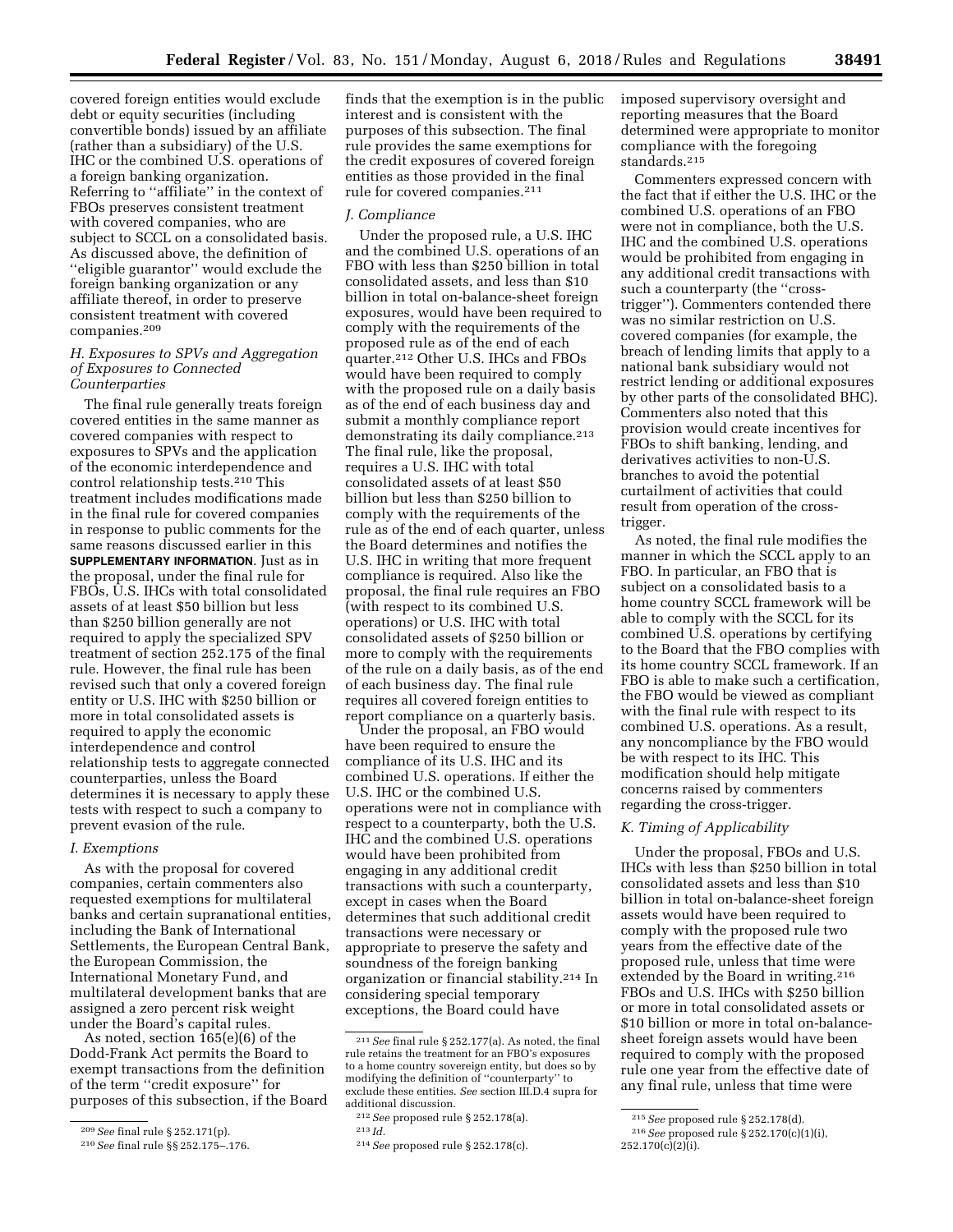covered foreign entities would exclude debt or equity securities (including convertible bonds) issued by an affiliate (rather than a subsidiary) of the U.S. IHC or the combined U.S. operations of a foreign banking organization. Referring to ''affiliate'' in the context of FBOs preserves consistent treatment with covered companies, who are subject to SCCL on a consolidated basis. As discussed above, the definition of ''eligible guarantor'' would exclude the foreign banking organization or any affiliate thereof, in order to preserve consistent treatment with covered companies.209

# *H. Exposures to SPVs and Aggregation of Exposures to Connected Counterparties*

The final rule generally treats foreign covered entities in the same manner as covered companies with respect to exposures to SPVs and the application of the economic interdependence and control relationship tests.210 This treatment includes modifications made in the final rule for covered companies in response to public comments for the same reasons discussed earlier in this **SUPPLEMENTARY INFORMATION**. Just as in the proposal, under the final rule for FBOs, U.S. IHCs with total consolidated assets of at least \$50 billion but less than \$250 billion generally are not required to apply the specialized SPV treatment of section 252.175 of the final rule. However, the final rule has been revised such that only a covered foreign entity or U.S. IHC with \$250 billion or more in total consolidated assets is required to apply the economic interdependence and control relationship tests to aggregate connected counterparties, unless the Board determines it is necessary to apply these tests with respect to such a company to prevent evasion of the rule.

# *I. Exemptions*

As with the proposal for covered companies, certain commenters also requested exemptions for multilateral banks and certain supranational entities, including the Bank of International Settlements, the European Central Bank, the European Commission, the International Monetary Fund, and multilateral development banks that are assigned a zero percent risk weight under the Board's capital rules.

As noted, section 165(e)(6) of the Dodd-Frank Act permits the Board to exempt transactions from the definition of the term ''credit exposure'' for purposes of this subsection, if the Board

finds that the exemption is in the public interest and is consistent with the purposes of this subsection. The final rule provides the same exemptions for the credit exposures of covered foreign entities as those provided in the final rule for covered companies.211

## *J. Compliance*

Under the proposed rule, a U.S. IHC and the combined U.S. operations of an FBO with less than \$250 billion in total consolidated assets, and less than \$10 billion in total on-balance-sheet foreign exposures, would have been required to comply with the requirements of the proposed rule as of the end of each quarter.212 Other U.S. IHCs and FBOs would have been required to comply with the proposed rule on a daily basis as of the end of each business day and submit a monthly compliance report demonstrating its daily compliance.<sup>213</sup> The final rule, like the proposal, requires a U.S. IHC with total consolidated assets of at least \$50 billion but less than \$250 billion to comply with the requirements of the rule as of the end of each quarter, unless the Board determines and notifies the U.S. IHC in writing that more frequent compliance is required. Also like the proposal, the final rule requires an FBO (with respect to its combined U.S. operations) or U.S. IHC with total consolidated assets of \$250 billion or more to comply with the requirements of the rule on a daily basis, as of the end of each business day. The final rule requires all covered foreign entities to report compliance on a quarterly basis.

Under the proposal, an FBO would have been required to ensure the compliance of its U.S. IHC and its combined U.S. operations. If either the U.S. IHC or the combined U.S. operations were not in compliance with respect to a counterparty, both the U.S. IHC and the combined U.S. operations would have been prohibited from engaging in any additional credit transactions with such a counterparty, except in cases when the Board determines that such additional credit transactions were necessary or appropriate to preserve the safety and soundness of the foreign banking organization or financial stability.214 In considering special temporary exceptions, the Board could have

imposed supervisory oversight and reporting measures that the Board determined were appropriate to monitor compliance with the foregoing standards.215

Commenters expressed concern with the fact that if either the U.S. IHC or the combined U.S. operations of an FBO were not in compliance, both the U.S. IHC and the combined U.S. operations would be prohibited from engaging in any additional credit transactions with such a counterparty (the "crosstrigger''). Commenters contended there was no similar restriction on U.S. covered companies (for example, the breach of lending limits that apply to a national bank subsidiary would not restrict lending or additional exposures by other parts of the consolidated BHC). Commenters also noted that this provision would create incentives for FBOs to shift banking, lending, and derivatives activities to non-U.S. branches to avoid the potential curtailment of activities that could result from operation of the crosstrigger.

As noted, the final rule modifies the manner in which the SCCL apply to an FBO. In particular, an FBO that is subject on a consolidated basis to a home country SCCL framework will be able to comply with the SCCL for its combined U.S. operations by certifying to the Board that the FBO complies with its home country SCCL framework. If an FBO is able to make such a certification, the FBO would be viewed as compliant with the final rule with respect to its combined U.S. operations. As a result, any noncompliance by the FBO would be with respect to its IHC. This modification should help mitigate concerns raised by commenters regarding the cross-trigger.

# *K. Timing of Applicability*

Under the proposal, FBOs and U.S. IHCs with less than \$250 billion in total consolidated assets and less than \$10 billion in total on-balance-sheet foreign assets would have been required to comply with the proposed rule two years from the effective date of the proposed rule, unless that time were extended by the Board in writing.<sup>216</sup> FBOs and U.S. IHCs with \$250 billion or more in total consolidated assets or \$10 billion or more in total on-balancesheet foreign assets would have been required to comply with the proposed rule one year from the effective date of any final rule, unless that time were

<sup>209</sup>*See* final rule § 252.171(p).

<sup>210</sup>*See* final rule §§ 252.175–.176.

<sup>211</sup>*See* final rule § 252.177(a). As noted, the final rule retains the treatment for an FBO's exposures to a home country sovereign entity, but does so by modifying the definition of ''counterparty'' to exclude these entities. *See* section III.D.4 supra for additional discussion.

<sup>212</sup>*See* proposed rule § 252.178(a).

<sup>213</sup> *Id.* 

<sup>214</sup>*See* proposed rule § 252.178(c).

<sup>215</sup>*See* proposed rule § 252.178(d).

<sup>216</sup>*See* proposed rule § 252.170(c)(1)(i),

 $252.170(c)(2)(i)$ .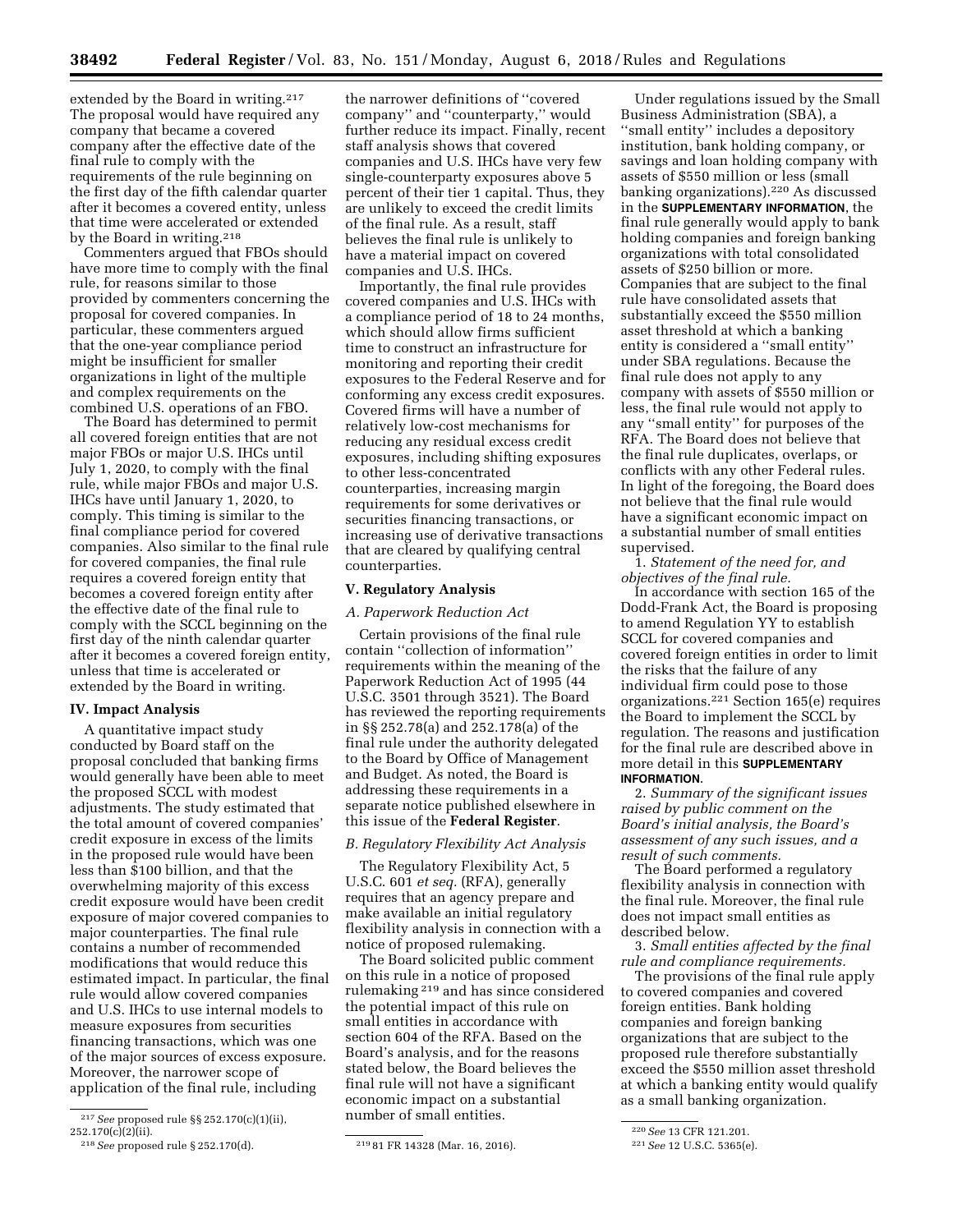extended by the Board in writing.<sup>217</sup> The proposal would have required any company that became a covered company after the effective date of the final rule to comply with the requirements of the rule beginning on the first day of the fifth calendar quarter after it becomes a covered entity, unless that time were accelerated or extended by the Board in writing.218

Commenters argued that FBOs should have more time to comply with the final rule, for reasons similar to those provided by commenters concerning the proposal for covered companies. In particular, these commenters argued that the one-year compliance period might be insufficient for smaller organizations in light of the multiple and complex requirements on the combined U.S. operations of an FBO.

The Board has determined to permit all covered foreign entities that are not major FBOs or major U.S. IHCs until July 1, 2020, to comply with the final rule, while major FBOs and major U.S. IHCs have until January 1, 2020, to comply. This timing is similar to the final compliance period for covered companies. Also similar to the final rule for covered companies, the final rule requires a covered foreign entity that becomes a covered foreign entity after the effective date of the final rule to comply with the SCCL beginning on the first day of the ninth calendar quarter after it becomes a covered foreign entity, unless that time is accelerated or extended by the Board in writing.

## **IV. Impact Analysis**

A quantitative impact study conducted by Board staff on the proposal concluded that banking firms would generally have been able to meet the proposed SCCL with modest adjustments. The study estimated that the total amount of covered companies' credit exposure in excess of the limits in the proposed rule would have been less than \$100 billion, and that the overwhelming majority of this excess credit exposure would have been credit exposure of major covered companies to major counterparties. The final rule contains a number of recommended modifications that would reduce this estimated impact. In particular, the final rule would allow covered companies and U.S. IHCs to use internal models to measure exposures from securities financing transactions, which was one of the major sources of excess exposure. Moreover, the narrower scope of application of the final rule, including

the narrower definitions of ''covered company'' and ''counterparty,'' would further reduce its impact. Finally, recent staff analysis shows that covered companies and U.S. IHCs have very few single-counterparty exposures above 5 percent of their tier 1 capital. Thus, they are unlikely to exceed the credit limits of the final rule. As a result, staff believes the final rule is unlikely to have a material impact on covered companies and U.S. IHCs.

Importantly, the final rule provides covered companies and U.S. IHCs with a compliance period of 18 to 24 months, which should allow firms sufficient time to construct an infrastructure for monitoring and reporting their credit exposures to the Federal Reserve and for conforming any excess credit exposures. Covered firms will have a number of relatively low-cost mechanisms for reducing any residual excess credit exposures, including shifting exposures to other less-concentrated counterparties, increasing margin requirements for some derivatives or securities financing transactions, or increasing use of derivative transactions that are cleared by qualifying central counterparties.

#### **V. Regulatory Analysis**

# *A. Paperwork Reduction Act*

Certain provisions of the final rule contain ''collection of information'' requirements within the meaning of the Paperwork Reduction Act of 1995 (44 U.S.C. 3501 through 3521). The Board has reviewed the reporting requirements in §§ 252.78(a) and 252.178(a) of the final rule under the authority delegated to the Board by Office of Management and Budget. As noted, the Board is addressing these requirements in a separate notice published elsewhere in this issue of the **Federal Register**.

# *B. Regulatory Flexibility Act Analysis*

The Regulatory Flexibility Act, 5 U.S.C. 601 *et seq.* (RFA), generally requires that an agency prepare and make available an initial regulatory flexibility analysis in connection with a notice of proposed rulemaking.

The Board solicited public comment on this rule in a notice of proposed rulemaking 219 and has since considered the potential impact of this rule on small entities in accordance with section 604 of the RFA. Based on the Board's analysis, and for the reasons stated below, the Board believes the final rule will not have a significant economic impact on a substantial number of small entities.

Under regulations issued by the Small Business Administration (SBA), a ''small entity'' includes a depository institution, bank holding company, or savings and loan holding company with assets of \$550 million or less (small banking organizations).220 As discussed in the **SUPPLEMENTARY INFORMATION**, the final rule generally would apply to bank holding companies and foreign banking organizations with total consolidated assets of \$250 billion or more. Companies that are subject to the final rule have consolidated assets that substantially exceed the \$550 million asset threshold at which a banking entity is considered a ''small entity'' under SBA regulations. Because the final rule does not apply to any company with assets of \$550 million or less, the final rule would not apply to any ''small entity'' for purposes of the RFA. The Board does not believe that the final rule duplicates, overlaps, or conflicts with any other Federal rules. In light of the foregoing, the Board does not believe that the final rule would have a significant economic impact on a substantial number of small entities supervised.

1. *Statement of the need for, and objectives of the final rule.* 

In accordance with section 165 of the Dodd-Frank Act, the Board is proposing to amend Regulation YY to establish SCCL for covered companies and covered foreign entities in order to limit the risks that the failure of any individual firm could pose to those organizations.221 Section 165(e) requires the Board to implement the SCCL by regulation. The reasons and justification for the final rule are described above in more detail in this **SUPPLEMENTARY INFORMATION**.

2. *Summary of the significant issues raised by public comment on the Board's initial analysis, the Board's assessment of any such issues, and a result of such comments.* 

The Board performed a regulatory flexibility analysis in connection with the final rule. Moreover, the final rule does not impact small entities as described below.

3. *Small entities affected by the final rule and compliance requirements.* 

The provisions of the final rule apply to covered companies and covered foreign entities. Bank holding companies and foreign banking organizations that are subject to the proposed rule therefore substantially exceed the \$550 million asset threshold at which a banking entity would qualify as a small banking organization.

<sup>217</sup>*See* proposed rule §§ 252.170(c)(1)(ii), 252.170(c)(2)(ii).

<sup>218</sup>*See* proposed rule § 252.170(d). 219 81 FR 14328 (Mar. 16, 2016).

<sup>220</sup>*See* 13 CFR 121.201.

<sup>221</sup>*See* 12 U.S.C. 5365(e).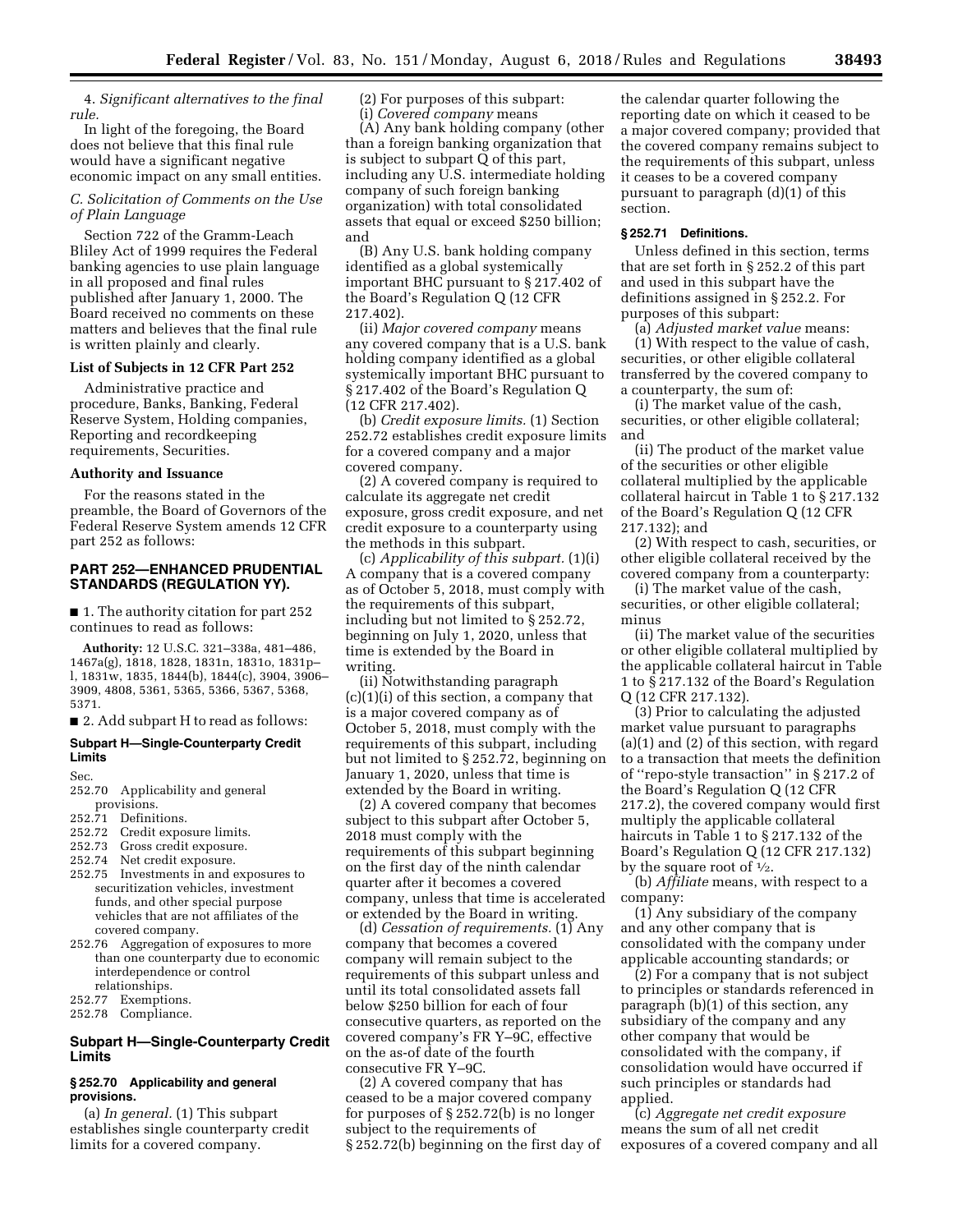4. *Significant alternatives to the final rule.* 

In light of the foregoing, the Board does not believe that this final rule would have a significant negative economic impact on any small entities.

# *C. Solicitation of Comments on the Use of Plain Language*

Section 722 of the Gramm-Leach Bliley Act of 1999 requires the Federal banking agencies to use plain language in all proposed and final rules published after January 1, 2000. The Board received no comments on these matters and believes that the final rule is written plainly and clearly.

## **List of Subjects in 12 CFR Part 252**

Administrative practice and procedure, Banks, Banking, Federal Reserve System, Holding companies, Reporting and recordkeeping requirements, Securities.

#### **Authority and Issuance**

For the reasons stated in the preamble, the Board of Governors of the Federal Reserve System amends 12 CFR part 252 as follows:

# **PART 252—ENHANCED PRUDENTIAL STANDARDS (REGULATION YY).**

■ 1. The authority citation for part 252 continues to read as follows:

**Authority:** 12 U.S.C. 321–338a, 481–486, 1467a(g), 1818, 1828, 1831n, 1831o, 1831p– l, 1831w, 1835, 1844(b), 1844(c), 3904, 3906– 3909, 4808, 5361, 5365, 5366, 5367, 5368, 5371.

■ 2. Add subpart H to read as follows:

# **Subpart H—Single-Counterparty Credit Limits**

Sec.

- 252.70 Applicability and general provisions.
- 252.71 Definitions.
- 252.72 Credit exposure limits.
- 252.73 Gross credit exposure.
- 252.74 Net credit exposure.
- 252.75 Investments in and exposures to securitization vehicles, investment funds, and other special purpose vehicles that are not affiliates of the covered company.
- 252.76 Aggregation of exposures to more than one counterparty due to economic interdependence or control relationships.
- 252.77 Exemptions.
- 252.78 Compliance.

# **Subpart H—Single-Counterparty Credit Limits**

## **§ 252.70 Applicability and general provisions.**

(a) *In general.* (1) This subpart establishes single counterparty credit limits for a covered company.

(2) For purposes of this subpart: (i) *Covered company* means

(A) Any bank holding company (other than a foreign banking organization that is subject to subpart Q of this part, including any U.S. intermediate holding company of such foreign banking organization) with total consolidated assets that equal or exceed \$250 billion; and

(B) Any U.S. bank holding company identified as a global systemically important BHC pursuant to § 217.402 of the Board's Regulation Q (12 CFR 217.402).

(ii) *Major covered company* means any covered company that is a U.S. bank holding company identified as a global systemically important BHC pursuant to § 217.402 of the Board's Regulation Q (12 CFR 217.402).

(b) *Credit exposure limits.* (1) Section 252.72 establishes credit exposure limits for a covered company and a major covered company.

(2) A covered company is required to calculate its aggregate net credit exposure, gross credit exposure, and net credit exposure to a counterparty using the methods in this subpart.

(c) *Applicability of this subpart.* (1)(i) A company that is a covered company as of October 5, 2018, must comply with the requirements of this subpart, including but not limited to § 252.72, beginning on July 1, 2020, unless that time is extended by the Board in writing.

(ii) Notwithstanding paragraph (c)(1)(i) of this section, a company that is a major covered company as of October 5, 2018, must comply with the requirements of this subpart, including but not limited to § 252.72, beginning on January 1, 2020, unless that time is extended by the Board in writing.

(2) A covered company that becomes subject to this subpart after October 5, 2018 must comply with the requirements of this subpart beginning on the first day of the ninth calendar quarter after it becomes a covered company, unless that time is accelerated or extended by the Board in writing.

(d) *Cessation of requirements.* (1) Any company that becomes a covered company will remain subject to the requirements of this subpart unless and until its total consolidated assets fall below \$250 billion for each of four consecutive quarters, as reported on the covered company's FR Y–9C, effective on the as-of date of the fourth consecutive FR Y–9C.

(2) A covered company that has ceased to be a major covered company for purposes of § 252.72(b) is no longer subject to the requirements of § 252.72(b) beginning on the first day of

the calendar quarter following the reporting date on which it ceased to be a major covered company; provided that the covered company remains subject to the requirements of this subpart, unless it ceases to be a covered company pursuant to paragraph (d)(1) of this section.

# **§ 252.71 Definitions.**

Unless defined in this section, terms that are set forth in § 252.2 of this part and used in this subpart have the definitions assigned in § 252.2. For purposes of this subpart:

(a) *Adjusted market value* means: (1) With respect to the value of cash, securities, or other eligible collateral transferred by the covered company to a counterparty, the sum of:

(i) The market value of the cash, securities, or other eligible collateral; and

(ii) The product of the market value of the securities or other eligible collateral multiplied by the applicable collateral haircut in Table 1 to § 217.132 of the Board's Regulation Q (12 CFR 217.132); and

(2) With respect to cash, securities, or other eligible collateral received by the covered company from a counterparty:

(i) The market value of the cash, securities, or other eligible collateral; minus

(ii) The market value of the securities or other eligible collateral multiplied by the applicable collateral haircut in Table 1 to § 217.132 of the Board's Regulation Q (12 CFR 217.132).

(3) Prior to calculating the adjusted market value pursuant to paragraphs (a)(1) and (2) of this section, with regard to a transaction that meets the definition of ''repo-style transaction'' in § 217.2 of the Board's Regulation Q (12 CFR 217.2), the covered company would first multiply the applicable collateral haircuts in Table 1 to § 217.132 of the Board's Regulation Q (12 CFR 217.132) by the square root of  $\frac{1}{2}$ .

(b) *Affiliate* means, with respect to a company:

(1) Any subsidiary of the company and any other company that is consolidated with the company under applicable accounting standards; or

(2) For a company that is not subject to principles or standards referenced in paragraph (b)(1) of this section, any subsidiary of the company and any other company that would be consolidated with the company, if consolidation would have occurred if such principles or standards had applied.

(c) *Aggregate net credit exposure*  means the sum of all net credit exposures of a covered company and all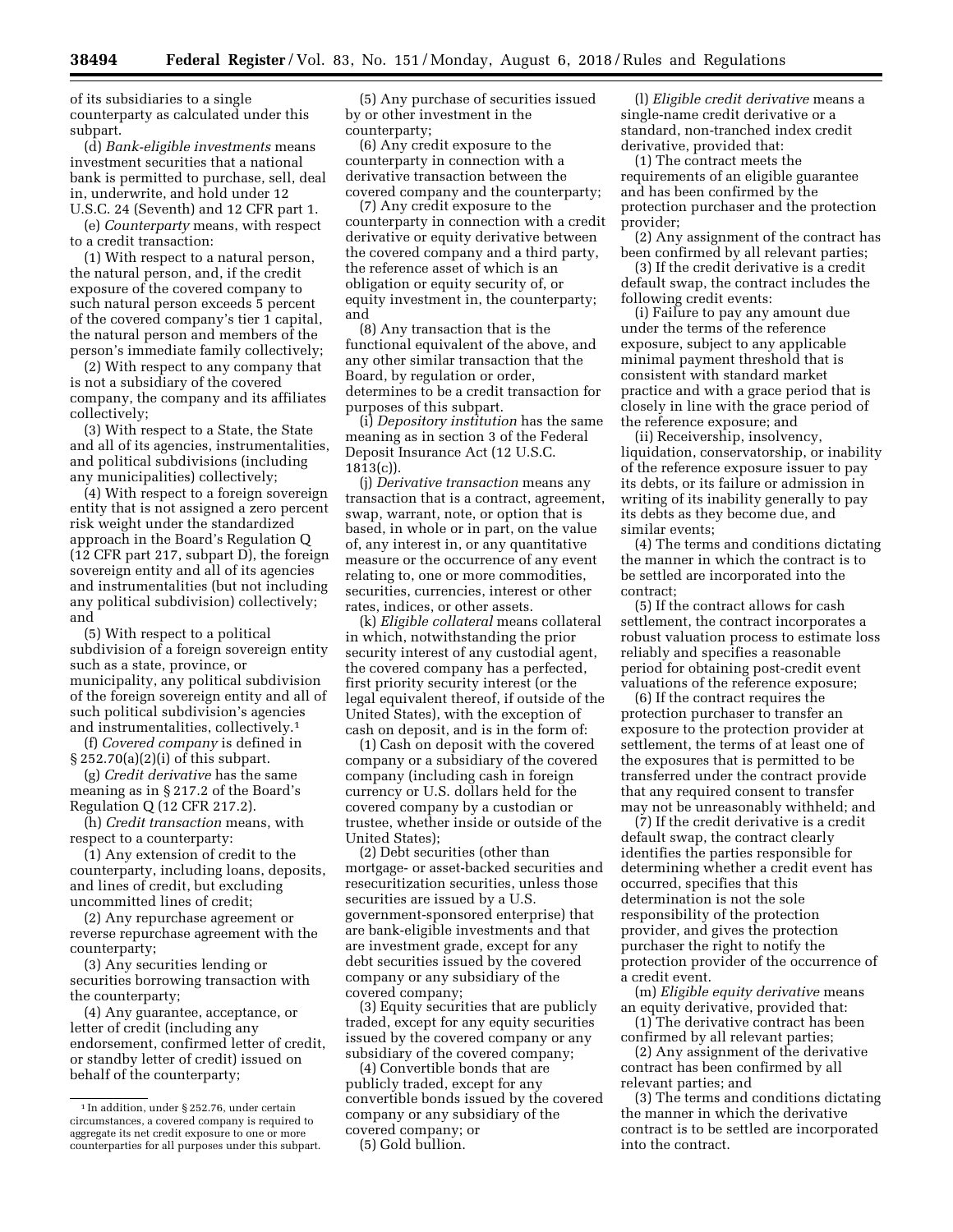of its subsidiaries to a single counterparty as calculated under this subpart.

(d) *Bank-eligible investments* means investment securities that a national bank is permitted to purchase, sell, deal in, underwrite, and hold under 12 U.S.C. 24 (Seventh) and 12 CFR part 1.

(e) *Counterparty* means, with respect to a credit transaction:

(1) With respect to a natural person, the natural person, and, if the credit exposure of the covered company to such natural person exceeds 5 percent of the covered company's tier 1 capital, the natural person and members of the person's immediate family collectively;

(2) With respect to any company that is not a subsidiary of the covered company, the company and its affiliates collectively;

(3) With respect to a State, the State and all of its agencies, instrumentalities, and political subdivisions (including any municipalities) collectively;

(4) With respect to a foreign sovereign entity that is not assigned a zero percent risk weight under the standardized approach in the Board's Regulation Q (12 CFR part 217, subpart D), the foreign sovereign entity and all of its agencies and instrumentalities (but not including any political subdivision) collectively; and

(5) With respect to a political subdivision of a foreign sovereign entity such as a state, province, or municipality, any political subdivision of the foreign sovereign entity and all of such political subdivision's agencies and instrumentalities, collectively.1

(f) *Covered company* is defined in § 252.70(a)(2)(i) of this subpart.

(g) *Credit derivative* has the same meaning as in § 217.2 of the Board's Regulation Q (12 CFR 217.2).

(h) *Credit transaction* means, with respect to a counterparty:

(1) Any extension of credit to the counterparty, including loans, deposits, and lines of credit, but excluding uncommitted lines of credit;

(2) Any repurchase agreement or reverse repurchase agreement with the counterparty;

(3) Any securities lending or securities borrowing transaction with the counterparty;

(4) Any guarantee, acceptance, or letter of credit (including any endorsement, confirmed letter of credit, or standby letter of credit) issued on behalf of the counterparty;

(5) Any purchase of securities issued by or other investment in the counterparty;

(6) Any credit exposure to the counterparty in connection with a derivative transaction between the covered company and the counterparty;

(7) Any credit exposure to the counterparty in connection with a credit derivative or equity derivative between the covered company and a third party, the reference asset of which is an obligation or equity security of, or equity investment in, the counterparty; and

(8) Any transaction that is the functional equivalent of the above, and any other similar transaction that the Board, by regulation or order, determines to be a credit transaction for purposes of this subpart.

(i) *Depository institution* has the same meaning as in section 3 of the Federal Deposit Insurance Act (12 U.S.C.  $1813(c)$ ).

(j) *Derivative transaction* means any transaction that is a contract, agreement, swap, warrant, note, or option that is based, in whole or in part, on the value of, any interest in, or any quantitative measure or the occurrence of any event relating to, one or more commodities, securities, currencies, interest or other rates, indices, or other assets.

(k) *Eligible collateral* means collateral in which, notwithstanding the prior security interest of any custodial agent, the covered company has a perfected, first priority security interest (or the legal equivalent thereof, if outside of the United States), with the exception of cash on deposit, and is in the form of:

(1) Cash on deposit with the covered company or a subsidiary of the covered company (including cash in foreign currency or U.S. dollars held for the covered company by a custodian or trustee, whether inside or outside of the United States);

(2) Debt securities (other than mortgage- or asset-backed securities and resecuritization securities, unless those securities are issued by a U.S. government-sponsored enterprise) that are bank-eligible investments and that are investment grade, except for any debt securities issued by the covered company or any subsidiary of the covered company;

(3) Equity securities that are publicly traded, except for any equity securities issued by the covered company or any subsidiary of the covered company;

(4) Convertible bonds that are publicly traded, except for any convertible bonds issued by the covered company or any subsidiary of the covered company; or

(5) Gold bullion.

(l) *Eligible credit derivative* means a single-name credit derivative or a standard, non-tranched index credit derivative, provided that:

(1) The contract meets the requirements of an eligible guarantee and has been confirmed by the protection purchaser and the protection provider;

(2) Any assignment of the contract has been confirmed by all relevant parties;

(3) If the credit derivative is a credit default swap, the contract includes the following credit events:

(i) Failure to pay any amount due under the terms of the reference exposure, subject to any applicable minimal payment threshold that is consistent with standard market practice and with a grace period that is closely in line with the grace period of the reference exposure; and

(ii) Receivership, insolvency, liquidation, conservatorship, or inability of the reference exposure issuer to pay its debts, or its failure or admission in writing of its inability generally to pay its debts as they become due, and similar events;

(4) The terms and conditions dictating the manner in which the contract is to be settled are incorporated into the contract;

(5) If the contract allows for cash settlement, the contract incorporates a robust valuation process to estimate loss reliably and specifies a reasonable period for obtaining post-credit event valuations of the reference exposure;

(6) If the contract requires the protection purchaser to transfer an exposure to the protection provider at settlement, the terms of at least one of the exposures that is permitted to be transferred under the contract provide that any required consent to transfer may not be unreasonably withheld; and

(7) If the credit derivative is a credit default swap, the contract clearly identifies the parties responsible for determining whether a credit event has occurred, specifies that this determination is not the sole responsibility of the protection provider, and gives the protection purchaser the right to notify the protection provider of the occurrence of a credit event.

(m) *Eligible equity derivative* means an equity derivative, provided that:

(1) The derivative contract has been confirmed by all relevant parties;

(2) Any assignment of the derivative contract has been confirmed by all relevant parties; and

(3) The terms and conditions dictating the manner in which the derivative contract is to be settled are incorporated into the contract.

<sup>1</sup> In addition, under § 252.76, under certain circumstances, a covered company is required to aggregate its net credit exposure to one or more counterparties for all purposes under this subpart.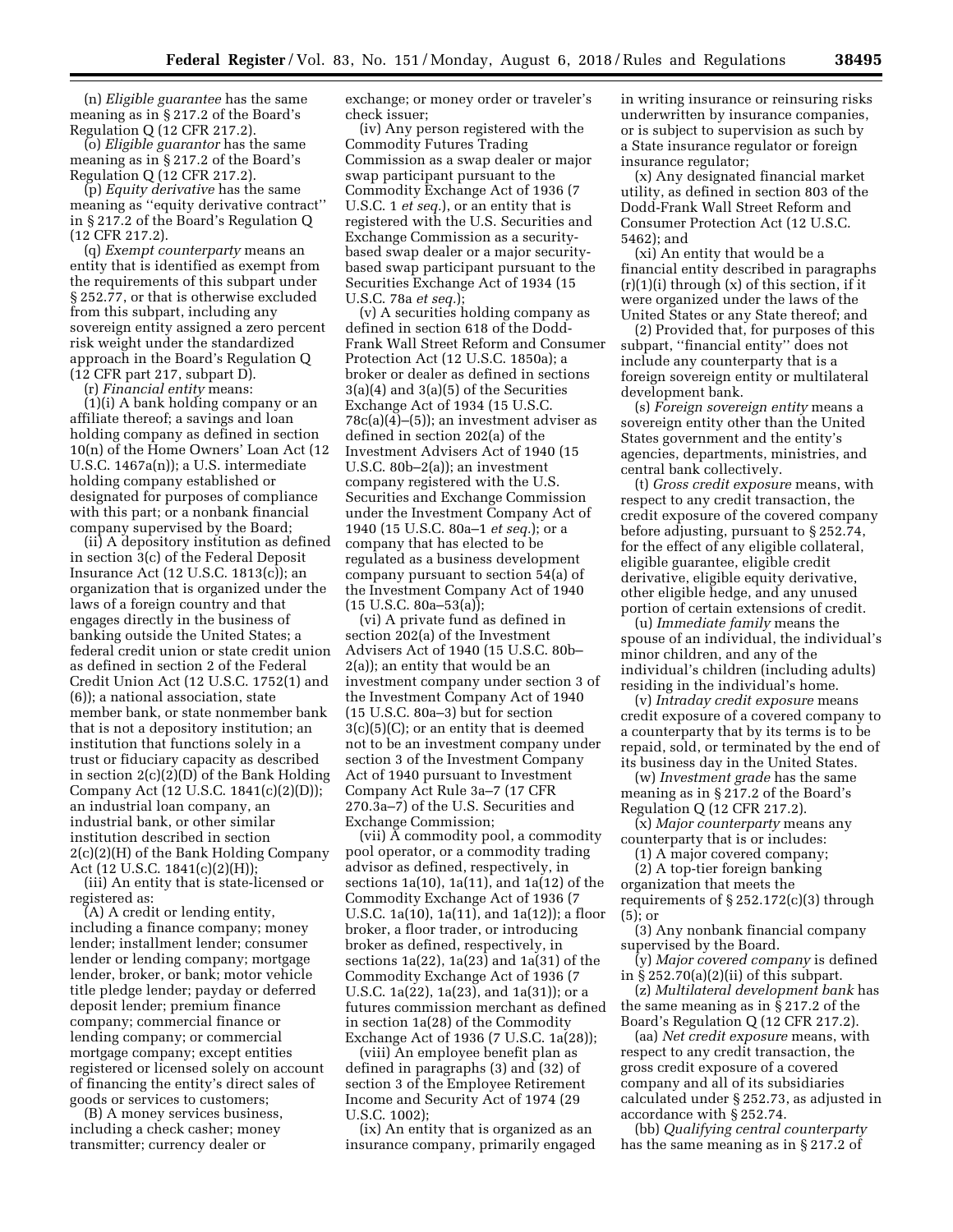(n) *Eligible guarantee* has the same meaning as in § 217.2 of the Board's Regulation Q (12 CFR 217.2).

(o) *Eligible guarantor* has the same meaning as in § 217.2 of the Board's Regulation Q (12 CFR 217.2).

(p) *Equity derivative* has the same meaning as ''equity derivative contract'' in § 217.2 of the Board's Regulation Q (12 CFR 217.2).

(q) *Exempt counterparty* means an entity that is identified as exempt from the requirements of this subpart under § 252.77, or that is otherwise excluded from this subpart, including any sovereign entity assigned a zero percent risk weight under the standardized approach in the Board's Regulation Q (12 CFR part 217, subpart D).

(r) *Financial entity* means:

(1)(i) A bank holding company or an affiliate thereof; a savings and loan holding company as defined in section 10(n) of the Home Owners' Loan Act (12 U.S.C. 1467a(n)); a U.S. intermediate holding company established or designated for purposes of compliance with this part; or a nonbank financial company supervised by the Board;

(ii) A depository institution as defined in section 3(c) of the Federal Deposit Insurance Act (12 U.S.C. 1813(c)); an organization that is organized under the laws of a foreign country and that engages directly in the business of banking outside the United States; a federal credit union or state credit union as defined in section 2 of the Federal Credit Union Act (12 U.S.C. 1752(1) and (6)); a national association, state member bank, or state nonmember bank that is not a depository institution; an institution that functions solely in a trust or fiduciary capacity as described in section 2(c)(2)(D) of the Bank Holding Company Act (12 U.S.C. 1841(c)(2)(D)); an industrial loan company, an industrial bank, or other similar institution described in section 2(c)(2)(H) of the Bank Holding Company Act (12 U.S.C. 1841(c)(2)(H));

(iii) An entity that is state-licensed or registered as:

(A) A credit or lending entity, including a finance company; money lender; installment lender; consumer lender or lending company; mortgage lender, broker, or bank; motor vehicle title pledge lender; payday or deferred deposit lender; premium finance company; commercial finance or lending company; or commercial mortgage company; except entities registered or licensed solely on account of financing the entity's direct sales of goods or services to customers;

(B) A money services business, including a check casher; money transmitter; currency dealer or

exchange; or money order or traveler's check issuer;

(iv) Any person registered with the Commodity Futures Trading Commission as a swap dealer or major swap participant pursuant to the Commodity Exchange Act of 1936 (7 U.S.C. 1 *et seq.*), or an entity that is registered with the U.S. Securities and Exchange Commission as a securitybased swap dealer or a major securitybased swap participant pursuant to the Securities Exchange Act of 1934 (15 U.S.C. 78a *et seq.*);

(v) A securities holding company as defined in section 618 of the Dodd-Frank Wall Street Reform and Consumer Protection Act (12 U.S.C. 1850a); a broker or dealer as defined in sections 3(a)(4) and 3(a)(5) of the Securities Exchange Act of 1934 (15 U.S.C. 78c(a)(4)–(5)); an investment adviser as defined in section 202(a) of the Investment Advisers Act of 1940 (15 U.S.C. 80b–2(a)); an investment company registered with the U.S. Securities and Exchange Commission under the Investment Company Act of 1940 (15 U.S.C. 80a–1 *et seq.*); or a company that has elected to be regulated as a business development company pursuant to section 54(a) of the Investment Company Act of 1940 (15 U.S.C. 80a–53(a));

(vi) A private fund as defined in section 202(a) of the Investment Advisers Act of 1940 (15 U.S.C. 80b– 2(a)); an entity that would be an investment company under section 3 of the Investment Company Act of 1940 (15 U.S.C. 80a–3) but for section 3(c)(5)(C); or an entity that is deemed not to be an investment company under section 3 of the Investment Company Act of 1940 pursuant to Investment Company Act Rule 3a–7 (17 CFR 270.3a–7) of the U.S. Securities and Exchange Commission;

(vii) A commodity pool, a commodity pool operator, or a commodity trading advisor as defined, respectively, in sections 1a(10), 1a(11), and 1a(12) of the Commodity Exchange Act of 1936 (7 U.S.C. 1a(10), 1a(11), and 1a(12)); a floor broker, a floor trader, or introducing broker as defined, respectively, in sections 1a(22), 1a(23) and 1a(31) of the Commodity Exchange Act of 1936 (7 U.S.C. 1a(22), 1a(23), and 1a(31)); or a futures commission merchant as defined in section 1a(28) of the Commodity Exchange Act of 1936 (7 U.S.C. 1a(28));

(viii) An employee benefit plan as defined in paragraphs (3) and (32) of section 3 of the Employee Retirement Income and Security Act of 1974 (29 U.S.C. 1002);

(ix) An entity that is organized as an insurance company, primarily engaged in writing insurance or reinsuring risks underwritten by insurance companies, or is subject to supervision as such by a State insurance regulator or foreign insurance regulator;

(x) Any designated financial market utility, as defined in section 803 of the Dodd-Frank Wall Street Reform and Consumer Protection Act (12 U.S.C. 5462); and

(xi) An entity that would be a financial entity described in paragraphs (r)(1)(i) through (x) of this section, if it were organized under the laws of the United States or any State thereof; and

(2) Provided that, for purposes of this subpart, ''financial entity'' does not include any counterparty that is a foreign sovereign entity or multilateral development bank.

(s) *Foreign sovereign entity* means a sovereign entity other than the United States government and the entity's agencies, departments, ministries, and central bank collectively.

(t) *Gross credit exposure* means, with respect to any credit transaction, the credit exposure of the covered company before adjusting, pursuant to § 252.74, for the effect of any eligible collateral, eligible guarantee, eligible credit derivative, eligible equity derivative, other eligible hedge, and any unused portion of certain extensions of credit.

(u) *Immediate family* means the spouse of an individual, the individual's minor children, and any of the individual's children (including adults) residing in the individual's home.

(v) *Intraday credit exposure* means credit exposure of a covered company to a counterparty that by its terms is to be repaid, sold, or terminated by the end of its business day in the United States.

(w) *Investment grade* has the same meaning as in § 217.2 of the Board's Regulation Q (12 CFR 217.2).

(x) *Major counterparty* means any counterparty that is or includes:

(1) A major covered company;

(2) A top-tier foreign banking organization that meets the requirements of  $\S 252.172(c)(3)$  through (5); or

(3) Any nonbank financial company supervised by the Board.

(y) *Major covered company* is defined in § 252.70(a)(2)(ii) of this subpart.

(z) *Multilateral development bank* has the same meaning as in § 217.2 of the Board's Regulation Q (12 CFR 217.2).

(aa) *Net credit exposure* means, with respect to any credit transaction, the gross credit exposure of a covered company and all of its subsidiaries calculated under § 252.73, as adjusted in accordance with § 252.74.

(bb) *Qualifying central counterparty*  has the same meaning as in § 217.2 of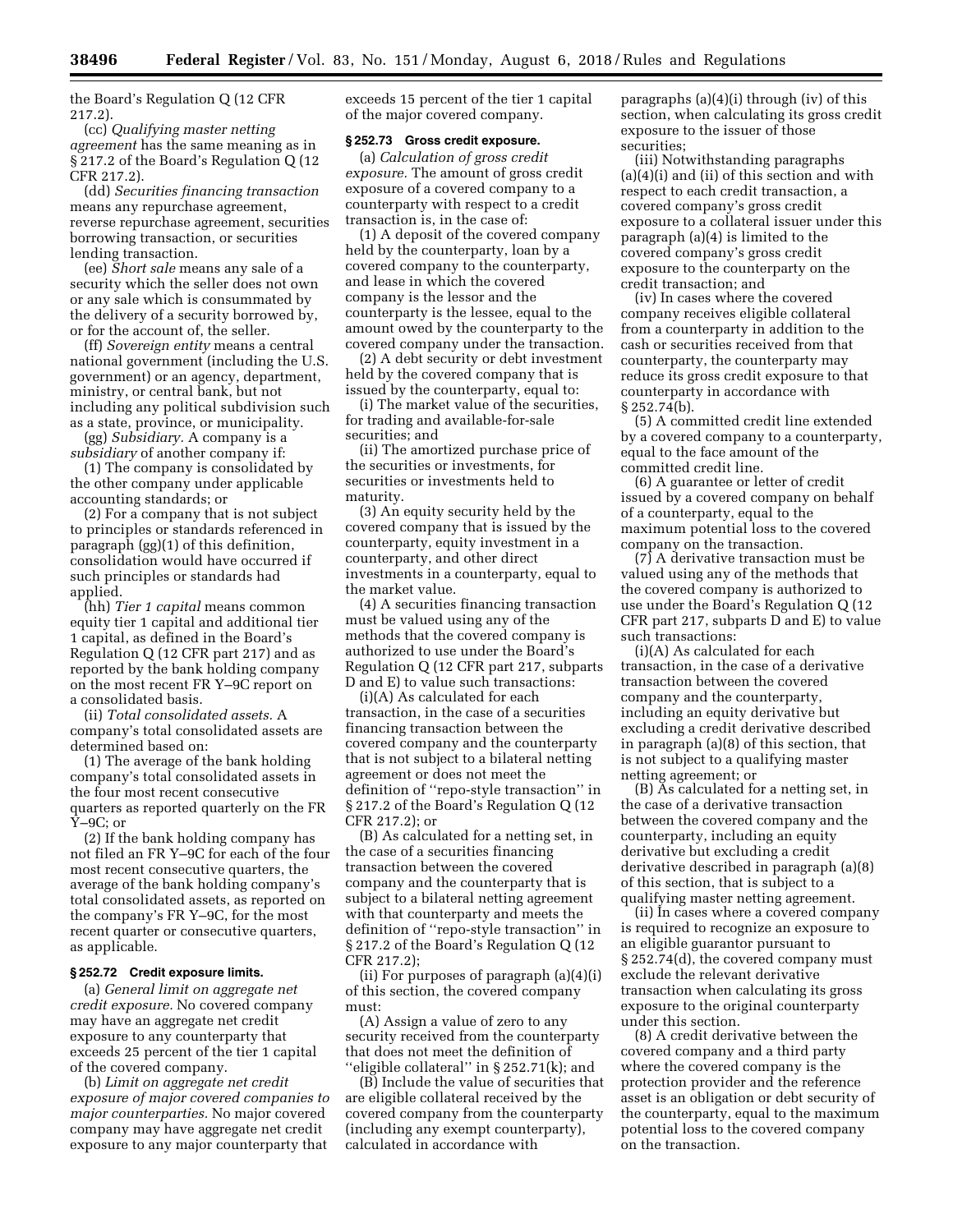the Board's Regulation Q (12 CFR 217.2).

(cc) *Qualifying master netting agreement* has the same meaning as in § 217.2 of the Board's Regulation Q (12 CFR 217.2).

(dd) *Securities financing transaction*  means any repurchase agreement, reverse repurchase agreement, securities borrowing transaction, or securities lending transaction.

(ee) *Short sale* means any sale of a security which the seller does not own or any sale which is consummated by the delivery of a security borrowed by, or for the account of, the seller.

(ff) *Sovereign entity* means a central national government (including the U.S. government) or an agency, department, ministry, or central bank, but not including any political subdivision such as a state, province, or municipality.

(gg) *Subsidiary.* A company is a *subsidiary* of another company if:

(1) The company is consolidated by the other company under applicable accounting standards; or

(2) For a company that is not subject to principles or standards referenced in paragraph (gg)(1) of this definition, consolidation would have occurred if such principles or standards had applied.

(hh) *Tier 1 capital* means common equity tier 1 capital and additional tier 1 capital, as defined in the Board's Regulation Q (12 CFR part 217) and as reported by the bank holding company on the most recent FR Y–9C report on a consolidated basis.

(ii) *Total consolidated assets.* A company's total consolidated assets are determined based on:

(1) The average of the bank holding company's total consolidated assets in the four most recent consecutive quarters as reported quarterly on the FR Y–9C; or

(2) If the bank holding company has not filed an FR Y–9C for each of the four most recent consecutive quarters, the average of the bank holding company's total consolidated assets, as reported on the company's FR Y–9C, for the most recent quarter or consecutive quarters, as applicable.

# **§ 252.72 Credit exposure limits.**

(a) *General limit on aggregate net credit exposure.* No covered company may have an aggregate net credit exposure to any counterparty that exceeds 25 percent of the tier 1 capital of the covered company.

(b) *Limit on aggregate net credit exposure of major covered companies to major counterparties.* No major covered company may have aggregate net credit exposure to any major counterparty that

exceeds 15 percent of the tier 1 capital of the major covered company.

# **§ 252.73 Gross credit exposure.**

(a) *Calculation of gross credit exposure.* The amount of gross credit exposure of a covered company to a counterparty with respect to a credit transaction is, in the case of:

(1) A deposit of the covered company held by the counterparty, loan by a covered company to the counterparty, and lease in which the covered company is the lessor and the counterparty is the lessee, equal to the amount owed by the counterparty to the covered company under the transaction.

(2) A debt security or debt investment held by the covered company that is issued by the counterparty, equal to:

(i) The market value of the securities, for trading and available-for-sale securities; and

(ii) The amortized purchase price of the securities or investments, for securities or investments held to maturity.

(3) An equity security held by the covered company that is issued by the counterparty, equity investment in a counterparty, and other direct investments in a counterparty, equal to the market value.

(4) A securities financing transaction must be valued using any of the methods that the covered company is authorized to use under the Board's Regulation Q (12 CFR part 217, subparts D and E) to value such transactions:

(i)(A) As calculated for each transaction, in the case of a securities financing transaction between the covered company and the counterparty that is not subject to a bilateral netting agreement or does not meet the definition of ''repo-style transaction'' in § 217.2 of the Board's Regulation Q (12 CFR 217.2); or

(B) As calculated for a netting set, in the case of a securities financing transaction between the covered company and the counterparty that is subject to a bilateral netting agreement with that counterparty and meets the definition of ''repo-style transaction'' in § 217.2 of the Board's Regulation Q (12 CFR 217.2);

(ii) For purposes of paragraph (a)(4)(i) of this section, the covered company must:

(A) Assign a value of zero to any security received from the counterparty that does not meet the definition of ''eligible collateral'' in § 252.71(k); and

(B) Include the value of securities that are eligible collateral received by the covered company from the counterparty (including any exempt counterparty), calculated in accordance with

paragraphs (a)(4)(i) through (iv) of this section, when calculating its gross credit exposure to the issuer of those securities;

(iii) Notwithstanding paragraphs (a)(4)(i) and (ii) of this section and with respect to each credit transaction, a covered company's gross credit exposure to a collateral issuer under this paragraph (a)(4) is limited to the covered company's gross credit exposure to the counterparty on the credit transaction; and

(iv) In cases where the covered company receives eligible collateral from a counterparty in addition to the cash or securities received from that counterparty, the counterparty may reduce its gross credit exposure to that counterparty in accordance with  $§ 252.74(b).$ 

(5) A committed credit line extended by a covered company to a counterparty, equal to the face amount of the committed credit line.

(6) A guarantee or letter of credit issued by a covered company on behalf of a counterparty, equal to the maximum potential loss to the covered company on the transaction.

(7) A derivative transaction must be valued using any of the methods that the covered company is authorized to use under the Board's Regulation Q (12 CFR part 217, subparts D and E) to value such transactions:

(i)(A) As calculated for each transaction, in the case of a derivative transaction between the covered company and the counterparty, including an equity derivative but excluding a credit derivative described in paragraph (a)(8) of this section, that is not subject to a qualifying master netting agreement; or

(B) As calculated for a netting set, in the case of a derivative transaction between the covered company and the counterparty, including an equity derivative but excluding a credit derivative described in paragraph (a)(8) of this section, that is subject to a qualifying master netting agreement.

(ii) In cases where a covered company is required to recognize an exposure to an eligible guarantor pursuant to § 252.74(d), the covered company must exclude the relevant derivative transaction when calculating its gross exposure to the original counterparty under this section.

(8) A credit derivative between the covered company and a third party where the covered company is the protection provider and the reference asset is an obligation or debt security of the counterparty, equal to the maximum potential loss to the covered company on the transaction.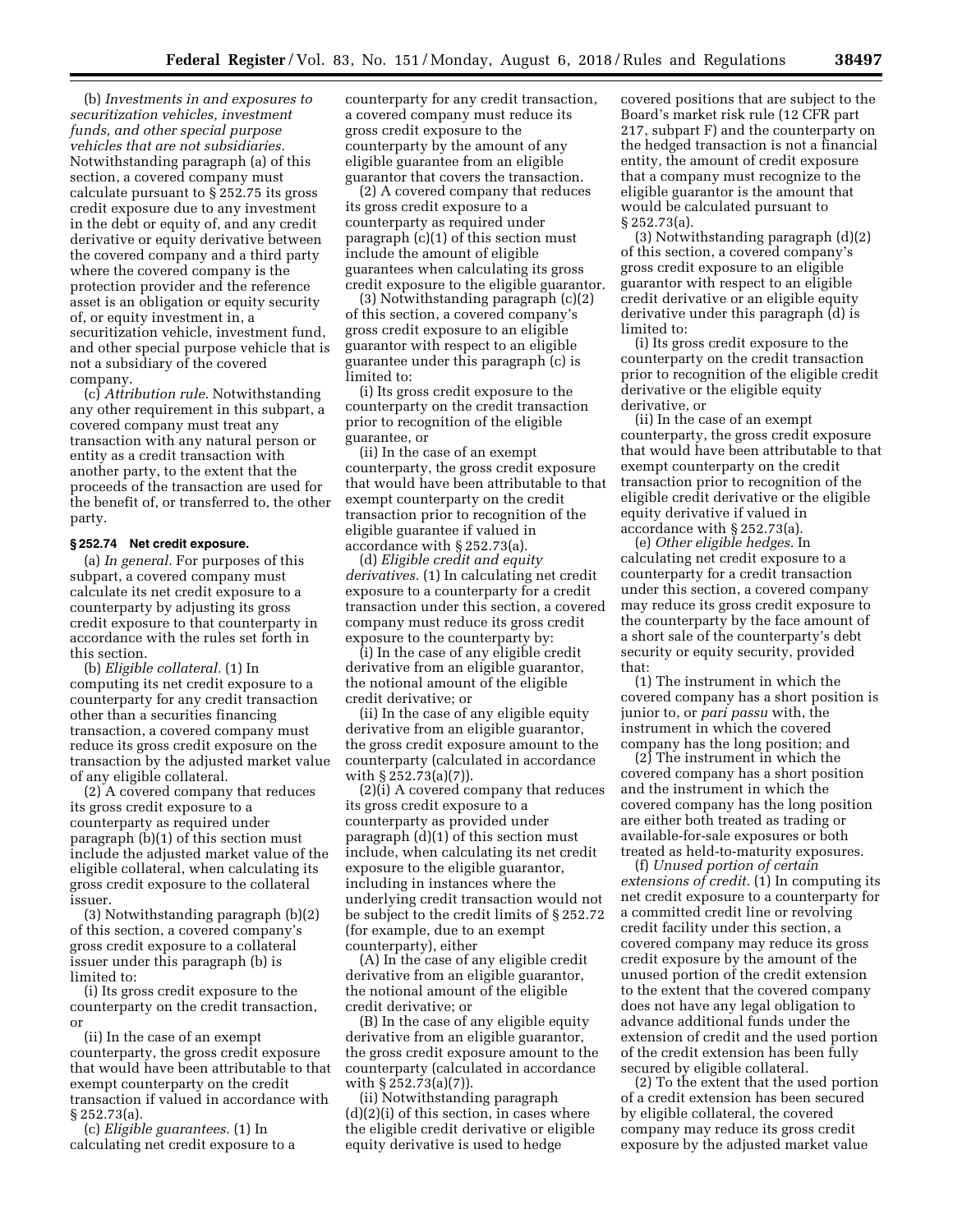(b) *Investments in and exposures to securitization vehicles, investment funds, and other special purpose vehicles that are not subsidiaries.*  Notwithstanding paragraph (a) of this section, a covered company must calculate pursuant to § 252.75 its gross credit exposure due to any investment in the debt or equity of, and any credit derivative or equity derivative between the covered company and a third party where the covered company is the protection provider and the reference asset is an obligation or equity security of, or equity investment in, a securitization vehicle, investment fund, and other special purpose vehicle that is not a subsidiary of the covered company.

(c) *Attribution rule.* Notwithstanding any other requirement in this subpart, a covered company must treat any transaction with any natural person or entity as a credit transaction with another party, to the extent that the proceeds of the transaction are used for the benefit of, or transferred to, the other party.

#### **§ 252.74 Net credit exposure.**

(a) *In general.* For purposes of this subpart, a covered company must calculate its net credit exposure to a counterparty by adjusting its gross credit exposure to that counterparty in accordance with the rules set forth in this section.

(b) *Eligible collateral.* (1) In computing its net credit exposure to a counterparty for any credit transaction other than a securities financing transaction, a covered company must reduce its gross credit exposure on the transaction by the adjusted market value of any eligible collateral.

(2) A covered company that reduces its gross credit exposure to a counterparty as required under paragraph (b)(1) of this section must include the adjusted market value of the eligible collateral, when calculating its gross credit exposure to the collateral issuer.

(3) Notwithstanding paragraph (b)(2) of this section, a covered company's gross credit exposure to a collateral issuer under this paragraph (b) is limited to:

(i) Its gross credit exposure to the counterparty on the credit transaction, or

(ii) In the case of an exempt counterparty, the gross credit exposure that would have been attributable to that exempt counterparty on the credit transaction if valued in accordance with § 252.73(a).

(c) *Eligible guarantees.* (1) In calculating net credit exposure to a counterparty for any credit transaction, a covered company must reduce its gross credit exposure to the counterparty by the amount of any eligible guarantee from an eligible guarantor that covers the transaction.

(2) A covered company that reduces its gross credit exposure to a counterparty as required under paragraph (c)(1) of this section must include the amount of eligible guarantees when calculating its gross credit exposure to the eligible guarantor.

(3) Notwithstanding paragraph (c)(2) of this section, a covered company's gross credit exposure to an eligible guarantor with respect to an eligible guarantee under this paragraph (c) is limited to:

(i) Its gross credit exposure to the counterparty on the credit transaction prior to recognition of the eligible guarantee, or

(ii) In the case of an exempt counterparty, the gross credit exposure that would have been attributable to that exempt counterparty on the credit transaction prior to recognition of the eligible guarantee if valued in accordance with § 252.73(a).

(d) *Eligible credit and equity derivatives.* (1) In calculating net credit exposure to a counterparty for a credit transaction under this section, a covered company must reduce its gross credit exposure to the counterparty by:

(i) In the case of any eligible credit derivative from an eligible guarantor, the notional amount of the eligible credit derivative; or

(ii) In the case of any eligible equity derivative from an eligible guarantor, the gross credit exposure amount to the counterparty (calculated in accordance with § 252.73(a)(7)).

(2)(i) A covered company that reduces its gross credit exposure to a counterparty as provided under paragraph (d)(1) of this section must include, when calculating its net credit exposure to the eligible guarantor, including in instances where the underlying credit transaction would not be subject to the credit limits of § 252.72 (for example, due to an exempt counterparty), either

(A) In the case of any eligible credit derivative from an eligible guarantor, the notional amount of the eligible credit derivative; or

(B) In the case of any eligible equity derivative from an eligible guarantor, the gross credit exposure amount to the counterparty (calculated in accordance with § 252.73(a)(7)).

(ii) Notwithstanding paragraph  $(d)(2)(i)$  of this section, in cases where the eligible credit derivative or eligible equity derivative is used to hedge

covered positions that are subject to the Board's market risk rule (12 CFR part 217, subpart F) and the counterparty on the hedged transaction is not a financial entity, the amount of credit exposure that a company must recognize to the eligible guarantor is the amount that would be calculated pursuant to § 252.73(a).

(3) Notwithstanding paragraph (d)(2) of this section, a covered company's gross credit exposure to an eligible guarantor with respect to an eligible credit derivative or an eligible equity derivative under this paragraph (d) is limited to:

(i) Its gross credit exposure to the counterparty on the credit transaction prior to recognition of the eligible credit derivative or the eligible equity derivative, or

(ii) In the case of an exempt counterparty, the gross credit exposure that would have been attributable to that exempt counterparty on the credit transaction prior to recognition of the eligible credit derivative or the eligible equity derivative if valued in accordance with § 252.73(a).

(e) *Other eligible hedges.* In calculating net credit exposure to a counterparty for a credit transaction under this section, a covered company may reduce its gross credit exposure to the counterparty by the face amount of a short sale of the counterparty's debt security or equity security, provided that:

(1) The instrument in which the covered company has a short position is junior to, or *pari passu* with, the instrument in which the covered company has the long position; and

(2) The instrument in which the covered company has a short position and the instrument in which the covered company has the long position are either both treated as trading or available-for-sale exposures or both treated as held-to-maturity exposures.

(f) *Unused portion of certain extensions of credit.* (1) In computing its net credit exposure to a counterparty for a committed credit line or revolving credit facility under this section, a covered company may reduce its gross credit exposure by the amount of the unused portion of the credit extension to the extent that the covered company does not have any legal obligation to advance additional funds under the extension of credit and the used portion of the credit extension has been fully secured by eligible collateral.

(2) To the extent that the used portion of a credit extension has been secured by eligible collateral, the covered company may reduce its gross credit exposure by the adjusted market value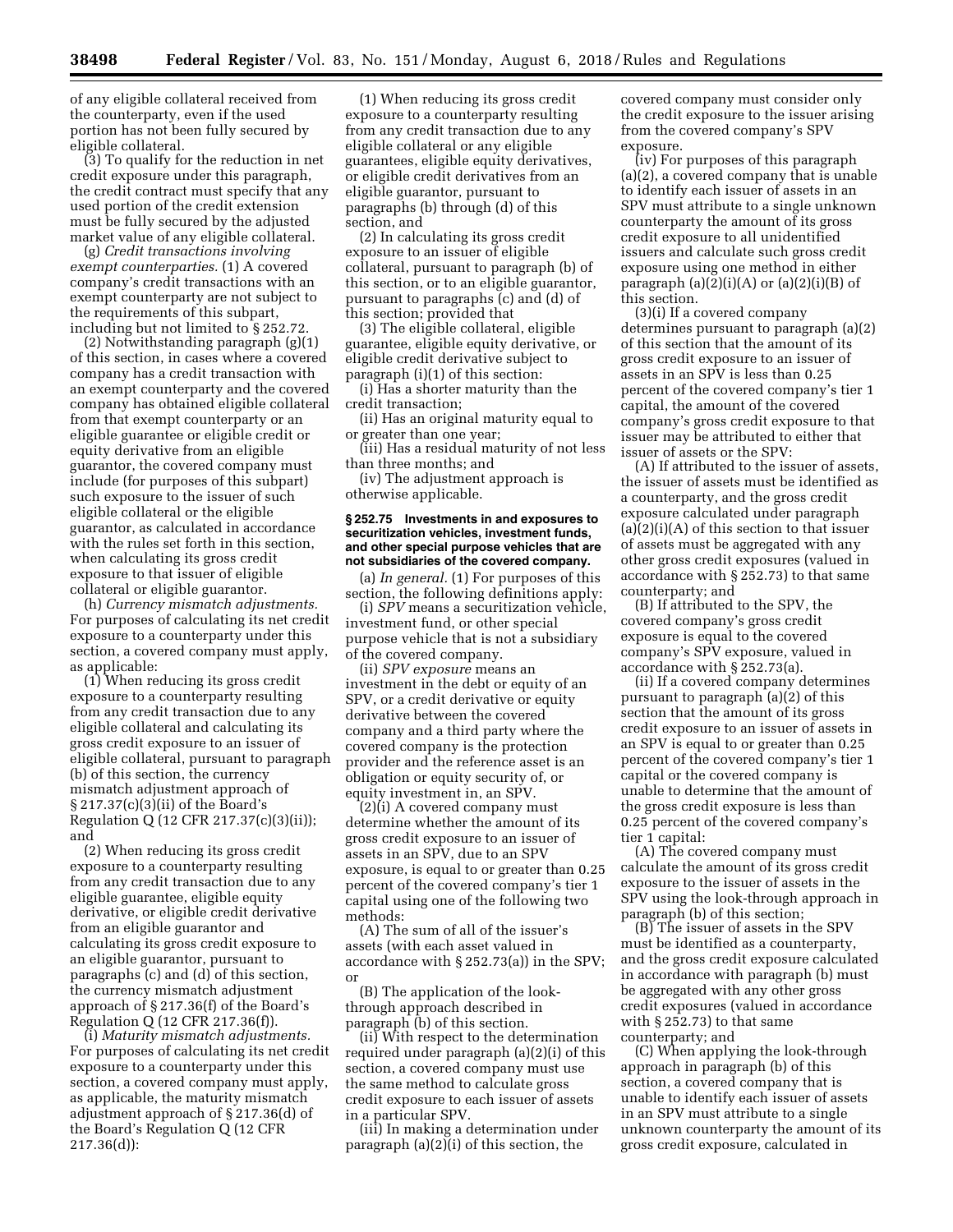of any eligible collateral received from the counterparty, even if the used portion has not been fully secured by eligible collateral.

(3) To qualify for the reduction in net credit exposure under this paragraph, the credit contract must specify that any used portion of the credit extension must be fully secured by the adjusted market value of any eligible collateral.

(g) *Credit transactions involving exempt counterparties.* (1) A covered company's credit transactions with an exempt counterparty are not subject to the requirements of this subpart, including but not limited to § 252.72.

(2) Notwithstanding paragraph (g)(1) of this section, in cases where a covered company has a credit transaction with an exempt counterparty and the covered company has obtained eligible collateral from that exempt counterparty or an eligible guarantee or eligible credit or equity derivative from an eligible guarantor, the covered company must include (for purposes of this subpart) such exposure to the issuer of such eligible collateral or the eligible guarantor, as calculated in accordance with the rules set forth in this section, when calculating its gross credit exposure to that issuer of eligible collateral or eligible guarantor.

(h) *Currency mismatch adjustments.*  For purposes of calculating its net credit exposure to a counterparty under this section, a covered company must apply, as applicable:

(1) When reducing its gross credit exposure to a counterparty resulting from any credit transaction due to any eligible collateral and calculating its gross credit exposure to an issuer of eligible collateral, pursuant to paragraph (b) of this section, the currency mismatch adjustment approach of § 217.37(c)(3)(ii) of the Board's Regulation Q (12 CFR 217.37(c)(3)(ii)); and

(2) When reducing its gross credit exposure to a counterparty resulting from any credit transaction due to any eligible guarantee, eligible equity derivative, or eligible credit derivative from an eligible guarantor and calculating its gross credit exposure to an eligible guarantor, pursuant to paragraphs (c) and (d) of this section, the currency mismatch adjustment approach of § 217.36(f) of the Board's Regulation Q (12 CFR 217.36(f)).

(i) *Maturity mismatch adjustments.*  For purposes of calculating its net credit exposure to a counterparty under this section, a covered company must apply, as applicable, the maturity mismatch adjustment approach of § 217.36(d) of the Board's Regulation Q (12 CFR 217.36(d)):

(1) When reducing its gross credit exposure to a counterparty resulting from any credit transaction due to any eligible collateral or any eligible guarantees, eligible equity derivatives, or eligible credit derivatives from an eligible guarantor, pursuant to paragraphs (b) through (d) of this section, and

(2) In calculating its gross credit exposure to an issuer of eligible collateral, pursuant to paragraph (b) of this section, or to an eligible guarantor, pursuant to paragraphs (c) and (d) of this section; provided that

(3) The eligible collateral, eligible guarantee, eligible equity derivative, or eligible credit derivative subject to paragraph (i)(1) of this section:

(i) Has a shorter maturity than the credit transaction;

(ii) Has an original maturity equal to or greater than one year;

(iii) Has a residual maturity of not less than three months; and

(iv) The adjustment approach is otherwise applicable.

# **§ 252.75 Investments in and exposures to securitization vehicles, investment funds, and other special purpose vehicles that are not subsidiaries of the covered company.**

(a) *In general.* (1) For purposes of this section, the following definitions apply:

(i) *SPV* means a securitization vehicle, investment fund, or other special purpose vehicle that is not a subsidiary of the covered company.

(ii) *SPV exposure* means an investment in the debt or equity of an SPV, or a credit derivative or equity derivative between the covered company and a third party where the covered company is the protection provider and the reference asset is an obligation or equity security of, or equity investment in, an SPV.

(2)(i) A covered company must determine whether the amount of its gross credit exposure to an issuer of assets in an SPV, due to an SPV exposure, is equal to or greater than 0.25 percent of the covered company's tier 1 capital using one of the following two methods:

(A) The sum of all of the issuer's assets (with each asset valued in accordance with § 252.73(a)) in the SPV; or

(B) The application of the lookthrough approach described in paragraph (b) of this section.

(ii) With respect to the determination required under paragraph (a)(2)(i) of this section, a covered company must use the same method to calculate gross credit exposure to each issuer of assets in a particular SPV.

(iii) In making a determination under paragraph (a)(2)(i) of this section, the

covered company must consider only the credit exposure to the issuer arising from the covered company's SPV exposure.

(iv) For purposes of this paragraph (a)(2), a covered company that is unable to identify each issuer of assets in an SPV must attribute to a single unknown counterparty the amount of its gross credit exposure to all unidentified issuers and calculate such gross credit exposure using one method in either paragraph  $(a)(2)(i)(A)$  or  $(a)(2)(i)(B)$  of this section.

(3)(i) If a covered company determines pursuant to paragraph (a)(2) of this section that the amount of its gross credit exposure to an issuer of assets in an SPV is less than 0.25 percent of the covered company's tier 1 capital, the amount of the covered company's gross credit exposure to that issuer may be attributed to either that issuer of assets or the SPV:

(A) If attributed to the issuer of assets, the issuer of assets must be identified as a counterparty, and the gross credit exposure calculated under paragraph  $(a)(2)(i)(A)$  of this section to that issuer of assets must be aggregated with any other gross credit exposures (valued in accordance with § 252.73) to that same counterparty; and

(B) If attributed to the SPV, the covered company's gross credit exposure is equal to the covered company's SPV exposure, valued in accordance with § 252.73(a).

(ii) If a covered company determines pursuant to paragraph (a)(2) of this section that the amount of its gross credit exposure to an issuer of assets in an SPV is equal to or greater than 0.25 percent of the covered company's tier 1 capital or the covered company is unable to determine that the amount of the gross credit exposure is less than 0.25 percent of the covered company's tier 1 capital:

(A) The covered company must calculate the amount of its gross credit exposure to the issuer of assets in the SPV using the look-through approach in paragraph (b) of this section;

(B) The issuer of assets in the SPV must be identified as a counterparty, and the gross credit exposure calculated in accordance with paragraph (b) must be aggregated with any other gross credit exposures (valued in accordance with § 252.73) to that same counterparty; and

(C) When applying the look-through approach in paragraph (b) of this section, a covered company that is unable to identify each issuer of assets in an SPV must attribute to a single unknown counterparty the amount of its gross credit exposure, calculated in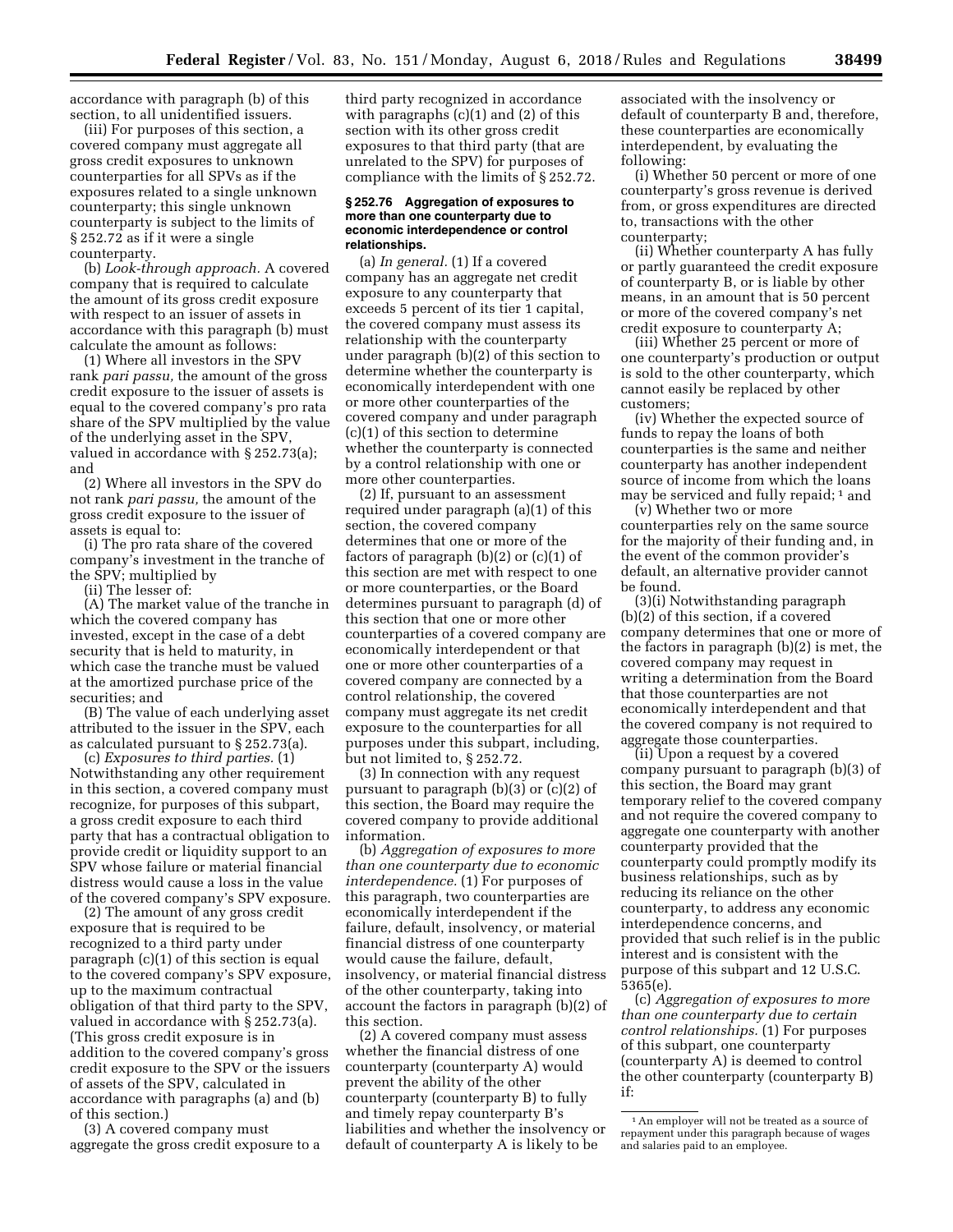accordance with paragraph (b) of this section, to all unidentified issuers.

(iii) For purposes of this section, a covered company must aggregate all gross credit exposures to unknown counterparties for all SPVs as if the exposures related to a single unknown counterparty; this single unknown counterparty is subject to the limits of § 252.72 as if it were a single counterparty.

(b) *Look-through approach.* A covered company that is required to calculate the amount of its gross credit exposure with respect to an issuer of assets in accordance with this paragraph (b) must calculate the amount as follows:

(1) Where all investors in the SPV rank *pari passu,* the amount of the gross credit exposure to the issuer of assets is equal to the covered company's pro rata share of the SPV multiplied by the value of the underlying asset in the SPV, valued in accordance with § 252.73(a); and

(2) Where all investors in the SPV do not rank *pari passu,* the amount of the gross credit exposure to the issuer of assets is equal to:

(i) The pro rata share of the covered company's investment in the tranche of the SPV; multiplied by

(ii) The lesser of:

(A) The market value of the tranche in which the covered company has invested, except in the case of a debt security that is held to maturity, in which case the tranche must be valued at the amortized purchase price of the securities; and

(B) The value of each underlying asset attributed to the issuer in the SPV, each as calculated pursuant to § 252.73(a).

(c) *Exposures to third parties.* (1) Notwithstanding any other requirement in this section, a covered company must recognize, for purposes of this subpart, a gross credit exposure to each third party that has a contractual obligation to provide credit or liquidity support to an SPV whose failure or material financial distress would cause a loss in the value of the covered company's SPV exposure.

(2) The amount of any gross credit exposure that is required to be recognized to a third party under paragraph (c)(1) of this section is equal to the covered company's SPV exposure, up to the maximum contractual obligation of that third party to the SPV, valued in accordance with § 252.73(a). (This gross credit exposure is in addition to the covered company's gross credit exposure to the SPV or the issuers of assets of the SPV, calculated in accordance with paragraphs (a) and (b) of this section.)

(3) A covered company must aggregate the gross credit exposure to a third party recognized in accordance with paragraphs (c)(1) and (2) of this section with its other gross credit exposures to that third party (that are unrelated to the SPV) for purposes of compliance with the limits of § 252.72.

## **§ 252.76 Aggregation of exposures to more than one counterparty due to economic interdependence or control relationships.**

(a) *In general.* (1) If a covered company has an aggregate net credit exposure to any counterparty that exceeds 5 percent of its tier 1 capital, the covered company must assess its relationship with the counterparty under paragraph (b)(2) of this section to determine whether the counterparty is economically interdependent with one or more other counterparties of the covered company and under paragraph (c)(1) of this section to determine whether the counterparty is connected by a control relationship with one or more other counterparties.

(2) If, pursuant to an assessment required under paragraph (a)(1) of this section, the covered company determines that one or more of the factors of paragraph (b)(2) or (c)(1) of this section are met with respect to one or more counterparties, or the Board determines pursuant to paragraph (d) of this section that one or more other counterparties of a covered company are economically interdependent or that one or more other counterparties of a covered company are connected by a control relationship, the covered company must aggregate its net credit exposure to the counterparties for all purposes under this subpart, including, but not limited to, § 252.72.

(3) In connection with any request pursuant to paragraph (b)(3) or (c)(2) of this section, the Board may require the covered company to provide additional information.

(b) *Aggregation of exposures to more than one counterparty due to economic interdependence.* (1) For purposes of this paragraph, two counterparties are economically interdependent if the failure, default, insolvency, or material financial distress of one counterparty would cause the failure, default, insolvency, or material financial distress of the other counterparty, taking into account the factors in paragraph (b)(2) of this section.

(2) A covered company must assess whether the financial distress of one counterparty (counterparty A) would prevent the ability of the other counterparty (counterparty B) to fully and timely repay counterparty B's liabilities and whether the insolvency or default of counterparty A is likely to be

associated with the insolvency or default of counterparty B and, therefore, these counterparties are economically interdependent, by evaluating the following:

(i) Whether 50 percent or more of one counterparty's gross revenue is derived from, or gross expenditures are directed to, transactions with the other counterparty;

(ii) Whether counterparty A has fully or partly guaranteed the credit exposure of counterparty B, or is liable by other means, in an amount that is 50 percent or more of the covered company's net credit exposure to counterparty A;

(iii) Whether 25 percent or more of one counterparty's production or output is sold to the other counterparty, which cannot easily be replaced by other customers;

(iv) Whether the expected source of funds to repay the loans of both counterparties is the same and neither counterparty has another independent source of income from which the loans may be serviced and fully repaid; 1 and

(v) Whether two or more counterparties rely on the same source for the majority of their funding and, in the event of the common provider's default, an alternative provider cannot be found.

(3)(i) Notwithstanding paragraph (b)(2) of this section, if a covered company determines that one or more of the factors in paragraph (b)(2) is met, the covered company may request in writing a determination from the Board that those counterparties are not economically interdependent and that the covered company is not required to aggregate those counterparties.

(ii) Upon a request by a covered company pursuant to paragraph (b)(3) of this section, the Board may grant temporary relief to the covered company and not require the covered company to aggregate one counterparty with another counterparty provided that the counterparty could promptly modify its business relationships, such as by reducing its reliance on the other counterparty, to address any economic interdependence concerns, and provided that such relief is in the public interest and is consistent with the purpose of this subpart and 12 U.S.C. 5365(e).

(c) *Aggregation of exposures to more than one counterparty due to certain control relationships.* (1) For purposes of this subpart, one counterparty (counterparty A) is deemed to control the other counterparty (counterparty B) if:

<sup>1</sup>An employer will not be treated as a source of repayment under this paragraph because of wages and salaries paid to an employee.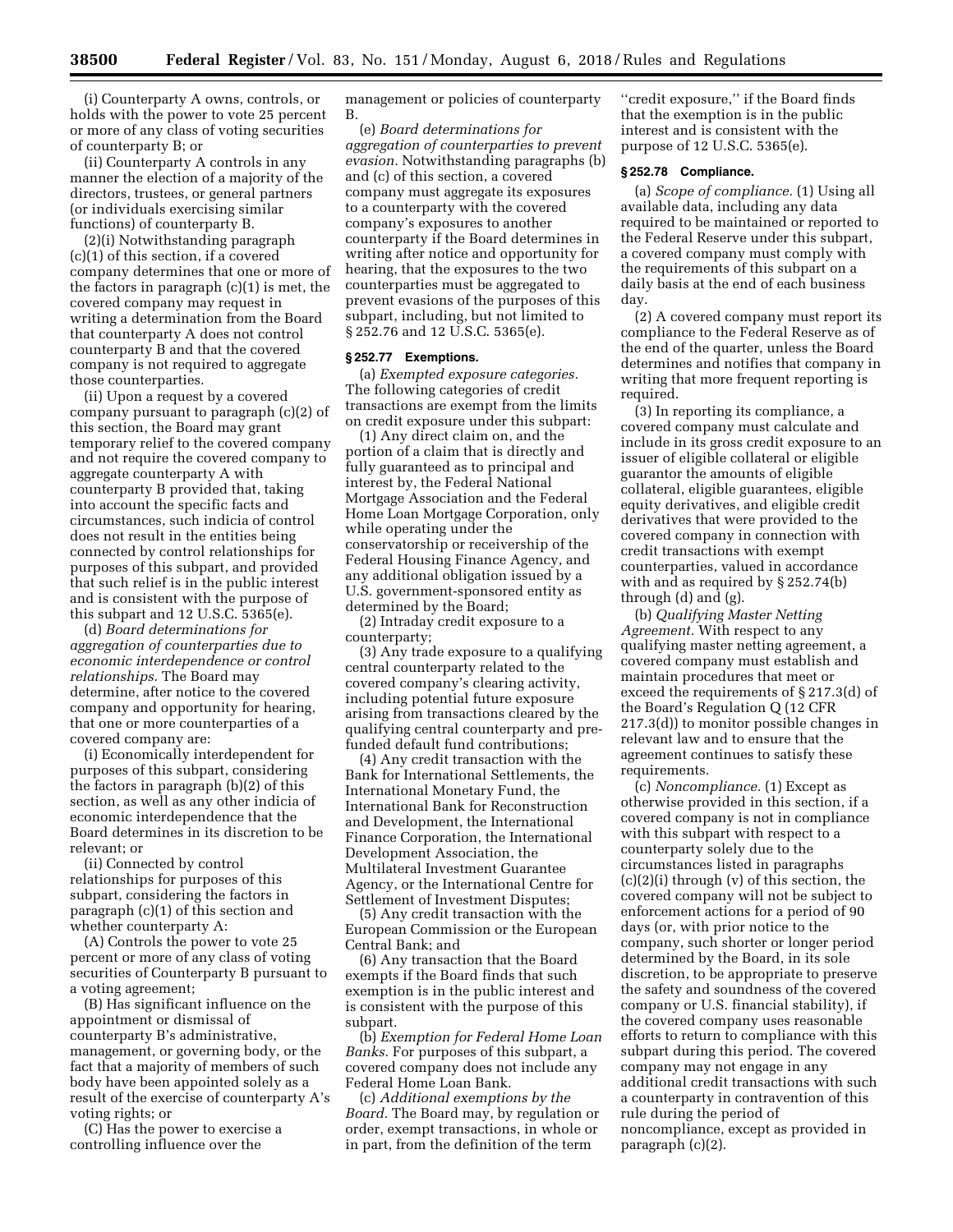(i) Counterparty A owns, controls, or holds with the power to vote 25 percent or more of any class of voting securities of counterparty B; or

(ii) Counterparty A controls in any manner the election of a majority of the directors, trustees, or general partners (or individuals exercising similar functions) of counterparty B.

(2)(i) Notwithstanding paragraph (c)(1) of this section, if a covered company determines that one or more of the factors in paragraph (c)(1) is met, the covered company may request in writing a determination from the Board that counterparty A does not control counterparty B and that the covered company is not required to aggregate those counterparties.

(ii) Upon a request by a covered company pursuant to paragraph (c)(2) of this section, the Board may grant temporary relief to the covered company and not require the covered company to aggregate counterparty A with counterparty B provided that, taking into account the specific facts and circumstances, such indicia of control does not result in the entities being connected by control relationships for purposes of this subpart, and provided that such relief is in the public interest and is consistent with the purpose of this subpart and 12 U.S.C. 5365(e).

(d) *Board determinations for aggregation of counterparties due to economic interdependence or control relationships.* The Board may determine, after notice to the covered company and opportunity for hearing, that one or more counterparties of a covered company are:

(i) Economically interdependent for purposes of this subpart, considering the factors in paragraph (b)(2) of this section, as well as any other indicia of economic interdependence that the Board determines in its discretion to be relevant; or

(ii) Connected by control relationships for purposes of this subpart, considering the factors in paragraph (c)(1) of this section and whether counterparty A:

(A) Controls the power to vote 25 percent or more of any class of voting securities of Counterparty B pursuant to a voting agreement;

(B) Has significant influence on the appointment or dismissal of counterparty B's administrative, management, or governing body, or the fact that a majority of members of such body have been appointed solely as a result of the exercise of counterparty A's voting rights; or

(C) Has the power to exercise a controlling influence over the

management or policies of counterparty B.

(e) *Board determinations for aggregation of counterparties to prevent evasion.* Notwithstanding paragraphs (b) and (c) of this section, a covered company must aggregate its exposures to a counterparty with the covered company's exposures to another counterparty if the Board determines in writing after notice and opportunity for hearing, that the exposures to the two counterparties must be aggregated to prevent evasions of the purposes of this subpart, including, but not limited to § 252.76 and 12 U.S.C. 5365(e).

# **§ 252.77 Exemptions.**

(a) *Exempted exposure categories.*  The following categories of credit transactions are exempt from the limits on credit exposure under this subpart:

(1) Any direct claim on, and the portion of a claim that is directly and fully guaranteed as to principal and interest by, the Federal National Mortgage Association and the Federal Home Loan Mortgage Corporation, only while operating under the conservatorship or receivership of the Federal Housing Finance Agency, and any additional obligation issued by a U.S. government-sponsored entity as determined by the Board;

(2) Intraday credit exposure to a counterparty;

(3) Any trade exposure to a qualifying central counterparty related to the covered company's clearing activity, including potential future exposure arising from transactions cleared by the qualifying central counterparty and prefunded default fund contributions;

(4) Any credit transaction with the Bank for International Settlements, the International Monetary Fund, the International Bank for Reconstruction and Development, the International Finance Corporation, the International Development Association, the Multilateral Investment Guarantee Agency, or the International Centre for Settlement of Investment Disputes;

(5) Any credit transaction with the European Commission or the European Central Bank; and

(6) Any transaction that the Board exempts if the Board finds that such exemption is in the public interest and is consistent with the purpose of this subpart.

(b) *Exemption for Federal Home Loan Banks.* For purposes of this subpart, a covered company does not include any Federal Home Loan Bank.

(c) *Additional exemptions by the Board.* The Board may, by regulation or order, exempt transactions, in whole or in part, from the definition of the term

''credit exposure,'' if the Board finds that the exemption is in the public interest and is consistent with the purpose of 12 U.S.C. 5365(e).

## **§ 252.78 Compliance.**

(a) *Scope of compliance.* (1) Using all available data, including any data required to be maintained or reported to the Federal Reserve under this subpart, a covered company must comply with the requirements of this subpart on a daily basis at the end of each business day.

(2) A covered company must report its compliance to the Federal Reserve as of the end of the quarter, unless the Board determines and notifies that company in writing that more frequent reporting is required.

(3) In reporting its compliance, a covered company must calculate and include in its gross credit exposure to an issuer of eligible collateral or eligible guarantor the amounts of eligible collateral, eligible guarantees, eligible equity derivatives, and eligible credit derivatives that were provided to the covered company in connection with credit transactions with exempt counterparties, valued in accordance with and as required by § 252.74(b) through (d) and (g).

(b) *Qualifying Master Netting Agreement.* With respect to any qualifying master netting agreement, a covered company must establish and maintain procedures that meet or exceed the requirements of § 217.3(d) of the Board's Regulation Q (12 CFR 217.3(d)) to monitor possible changes in relevant law and to ensure that the agreement continues to satisfy these requirements.

(c) *Noncompliance.* (1) Except as otherwise provided in this section, if a covered company is not in compliance with this subpart with respect to a counterparty solely due to the circumstances listed in paragraphs (c)(2)(i) through (v) of this section, the covered company will not be subject to enforcement actions for a period of 90 days (or, with prior notice to the company, such shorter or longer period determined by the Board, in its sole discretion, to be appropriate to preserve the safety and soundness of the covered company or U.S. financial stability), if the covered company uses reasonable efforts to return to compliance with this subpart during this period. The covered company may not engage in any additional credit transactions with such a counterparty in contravention of this rule during the period of noncompliance, except as provided in paragraph (c)(2).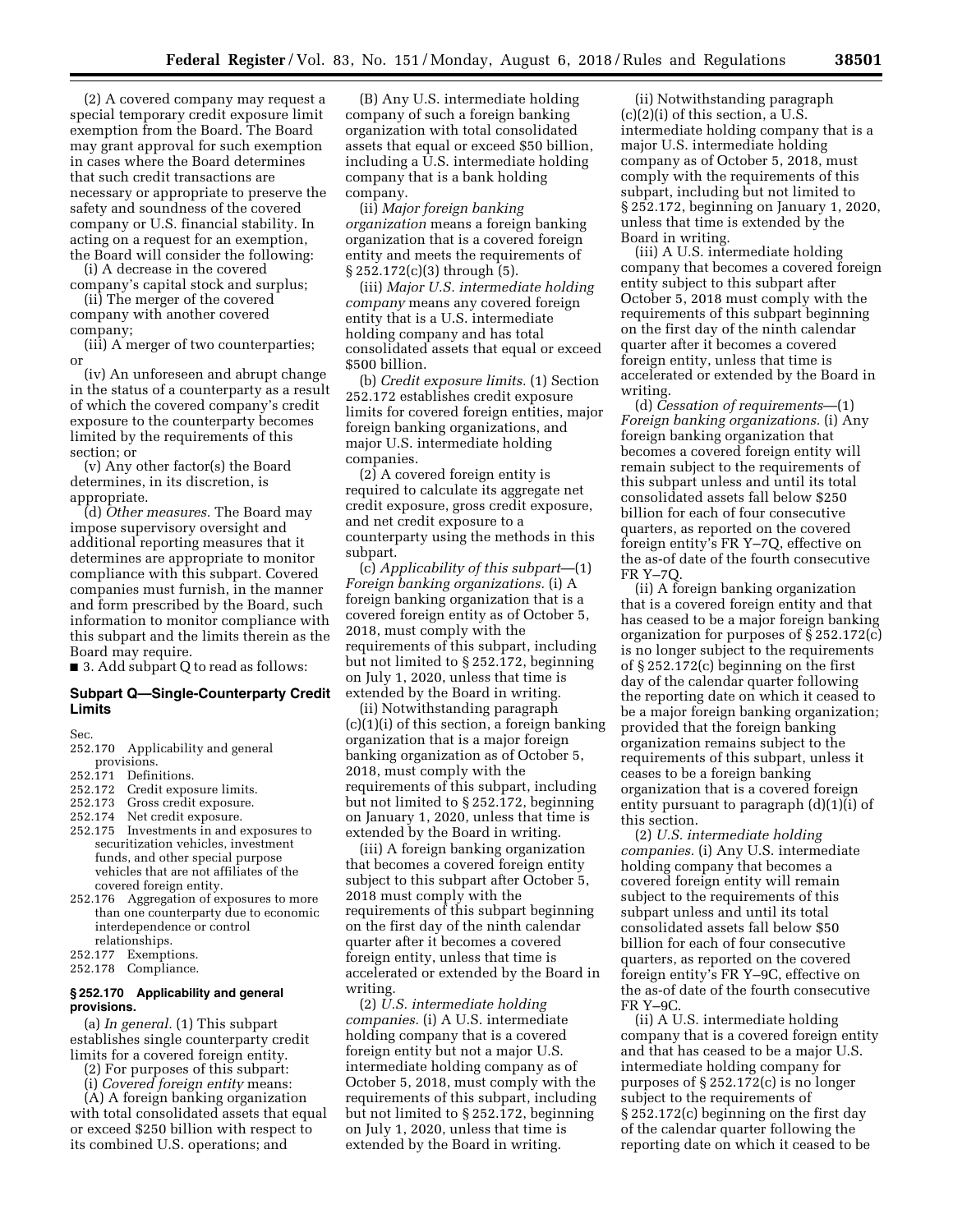(2) A covered company may request a special temporary credit exposure limit exemption from the Board. The Board may grant approval for such exemption in cases where the Board determines that such credit transactions are necessary or appropriate to preserve the safety and soundness of the covered company or U.S. financial stability. In acting on a request for an exemption, the Board will consider the following:

(i) A decrease in the covered company's capital stock and surplus;

(ii) The merger of the covered company with another covered

company;

(iii) A merger of two counterparties; or

(iv) An unforeseen and abrupt change in the status of a counterparty as a result of which the covered company's credit exposure to the counterparty becomes limited by the requirements of this section; or

(v) Any other factor(s) the Board determines, in its discretion, is appropriate.

(d) *Other measures.* The Board may impose supervisory oversight and additional reporting measures that it determines are appropriate to monitor compliance with this subpart. Covered companies must furnish, in the manner and form prescribed by the Board, such information to monitor compliance with this subpart and the limits therein as the Board may require.

■ 3. Add subpart Q to read as follows:

## **Subpart Q—Single-Counterparty Credit Limits**

Sec.

- 252.170 Applicability and general provisions.
- 252.171 Definitions.
- 252.172 Credit exposure limits.
- 252.173 Gross credit exposure.
- 
- 252.174 Net credit exposure.<br>252.175 Investments in and e Investments in and exposures to securitization vehicles, investment funds, and other special purpose vehicles that are not affiliates of the covered foreign entity.
- 252.176 Aggregation of exposures to more than one counterparty due to economic interdependence or control relationships.
- 252.177 Exemptions.
- 252.178 Compliance.

# **§ 252.170 Applicability and general provisions.**

(a) *In general.* (1) This subpart establishes single counterparty credit limits for a covered foreign entity.

(2) For purposes of this subpart:

(i) *Covered foreign entity* means:

(A) A foreign banking organization with total consolidated assets that equal or exceed \$250 billion with respect to its combined U.S. operations; and

(B) Any U.S. intermediate holding company of such a foreign banking organization with total consolidated assets that equal or exceed \$50 billion, including a U.S. intermediate holding company that is a bank holding company.

(ii) *Major foreign banking organization* means a foreign banking organization that is a covered foreign entity and meets the requirements of § 252.172(c)(3) through (5).

(iii) *Major U.S. intermediate holding company* means any covered foreign entity that is a U.S. intermediate holding company and has total consolidated assets that equal or exceed \$500 billion.

(b) *Credit exposure limits.* (1) Section 252.172 establishes credit exposure limits for covered foreign entities, major foreign banking organizations, and major U.S. intermediate holding companies.

(2) A covered foreign entity is required to calculate its aggregate net credit exposure, gross credit exposure, and net credit exposure to a counterparty using the methods in this subpart.

(c) *Applicability of this subpart*—(1) *Foreign banking organizations.* (i) A foreign banking organization that is a covered foreign entity as of October 5, 2018, must comply with the requirements of this subpart, including but not limited to § 252.172, beginning on July 1, 2020, unless that time is extended by the Board in writing.

(ii) Notwithstanding paragraph (c)(1)(i) of this section, a foreign banking organization that is a major foreign banking organization as of October 5, 2018, must comply with the requirements of this subpart, including but not limited to § 252.172, beginning on January 1, 2020, unless that time is extended by the Board in writing.

(iii) A foreign banking organization that becomes a covered foreign entity subject to this subpart after October 5, 2018 must comply with the requirements of this subpart beginning on the first day of the ninth calendar quarter after it becomes a covered foreign entity, unless that time is accelerated or extended by the Board in writing.

(2) *U.S. intermediate holding companies.* (i) A U.S. intermediate holding company that is a covered foreign entity but not a major U.S. intermediate holding company as of October 5, 2018, must comply with the requirements of this subpart, including but not limited to § 252.172, beginning on July 1, 2020, unless that time is extended by the Board in writing.

(ii) Notwithstanding paragraph (c)(2)(i) of this section, a U.S. intermediate holding company that is a major U.S. intermediate holding company as of October 5, 2018, must comply with the requirements of this subpart, including but not limited to § 252.172, beginning on January 1, 2020, unless that time is extended by the Board in writing.

(iii) A U.S. intermediate holding company that becomes a covered foreign entity subject to this subpart after October 5, 2018 must comply with the requirements of this subpart beginning on the first day of the ninth calendar quarter after it becomes a covered foreign entity, unless that time is accelerated or extended by the Board in writing.

(d) *Cessation of requirements*—(1) *Foreign banking organizations.* (i) Any foreign banking organization that becomes a covered foreign entity will remain subject to the requirements of this subpart unless and until its total consolidated assets fall below \$250 billion for each of four consecutive quarters, as reported on the covered foreign entity's FR Y–7Q, effective on the as-of date of the fourth consecutive FR Y–7Q.

(ii) A foreign banking organization that is a covered foreign entity and that has ceased to be a major foreign banking organization for purposes of § 252.172(c) is no longer subject to the requirements of § 252.172(c) beginning on the first day of the calendar quarter following the reporting date on which it ceased to be a major foreign banking organization; provided that the foreign banking organization remains subject to the requirements of this subpart, unless it ceases to be a foreign banking organization that is a covered foreign entity pursuant to paragraph (d)(1)(i) of this section.

(2) *U.S. intermediate holding companies.* (i) Any U.S. intermediate holding company that becomes a covered foreign entity will remain subject to the requirements of this subpart unless and until its total consolidated assets fall below \$50 billion for each of four consecutive quarters, as reported on the covered foreign entity's FR Y–9C, effective on the as-of date of the fourth consecutive FR Y–9C.

(ii) A U.S. intermediate holding company that is a covered foreign entity and that has ceased to be a major U.S. intermediate holding company for purposes of § 252.172(c) is no longer subject to the requirements of § 252.172(c) beginning on the first day of the calendar quarter following the reporting date on which it ceased to be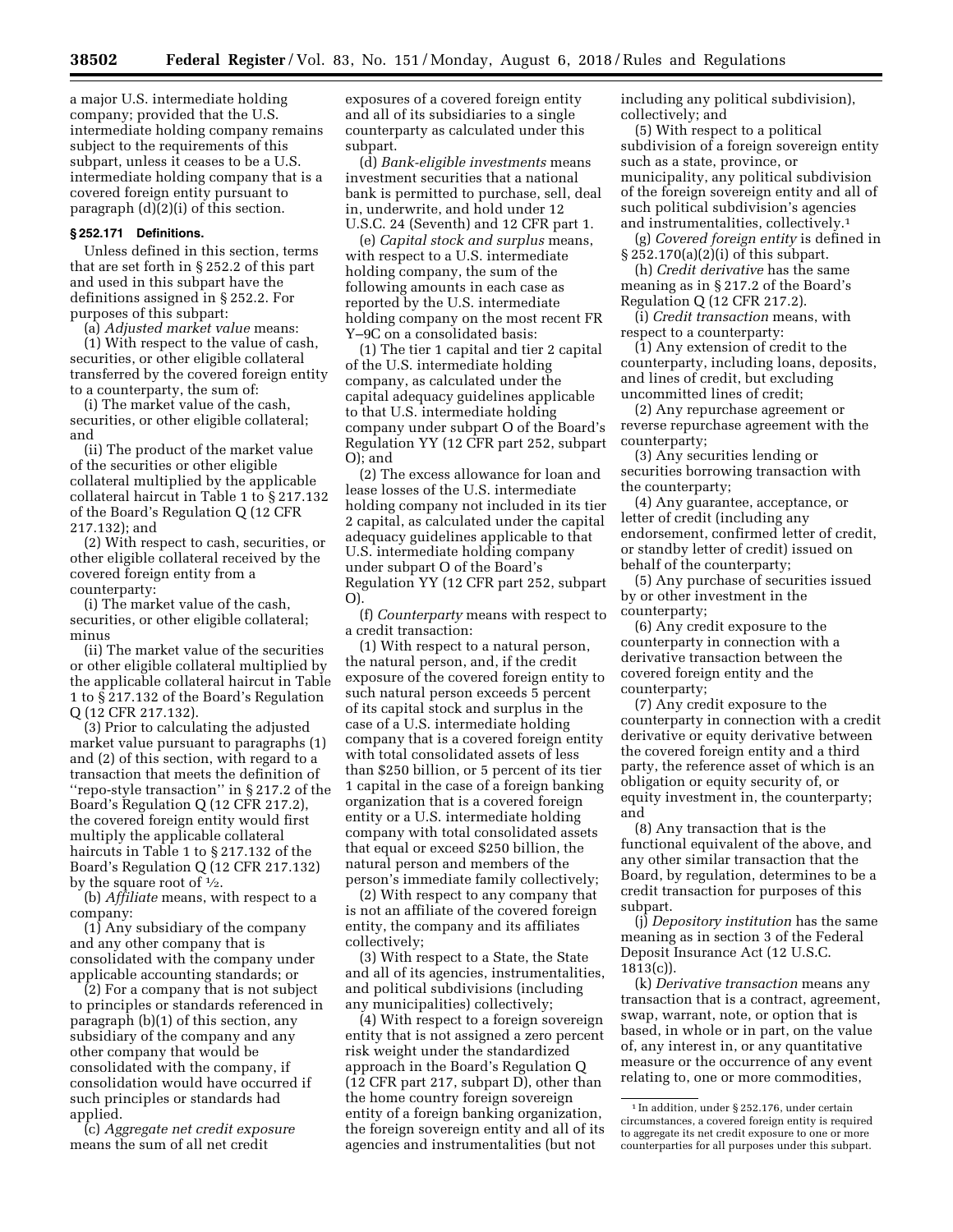a major U.S. intermediate holding company; provided that the U.S. intermediate holding company remains subject to the requirements of this subpart, unless it ceases to be a U.S. intermediate holding company that is a covered foreign entity pursuant to paragraph (d)(2)(i) of this section.

# **§ 252.171 Definitions.**

Unless defined in this section, terms that are set forth in § 252.2 of this part and used in this subpart have the definitions assigned in § 252.2. For purposes of this subpart:

(a) *Adjusted market value* means:

(1) With respect to the value of cash, securities, or other eligible collateral transferred by the covered foreign entity to a counterparty, the sum of:

(i) The market value of the cash, securities, or other eligible collateral; and

(ii) The product of the market value of the securities or other eligible collateral multiplied by the applicable collateral haircut in Table 1 to § 217.132 of the Board's Regulation Q (12 CFR 217.132); and

(2) With respect to cash, securities, or other eligible collateral received by the covered foreign entity from a counterparty:

(i) The market value of the cash, securities, or other eligible collateral; minus

(ii) The market value of the securities or other eligible collateral multiplied by the applicable collateral haircut in Table 1 to § 217.132 of the Board's Regulation Q (12 CFR 217.132).

(3) Prior to calculating the adjusted market value pursuant to paragraphs (1) and (2) of this section, with regard to a transaction that meets the definition of ''repo-style transaction'' in § 217.2 of the Board's Regulation Q (12 CFR 217.2), the covered foreign entity would first multiply the applicable collateral haircuts in Table 1 to § 217.132 of the Board's Regulation Q (12 CFR 217.132) by the square root of  $\frac{1}{2}$ .

(b) *Affiliate* means, with respect to a company:

(1) Any subsidiary of the company and any other company that is consolidated with the company under applicable accounting standards; or

(2) For a company that is not subject to principles or standards referenced in paragraph (b)(1) of this section, any subsidiary of the company and any other company that would be consolidated with the company, if consolidation would have occurred if such principles or standards had applied.

(c) *Aggregate net credit exposure*  means the sum of all net credit

exposures of a covered foreign entity and all of its subsidiaries to a single counterparty as calculated under this subpart.

(d) *Bank-eligible investments* means investment securities that a national bank is permitted to purchase, sell, deal in, underwrite, and hold under 12 U.S.C. 24 (Seventh) and 12 CFR part 1.

(e) *Capital stock and surplus* means, with respect to a U.S. intermediate holding company, the sum of the following amounts in each case as reported by the U.S. intermediate holding company on the most recent FR Y–9C on a consolidated basis:

(1) The tier 1 capital and tier 2 capital of the U.S. intermediate holding company, as calculated under the capital adequacy guidelines applicable to that U.S. intermediate holding company under subpart O of the Board's Regulation YY (12 CFR part 252, subpart O); and

(2) The excess allowance for loan and lease losses of the U.S. intermediate holding company not included in its tier 2 capital, as calculated under the capital adequacy guidelines applicable to that U.S. intermediate holding company under subpart O of the Board's Regulation YY (12 CFR part 252, subpart O).

(f) *Counterparty* means with respect to a credit transaction:

(1) With respect to a natural person, the natural person, and, if the credit exposure of the covered foreign entity to such natural person exceeds 5 percent of its capital stock and surplus in the case of a U.S. intermediate holding company that is a covered foreign entity with total consolidated assets of less than \$250 billion, or 5 percent of its tier 1 capital in the case of a foreign banking organization that is a covered foreign entity or a U.S. intermediate holding company with total consolidated assets that equal or exceed \$250 billion, the natural person and members of the person's immediate family collectively;

(2) With respect to any company that is not an affiliate of the covered foreign entity, the company and its affiliates collectively;

(3) With respect to a State, the State and all of its agencies, instrumentalities, and political subdivisions (including any municipalities) collectively;

(4) With respect to a foreign sovereign entity that is not assigned a zero percent risk weight under the standardized approach in the Board's Regulation Q (12 CFR part 217, subpart D), other than the home country foreign sovereign entity of a foreign banking organization, the foreign sovereign entity and all of its agencies and instrumentalities (but not

including any political subdivision), collectively; and

(5) With respect to a political subdivision of a foreign sovereign entity such as a state, province, or municipality, any political subdivision of the foreign sovereign entity and all of such political subdivision's agencies and instrumentalities, collectively.1

(g) *Covered foreign entity* is defined in § 252.170(a)(2)(i) of this subpart.

(h) *Credit derivative* has the same meaning as in § 217.2 of the Board's Regulation Q (12 CFR 217.2).

(i) *Credit transaction* means, with respect to a counterparty:

(1) Any extension of credit to the counterparty, including loans, deposits, and lines of credit, but excluding uncommitted lines of credit;

(2) Any repurchase agreement or reverse repurchase agreement with the counterparty;

(3) Any securities lending or securities borrowing transaction with the counterparty;

(4) Any guarantee, acceptance, or letter of credit (including any endorsement, confirmed letter of credit, or standby letter of credit) issued on behalf of the counterparty;

(5) Any purchase of securities issued by or other investment in the counterparty;

(6) Any credit exposure to the counterparty in connection with a derivative transaction between the covered foreign entity and the counterparty;

(7) Any credit exposure to the counterparty in connection with a credit derivative or equity derivative between the covered foreign entity and a third party, the reference asset of which is an obligation or equity security of, or equity investment in, the counterparty; and

(8) Any transaction that is the functional equivalent of the above, and any other similar transaction that the Board, by regulation, determines to be a credit transaction for purposes of this subpart.

(j) *Depository institution* has the same meaning as in section 3 of the Federal Deposit Insurance Act (12 U.S.C. 1813(c)).

(k) *Derivative transaction* means any transaction that is a contract, agreement, swap, warrant, note, or option that is based, in whole or in part, on the value of, any interest in, or any quantitative measure or the occurrence of any event relating to, one or more commodities,

<sup>1</sup> In addition, under § 252.176, under certain circumstances, a covered foreign entity is required to aggregate its net credit exposure to one or more counterparties for all purposes under this subpart.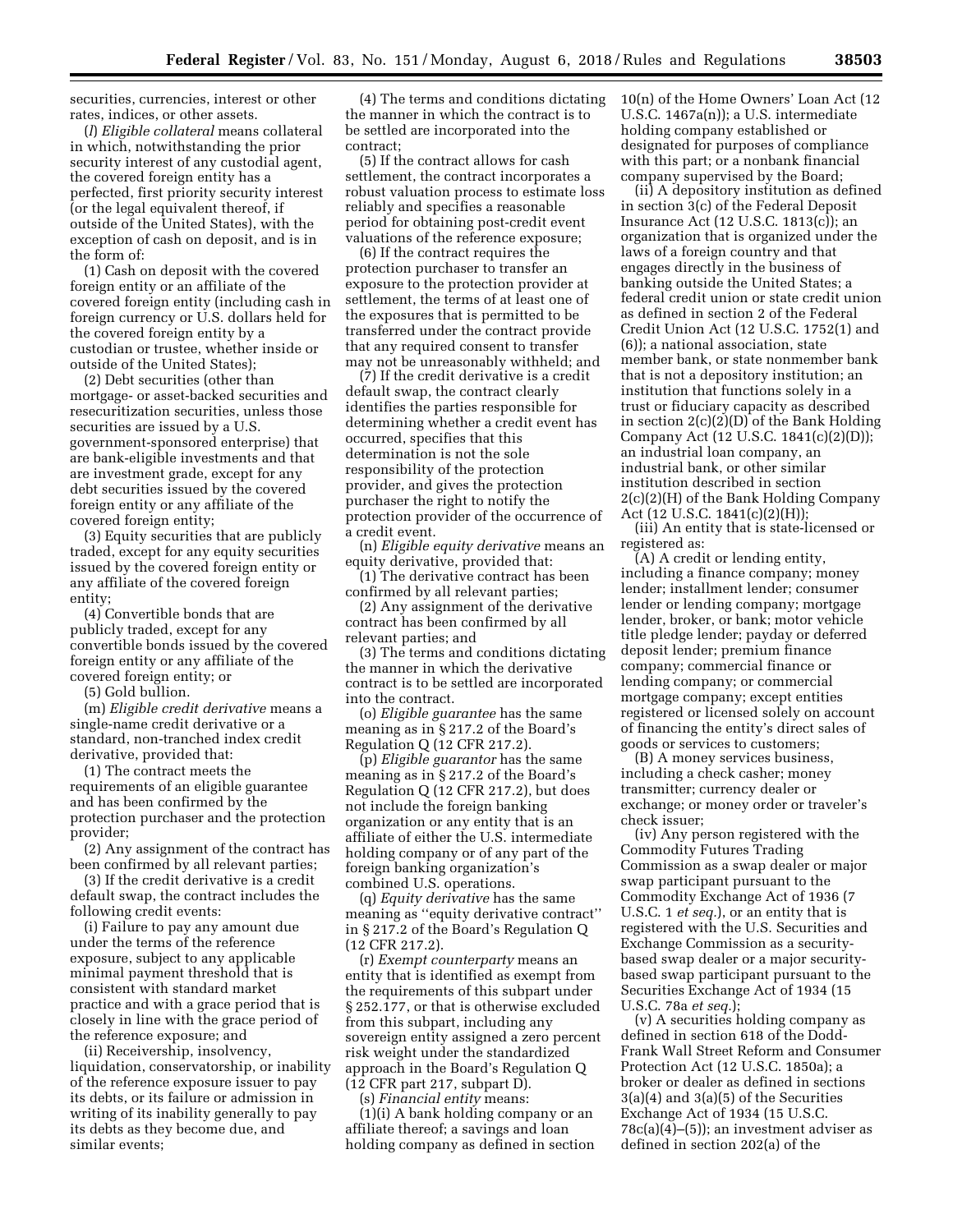securities, currencies, interest or other rates, indices, or other assets.

(*l*) *Eligible collateral* means collateral in which, notwithstanding the prior security interest of any custodial agent, the covered foreign entity has a perfected, first priority security interest (or the legal equivalent thereof, if outside of the United States), with the exception of cash on deposit, and is in the form of:

(1) Cash on deposit with the covered foreign entity or an affiliate of the covered foreign entity (including cash in foreign currency or U.S. dollars held for the covered foreign entity by a custodian or trustee, whether inside or outside of the United States);

(2) Debt securities (other than mortgage- or asset-backed securities and resecuritization securities, unless those securities are issued by a U.S. government-sponsored enterprise) that are bank-eligible investments and that are investment grade, except for any debt securities issued by the covered foreign entity or any affiliate of the covered foreign entity;

(3) Equity securities that are publicly traded, except for any equity securities issued by the covered foreign entity or any affiliate of the covered foreign entity;

(4) Convertible bonds that are publicly traded, except for any convertible bonds issued by the covered foreign entity or any affiliate of the covered foreign entity; or

(5) Gold bullion.

(m) *Eligible credit derivative* means a single-name credit derivative or a standard, non-tranched index credit derivative, provided that:

(1) The contract meets the requirements of an eligible guarantee and has been confirmed by the protection purchaser and the protection provider;

(2) Any assignment of the contract has been confirmed by all relevant parties;

(3) If the credit derivative is a credit default swap, the contract includes the following credit events:

(i) Failure to pay any amount due under the terms of the reference exposure, subject to any applicable minimal payment threshold that is consistent with standard market practice and with a grace period that is closely in line with the grace period of the reference exposure; and

(ii) Receivership, insolvency, liquidation, conservatorship, or inability of the reference exposure issuer to pay its debts, or its failure or admission in writing of its inability generally to pay its debts as they become due, and similar events;

(4) The terms and conditions dictating the manner in which the contract is to be settled are incorporated into the contract;

(5) If the contract allows for cash settlement, the contract incorporates a robust valuation process to estimate loss reliably and specifies a reasonable period for obtaining post-credit event valuations of the reference exposure;

(6) If the contract requires the protection purchaser to transfer an exposure to the protection provider at settlement, the terms of at least one of the exposures that is permitted to be transferred under the contract provide that any required consent to transfer may not be unreasonably withheld; and

(7) If the credit derivative is a credit default swap, the contract clearly identifies the parties responsible for determining whether a credit event has occurred, specifies that this determination is not the sole responsibility of the protection provider, and gives the protection purchaser the right to notify the protection provider of the occurrence of a credit event.

(n) *Eligible equity derivative* means an equity derivative, provided that:

(1) The derivative contract has been confirmed by all relevant parties;

(2) Any assignment of the derivative contract has been confirmed by all relevant parties; and

(3) The terms and conditions dictating the manner in which the derivative contract is to be settled are incorporated into the contract.

(o) *Eligible guarantee* has the same meaning as in § 217.2 of the Board's Regulation Q (12 CFR 217.2).

(p) *Eligible guarantor* has the same meaning as in § 217.2 of the Board's Regulation Q (12 CFR 217.2), but does not include the foreign banking organization or any entity that is an affiliate of either the U.S. intermediate holding company or of any part of the foreign banking organization's combined U.S. operations.

(q) *Equity derivative* has the same meaning as ''equity derivative contract'' in § 217.2 of the Board's Regulation Q (12 CFR 217.2).

(r) *Exempt counterparty* means an entity that is identified as exempt from the requirements of this subpart under § 252.177, or that is otherwise excluded from this subpart, including any sovereign entity assigned a zero percent risk weight under the standardized approach in the Board's Regulation Q (12 CFR part 217, subpart D).

(s) *Financial entity* means:  $(1)(i)$  A bank holding company or an affiliate thereof; a savings and loan holding company as defined in section 10(n) of the Home Owners' Loan Act (12 U.S.C. 1467a(n)); a U.S. intermediate holding company established or designated for purposes of compliance with this part; or a nonbank financial company supervised by the Board;

(ii) A depository institution as defined in section 3(c) of the Federal Deposit Insurance Act (12 U.S.C. 1813(c)); an organization that is organized under the laws of a foreign country and that engages directly in the business of banking outside the United States; a federal credit union or state credit union as defined in section 2 of the Federal Credit Union Act (12 U.S.C. 1752(1) and (6)); a national association, state member bank, or state nonmember bank that is not a depository institution; an institution that functions solely in a trust or fiduciary capacity as described in section 2(c)(2)(D) of the Bank Holding Company Act (12 U.S.C. 1841(c)(2)(D)); an industrial loan company, an industrial bank, or other similar institution described in section 2(c)(2)(H) of the Bank Holding Company Act (12 U.S.C. 1841(c)(2)(H));

(iii) An entity that is state-licensed or registered as:

(A) A credit or lending entity, including a finance company; money lender; installment lender; consumer lender or lending company; mortgage lender, broker, or bank; motor vehicle title pledge lender; payday or deferred deposit lender; premium finance company; commercial finance or lending company; or commercial mortgage company; except entities registered or licensed solely on account of financing the entity's direct sales of goods or services to customers;

(B) A money services business, including a check casher; money transmitter; currency dealer or exchange; or money order or traveler's check issuer;

(iv) Any person registered with the Commodity Futures Trading Commission as a swap dealer or major swap participant pursuant to the Commodity Exchange Act of 1936 (7 U.S.C. 1 *et seq.*), or an entity that is registered with the U.S. Securities and Exchange Commission as a securitybased swap dealer or a major securitybased swap participant pursuant to the Securities Exchange Act of 1934 (15 U.S.C. 78a *et seq.*);

(v) A securities holding company as defined in section 618 of the Dodd-Frank Wall Street Reform and Consumer Protection Act (12 U.S.C. 1850a); a broker or dealer as defined in sections 3(a)(4) and 3(a)(5) of the Securities Exchange Act of 1934 (15 U.S.C. 78c(a)(4)–(5)); an investment adviser as defined in section 202(a) of the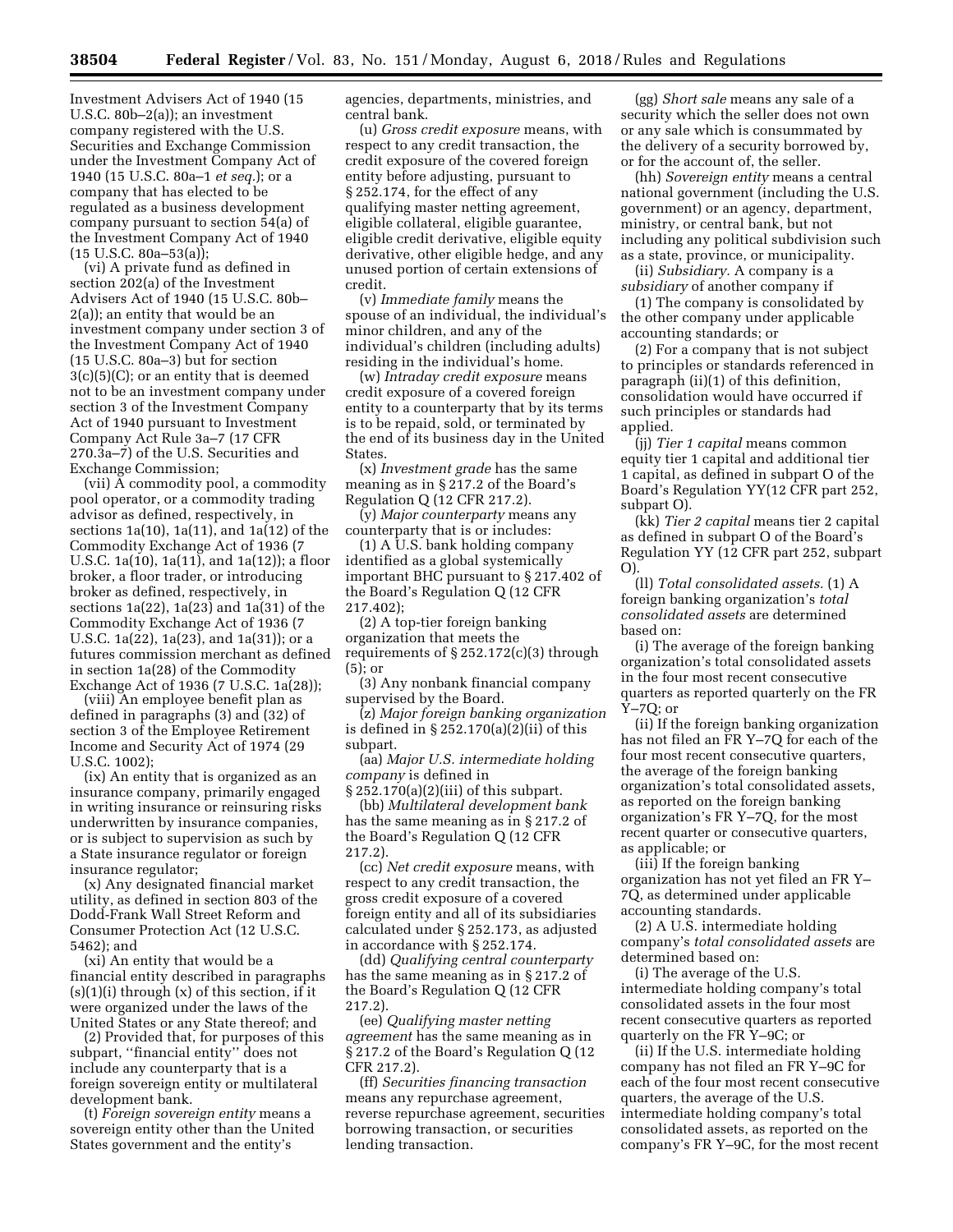Investment Advisers Act of 1940 (15 U.S.C. 80b–2(a)); an investment company registered with the U.S. Securities and Exchange Commission under the Investment Company Act of 1940 (15 U.S.C. 80a–1 *et seq.*); or a company that has elected to be regulated as a business development company pursuant to section 54(a) of the Investment Company Act of 1940 (15 U.S.C. 80a–53(a));

(vi) A private fund as defined in section 202(a) of the Investment Advisers Act of 1940 (15 U.S.C. 80b– 2(a)); an entity that would be an investment company under section 3 of the Investment Company Act of 1940 (15 U.S.C. 80a–3) but for section 3(c)(5)(C); or an entity that is deemed not to be an investment company under section 3 of the Investment Company Act of 1940 pursuant to Investment Company Act Rule 3a–7 (17 CFR 270.3a–7) of the U.S. Securities and Exchange Commission;

(vii) A commodity pool, a commodity pool operator, or a commodity trading advisor as defined, respectively, in sections 1a(10), 1a(11), and 1a(12) of the Commodity Exchange Act of 1936 (7 U.S.C. 1a(10), 1a(11), and 1a(12)); a floor broker, a floor trader, or introducing broker as defined, respectively, in sections 1a(22), 1a(23) and 1a(31) of the Commodity Exchange Act of 1936 (7 U.S.C. 1a(22), 1a(23), and 1a(31)); or a futures commission merchant as defined in section 1a(28) of the Commodity Exchange Act of 1936 (7 U.S.C. 1a(28));

(viii) An employee benefit plan as defined in paragraphs (3) and (32) of section 3 of the Employee Retirement Income and Security Act of 1974 (29 U.S.C. 1002);

(ix) An entity that is organized as an insurance company, primarily engaged in writing insurance or reinsuring risks underwritten by insurance companies, or is subject to supervision as such by a State insurance regulator or foreign insurance regulator;

(x) Any designated financial market utility, as defined in section 803 of the Dodd-Frank Wall Street Reform and Consumer Protection Act (12 U.S.C. 5462); and

(xi) An entity that would be a financial entity described in paragraphs  $(s)(1)(i)$  through  $(x)$  of this section, if it were organized under the laws of the United States or any State thereof; and

(2) Provided that, for purposes of this subpart, ''financial entity'' does not include any counterparty that is a foreign sovereign entity or multilateral development bank.

(t) *Foreign sovereign entity* means a sovereign entity other than the United States government and the entity's

agencies, departments, ministries, and central bank.

(u) *Gross credit exposure* means, with respect to any credit transaction, the credit exposure of the covered foreign entity before adjusting, pursuant to § 252.174, for the effect of any qualifying master netting agreement, eligible collateral, eligible guarantee, eligible credit derivative, eligible equity derivative, other eligible hedge, and any unused portion of certain extensions of credit.

(v) *Immediate family* means the spouse of an individual, the individual's minor children, and any of the individual's children (including adults) residing in the individual's home.

(w) *Intraday credit exposure* means credit exposure of a covered foreign entity to a counterparty that by its terms is to be repaid, sold, or terminated by the end of its business day in the United States.

(x) *Investment grade* has the same meaning as in § 217.2 of the Board's Regulation Q (12 CFR 217.2).

(y) *Major counterparty* means any counterparty that is or includes:

(1) A U.S. bank holding company identified as a global systemically important BHC pursuant to § 217.402 of the Board's Regulation Q (12 CFR 217.402);

(2) A top-tier foreign banking organization that meets the requirements of  $\S 252.172(c)(3)$  through (5); or

(3) Any nonbank financial company supervised by the Board.

(z) *Major foreign banking organization*  is defined in § 252.170(a)(2)(ii) of this subpart.

(aa) *Major U.S. intermediate holding company* is defined in

§ 252.170(a)(2)(iii) of this subpart. (bb) *Multilateral development bank*  has the same meaning as in § 217.2 of the Board's Regulation Q (12 CFR 217.2).

(cc) *Net credit exposure* means, with respect to any credit transaction, the gross credit exposure of a covered foreign entity and all of its subsidiaries calculated under § 252.173, as adjusted in accordance with § 252.174.

(dd) *Qualifying central counterparty*  has the same meaning as in § 217.2 of the Board's Regulation Q (12 CFR 217.2).

(ee) *Qualifying master netting agreement* has the same meaning as in § 217.2 of the Board's Regulation Q (12 CFR 217.2).

(ff) *Securities financing transaction*  means any repurchase agreement, reverse repurchase agreement, securities borrowing transaction, or securities lending transaction.

(gg) *Short sale* means any sale of a security which the seller does not own or any sale which is consummated by the delivery of a security borrowed by, or for the account of, the seller.

(hh) *Sovereign entity* means a central national government (including the U.S. government) or an agency, department, ministry, or central bank, but not including any political subdivision such as a state, province, or municipality.

(ii) *Subsidiary.* A company is a *subsidiary* of another company if

(1) The company is consolidated by the other company under applicable accounting standards; or

(2) For a company that is not subject to principles or standards referenced in paragraph (ii)(1) of this definition, consolidation would have occurred if such principles or standards had applied.

(jj) *Tier 1 capital* means common equity tier 1 capital and additional tier 1 capital, as defined in subpart O of the Board's Regulation YY(12 CFR part 252, subpart O).

(kk) *Tier 2 capital* means tier 2 capital as defined in subpart O of the Board's Regulation YY (12 CFR part 252, subpart O).

(ll) *Total consolidated assets.* (1) A foreign banking organization's *total consolidated assets* are determined based on:

(i) The average of the foreign banking organization's total consolidated assets in the four most recent consecutive quarters as reported quarterly on the FR Y–7Q; or

(ii) If the foreign banking organization has not filed an FR Y–7Q for each of the four most recent consecutive quarters, the average of the foreign banking organization's total consolidated assets, as reported on the foreign banking organization's FR Y–7Q, for the most recent quarter or consecutive quarters, as applicable; or

(iii) If the foreign banking organization has not yet filed an FR Y– 7Q, as determined under applicable accounting standards.

(2) A U.S. intermediate holding company's *total consolidated assets* are determined based on:

(i) The average of the U.S. intermediate holding company's total consolidated assets in the four most recent consecutive quarters as reported quarterly on the FR Y–9C; or

(ii) If the U.S. intermediate holding company has not filed an FR Y–9C for each of the four most recent consecutive quarters, the average of the U.S. intermediate holding company's total consolidated assets, as reported on the company's FR Y–9C, for the most recent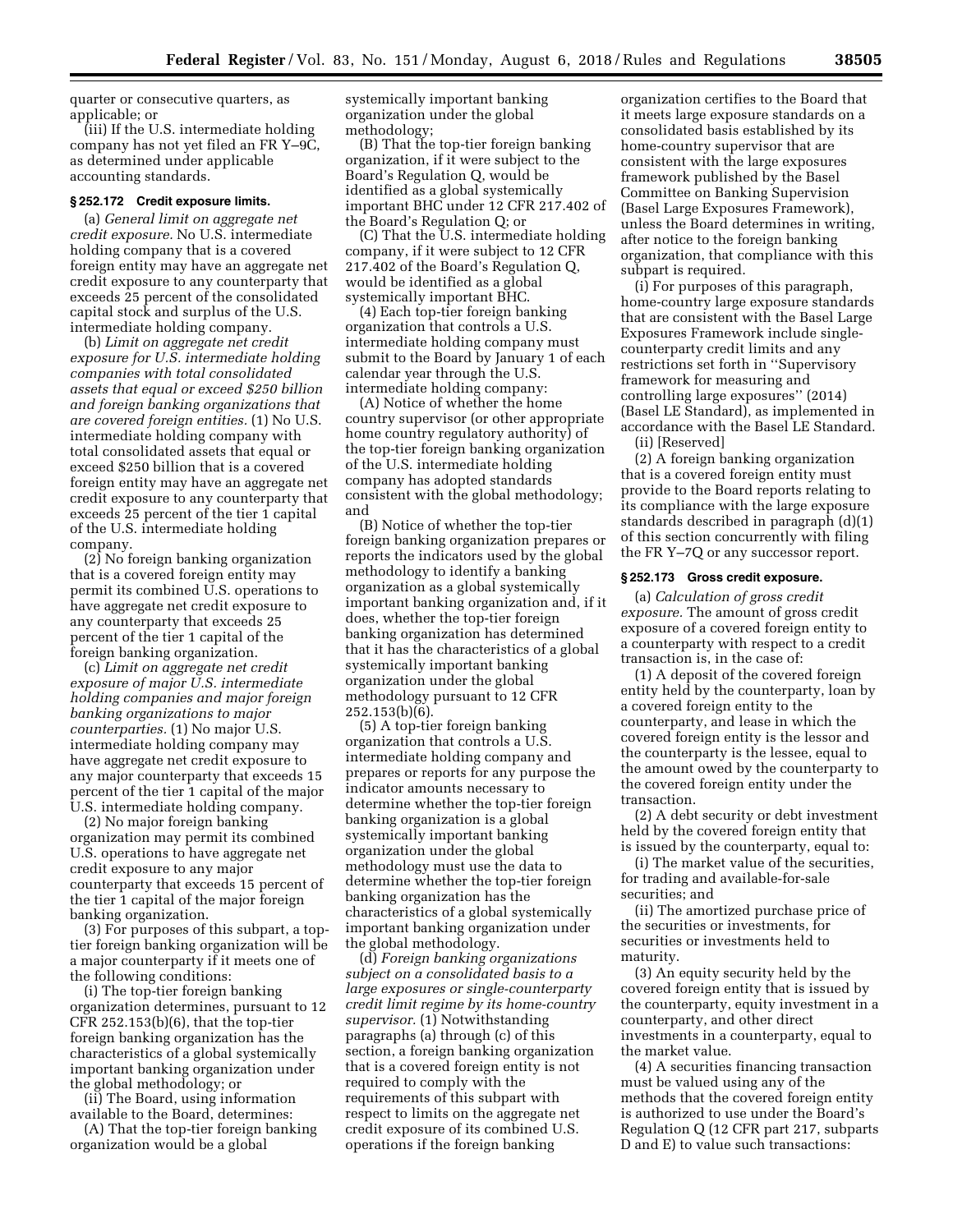quarter or consecutive quarters, as applicable; or

(iii) If the U.S. intermediate holding company has not yet filed an FR Y–9C, as determined under applicable accounting standards.

# **§ 252.172 Credit exposure limits.**

(a) *General limit on aggregate net credit exposure.* No U.S. intermediate holding company that is a covered foreign entity may have an aggregate net credit exposure to any counterparty that exceeds 25 percent of the consolidated capital stock and surplus of the U.S. intermediate holding company.

(b) *Limit on aggregate net credit exposure for U.S. intermediate holding companies with total consolidated assets that equal or exceed \$250 billion and foreign banking organizations that are covered foreign entities.* (1) No U.S. intermediate holding company with total consolidated assets that equal or exceed \$250 billion that is a covered foreign entity may have an aggregate net credit exposure to any counterparty that exceeds 25 percent of the tier 1 capital of the U.S. intermediate holding company.

(2) No foreign banking organization that is a covered foreign entity may permit its combined U.S. operations to have aggregate net credit exposure to any counterparty that exceeds 25 percent of the tier 1 capital of the foreign banking organization.

(c) *Limit on aggregate net credit exposure of major U.S. intermediate holding companies and major foreign banking organizations to major counterparties.* (1) No major U.S. intermediate holding company may have aggregate net credit exposure to any major counterparty that exceeds 15 percent of the tier 1 capital of the major U.S. intermediate holding company.

(2) No major foreign banking organization may permit its combined U.S. operations to have aggregate net credit exposure to any major counterparty that exceeds 15 percent of the tier 1 capital of the major foreign banking organization.

(3) For purposes of this subpart, a toptier foreign banking organization will be a major counterparty if it meets one of the following conditions:

(i) The top-tier foreign banking organization determines, pursuant to 12 CFR 252.153(b)(6), that the top-tier foreign banking organization has the characteristics of a global systemically important banking organization under the global methodology; or

(ii) The Board, using information available to the Board, determines:

(A) That the top-tier foreign banking organization would be a global

systemically important banking organization under the global methodology;

(B) That the top-tier foreign banking organization, if it were subject to the Board's Regulation Q, would be identified as a global systemically important BHC under 12 CFR 217.402 of the Board's Regulation Q; or

(C) That the U.S. intermediate holding company, if it were subject to 12 CFR 217.402 of the Board's Regulation Q, would be identified as a global systemically important BHC.

(4) Each top-tier foreign banking organization that controls a U.S. intermediate holding company must submit to the Board by January 1 of each calendar year through the U.S. intermediate holding company:

(A) Notice of whether the home country supervisor (or other appropriate home country regulatory authority) of the top-tier foreign banking organization of the U.S. intermediate holding company has adopted standards consistent with the global methodology; and

(B) Notice of whether the top-tier foreign banking organization prepares or reports the indicators used by the global methodology to identify a banking organization as a global systemically important banking organization and, if it does, whether the top-tier foreign banking organization has determined that it has the characteristics of a global systemically important banking organization under the global methodology pursuant to 12 CFR 252.153(b)(6).

(5) A top-tier foreign banking organization that controls a U.S. intermediate holding company and prepares or reports for any purpose the indicator amounts necessary to determine whether the top-tier foreign banking organization is a global systemically important banking organization under the global methodology must use the data to determine whether the top-tier foreign banking organization has the characteristics of a global systemically important banking organization under the global methodology.

(d) *Foreign banking organizations subject on a consolidated basis to a large exposures or single-counterparty credit limit regime by its home-country supervisor.* (1) Notwithstanding paragraphs (a) through (c) of this section, a foreign banking organization that is a covered foreign entity is not required to comply with the requirements of this subpart with respect to limits on the aggregate net credit exposure of its combined U.S. operations if the foreign banking

organization certifies to the Board that it meets large exposure standards on a consolidated basis established by its home-country supervisor that are consistent with the large exposures framework published by the Basel Committee on Banking Supervision (Basel Large Exposures Framework), unless the Board determines in writing, after notice to the foreign banking organization, that compliance with this subpart is required.

(i) For purposes of this paragraph, home-country large exposure standards that are consistent with the Basel Large Exposures Framework include singlecounterparty credit limits and any restrictions set forth in ''Supervisory framework for measuring and controlling large exposures'' (2014) (Basel LE Standard), as implemented in accordance with the Basel LE Standard.

(ii) [Reserved]

(2) A foreign banking organization that is a covered foreign entity must provide to the Board reports relating to its compliance with the large exposure standards described in paragraph (d)(1) of this section concurrently with filing the FR Y–7Q or any successor report.

## **§ 252.173 Gross credit exposure.**

(a) *Calculation of gross credit exposure.* The amount of gross credit exposure of a covered foreign entity to a counterparty with respect to a credit transaction is, in the case of:

(1) A deposit of the covered foreign entity held by the counterparty, loan by a covered foreign entity to the counterparty, and lease in which the covered foreign entity is the lessor and the counterparty is the lessee, equal to the amount owed by the counterparty to the covered foreign entity under the transaction.

(2) A debt security or debt investment held by the covered foreign entity that is issued by the counterparty, equal to:

(i) The market value of the securities, for trading and available-for-sale securities; and

(ii) The amortized purchase price of the securities or investments, for securities or investments held to maturity.

(3) An equity security held by the covered foreign entity that is issued by the counterparty, equity investment in a counterparty, and other direct investments in a counterparty, equal to the market value.

(4) A securities financing transaction must be valued using any of the methods that the covered foreign entity is authorized to use under the Board's Regulation Q (12 CFR part 217, subparts D and E) to value such transactions: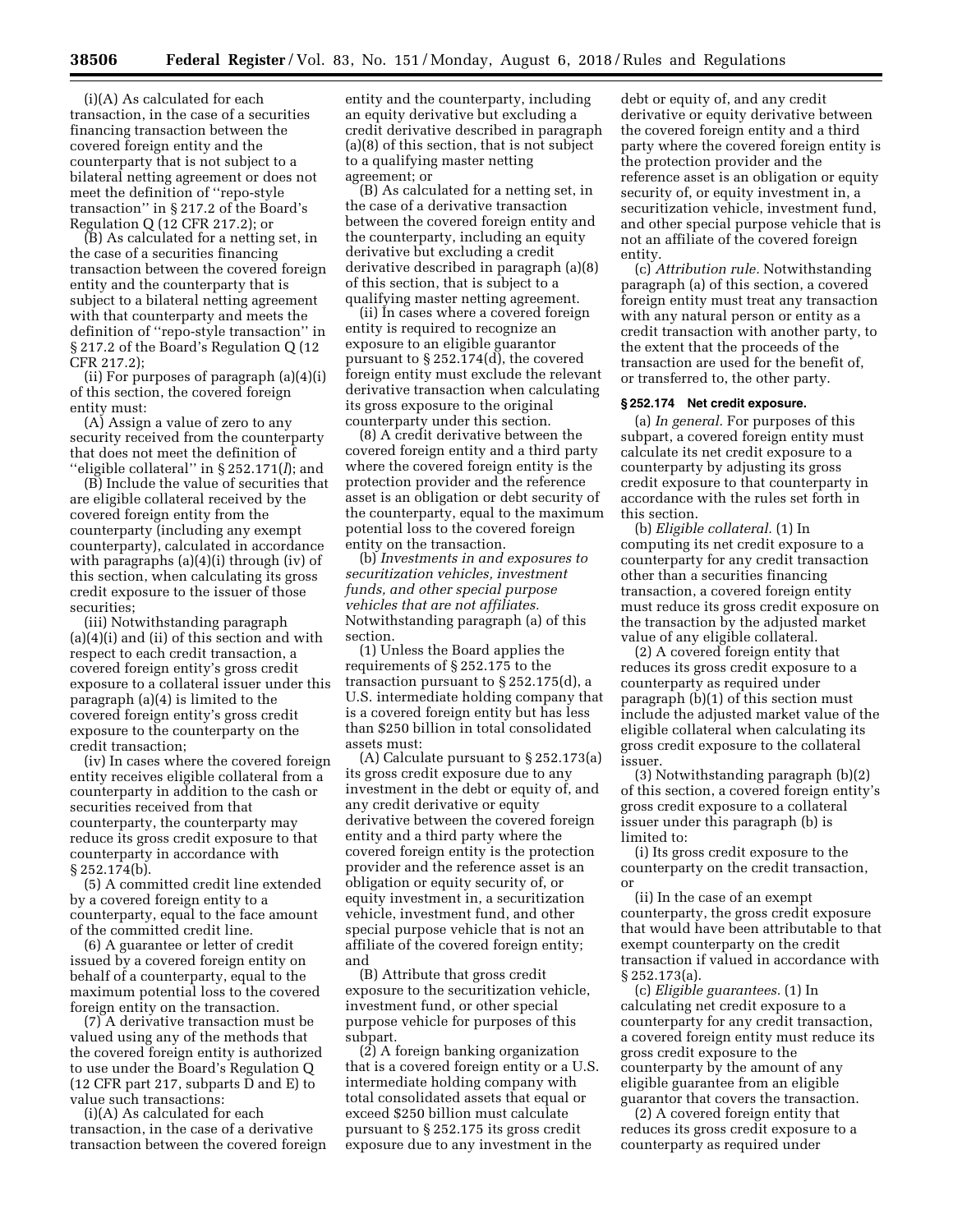(i)(A) As calculated for each transaction, in the case of a securities financing transaction between the covered foreign entity and the counterparty that is not subject to a bilateral netting agreement or does not meet the definition of ''repo-style transaction'' in § 217.2 of the Board's Regulation Q (12 CFR 217.2); or

(B) As calculated for a netting set, in the case of a securities financing transaction between the covered foreign entity and the counterparty that is subject to a bilateral netting agreement with that counterparty and meets the definition of ''repo-style transaction'' in § 217.2 of the Board's Regulation Q (12 CFR 217.2);

(ii) For purposes of paragraph (a)(4)(i) of this section, the covered foreign entity must:

(A) Assign a value of zero to any security received from the counterparty that does not meet the definition of ''eligible collateral'' in § 252.171(*l*); and

(B) Include the value of securities that are eligible collateral received by the covered foreign entity from the counterparty (including any exempt counterparty), calculated in accordance with paragraphs (a)(4)(i) through (iv) of this section, when calculating its gross credit exposure to the issuer of those securities;

(iii) Notwithstanding paragraph (a)(4)(i) and (ii) of this section and with respect to each credit transaction, a covered foreign entity's gross credit exposure to a collateral issuer under this paragraph (a)(4) is limited to the covered foreign entity's gross credit exposure to the counterparty on the credit transaction;

(iv) In cases where the covered foreign entity receives eligible collateral from a counterparty in addition to the cash or securities received from that counterparty, the counterparty may reduce its gross credit exposure to that counterparty in accordance with § 252.174(b).

(5) A committed credit line extended by a covered foreign entity to a counterparty, equal to the face amount of the committed credit line.

(6) A guarantee or letter of credit issued by a covered foreign entity on behalf of a counterparty, equal to the maximum potential loss to the covered foreign entity on the transaction.

(7) A derivative transaction must be valued using any of the methods that the covered foreign entity is authorized to use under the Board's Regulation Q (12 CFR part 217, subparts D and E) to value such transactions:

(i)(A) As calculated for each transaction, in the case of a derivative transaction between the covered foreign entity and the counterparty, including an equity derivative but excluding a credit derivative described in paragraph (a)(8) of this section, that is not subject to a qualifying master netting agreement; or

(B) As calculated for a netting set, in the case of a derivative transaction between the covered foreign entity and the counterparty, including an equity derivative but excluding a credit derivative described in paragraph (a)(8) of this section, that is subject to a qualifying master netting agreement.

(ii) In cases where a covered foreign entity is required to recognize an exposure to an eligible guarantor pursuant to § 252.174(d), the covered foreign entity must exclude the relevant derivative transaction when calculating its gross exposure to the original counterparty under this section.

(8) A credit derivative between the covered foreign entity and a third party where the covered foreign entity is the protection provider and the reference asset is an obligation or debt security of the counterparty, equal to the maximum potential loss to the covered foreign entity on the transaction.

(b) *Investments in and exposures to securitization vehicles, investment funds, and other special purpose vehicles that are not affiliates.*  Notwithstanding paragraph (a) of this section.

(1) Unless the Board applies the requirements of § 252.175 to the transaction pursuant to § 252.175(d), a U.S. intermediate holding company that is a covered foreign entity but has less than \$250 billion in total consolidated assets must:

(A) Calculate pursuant to § 252.173(a) its gross credit exposure due to any investment in the debt or equity of, and any credit derivative or equity derivative between the covered foreign entity and a third party where the covered foreign entity is the protection provider and the reference asset is an obligation or equity security of, or equity investment in, a securitization vehicle, investment fund, and other special purpose vehicle that is not an affiliate of the covered foreign entity; and

(B) Attribute that gross credit exposure to the securitization vehicle, investment fund, or other special purpose vehicle for purposes of this subpart.

(2) A foreign banking organization that is a covered foreign entity or a U.S. intermediate holding company with total consolidated assets that equal or exceed \$250 billion must calculate pursuant to § 252.175 its gross credit exposure due to any investment in the

debt or equity of, and any credit derivative or equity derivative between the covered foreign entity and a third party where the covered foreign entity is the protection provider and the reference asset is an obligation or equity security of, or equity investment in, a securitization vehicle, investment fund, and other special purpose vehicle that is not an affiliate of the covered foreign entity.

(c) *Attribution rule.* Notwithstanding paragraph (a) of this section, a covered foreign entity must treat any transaction with any natural person or entity as a credit transaction with another party, to the extent that the proceeds of the transaction are used for the benefit of, or transferred to, the other party.

## **§ 252.174 Net credit exposure.**

(a) *In general.* For purposes of this subpart, a covered foreign entity must calculate its net credit exposure to a counterparty by adjusting its gross credit exposure to that counterparty in accordance with the rules set forth in this section.

(b) *Eligible collateral.* (1) In computing its net credit exposure to a counterparty for any credit transaction other than a securities financing transaction, a covered foreign entity must reduce its gross credit exposure on the transaction by the adjusted market value of any eligible collateral.

(2) A covered foreign entity that reduces its gross credit exposure to a counterparty as required under paragraph (b)(1) of this section must include the adjusted market value of the eligible collateral when calculating its gross credit exposure to the collateral issuer.

(3) Notwithstanding paragraph (b)(2) of this section, a covered foreign entity's gross credit exposure to a collateral issuer under this paragraph (b) is limited to:

(i) Its gross credit exposure to the counterparty on the credit transaction, or

(ii) In the case of an exempt counterparty, the gross credit exposure that would have been attributable to that exempt counterparty on the credit transaction if valued in accordance with § 252.173(a).

(c) *Eligible guarantees.* (1) In calculating net credit exposure to a counterparty for any credit transaction, a covered foreign entity must reduce its gross credit exposure to the counterparty by the amount of any eligible guarantee from an eligible guarantor that covers the transaction.

(2) A covered foreign entity that reduces its gross credit exposure to a counterparty as required under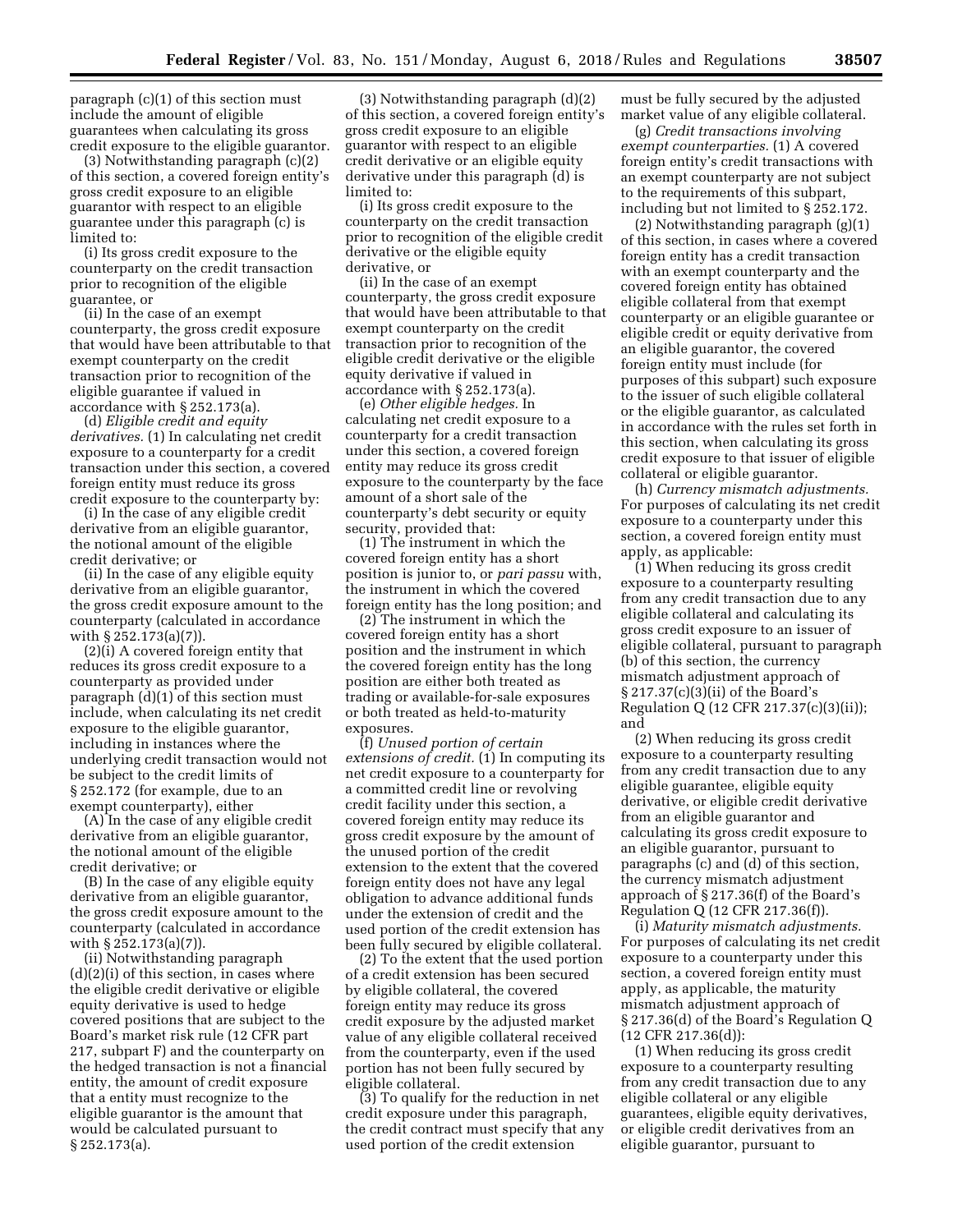paragraph (c)(1) of this section must include the amount of eligible guarantees when calculating its gross credit exposure to the eligible guarantor.

(3) Notwithstanding paragraph (c)(2) of this section, a covered foreign entity's gross credit exposure to an eligible guarantor with respect to an eligible guarantee under this paragraph (c) is limited to:

(i) Its gross credit exposure to the counterparty on the credit transaction prior to recognition of the eligible guarantee, or

(ii) In the case of an exempt counterparty, the gross credit exposure that would have been attributable to that exempt counterparty on the credit transaction prior to recognition of the eligible guarantee if valued in accordance with § 252.173(a).

(d) *Eligible credit and equity derivatives.* (1) In calculating net credit exposure to a counterparty for a credit transaction under this section, a covered foreign entity must reduce its gross credit exposure to the counterparty by:

(i) In the case of any eligible credit derivative from an eligible guarantor, the notional amount of the eligible credit derivative; or

(ii) In the case of any eligible equity derivative from an eligible guarantor, the gross credit exposure amount to the counterparty (calculated in accordance with § 252.173(a)(7)).

(2)(i) A covered foreign entity that reduces its gross credit exposure to a counterparty as provided under paragraph (d)(1) of this section must include, when calculating its net credit exposure to the eligible guarantor, including in instances where the underlying credit transaction would not be subject to the credit limits of § 252.172 (for example, due to an exempt counterparty), either

(A) In the case of any eligible credit derivative from an eligible guarantor, the notional amount of the eligible credit derivative; or

(B) In the case of any eligible equity derivative from an eligible guarantor, the gross credit exposure amount to the counterparty (calculated in accordance with § 252.173(a)(7)).

(ii) Notwithstanding paragraph  $(d)(2)(i)$  of this section, in cases where the eligible credit derivative or eligible equity derivative is used to hedge covered positions that are subject to the Board's market risk rule (12 CFR part 217, subpart F) and the counterparty on the hedged transaction is not a financial entity, the amount of credit exposure that a entity must recognize to the eligible guarantor is the amount that would be calculated pursuant to § 252.173(a).

(3) Notwithstanding paragraph (d)(2) of this section, a covered foreign entity's gross credit exposure to an eligible guarantor with respect to an eligible credit derivative or an eligible equity derivative under this paragraph (d) is limited to:

(i) Its gross credit exposure to the counterparty on the credit transaction prior to recognition of the eligible credit derivative or the eligible equity derivative, or

(ii) In the case of an exempt counterparty, the gross credit exposure that would have been attributable to that exempt counterparty on the credit transaction prior to recognition of the eligible credit derivative or the eligible equity derivative if valued in accordance with § 252.173(a).

(e) *Other eligible hedges.* In calculating net credit exposure to a counterparty for a credit transaction under this section, a covered foreign entity may reduce its gross credit exposure to the counterparty by the face amount of a short sale of the counterparty's debt security or equity security, provided that:

(1) The instrument in which the covered foreign entity has a short position is junior to, or *pari passu* with, the instrument in which the covered foreign entity has the long position; and

(2) The instrument in which the covered foreign entity has a short position and the instrument in which the covered foreign entity has the long position are either both treated as trading or available-for-sale exposures or both treated as held-to-maturity exposures.

(f) *Unused portion of certain extensions of credit.* (1) In computing its net credit exposure to a counterparty for a committed credit line or revolving credit facility under this section, a covered foreign entity may reduce its gross credit exposure by the amount of the unused portion of the credit extension to the extent that the covered foreign entity does not have any legal obligation to advance additional funds under the extension of credit and the used portion of the credit extension has been fully secured by eligible collateral.

(2) To the extent that the used portion of a credit extension has been secured by eligible collateral, the covered foreign entity may reduce its gross credit exposure by the adjusted market value of any eligible collateral received from the counterparty, even if the used portion has not been fully secured by eligible collateral.

(3) To qualify for the reduction in net credit exposure under this paragraph, the credit contract must specify that any used portion of the credit extension

must be fully secured by the adjusted market value of any eligible collateral.

(g) *Credit transactions involving exempt counterparties.* (1) A covered foreign entity's credit transactions with an exempt counterparty are not subject to the requirements of this subpart, including but not limited to § 252.172.

(2) Notwithstanding paragraph (g)(1) of this section, in cases where a covered foreign entity has a credit transaction with an exempt counterparty and the covered foreign entity has obtained eligible collateral from that exempt counterparty or an eligible guarantee or eligible credit or equity derivative from an eligible guarantor, the covered foreign entity must include (for purposes of this subpart) such exposure to the issuer of such eligible collateral or the eligible guarantor, as calculated in accordance with the rules set forth in this section, when calculating its gross credit exposure to that issuer of eligible collateral or eligible guarantor.

(h) *Currency mismatch adjustments.*  For purposes of calculating its net credit exposure to a counterparty under this section, a covered foreign entity must apply, as applicable:

(1) When reducing its gross credit exposure to a counterparty resulting from any credit transaction due to any eligible collateral and calculating its gross credit exposure to an issuer of eligible collateral, pursuant to paragraph (b) of this section, the currency mismatch adjustment approach of § 217.37(c)(3)(ii) of the Board's Regulation Q (12 CFR 217.37(c)(3)(ii)); and

(2) When reducing its gross credit exposure to a counterparty resulting from any credit transaction due to any eligible guarantee, eligible equity derivative, or eligible credit derivative from an eligible guarantor and calculating its gross credit exposure to an eligible guarantor, pursuant to paragraphs (c) and (d) of this section, the currency mismatch adjustment approach of § 217.36(f) of the Board's Regulation Q (12 CFR 217.36(f)).

(i) *Maturity mismatch adjustments.*  For purposes of calculating its net credit exposure to a counterparty under this section, a covered foreign entity must apply, as applicable, the maturity mismatch adjustment approach of § 217.36(d) of the Board's Regulation Q (12 CFR 217.36(d)):

(1) When reducing its gross credit exposure to a counterparty resulting from any credit transaction due to any eligible collateral or any eligible guarantees, eligible equity derivatives, or eligible credit derivatives from an eligible guarantor, pursuant to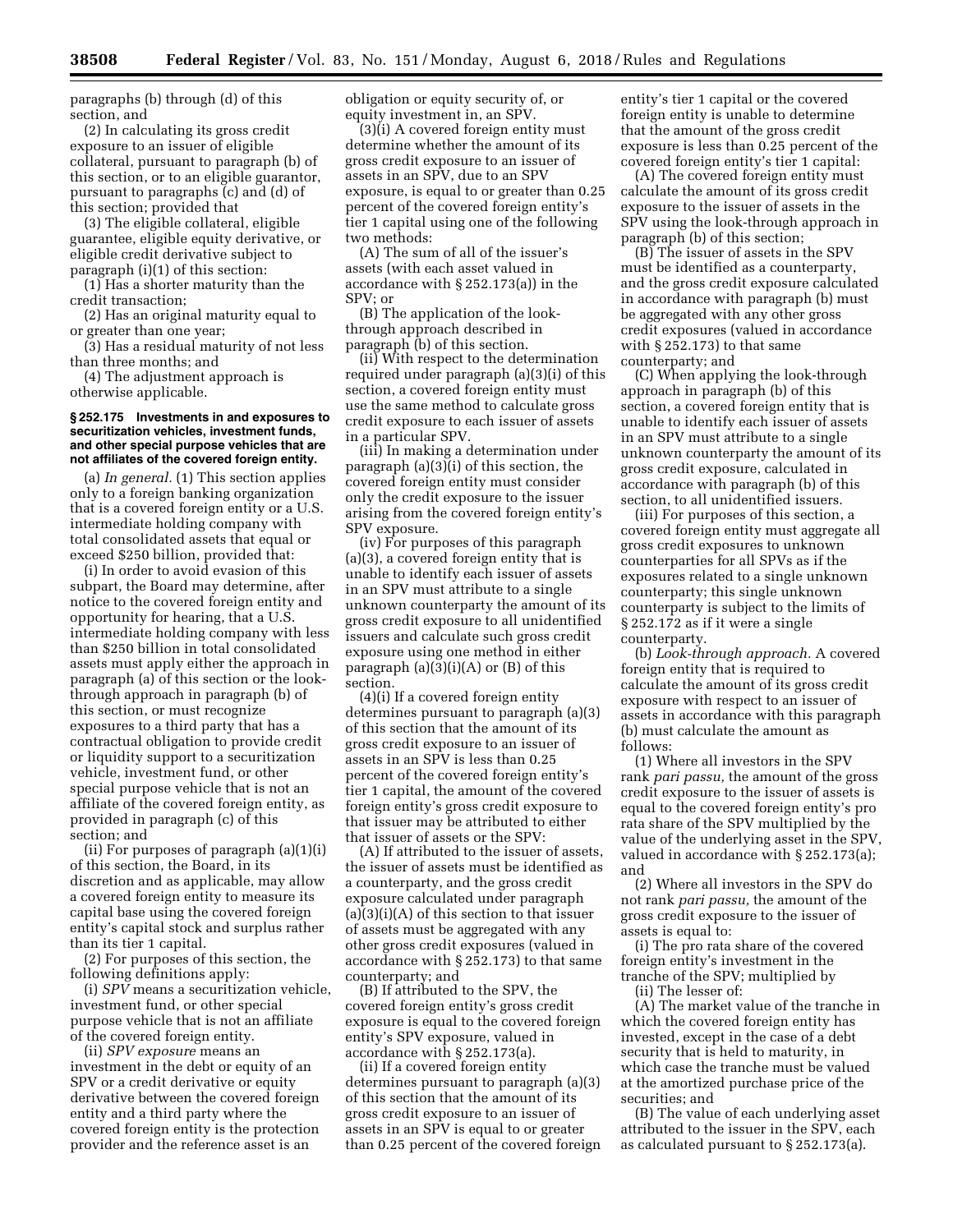paragraphs (b) through (d) of this section, and

(2) In calculating its gross credit exposure to an issuer of eligible collateral, pursuant to paragraph (b) of this section, or to an eligible guarantor, pursuant to paragraphs (c) and (d) of this section; provided that

(3) The eligible collateral, eligible guarantee, eligible equity derivative, or eligible credit derivative subject to paragraph (i)(1) of this section:

(1) Has a shorter maturity than the credit transaction;

(2) Has an original maturity equal to or greater than one year;

(3) Has a residual maturity of not less than three months; and

(4) The adjustment approach is otherwise applicable.

#### **§ 252.175 Investments in and exposures to securitization vehicles, investment funds, and other special purpose vehicles that are not affiliates of the covered foreign entity.**

(a) *In general.* (1) This section applies only to a foreign banking organization that is a covered foreign entity or a U.S. intermediate holding company with total consolidated assets that equal or exceed \$250 billion, provided that:

(i) In order to avoid evasion of this subpart, the Board may determine, after notice to the covered foreign entity and opportunity for hearing, that a U.S. intermediate holding company with less than \$250 billion in total consolidated assets must apply either the approach in paragraph (a) of this section or the lookthrough approach in paragraph (b) of this section, or must recognize exposures to a third party that has a contractual obligation to provide credit or liquidity support to a securitization vehicle, investment fund, or other special purpose vehicle that is not an affiliate of the covered foreign entity, as provided in paragraph (c) of this section; and

(ii) For purposes of paragraph (a)(1)(i) of this section, the Board, in its discretion and as applicable, may allow a covered foreign entity to measure its capital base using the covered foreign entity's capital stock and surplus rather than its tier 1 capital.

(2) For purposes of this section, the following definitions apply:

(i) *SPV* means a securitization vehicle, investment fund, or other special purpose vehicle that is not an affiliate of the covered foreign entity.

(ii) *SPV exposure* means an investment in the debt or equity of an SPV or a credit derivative or equity derivative between the covered foreign entity and a third party where the covered foreign entity is the protection provider and the reference asset is an

obligation or equity security of, or equity investment in, an SPV.

(3)(i) A covered foreign entity must determine whether the amount of its gross credit exposure to an issuer of assets in an SPV, due to an SPV exposure, is equal to or greater than 0.25 percent of the covered foreign entity's tier 1 capital using one of the following two methods:

(A) The sum of all of the issuer's assets (with each asset valued in accordance with § 252.173(a)) in the SPV; or

(B) The application of the lookthrough approach described in paragraph (b) of this section.

(ii) With respect to the determination required under paragraph (a)(3)(i) of this section, a covered foreign entity must use the same method to calculate gross credit exposure to each issuer of assets in a particular SPV.

(iii) In making a determination under paragraph (a)(3)(i) of this section, the covered foreign entity must consider only the credit exposure to the issuer arising from the covered foreign entity's SPV exposure.

(iv) For purposes of this paragraph (a)(3), a covered foreign entity that is unable to identify each issuer of assets in an SPV must attribute to a single unknown counterparty the amount of its gross credit exposure to all unidentified issuers and calculate such gross credit exposure using one method in either paragraph (a)(3)(i)(A) or (B) of this section.

(4)(i) If a covered foreign entity determines pursuant to paragraph (a)(3) of this section that the amount of its gross credit exposure to an issuer of assets in an SPV is less than 0.25 percent of the covered foreign entity's tier 1 capital, the amount of the covered foreign entity's gross credit exposure to that issuer may be attributed to either that issuer of assets or the SPV:

(A) If attributed to the issuer of assets, the issuer of assets must be identified as a counterparty, and the gross credit exposure calculated under paragraph  $(a)(3)(i)(A)$  of this section to that issuer of assets must be aggregated with any other gross credit exposures (valued in accordance with § 252.173) to that same counterparty; and

(B) If attributed to the SPV, the covered foreign entity's gross credit exposure is equal to the covered foreign entity's SPV exposure, valued in accordance with § 252.173(a).

(ii) If a covered foreign entity determines pursuant to paragraph (a)(3) of this section that the amount of its gross credit exposure to an issuer of assets in an SPV is equal to or greater than 0.25 percent of the covered foreign

entity's tier 1 capital or the covered foreign entity is unable to determine that the amount of the gross credit exposure is less than 0.25 percent of the covered foreign entity's tier 1 capital:

(A) The covered foreign entity must calculate the amount of its gross credit exposure to the issuer of assets in the SPV using the look-through approach in paragraph (b) of this section;

(B) The issuer of assets in the SPV must be identified as a counterparty, and the gross credit exposure calculated in accordance with paragraph (b) must be aggregated with any other gross credit exposures (valued in accordance with § 252.173) to that same counterparty; and

(C) When applying the look-through approach in paragraph (b) of this section, a covered foreign entity that is unable to identify each issuer of assets in an SPV must attribute to a single unknown counterparty the amount of its gross credit exposure, calculated in accordance with paragraph (b) of this section, to all unidentified issuers.

(iii) For purposes of this section, a covered foreign entity must aggregate all gross credit exposures to unknown counterparties for all SPVs as if the exposures related to a single unknown counterparty; this single unknown counterparty is subject to the limits of § 252.172 as if it were a single counterparty.

(b) *Look-through approach.* A covered foreign entity that is required to calculate the amount of its gross credit exposure with respect to an issuer of assets in accordance with this paragraph (b) must calculate the amount as follows:

(1) Where all investors in the SPV rank *pari passu,* the amount of the gross credit exposure to the issuer of assets is equal to the covered foreign entity's pro rata share of the SPV multiplied by the value of the underlying asset in the SPV, valued in accordance with § 252.173(a); and

(2) Where all investors in the SPV do not rank *pari passu,* the amount of the gross credit exposure to the issuer of assets is equal to:

(i) The pro rata share of the covered foreign entity's investment in the tranche of the SPV; multiplied by

(ii) The lesser of:

(A) The market value of the tranche in which the covered foreign entity has invested, except in the case of a debt security that is held to maturity, in which case the tranche must be valued at the amortized purchase price of the securities; and

(B) The value of each underlying asset attributed to the issuer in the SPV, each as calculated pursuant to § 252.173(a).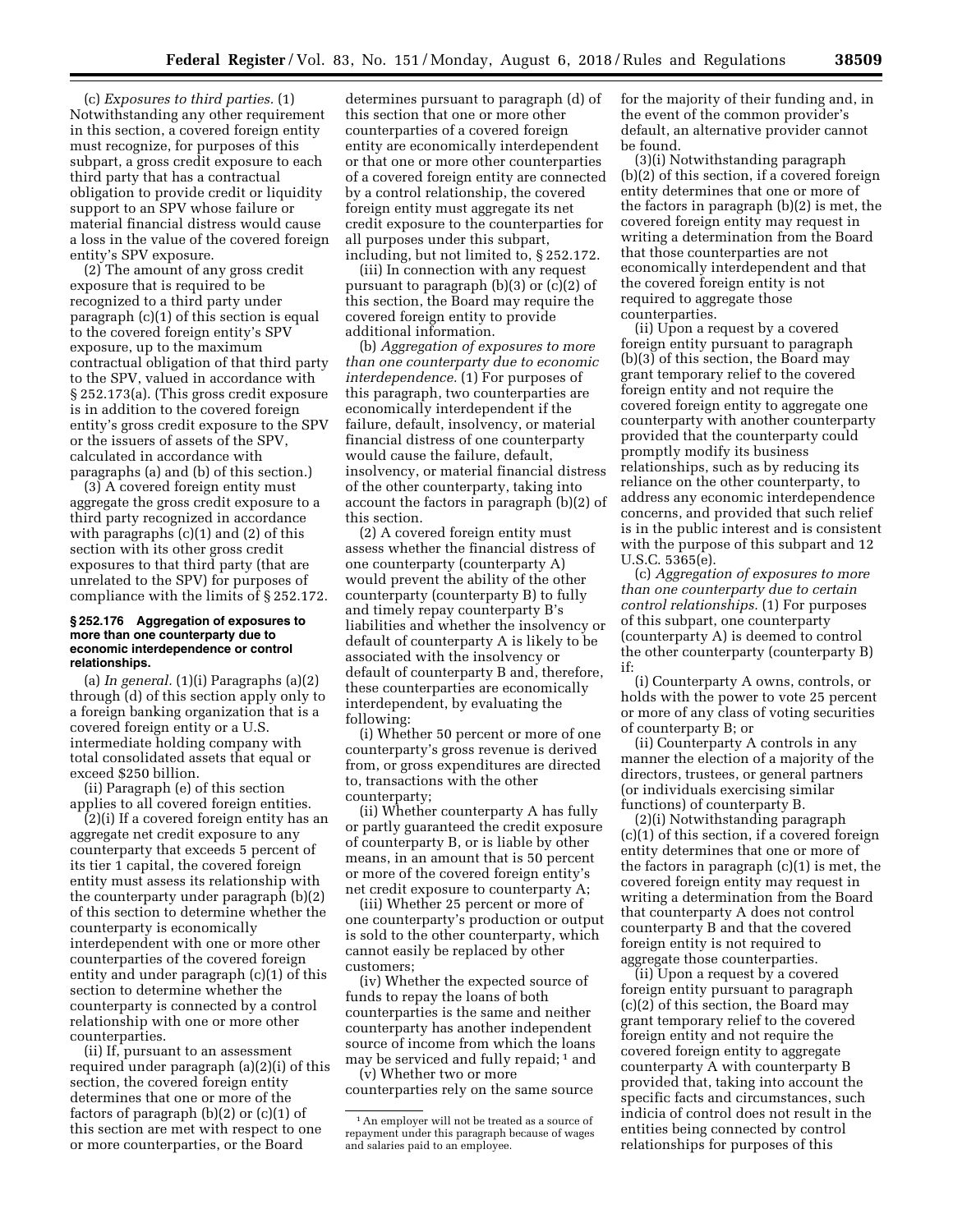(c) *Exposures to third parties.* (1) Notwithstanding any other requirement in this section, a covered foreign entity must recognize, for purposes of this subpart, a gross credit exposure to each third party that has a contractual obligation to provide credit or liquidity support to an SPV whose failure or material financial distress would cause a loss in the value of the covered foreign entity's SPV exposure.

(2) The amount of any gross credit exposure that is required to be recognized to a third party under paragraph (c)(1) of this section is equal to the covered foreign entity's SPV exposure, up to the maximum contractual obligation of that third party to the SPV, valued in accordance with § 252.173(a). (This gross credit exposure is in addition to the covered foreign entity's gross credit exposure to the SPV or the issuers of assets of the SPV, calculated in accordance with paragraphs (a) and (b) of this section.)

(3) A covered foreign entity must aggregate the gross credit exposure to a third party recognized in accordance with paragraphs  $(c)(1)$  and  $(2)$  of this section with its other gross credit exposures to that third party (that are unrelated to the SPV) for purposes of compliance with the limits of § 252.172.

#### **§ 252.176 Aggregation of exposures to more than one counterparty due to economic interdependence or control relationships.**

(a) *In general.* (1)(i) Paragraphs (a)(2) through (d) of this section apply only to a foreign banking organization that is a covered foreign entity or a U.S. intermediate holding company with total consolidated assets that equal or exceed \$250 billion.

(ii) Paragraph (e) of this section applies to all covered foreign entities.

(2)(i) If a covered foreign entity has an aggregate net credit exposure to any counterparty that exceeds 5 percent of its tier 1 capital, the covered foreign entity must assess its relationship with the counterparty under paragraph (b)(2) of this section to determine whether the counterparty is economically interdependent with one or more other counterparties of the covered foreign entity and under paragraph (c)(1) of this section to determine whether the counterparty is connected by a control relationship with one or more other counterparties.

(ii) If, pursuant to an assessment required under paragraph (a)(2)(i) of this section, the covered foreign entity determines that one or more of the factors of paragraph  $(b)(2)$  or  $(c)(1)$  of this section are met with respect to one or more counterparties, or the Board

determines pursuant to paragraph (d) of this section that one or more other counterparties of a covered foreign entity are economically interdependent or that one or more other counterparties of a covered foreign entity are connected by a control relationship, the covered foreign entity must aggregate its net credit exposure to the counterparties for all purposes under this subpart, including, but not limited to, § 252.172.

(iii) In connection with any request pursuant to paragraph (b)(3) or (c)(2) of this section, the Board may require the covered foreign entity to provide additional information.

(b) *Aggregation of exposures to more than one counterparty due to economic interdependence.* (1) For purposes of this paragraph, two counterparties are economically interdependent if the failure, default, insolvency, or material financial distress of one counterparty would cause the failure, default, insolvency, or material financial distress of the other counterparty, taking into account the factors in paragraph (b)(2) of this section.

(2) A covered foreign entity must assess whether the financial distress of one counterparty (counterparty A) would prevent the ability of the other counterparty (counterparty B) to fully and timely repay counterparty B's liabilities and whether the insolvency or default of counterparty A is likely to be associated with the insolvency or default of counterparty B and, therefore, these counterparties are economically interdependent, by evaluating the following:

(i) Whether 50 percent or more of one counterparty's gross revenue is derived from, or gross expenditures are directed to, transactions with the other counterparty;

(ii) Whether counterparty A has fully or partly guaranteed the credit exposure of counterparty B, or is liable by other means, in an amount that is 50 percent or more of the covered foreign entity's net credit exposure to counterparty A;

(iii) Whether 25 percent or more of one counterparty's production or output is sold to the other counterparty, which cannot easily be replaced by other customers;

(iv) Whether the expected source of funds to repay the loans of both counterparties is the same and neither counterparty has another independent source of income from which the loans may be serviced and fully repaid; 1 and

(v) Whether two or more counterparties rely on the same source for the majority of their funding and, in the event of the common provider's default, an alternative provider cannot be found.

(3)(i) Notwithstanding paragraph (b)(2) of this section, if a covered foreign entity determines that one or more of the factors in paragraph (b)(2) is met, the covered foreign entity may request in writing a determination from the Board that those counterparties are not economically interdependent and that the covered foreign entity is not required to aggregate those counterparties.

(ii) Upon a request by a covered foreign entity pursuant to paragraph (b)(3) of this section, the Board may grant temporary relief to the covered foreign entity and not require the covered foreign entity to aggregate one counterparty with another counterparty provided that the counterparty could promptly modify its business relationships, such as by reducing its reliance on the other counterparty, to address any economic interdependence concerns, and provided that such relief is in the public interest and is consistent with the purpose of this subpart and 12 U.S.C. 5365(e).

(c) *Aggregation of exposures to more than one counterparty due to certain control relationships.* (1) For purposes of this subpart, one counterparty (counterparty A) is deemed to control the other counterparty (counterparty B) if:

(i) Counterparty A owns, controls, or holds with the power to vote 25 percent or more of any class of voting securities of counterparty B; or

(ii) Counterparty A controls in any manner the election of a majority of the directors, trustees, or general partners (or individuals exercising similar functions) of counterparty B.

(2)(i) Notwithstanding paragraph (c)(1) of this section, if a covered foreign entity determines that one or more of the factors in paragraph (c)(1) is met, the covered foreign entity may request in writing a determination from the Board that counterparty A does not control counterparty B and that the covered foreign entity is not required to aggregate those counterparties.

(ii) Upon a request by a covered foreign entity pursuant to paragraph (c)(2) of this section, the Board may grant temporary relief to the covered foreign entity and not require the covered foreign entity to aggregate counterparty A with counterparty B provided that, taking into account the specific facts and circumstances, such indicia of control does not result in the entities being connected by control relationships for purposes of this

<sup>1</sup>An employer will not be treated as a source of repayment under this paragraph because of wages and salaries paid to an employee.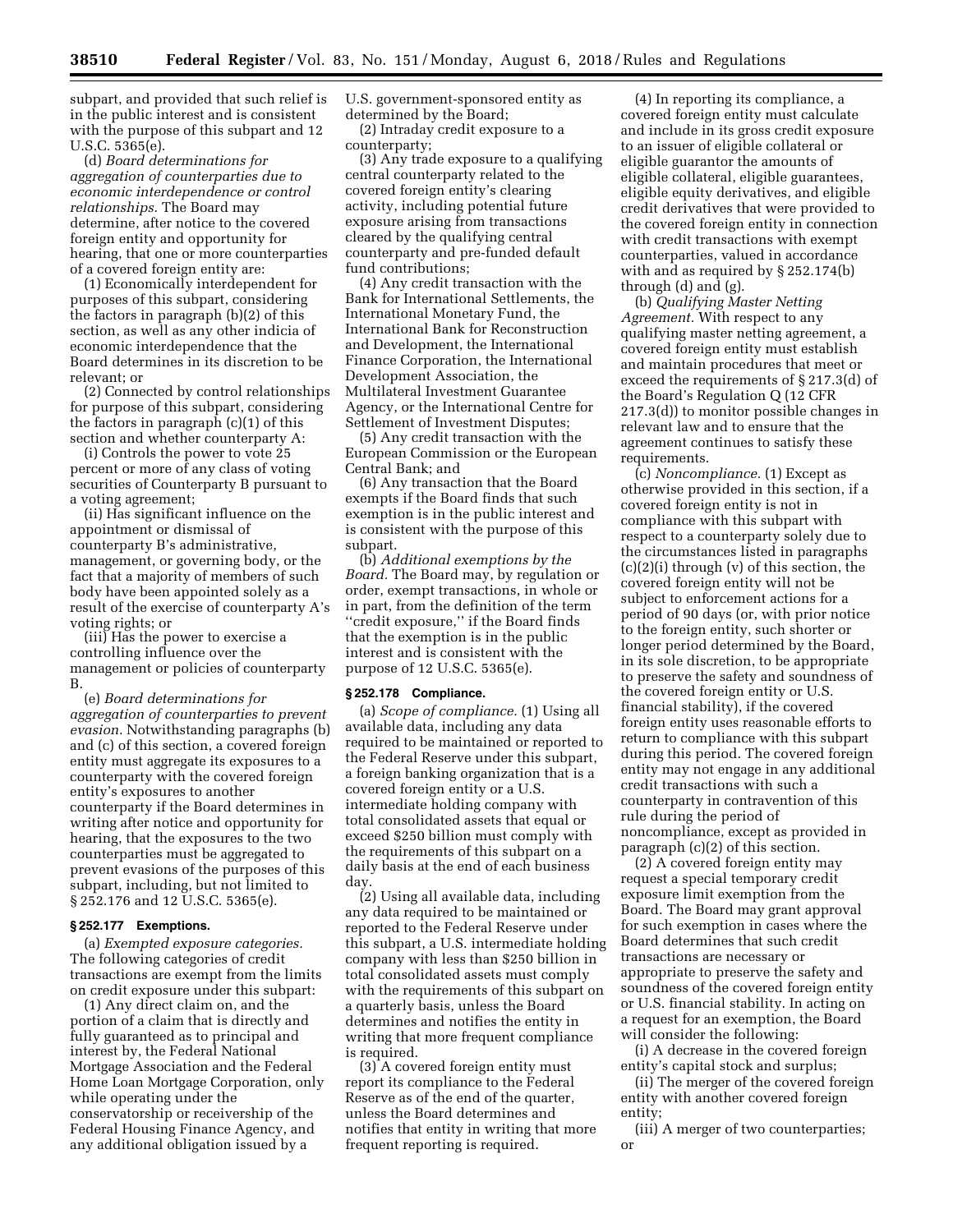subpart, and provided that such relief is in the public interest and is consistent with the purpose of this subpart and 12 U.S.C. 5365(e).

(d) *Board determinations for aggregation of counterparties due to economic interdependence or control relationships.* The Board may determine, after notice to the covered foreign entity and opportunity for hearing, that one or more counterparties of a covered foreign entity are:

(1) Economically interdependent for purposes of this subpart, considering the factors in paragraph (b)(2) of this section, as well as any other indicia of economic interdependence that the Board determines in its discretion to be relevant; or

(2) Connected by control relationships for purpose of this subpart, considering the factors in paragraph (c)(1) of this section and whether counterparty A:

(i) Controls the power to vote 25 percent or more of any class of voting securities of Counterparty B pursuant to a voting agreement;

(ii) Has significant influence on the appointment or dismissal of counterparty B's administrative, management, or governing body, or the fact that a majority of members of such body have been appointed solely as a result of the exercise of counterparty A's voting rights; or

(iii) Has the power to exercise a controlling influence over the management or policies of counterparty B.

(e) *Board determinations for aggregation of counterparties to prevent evasion.* Notwithstanding paragraphs (b) and (c) of this section, a covered foreign entity must aggregate its exposures to a counterparty with the covered foreign entity's exposures to another counterparty if the Board determines in writing after notice and opportunity for hearing, that the exposures to the two counterparties must be aggregated to prevent evasions of the purposes of this subpart, including, but not limited to § 252.176 and 12 U.S.C. 5365(e).

#### **§ 252.177 Exemptions.**

(a) *Exempted exposure categories.*  The following categories of credit transactions are exempt from the limits on credit exposure under this subpart:

(1) Any direct claim on, and the portion of a claim that is directly and fully guaranteed as to principal and interest by, the Federal National Mortgage Association and the Federal Home Loan Mortgage Corporation, only while operating under the conservatorship or receivership of the Federal Housing Finance Agency, and any additional obligation issued by a

U.S. government-sponsored entity as determined by the Board;

(2) Intraday credit exposure to a counterparty;

(3) Any trade exposure to a qualifying central counterparty related to the covered foreign entity's clearing activity, including potential future exposure arising from transactions cleared by the qualifying central counterparty and pre-funded default fund contributions;

(4) Any credit transaction with the Bank for International Settlements, the International Monetary Fund, the International Bank for Reconstruction and Development, the International Finance Corporation, the International Development Association, the Multilateral Investment Guarantee Agency, or the International Centre for Settlement of Investment Disputes;

(5) Any credit transaction with the European Commission or the European Central Bank; and

(6) Any transaction that the Board exempts if the Board finds that such exemption is in the public interest and is consistent with the purpose of this subpart.

(b) *Additional exemptions by the Board.* The Board may, by regulation or order, exempt transactions, in whole or in part, from the definition of the term "credit exposure," if the Board finds that the exemption is in the public interest and is consistent with the purpose of 12 U.S.C. 5365(e).

### **§ 252.178 Compliance.**

(a) *Scope of compliance.* (1) Using all available data, including any data required to be maintained or reported to the Federal Reserve under this subpart, a foreign banking organization that is a covered foreign entity or a U.S. intermediate holding company with total consolidated assets that equal or exceed \$250 billion must comply with the requirements of this subpart on a daily basis at the end of each business day.

(2) Using all available data, including any data required to be maintained or reported to the Federal Reserve under this subpart, a U.S. intermediate holding company with less than \$250 billion in total consolidated assets must comply with the requirements of this subpart on a quarterly basis, unless the Board determines and notifies the entity in writing that more frequent compliance is required.

(3) A covered foreign entity must report its compliance to the Federal Reserve as of the end of the quarter, unless the Board determines and notifies that entity in writing that more frequent reporting is required.

(4) In reporting its compliance, a covered foreign entity must calculate and include in its gross credit exposure to an issuer of eligible collateral or eligible guarantor the amounts of eligible collateral, eligible guarantees, eligible equity derivatives, and eligible credit derivatives that were provided to the covered foreign entity in connection with credit transactions with exempt counterparties, valued in accordance with and as required by § 252.174(b) through (d) and (g).

(b) *Qualifying Master Netting Agreement.* With respect to any qualifying master netting agreement, a covered foreign entity must establish and maintain procedures that meet or exceed the requirements of § 217.3(d) of the Board's Regulation Q (12 CFR 217.3(d)) to monitor possible changes in relevant law and to ensure that the agreement continues to satisfy these requirements.

(c) *Noncompliance.* (1) Except as otherwise provided in this section, if a covered foreign entity is not in compliance with this subpart with respect to a counterparty solely due to the circumstances listed in paragraphs (c)(2)(i) through (v) of this section, the covered foreign entity will not be subject to enforcement actions for a period of 90 days (or, with prior notice to the foreign entity, such shorter or longer period determined by the Board, in its sole discretion, to be appropriate to preserve the safety and soundness of the covered foreign entity or U.S. financial stability), if the covered foreign entity uses reasonable efforts to return to compliance with this subpart during this period. The covered foreign entity may not engage in any additional credit transactions with such a counterparty in contravention of this rule during the period of noncompliance, except as provided in paragraph (c)(2) of this section.

(2) A covered foreign entity may request a special temporary credit exposure limit exemption from the Board. The Board may grant approval for such exemption in cases where the Board determines that such credit transactions are necessary or appropriate to preserve the safety and soundness of the covered foreign entity or U.S. financial stability. In acting on a request for an exemption, the Board will consider the following:

(i) A decrease in the covered foreign entity's capital stock and surplus;

(ii) The merger of the covered foreign entity with another covered foreign entity;

(iii) A merger of two counterparties; or